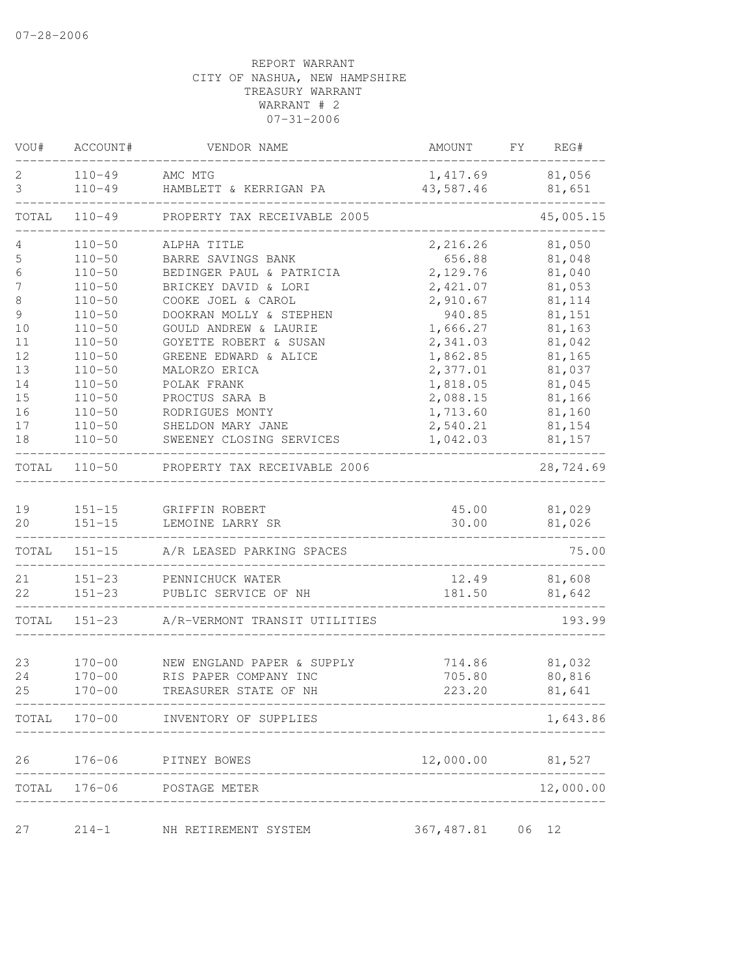| VOU#  | ACCOUNT#   | VENDOR NAME                        | AMOUNT           | FY | REG#      |
|-------|------------|------------------------------------|------------------|----|-----------|
| 2     | $110 - 49$ | AMC MTG                            | 1,417.69         |    | 81,056    |
| 3     | $110 - 49$ | HAMBLETT & KERRIGAN PA             | 43,587.46        |    | 81,651    |
| TOTAL | $110 - 49$ | PROPERTY TAX RECEIVABLE 2005       |                  |    | 45,005.15 |
| 4     | $110 - 50$ | ALPHA TITLE                        | 2,216.26         |    | 81,050    |
| 5     | $110 - 50$ | BARRE SAVINGS BANK                 | 656.88           |    | 81,048    |
| 6     | $110 - 50$ | BEDINGER PAUL & PATRICIA           | 2,129.76         |    | 81,040    |
| 7     | $110 - 50$ | BRICKEY DAVID & LORI               | 2,421.07         |    | 81,053    |
| 8     | $110 - 50$ | COOKE JOEL & CAROL                 | 2,910.67         |    | 81,114    |
| 9     | $110 - 50$ | DOOKRAN MOLLY & STEPHEN            | 940.85           |    | 81,151    |
| 10    | $110 - 50$ | GOULD ANDREW & LAURIE              | 1,666.27         |    | 81,163    |
| 11    | $110 - 50$ | GOYETTE ROBERT & SUSAN             | 2,341.03         |    | 81,042    |
| 12    | $110 - 50$ | GREENE EDWARD & ALICE              | 1,862.85         |    | 81,165    |
| 13    | $110 - 50$ | MALORZO ERICA                      | 2,377.01         |    | 81,037    |
| 14    | $110 - 50$ | POLAK FRANK                        | 1,818.05         |    | 81,045    |
| 15    | $110 - 50$ | PROCTUS SARA B                     | 2,088.15         |    | 81,166    |
| 16    | $110 - 50$ | RODRIGUES MONTY                    | 1,713.60         |    | 81,160    |
| 17    | $110 - 50$ | SHELDON MARY JANE                  | 2,540.21         |    | 81,154    |
| 18    | $110 - 50$ | SWEENEY CLOSING SERVICES           | 1,042.03         |    | 81,157    |
| TOTAL | $110 - 50$ | PROPERTY TAX RECEIVABLE 2006       |                  |    | 28,724.69 |
|       |            |                                    |                  |    |           |
| 19    | $151 - 15$ | GRIFFIN ROBERT                     | 45.00            |    | 81,029    |
| 20    | $151 - 15$ | LEMOINE LARRY SR                   | 30.00            |    | 81,026    |
| TOTAL | $151 - 15$ | A/R LEASED PARKING SPACES          |                  |    | 75.00     |
| 21    | $151 - 23$ | PENNICHUCK WATER                   | 12.49            |    | 81,608    |
| 22    | $151 - 23$ | PUBLIC SERVICE OF NH               | 181.50           |    | 81,642    |
| TOTAL | $151 - 23$ | A/R-VERMONT TRANSIT UTILITIES      |                  |    | 193.99    |
|       |            |                                    |                  |    |           |
| 23    | $170 - 00$ | NEW ENGLAND PAPER & SUPPLY         | 714.86           |    | 81,032    |
| 24    | $170 - 00$ | RIS PAPER COMPANY INC              | 705.80           |    | 80,816    |
| 25    | $170 - 00$ | TREASURER STATE OF NH              | 223.20           |    | 81,641    |
|       |            | TOTAL 170-00 INVENTORY OF SUPPLIES |                  |    | 1,643.86  |
| 26    | $176 - 06$ | PITNEY BOWES                       | 12,000.00 81,527 |    |           |
|       |            | TOTAL 176-06 POSTAGE METER         |                  |    | 12,000.00 |
|       |            | __________________                 |                  |    |           |
| 27    | $214 - 1$  | NH RETIREMENT SYSTEM               | 367,487.81 06 12 |    |           |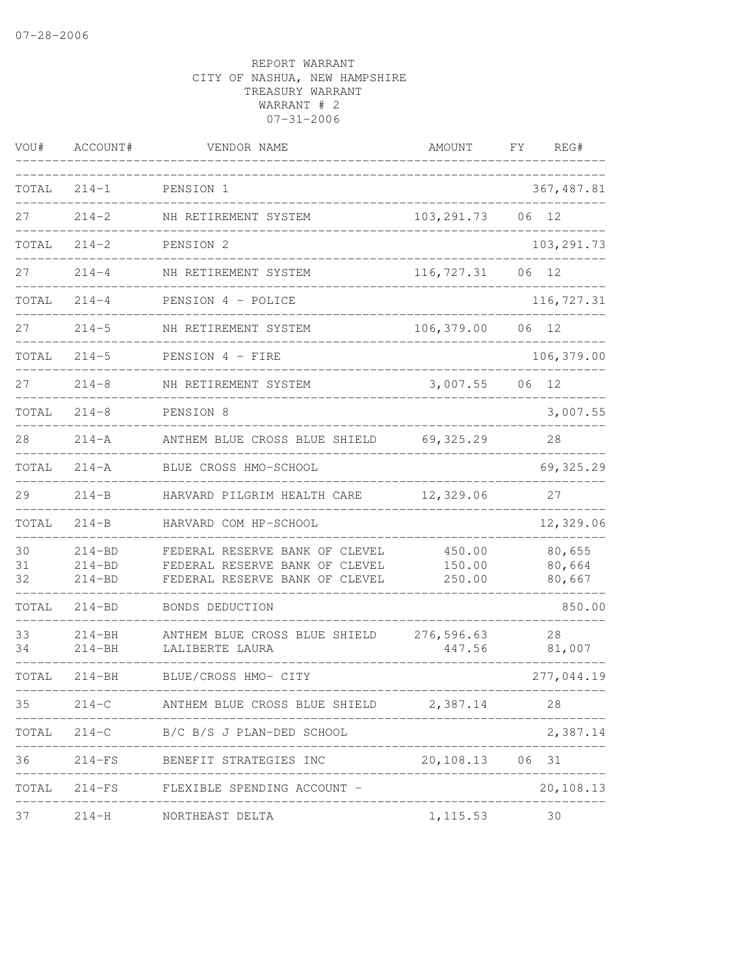| VOU#           | ACCOUNT#                               | VENDOR NAME                                                                                        | AMOUNT                       | FΥ | REG#                       |
|----------------|----------------------------------------|----------------------------------------------------------------------------------------------------|------------------------------|----|----------------------------|
| TOTAL          | $214 - 1$                              | PENSION 1                                                                                          |                              |    | 367, 487.81                |
| 27             | $214 - 2$                              | NH RETIREMENT SYSTEM                                                                               | 103, 291.73                  | 06 | 12                         |
| TOTAL          | $214 - 2$                              | PENSION 2                                                                                          |                              |    | 103, 291.73                |
| 27             | $214 - 4$                              | NH RETIREMENT SYSTEM                                                                               | 116,727.31                   | 06 | 12                         |
| TOTAL          | $214 - 4$                              | PENSION 4 - POLICE                                                                                 |                              |    | 116,727.31                 |
| 27             | $214 - 5$                              | NH RETIREMENT SYSTEM                                                                               | 106,379.00                   | 06 | 12                         |
| TOTAL          | $214 - 5$                              | PENSION 4 - FIRE                                                                                   |                              |    | 106,379.00                 |
| 27             | $214 - 8$                              | NH RETIREMENT SYSTEM                                                                               | 3,007.55                     | 06 | 12                         |
| TOTAL          | $214 - 8$                              | PENSION 8                                                                                          |                              |    | 3,007.55                   |
| 28             | $214 - A$                              | ANTHEM BLUE CROSS BLUE SHIELD                                                                      | 69, 325.29                   |    | 28                         |
| TOTAL          | $214 - A$                              | BLUE CROSS HMO-SCHOOL                                                                              |                              |    | 69,325.29                  |
| 29             | $214 - B$                              | HARVARD PILGRIM HEALTH CARE                                                                        | 12,329.06                    |    | 27                         |
| TOTAL          | $214 - B$                              | HARVARD COM HP-SCHOOL                                                                              |                              |    | 12,329.06                  |
| 30<br>31<br>32 | $214 - BD$<br>$214 - BD$<br>$214 - BD$ | FEDERAL RESERVE BANK OF CLEVEL<br>FEDERAL RESERVE BANK OF CLEVEL<br>FEDERAL RESERVE BANK OF CLEVEL | 450.00<br>150.00<br>250.00   |    | 80,655<br>80,664<br>80,667 |
| TOTAL          | $214 - BD$                             | BONDS DEDUCTION                                                                                    |                              |    | 850.00                     |
| 33<br>34       | $214 - BH$<br>$214 - BH$               | ANTHEM BLUE CROSS BLUE SHIELD<br>LALIBERTE LAURA                                                   | 276,596.63<br>447.56         |    | 28<br>81,007               |
| TOTAL          | $214 - BH$                             | BLUE/CROSS HMO- CITY                                                                               |                              |    | 277,044.19                 |
| 35             | $214-C$                                | ANTHEM BLUE CROSS BLUE SHIELD 2,387.14                                                             |                              |    | 28                         |
|                |                                        | TOTAL 214-C B/C B/S J PLAN-DED SCHOOL                                                              |                              |    | 2,387.14                   |
| 36             |                                        | 214-FS BENEFIT STRATEGIES INC 20,108.13 06 31<br>_____________                                     |                              |    |                            |
| TOTAL          |                                        | 214-FS FLEXIBLE SPENDING ACCOUNT -                                                                 | ---------------------------- |    | 20,108.13                  |
| 37             |                                        | 214-H NORTHEAST DELTA                                                                              | 1, 115.53                    |    | 30                         |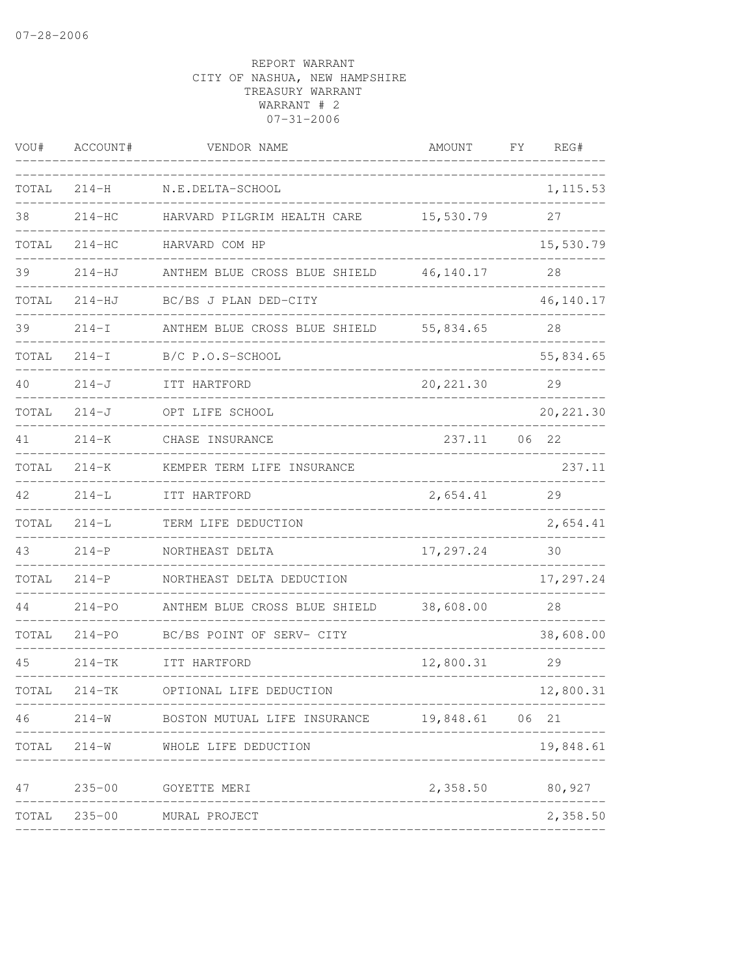| VOU#  | ACCOUNT#   | VENDOR NAME                                        | AMOUNT      | FΥ | REG#       |
|-------|------------|----------------------------------------------------|-------------|----|------------|
| TOTAL | $214 - H$  | N.E.DELTA-SCHOOL                                   |             |    | 1, 115.53  |
| 38    | $214 - HC$ | HARVARD PILGRIM HEALTH CARE                        | 15,530.79   |    | 27         |
| TOTAL | $214 - HC$ | HARVARD COM HP                                     |             |    | 15,530.79  |
| 39    | $214-HJ$   | ANTHEM BLUE CROSS BLUE SHIELD                      | 46, 140. 17 |    | 28         |
| TOTAL | $214 - HJ$ | BC/BS J PLAN DED-CITY                              |             |    | 46,140.17  |
| 39    | $214-I$    | ANTHEM BLUE CROSS BLUE SHIELD                      | 55,834.65   |    | 28         |
| TOTAL | $214 - I$  | B/C P.O.S-SCHOOL                                   |             |    | 55,834.65  |
| 40    | $214 - J$  | ITT HARTFORD                                       | 20, 221.30  |    | 29         |
| TOTAL | $214 - J$  | OPT LIFE SCHOOL                                    |             |    | 20, 221.30 |
| 41    | $214 - K$  | CHASE INSURANCE                                    | 237.11      | 06 | 22         |
| TOTAL | $214 - K$  | KEMPER TERM LIFE INSURANCE                         |             |    | 237.11     |
| 42    | $214 - L$  | ITT HARTFORD                                       | 2,654.41    |    | 29         |
| TOTAL | $214 - L$  | TERM LIFE DEDUCTION                                |             |    | 2,654.41   |
| 43    | $214-P$    | NORTHEAST DELTA                                    | 17,297.24   |    | 30         |
| TOTAL | $214-P$    | NORTHEAST DELTA DEDUCTION                          |             |    | 17,297.24  |
| 44    | $214 - PQ$ | ANTHEM BLUE CROSS BLUE SHIELD                      | 38,608.00   |    | 28         |
| TOTAL | $214 - PQ$ | BC/BS POINT OF SERV- CITY                          |             |    | 38,608.00  |
| 45    | $214-TK$   | ITT HARTFORD                                       | 12,800.31   |    | 29         |
| TOTAL | 214-TK     | OPTIONAL LIFE DEDUCTION<br>----------              |             |    | 12,800.31  |
| 46    |            | 214-W BOSTON MUTUAL LIFE INSURANCE 19,848.61 06 21 |             |    |            |
|       |            | TOTAL 214-W WHOLE LIFE DEDUCTION                   |             |    | 19,848.61  |
| 47    | $235 - 00$ | GOYETTE MERI                                       | 2,358.50    |    | 80,927     |
| TOTAL |            | ______________________<br>235-00 MURAL PROJECT     |             |    | 2,358.50   |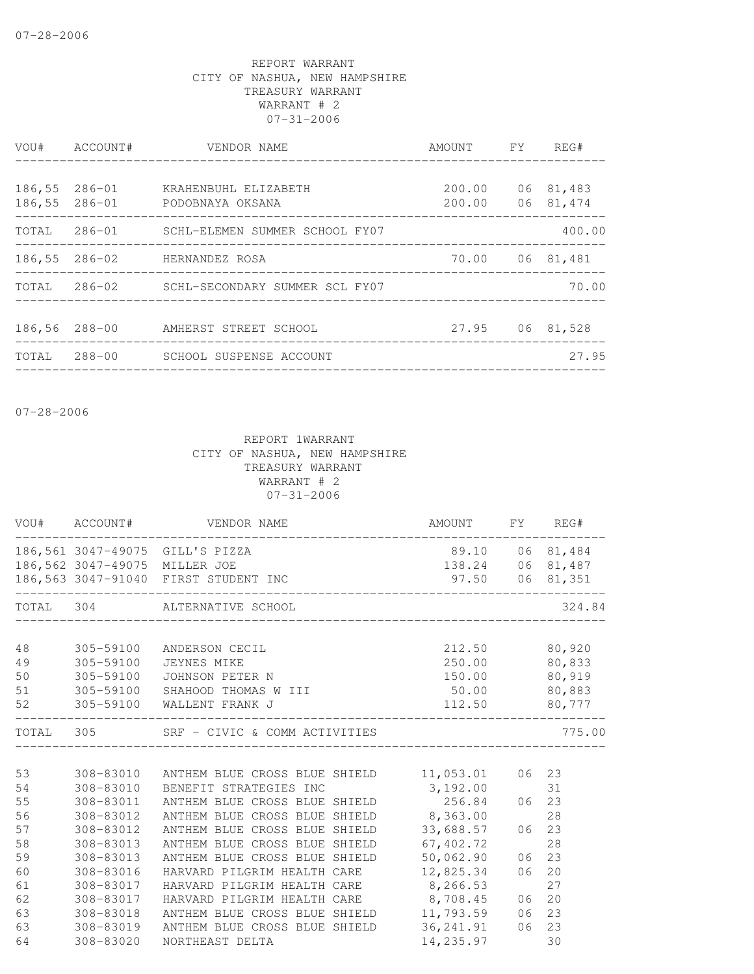| VOU#             | ACCOUNT#         | VENDOR NAME<br>_____________________                                 | AMOUNT FY                  | REG#                   |
|------------------|------------------|----------------------------------------------------------------------|----------------------------|------------------------|
| 186,55<br>186,55 | 286-01<br>286-01 | KRAHENBUHL ELIZABETH<br>PODOBNAYA OKSANA                             | 200.00<br>200.00           | 06 81,483<br>06 81,474 |
|                  |                  | TOTAL 286-01 SCHL-ELEMEN SUMMER SCHOOL FY07                          | __________________________ | 400.00                 |
|                  |                  | 186,55 286-02 HERNANDEZ ROSA<br>____________________________________ |                            | 70.00 06 81,481        |
|                  |                  | TOTAL 286-02 SCHL-SECONDARY SUMMER SCL FY07                          |                            | 70.00                  |
| 186,56 288-00    |                  | AMHERST STREET SCHOOL                                                |                            | 27.95 06 81,528        |
| TOTAL            |                  | 288-00 SCHOOL SUSPENSE ACCOUNT                                       |                            | 27.95                  |

07-28-2006

|                                        |                                                               | VOU# ACCOUNT# VENDOR NAME                                                                                                                                                                                                                                                            | AMOUNT FY REG#                                                                     |                      |                                     |
|----------------------------------------|---------------------------------------------------------------|--------------------------------------------------------------------------------------------------------------------------------------------------------------------------------------------------------------------------------------------------------------------------------------|------------------------------------------------------------------------------------|----------------------|-------------------------------------|
|                                        | 186,562 3047-49075 MILLER JOE                                 | 186,561 3047-49075 GILL'S PIZZA                                                                                                                                                                                                                                                      | 89.10 06 81,484<br>138.24 06 81,487                                                |                      |                                     |
|                                        |                                                               | 186,563 3047-91040 FIRST STUDENT INC                                                                                                                                                                                                                                                 | 97.50 06 81,351                                                                    |                      |                                     |
|                                        |                                                               | TOTAL 304 ALTERNATIVE SCHOOL                                                                                                                                                                                                                                                         |                                                                                    |                      | 324.84                              |
| 48<br>49<br>50<br>51<br>52             |                                                               | 305-59100 ANDERSON CECIL<br>305-59100 JEYNES MIKE<br>305-59100 JOHNSON PETER N<br>305-59100 SHAHOOD THOMAS W III<br>305-59100 WALLENT FRANK J                                                                                                                                        | 212.50 80,920<br>250.00 80,833<br>150.00 80,919<br>$50.00$ 80,883<br>112.50 80,777 |                      |                                     |
|                                        |                                                               | TOTAL 305 SRF - CIVIC & COMM ACTIVITIES                                                                                                                                                                                                                                              |                                                                                    |                      | 775.00                              |
| 53<br>54<br>55<br>56<br>57<br>58<br>59 | 308-83012<br>308-83012<br>308-83013<br>308-83013              | 308-83010 ANTHEM BLUE CROSS BLUE SHIELD 11,053.01<br>308-83010 BENEFIT STRATEGIES INC<br>308-83011 ANTHEM BLUE CROSS BLUE SHIELD 256.84<br>ANTHEM BLUE CROSS BLUE SHIELD 8,363.00<br>ANTHEM BLUE CROSS BLUE SHIELD<br>ANTHEM BLUE CROSS BLUE SHIELD<br>ANTHEM BLUE CROSS BLUE SHIELD | 3,192.00<br>33,688.57<br>67,402.72<br>50,062.90                                    | 06 23<br>06<br>06    | 06 23<br>31<br>28<br>23<br>28<br>23 |
| 60<br>61<br>62<br>63<br>63<br>64       | 308-83016<br>308-83017<br>308-83017<br>308-83018<br>308-83020 | HARVARD PILGRIM HEALTH CARE 12,825.34<br>HARVARD PILGRIM HEALTH CARE 8,266.53<br>HARVARD PILGRIM HEALTH CARE 8,708.45<br>ANTHEM BLUE CROSS BLUE SHIELD 11,793.59<br>308-83019 ANTHEM BLUE CROSS BLUE SHIELD<br>NORTHEAST DELTA                                                       | 36, 241.91<br>14, 235.97                                                           | 06<br>06<br>06<br>06 | 20<br>27<br>20<br>23<br>23<br>30    |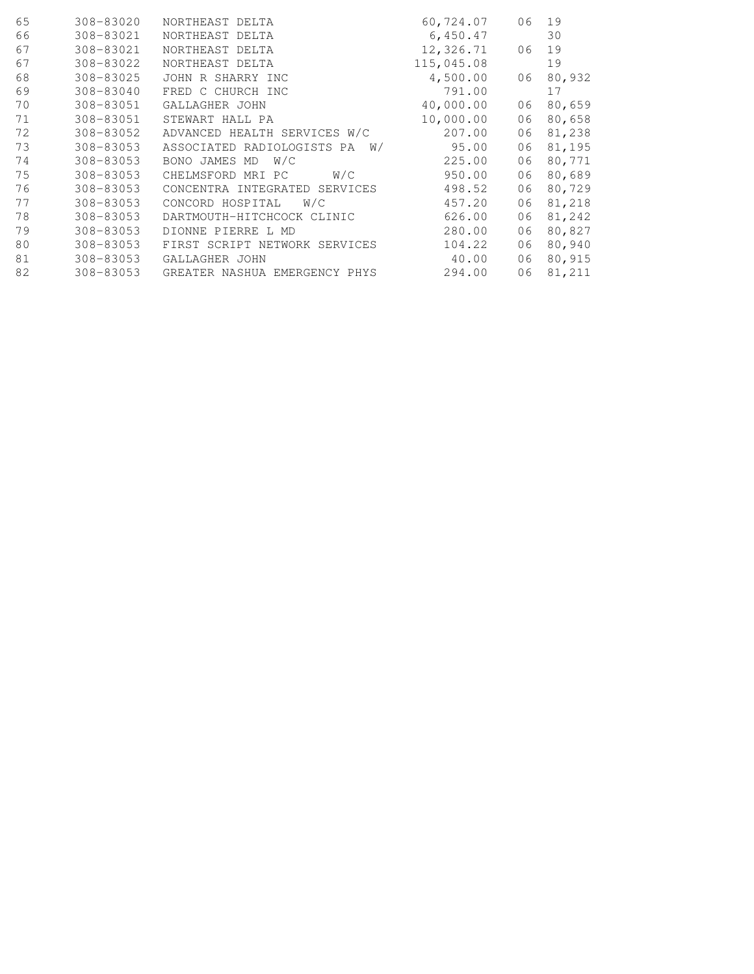| 308-83020 | NORTHEAST DELTA               | 60,724.07  | 06 | 19     |
|-----------|-------------------------------|------------|----|--------|
| 308-83021 | NORTHEAST DELTA               | 6,450.47   |    | 30     |
| 308-83021 | NORTHEAST DELTA               | 12,326.71  | 06 | 19     |
| 308-83022 | NORTHEAST DELTA               | 115,045.08 |    | 19     |
| 308-83025 | JOHN R SHARRY INC             | 4,500.00   | 06 | 80,932 |
| 308-83040 | FRED C CHURCH INC             | 791.00     |    | 17     |
| 308-83051 | GALLAGHER JOHN                | 40,000.00  | 06 | 80,659 |
| 308-83051 | STEWART HALL PA               | 10,000.00  | 06 | 80,658 |
| 308-83052 | ADVANCED HEALTH SERVICES W/C  | 207.00     | 06 | 81,238 |
| 308-83053 | ASSOCIATED RADIOLOGISTS PA W/ | 95.00      | 06 | 81,195 |
| 308-83053 | BONO JAMES MD<br>W/C          | 225.00     | 06 | 80,771 |
| 308-83053 | CHELMSFORD MRI PC<br>W/C      | 950.00     | 06 | 80,689 |
| 308-83053 | CONCENTRA INTEGRATED SERVICES | 498.52     | 06 | 80,729 |
| 308-83053 | CONCORD HOSPITAL<br>W/C       | 457.20     | 06 | 81,218 |
| 308-83053 | DARTMOUTH-HITCHCOCK CLINIC    | 626.00     | 06 | 81,242 |
| 308-83053 | DIONNE PIERRE L MD            | 280.00     | 06 | 80,827 |
| 308-83053 | FIRST SCRIPT NETWORK SERVICES | 104.22     | 06 | 80,940 |
| 308-83053 | GALLAGHER JOHN                | 40.00      | 06 | 80,915 |
| 308-83053 | GREATER NASHUA EMERGENCY PHYS | 294.00     | 06 | 81,211 |
|           |                               |            |    |        |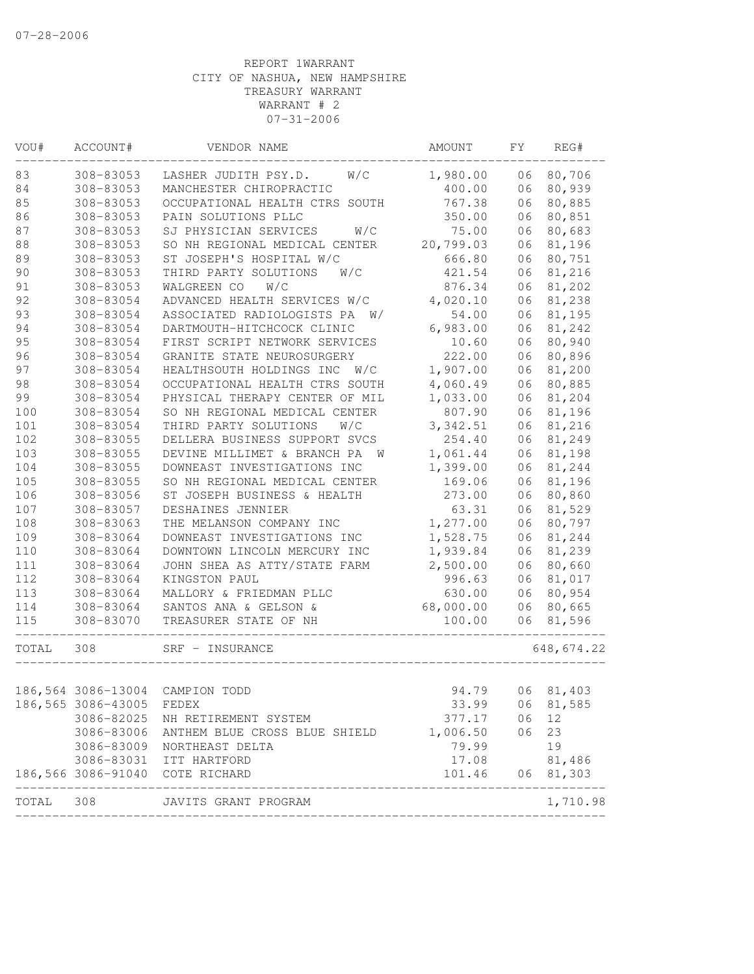| VOU#  | ACCOUNT#           | VENDOR NAME                                          | AMOUNT    | FΥ | REG#        |
|-------|--------------------|------------------------------------------------------|-----------|----|-------------|
| 83    | 308-83053          | W/C<br>LASHER JUDITH PSY.D.                          | 1,980.00  | 06 | 80,706      |
| 84    | 308-83053          | MANCHESTER CHIROPRACTIC                              | 400.00    | 06 | 80,939      |
| 85    | 308-83053          | OCCUPATIONAL HEALTH CTRS SOUTH                       | 767.38    | 06 | 80,885      |
| 86    | 308-83053          | PAIN SOLUTIONS PLLC                                  | 350.00    | 06 | 80,851      |
| 87    | 308-83053          | W/C<br>SJ PHYSICIAN SERVICES                         | 75.00     | 06 | 80,683      |
| 88    | 308-83053          | SO NH REGIONAL MEDICAL CENTER                        | 20,799.03 | 06 | 81,196      |
| 89    | 308-83053          | ST JOSEPH'S HOSPITAL W/C                             | 666.80    | 06 | 80,751      |
| 90    | 308-83053          | THIRD PARTY SOLUTIONS<br>W/C                         | 421.54    | 06 | 81,216      |
| 91    | 308-83053          | W/C<br>WALGREEN CO                                   | 876.34    | 06 | 81,202      |
| 92    | 308-83054          | ADVANCED HEALTH SERVICES W/C                         | 4,020.10  | 06 | 81,238      |
| 93    | 308-83054          | ASSOCIATED RADIOLOGISTS PA<br>W/                     | 54.00     | 06 | 81,195      |
| 94    | 308-83054          | DARTMOUTH-HITCHCOCK CLINIC                           | 6,983.00  | 06 | 81,242      |
| 95    | 308-83054          | FIRST SCRIPT NETWORK SERVICES                        | 10.60     | 06 | 80,940      |
| 96    | 308-83054          | GRANITE STATE NEUROSURGERY                           | 222.00    | 06 | 80,896      |
| 97    | 308-83054          | HEALTHSOUTH HOLDINGS INC<br>W/C                      | 1,907.00  | 06 | 81,200      |
| 98    | 308-83054          | OCCUPATIONAL HEALTH CTRS SOUTH                       | 4,060.49  | 06 | 80,885      |
| 99    | 308-83054          | PHYSICAL THERAPY CENTER OF MIL                       | 1,033.00  | 06 | 81,204      |
| 100   | 308-83054          | SO NH REGIONAL MEDICAL CENTER                        | 807.90    | 06 | 81,196      |
| 101   | 308-83054          | THIRD PARTY SOLUTIONS<br>W/C                         | 3, 342.51 | 06 | 81,216      |
| 102   | 308-83055          | DELLERA BUSINESS SUPPORT SVCS                        | 254.40    | 06 | 81,249      |
| 103   | 308-83055          | DEVINE MILLIMET & BRANCH PA<br><b>W</b>              | 1,061.44  | 06 | 81,198      |
| 104   | 308-83055          | DOWNEAST INVESTIGATIONS INC                          | 1,399.00  | 06 | 81,244      |
| 105   | 308-83055          | SO NH REGIONAL MEDICAL CENTER                        | 169.06    | 06 | 81,196      |
| 106   | 308-83056          | ST JOSEPH BUSINESS & HEALTH                          | 273.00    | 06 | 80,860      |
| 107   | 308-83057          | DESHAINES JENNIER                                    | 63.31     | 06 | 81,529      |
| 108   | 308-83063          | THE MELANSON COMPANY INC                             | 1,277.00  | 06 | 80,797      |
| 109   | 308-83064          | DOWNEAST INVESTIGATIONS INC                          | 1,528.75  | 06 | 81,244      |
| 110   | 308-83064          | DOWNTOWN LINCOLN MERCURY INC                         | 1,939.84  | 06 | 81,239      |
| 111   | 308-83064          | JOHN SHEA AS ATTY/STATE FARM                         | 2,500.00  | 06 | 80,660      |
| 112   | 308-83064          | KINGSTON PAUL                                        | 996.63    | 06 | 81,017      |
| 113   | 308-83064          | MALLORY & FRIEDMAN PLLC                              | 630.00    | 06 | 80,954      |
| 114   | 308-83064          | SANTOS ANA & GELSON &                                | 68,000.00 | 06 | 80,665      |
| 115   | 308-83070          | TREASURER STATE OF NH                                | 100.00    | 06 | 81,596      |
| TOTAL | 308                | SRF - INSURANCE                                      |           |    | 648, 674.22 |
|       | 186,564 3086-13004 | CAMPION TODD                                         | 94.79     |    | 06 81,403   |
|       | 186,565 3086-43005 | FEDEX                                                | 33.99     | 06 | 81,585      |
|       | 3086-82025         | NH RETIREMENT SYSTEM                                 | 377.17    | 06 | 12          |
|       | 3086-83006         | ANTHEM BLUE CROSS BLUE SHIELD                        | 1,006.50  | 06 | 23          |
|       |                    | 3086-83009 NORTHEAST DELTA                           | 79.99     |    | 19          |
|       | 3086-83031         | ITT HARTFORD                                         | 17.08     |    | 81,486      |
|       |                    | 186,566 3086-91040 COTE RICHARD                      | 101.46    |    | 06 81,303   |
| TOTAL | 308                | ____________________________<br>JAVITS GRANT PROGRAM |           |    | 1,710.98    |
|       |                    |                                                      |           |    |             |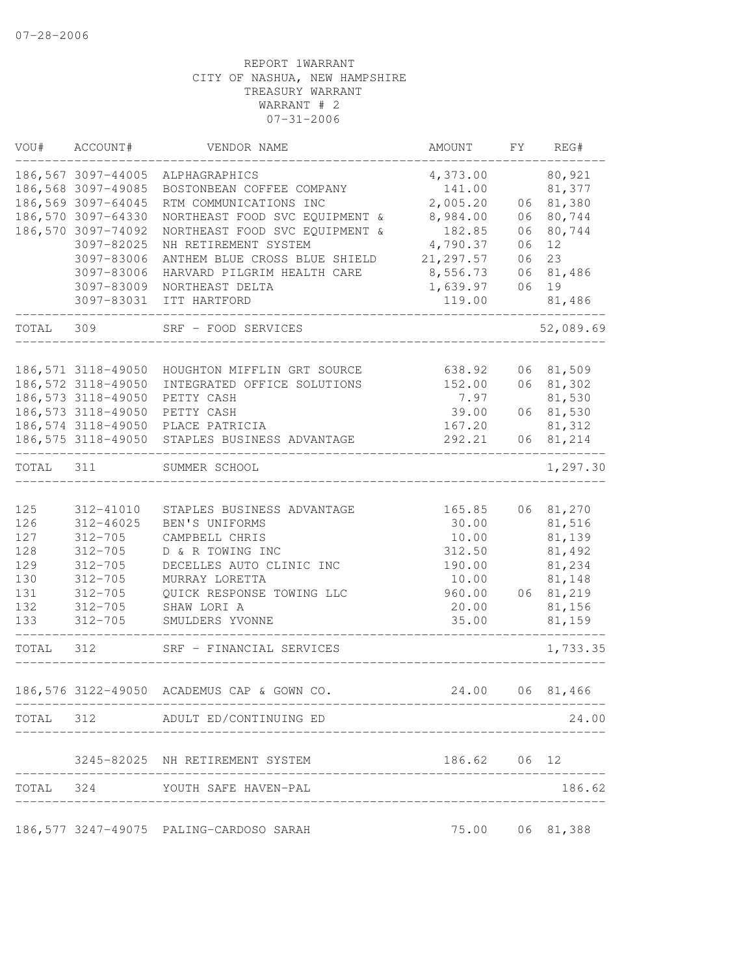| VOU#       | ACCOUNT#                                 | VENDOR NAME                                | AMOUNT                 | FY | REG#             |
|------------|------------------------------------------|--------------------------------------------|------------------------|----|------------------|
|            | 186,567 3097-44005<br>186,568 3097-49085 | ALPHAGRAPHICS<br>BOSTONBEAN COFFEE COMPANY | 4,373.00<br>141.00     |    | 80,921<br>81,377 |
|            | 186,569 3097-64045                       | RTM COMMUNICATIONS INC                     | 2,005.20               | 06 | 81,380           |
|            | 186,570 3097-64330                       | NORTHEAST FOOD SVC EQUIPMENT &             | 8,984.00               | 06 | 80,744           |
|            | 186,570 3097-74092                       | NORTHEAST FOOD SVC EQUIPMENT &             | 182.85                 | 06 | 80,744           |
|            | 3097-82025                               | NH RETIREMENT SYSTEM                       | 4,790.37               | 06 | 12               |
|            | 3097-83006                               | ANTHEM BLUE CROSS BLUE SHIELD              | 21, 297.57             | 06 | 23               |
|            | 3097-83006                               | HARVARD PILGRIM HEALTH CARE                | 8,556.73               | 06 | 81,486           |
|            | 3097-83009                               | NORTHEAST DELTA                            | 1,639.97               | 06 | 19               |
|            | 3097-83031                               | ITT HARTFORD                               | 119.00<br>------------ |    | 81,486           |
| TOTAL      | 309                                      | SRF - FOOD SERVICES                        |                        |    | 52,089.69        |
|            | 186,571 3118-49050                       | HOUGHTON MIFFLIN GRT SOURCE                | 638.92                 |    | 06 81,509        |
|            | 186,572 3118-49050                       | INTEGRATED OFFICE SOLUTIONS                | 152.00                 |    | 06 81,302        |
|            | 186, 573 3118-49050                      | PETTY CASH                                 | 7.97                   |    | 81,530           |
|            | 186, 573 3118-49050                      | PETTY CASH                                 | 39.00                  |    | 06 81,530        |
|            | 186, 574 3118-49050                      | PLACE PATRICIA                             | 167.20                 |    | 81,312           |
|            | 186,575 3118-49050                       | STAPLES BUSINESS ADVANTAGE                 | 292.21                 |    | 06 81,214        |
| TOTAL      | 311                                      | SUMMER SCHOOL                              |                        |    | 1,297.30         |
|            |                                          |                                            |                        |    |                  |
| 125        | 312-41010                                | STAPLES BUSINESS ADVANTAGE                 | 165.85                 |    | 06 81,270        |
| 126<br>127 | 312-46025<br>$312 - 705$                 | BEN'S UNIFORMS<br>CAMPBELL CHRIS           | 30.00<br>10.00         |    | 81,516<br>81,139 |
| 128        | $312 - 705$                              | D & R TOWING INC                           | 312.50                 |    | 81,492           |
| 129        | $312 - 705$                              | DECELLES AUTO CLINIC INC                   | 190.00                 |    | 81,234           |
| 130        | $312 - 705$                              | MURRAY LORETTA                             | 10.00                  |    | 81,148           |
| 131        | $312 - 705$                              | QUICK RESPONSE TOWING LLC                  | 960.00                 | 06 | 81,219           |
| 132        | $312 - 705$                              | SHAW LORI A                                | 20.00                  |    | 81,156           |
| 133        | $312 - 705$                              | SMULDERS YVONNE                            | 35.00                  |    | 81,159           |
| TOTAL      | 312                                      | SRF - FINANCIAL SERVICES                   |                        |    | 1,733.35         |
|            |                                          | 186,576 3122-49050 ACADEMUS CAP & GOWN CO. |                        |    | 24.00 06 81,466  |
|            |                                          | TOTAL 312 ADULT ED/CONTINUING ED           |                        |    | 24.00            |
|            |                                          | 3245-82025 NH RETIREMENT SYSTEM            | 186.62 06 12           |    |                  |
|            |                                          | TOTAL 324 YOUTH SAFE HAVEN-PAL             |                        |    | 186.62           |
|            |                                          |                                            |                        |    |                  |
|            |                                          | 186,577 3247-49075 PALING-CARDOSO SARAH    |                        |    | 75.00 06 81,388  |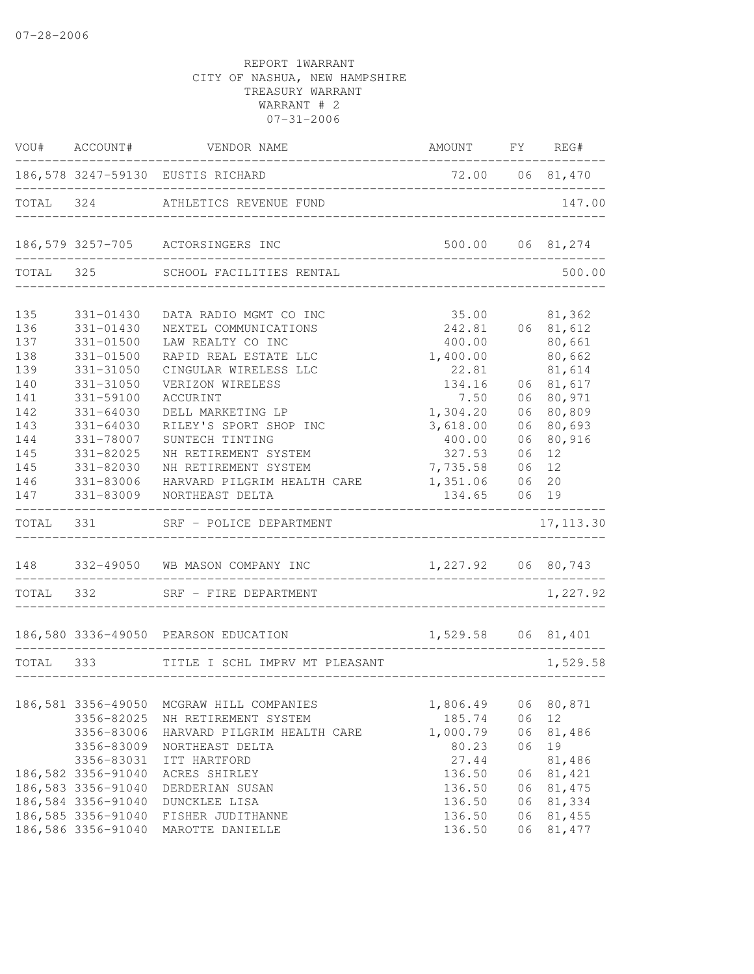|                                                      |                                                                                                            | VOU# ACCOUNT# VENDOR NAME                                                                                                                                                   | AMOUNT FY REG#                                                               |                                  |                                                                                       |
|------------------------------------------------------|------------------------------------------------------------------------------------------------------------|-----------------------------------------------------------------------------------------------------------------------------------------------------------------------------|------------------------------------------------------------------------------|----------------------------------|---------------------------------------------------------------------------------------|
|                                                      |                                                                                                            | 186,578 3247-59130 EUSTIS RICHARD                                                                                                                                           | 72.00 06 81,470<br>___________                                               |                                  |                                                                                       |
|                                                      |                                                                                                            | TOTAL 324 ATHLETICS REVENUE FUND                                                                                                                                            | __________________________________                                           |                                  | 147.00                                                                                |
|                                                      |                                                                                                            | 186,579 3257-705 ACTORSINGERS INC                                                                                                                                           | 500.00 06 81,274                                                             |                                  |                                                                                       |
|                                                      | TOTAL 325                                                                                                  | SCHOOL FACILITIES RENTAL                                                                                                                                                    |                                                                              |                                  | 500.00                                                                                |
| 135<br>136<br>137<br>138<br>139<br>140<br>141<br>142 | 331-01430<br>331-01430<br>331-01500<br>331-01500<br>331-31050<br>331-31050<br>331-59100<br>$331 - 64030$   | DATA RADIO MGMT CO INC<br>NEXTEL COMMUNICATIONS<br>LAW REALTY CO INC<br>RAPID REAL ESTATE LLC<br>CINGULAR WIRELESS LLC<br>VERIZON WIRELESS<br>ACCURINT<br>DELL MARKETING LP | 35.00<br>242.81<br>400.00<br>1,400.00<br>22.81<br>134.16<br>7.50<br>1,304.20 | 06                               | 81,362<br>06 81,612<br>80,661<br>80,662<br>81,614<br>06 81,617<br>06 80,971<br>80,809 |
| 143<br>144<br>145<br>145<br>146<br>147               | $331 - 64030$<br>331-78007<br>331-82025<br>331-82030<br>331-83006<br>331-83009                             | RILEY'S SPORT SHOP INC<br>SUNTECH TINTING<br>NH RETIREMENT SYSTEM<br>NH RETIREMENT SYSTEM<br>HARVARD PILGRIM HEALTH CARE<br>NORTHEAST DELTA                                 | 3,618.00<br>400.00<br>327.53<br>7,735.58<br>1,351.06<br>134.65               | 06<br>06<br>06<br>06<br>06<br>06 | 80,693<br>80,916<br>12<br>12<br>20<br>19                                              |
| TOTAL 331                                            |                                                                                                            | SRF - POLICE DEPARTMENT                                                                                                                                                     |                                                                              |                                  | 17, 113.30                                                                            |
|                                                      |                                                                                                            | 148 332-49050 WB MASON COMPANY INC                                                                                                                                          | 1,227.92 06 80,743                                                           |                                  |                                                                                       |
|                                                      |                                                                                                            | TOTAL 332 SRF - FIRE DEPARTMENT                                                                                                                                             |                                                                              |                                  | 1,227.92                                                                              |
|                                                      |                                                                                                            | 186,580 3336-49050 PEARSON EDUCATION                                                                                                                                        | 1,529.58 06 81,401                                                           |                                  |                                                                                       |
| TOTAL 333                                            |                                                                                                            | TITLE I SCHL IMPRV MT PLEASANT                                                                                                                                              | ______________________                                                       |                                  | 1,529.58                                                                              |
|                                                      | 186,581 3356-49050<br>3356-82025<br>3356-83006<br>3356-83009<br>3356-83031                                 | MCGRAW HILL COMPANIES<br>NH RETIREMENT SYSTEM<br>HARVARD PILGRIM HEALTH CARE<br>NORTHEAST DELTA<br>ITT HARTFORD                                                             | 1,806.49<br>185.74<br>1,000.79<br>80.23<br>27.44                             | 06<br>06<br>06<br>06             | 80,871<br>12<br>81,486<br>19<br>81,486                                                |
|                                                      | 186,582 3356-91040<br>186,583 3356-91040<br>186,584 3356-91040<br>186,585 3356-91040<br>186,586 3356-91040 | ACRES SHIRLEY<br>DERDERIAN SUSAN<br>DUNCKLEE LISA<br>FISHER JUDITHANNE<br>MAROTTE DANIELLE                                                                                  | 136.50<br>136.50<br>136.50<br>136.50<br>136.50                               | 06<br>06<br>06<br>06<br>06       | 81,421<br>81,475<br>81,334<br>81,455<br>81, 477                                       |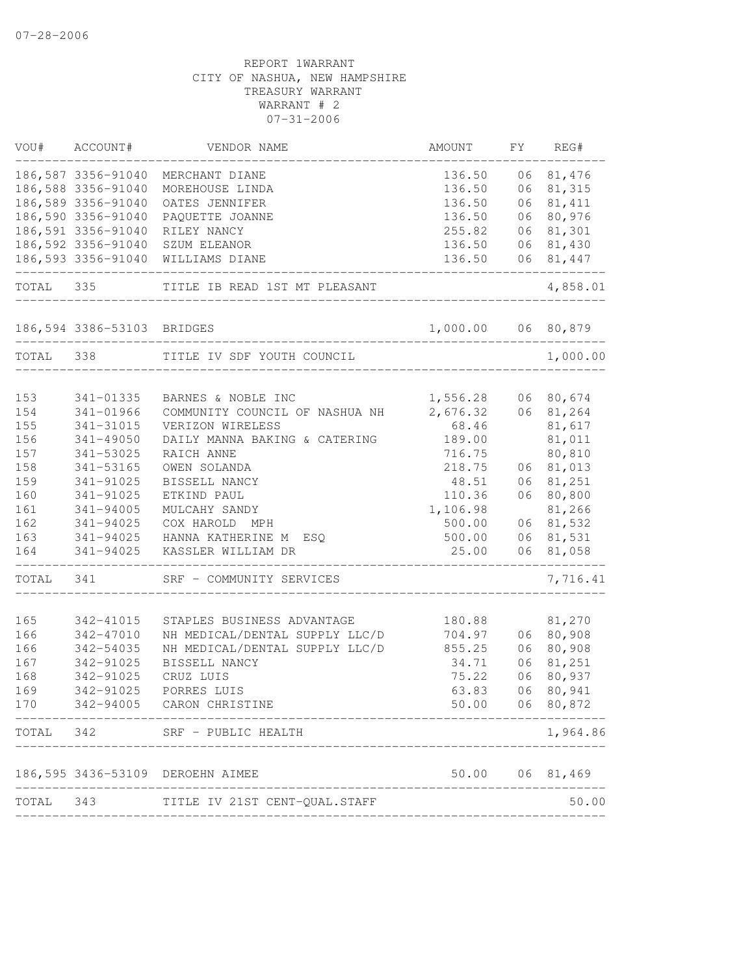| VOU#       | ACCOUNT#                   | VENDOR NAME                                          | AMOUNT               | FΥ       | REG#             |
|------------|----------------------------|------------------------------------------------------|----------------------|----------|------------------|
|            | 186,587 3356-91040         | MERCHANT DIANE                                       | 136.50               | 06       | 81,476           |
|            | 186,588 3356-91040         | MOREHOUSE LINDA                                      | 136.50               | 06       | 81,315           |
|            | 186,589 3356-91040         | OATES JENNIFER                                       | 136.50               | 06       | 81, 411          |
|            | 186,590 3356-91040         | PAQUETTE JOANNE                                      | 136.50               | 06       | 80,976           |
|            | 186,591 3356-91040         | RILEY NANCY                                          | 255.82               |          | 06 81,301        |
|            | 186,592 3356-91040         | SZUM ELEANOR                                         | 136.50               |          | 06 81,430        |
|            | 186,593 3356-91040         | WILLIAMS DIANE                                       | 136.50               | 06       | 81,447           |
| TOTAL      | 335                        | TITLE IB READ 1ST MT PLEASANT                        |                      |          | 4,858.01         |
|            | 186,594 3386-53103 BRIDGES |                                                      | 1,000.00 06 80,879   |          |                  |
| TOTAL      | 338                        | TITLE IV SDF YOUTH COUNCIL                           |                      |          | 1,000.00         |
|            |                            |                                                      |                      |          |                  |
| 153<br>154 | 341-01335<br>341-01966     | BARNES & NOBLE INC<br>COMMUNITY COUNCIL OF NASHUA NH | 1,556.28<br>2,676.32 | 06<br>06 | 80,674<br>81,264 |
| 155        | 341-31015                  | VERIZON WIRELESS                                     | 68.46                |          | 81,617           |
| 156        | 341-49050                  | DAILY MANNA BAKING & CATERING                        | 189.00               |          | 81,011           |
| 157        | 341-53025                  | RAICH ANNE                                           | 716.75               |          | 80,810           |
| 158        | 341-53165                  | OWEN SOLANDA                                         | 218.75               | 06       | 81,013           |
| 159        | 341-91025                  | BISSELL NANCY                                        | 48.51                | 06       | 81,251           |
| 160        | 341-91025                  | ETKIND PAUL                                          | 110.36               | 06       | 80,800           |
| 161        | 341-94005                  | MULCAHY SANDY                                        | 1,106.98             |          | 81,266           |
| 162        | $341 - 94025$              | COX HAROLD<br>MPH                                    | 500.00               | 06       | 81,532           |
| 163        | 341-94025                  | HANNA KATHERINE M<br>ESO                             | 500.00               | 06       | 81,531           |
| 164        | 341-94025                  | KASSLER WILLIAM DR                                   | 25.00                | 06       | 81,058           |
| TOTAL      | 341                        | SRF - COMMUNITY SERVICES                             |                      |          | 7,716.41         |
| 165        | 342-41015                  | STAPLES BUSINESS ADVANTAGE                           | 180.88               |          | 81,270           |
| 166        | $342 - 47010$              | NH MEDICAL/DENTAL SUPPLY LLC/D                       | 704.97               | 06       | 80,908           |
| 166        | 342-54035                  | NH MEDICAL/DENTAL SUPPLY LLC/D                       | 855.25               | 06       | 80,908           |
| 167        | 342-91025                  | BISSELL NANCY                                        | 34.71                | 06       | 81,251           |
| 168        | 342-91025                  | CRUZ LUIS                                            | 75.22                | 06       | 80,937           |
| 169        | 342-91025                  | PORRES LUIS                                          | 63.83                | 06       | 80,941           |
| 170        |                            | 342-94005 CARON CHRISTINE                            | 50.00                |          | 06 80,872        |
| TOTAL      | 342                        | SRF - PUBLIC HEALTH                                  |                      |          | 1,964.86         |
|            |                            | 186,595 3436-53109 DEROEHN AIMEE                     | 50.00                |          | 06 81,469        |
| TOTAL      | 343                        | TITLE IV 21ST CENT-QUAL.STAFF                        |                      |          | 50.00            |
|            |                            |                                                      |                      |          |                  |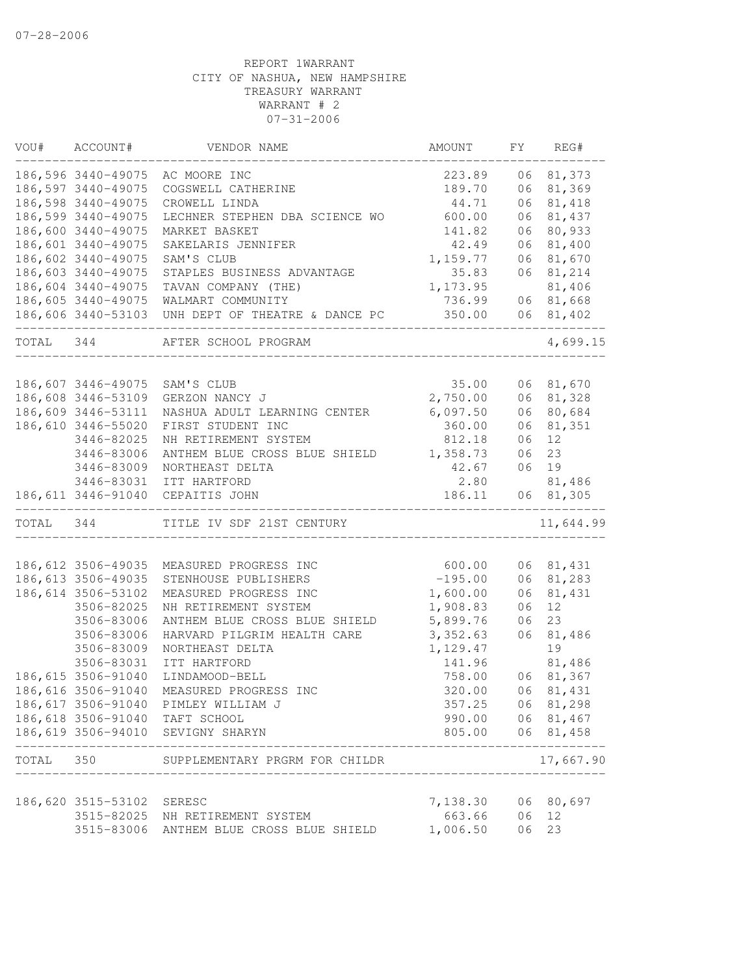| VOU#      | ACCOUNT#            | VENDOR NAME                                                                            | AMOUNT         | FY | REG#                                                                                                                                                                                                                                                                                                                                                                                                      |
|-----------|---------------------|----------------------------------------------------------------------------------------|----------------|----|-----------------------------------------------------------------------------------------------------------------------------------------------------------------------------------------------------------------------------------------------------------------------------------------------------------------------------------------------------------------------------------------------------------|
|           | 186,596 3440-49075  | AC MOORE INC                                                                           | 223.89         |    | 06 81,373                                                                                                                                                                                                                                                                                                                                                                                                 |
|           | 186,597 3440-49075  | COGSWELL CATHERINE                                                                     | 189.70         | 06 | 81,369                                                                                                                                                                                                                                                                                                                                                                                                    |
|           | 186,598 3440-49075  | CROWELL LINDA                                                                          | 44.71          | 06 | 81,418                                                                                                                                                                                                                                                                                                                                                                                                    |
|           | 186,599 3440-49075  | LECHNER STEPHEN DBA SCIENCE WO                                                         | 600.00         | 06 | 81,437                                                                                                                                                                                                                                                                                                                                                                                                    |
|           | 186,600 3440-49075  | MARKET BASKET                                                                          | 141.82         |    | 06 80,933                                                                                                                                                                                                                                                                                                                                                                                                 |
|           | 186,601 3440-49075  | SAKELARIS JENNIFER                                                                     | 42.49          |    | 06 81,400                                                                                                                                                                                                                                                                                                                                                                                                 |
|           | 186,602 3440-49075  | SAM'S CLUB                                                                             | 1,159.77       |    | 06 81,670                                                                                                                                                                                                                                                                                                                                                                                                 |
|           | 186,603 3440-49075  | STAPLES BUSINESS ADVANTAGE                                                             | 35.83          |    | 06 81,214                                                                                                                                                                                                                                                                                                                                                                                                 |
|           | 186,604 3440-49075  | TAVAN COMPANY (THE)                                                                    | 1,173.95       |    | 81,406                                                                                                                                                                                                                                                                                                                                                                                                    |
|           | 186,605 3440-49075  | WALMART COMMUNITY                                                                      | 736.99         |    | 06 81,668                                                                                                                                                                                                                                                                                                                                                                                                 |
|           | --------------      | 186,606 3440-53103 UNH DEPT OF THEATRE & DANCE PC<br>--------------------------------- | 350.00         |    | 06 81,402                                                                                                                                                                                                                                                                                                                                                                                                 |
| TOTAL 344 |                     | AFTER SCHOOL PROGRAM<br>_________________________                                      |                |    | 4,699.15                                                                                                                                                                                                                                                                                                                                                                                                  |
|           | 186,607 3446-49075  | SAM'S CLUB                                                                             | 35.00          |    | 06 81,670                                                                                                                                                                                                                                                                                                                                                                                                 |
|           | 186,608 3446-53109  | GERZON NANCY J                                                                         | 2,750.00       |    | 06 81,328                                                                                                                                                                                                                                                                                                                                                                                                 |
|           | 186,609 3446-53111  | NASHUA ADULT LEARNING CENTER                                                           | 6,097.50       | 06 | 80,684                                                                                                                                                                                                                                                                                                                                                                                                    |
|           | 186,610 3446-55020  | FIRST STUDENT INC                                                                      | 360.00         | 06 | 81,351                                                                                                                                                                                                                                                                                                                                                                                                    |
|           | 3446-82025          | NH RETIREMENT SYSTEM                                                                   | 812.18         | 06 | 12                                                                                                                                                                                                                                                                                                                                                                                                        |
|           | 3446-83006          | ANTHEM BLUE CROSS BLUE SHIELD                                                          | 1,358.73       | 06 | 23                                                                                                                                                                                                                                                                                                                                                                                                        |
|           | 3446-83009          | NORTHEAST DELTA                                                                        | 42.67          | 06 | 19                                                                                                                                                                                                                                                                                                                                                                                                        |
|           |                     | 3446-83031 ITT HARTFORD                                                                | 2.80           |    | 81,486                                                                                                                                                                                                                                                                                                                                                                                                    |
|           |                     | 186, 611 3446-91040 CEPAITIS JOHN                                                      | 186.11         |    | 06 81,305                                                                                                                                                                                                                                                                                                                                                                                                 |
|           | TOTAL 344           | TITLE IV SDF 21ST CENTURY                                                              | -------------- |    | 11,644.99                                                                                                                                                                                                                                                                                                                                                                                                 |
|           |                     |                                                                                        |                |    |                                                                                                                                                                                                                                                                                                                                                                                                           |
|           | 186, 612 3506-49035 | MEASURED PROGRESS INC                                                                  | 600.00         |    | 06 81,431                                                                                                                                                                                                                                                                                                                                                                                                 |
|           | 186,613 3506-49035  | STENHOUSE PUBLISHERS                                                                   | $-195.00$      |    | 06 81,283                                                                                                                                                                                                                                                                                                                                                                                                 |
|           | 186, 614 3506-53102 | MEASURED PROGRESS INC                                                                  | 1,600.00       | 06 | 81,431                                                                                                                                                                                                                                                                                                                                                                                                    |
|           | 3506-82025          | NH RETIREMENT SYSTEM                                                                   | 1,908.83       | 06 | 12 <sup>°</sup>                                                                                                                                                                                                                                                                                                                                                                                           |
|           | 3506-83006          | ANTHEM BLUE CROSS BLUE SHIELD                                                          | 5,899.76       | 06 | 23                                                                                                                                                                                                                                                                                                                                                                                                        |
|           | 3506-83006          | HARVARD PILGRIM HEALTH CARE                                                            | 3,352.63       | 06 | 81,486                                                                                                                                                                                                                                                                                                                                                                                                    |
|           | 3506-83009          | NORTHEAST DELTA                                                                        | 1,129.47       |    | 19                                                                                                                                                                                                                                                                                                                                                                                                        |
|           | 3506-83031          | ITT HARTFORD                                                                           | 141.96         |    | 81,486                                                                                                                                                                                                                                                                                                                                                                                                    |
|           | 186, 615 3506-91040 | LINDAMOOD-BELL                                                                         | 758.00         | 06 | 81,367                                                                                                                                                                                                                                                                                                                                                                                                    |
|           | 186,616 3506-91040  | MEASURED PROGRESS INC                                                                  | 320.00         | 06 | 81,431                                                                                                                                                                                                                                                                                                                                                                                                    |
|           |                     | 186,617 3506-91040 PIMLEY WILLIAM J                                                    | 357.25         |    | 06 81,298                                                                                                                                                                                                                                                                                                                                                                                                 |
|           |                     | 186,618 3506-91040 TAFT SCHOOL                                                         | 990.00         |    | 06 81,467                                                                                                                                                                                                                                                                                                                                                                                                 |
|           |                     | 186,619 3506-94010 SEVIGNY SHARYN                                                      | 805.00         |    | 06 81,458<br>$\frac{1}{2} \frac{1}{2} \frac{1}{2} \frac{1}{2} \frac{1}{2} \frac{1}{2} \frac{1}{2} \frac{1}{2} \frac{1}{2} \frac{1}{2} \frac{1}{2} \frac{1}{2} \frac{1}{2} \frac{1}{2} \frac{1}{2} \frac{1}{2} \frac{1}{2} \frac{1}{2} \frac{1}{2} \frac{1}{2} \frac{1}{2} \frac{1}{2} \frac{1}{2} \frac{1}{2} \frac{1}{2} \frac{1}{2} \frac{1}{2} \frac{1}{2} \frac{1}{2} \frac{1}{2} \frac{1}{2} \frac{$ |
| TOTAL 350 |                     | SUPPLEMENTARY PRGRM FOR CHILDR                                                         |                |    | 17,667.90                                                                                                                                                                                                                                                                                                                                                                                                 |
|           | 186,620 3515-53102  | SERESC                                                                                 | 7,138.30       |    | 06 80,697                                                                                                                                                                                                                                                                                                                                                                                                 |
|           | 3515-82025          | NH RETIREMENT SYSTEM                                                                   | 663.66         | 06 | 12                                                                                                                                                                                                                                                                                                                                                                                                        |
|           | 3515-83006          | ANTHEM BLUE CROSS BLUE SHIELD                                                          | 1,006.50       | 06 | 23                                                                                                                                                                                                                                                                                                                                                                                                        |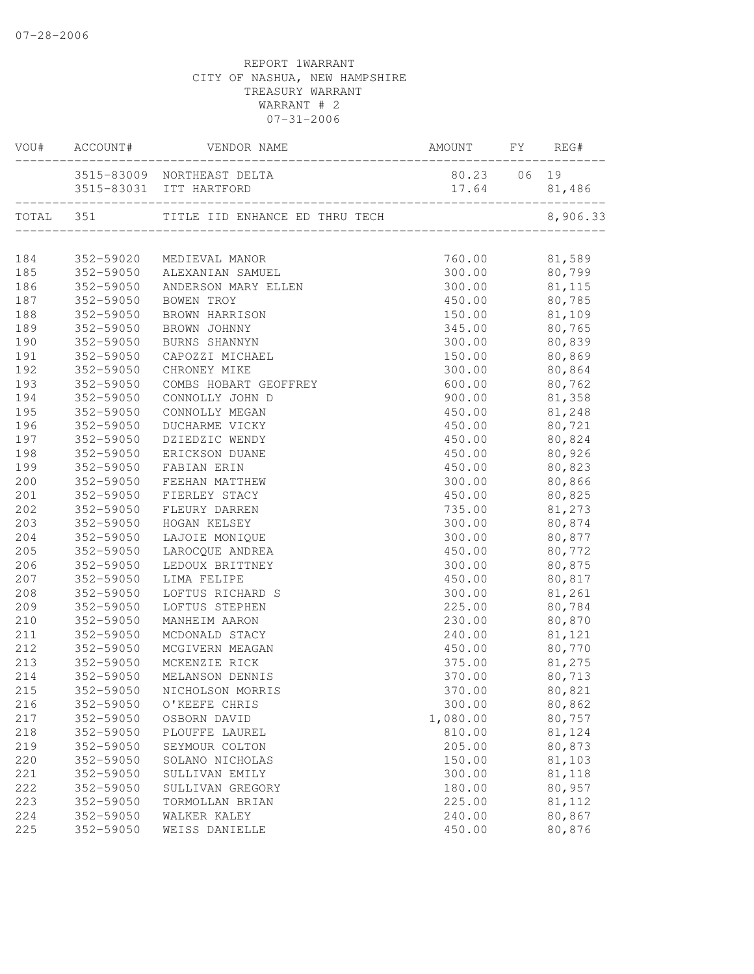|     |           | AMOUNT FY REG#<br>VOU# ACCOUNT# VENDOR NAME           |                      |          |
|-----|-----------|-------------------------------------------------------|----------------------|----------|
|     |           | 3515-83009 NORTHEAST DELTA<br>3515-83031 ITT HARTFORD | 80.23 06 19<br>17.64 | 81,486   |
|     |           |                                                       |                      | 8,906.33 |
|     |           |                                                       |                      |          |
| 184 |           | 352-59020 MEDIEVAL MANOR                              | 760.00               | 81,589   |
| 185 |           | 352-59050 ALEXANIAN SAMUEL                            | 300.00               | 80,799   |
| 186 |           | 352-59050 ANDERSON MARY ELLEN                         | 300.00               | 81,115   |
| 187 |           | 352-59050 BOWEN TROY                                  | 450.00               | 80,785   |
| 188 |           | 352-59050 BROWN HARRISON                              | 150.00 81,109        |          |
| 189 |           | 352-59050 BROWN JOHNNY                                | 345.00 80,765        |          |
| 190 | 352-59050 | BURNS SHANNYN                                         | 300.00 80,839        |          |
| 191 | 352-59050 | CAPOZZI MICHAEL                                       | 150.00 80,869        |          |
| 192 | 352-59050 | CHRONEY MIKE                                          | 300.00 80,864        |          |
| 193 | 352-59050 | COMBS HOBART GEOFFREY                                 | 600.00               | 80,762   |
| 194 | 352-59050 | CONNOLLY JOHN D                                       | 900.00               | 81,358   |
| 195 | 352-59050 | CONNOLLY MEGAN                                        | 450.00               | 81,248   |
| 196 | 352-59050 | DUCHARME VICKY                                        | 450.00               | 80,721   |
| 197 | 352-59050 | DZIEDZIC WENDY                                        | 450.00               | 80,824   |
| 198 | 352-59050 | ERICKSON DUANE                                        | 450.00               | 80,926   |
| 199 |           | 352-59050 FABIAN ERIN                                 | 450.00               | 80,823   |
| 200 | 352-59050 | FEEHAN MATTHEW                                        | 300.00               | 80,866   |
| 201 |           | 352-59050 FIERLEY STACY                               | 450.00               | 80,825   |
| 202 | 352-59050 | FLEURY DARREN                                         | 735.00               | 81,273   |
| 203 | 352-59050 | HOGAN KELSEY                                          | 300.00               | 80,874   |
| 204 | 352-59050 | LAJOIE MONIQUE                                        | 300.00               | 80,877   |
| 205 | 352-59050 | LAROCQUE ANDREA                                       | 450.00               | 80,772   |
| 206 | 352-59050 | LEDOUX BRITTNEY                                       | 300.00               | 80,875   |
| 207 | 352-59050 | LIMA FELIPE                                           | 450.00               | 80,817   |
| 208 | 352-59050 | LOFTUS RICHARD S                                      | 300.00               | 81,261   |
| 209 | 352-59050 | LOFTUS STEPHEN                                        | 225.00               | 80,784   |
| 210 | 352-59050 | MANHEIM AARON                                         | 230.00               | 80,870   |
| 211 | 352-59050 | MCDONALD STACY                                        | 240.00               | 81,121   |
| 212 | 352-59050 | MCGIVERN MEAGAN                                       | 450.00               | 80,770   |
| 213 | 352-59050 | MCKENZIE RICK                                         | 375.00               | 81,275   |
| 214 | 352-59050 | MELANSON DENNIS                                       | 370.00               | 80,713   |
| 215 |           | 352-59050 NICHOLSON MORRIS                            | 370.00               | 80,821   |
| 216 | 352-59050 | O'KEEFE CHRIS                                         | 300.00               | 80,862   |
| 217 | 352-59050 | OSBORN DAVID                                          | 1,080.00             | 80,757   |
| 218 | 352-59050 | PLOUFFE LAUREL                                        | 810.00               | 81,124   |
| 219 | 352-59050 | SEYMOUR COLTON                                        | 205.00               | 80,873   |
| 220 | 352-59050 | SOLANO NICHOLAS                                       | 150.00               | 81,103   |
| 221 | 352-59050 | SULLIVAN EMILY                                        | 300.00               | 81,118   |
| 222 | 352-59050 | SULLIVAN GREGORY                                      | 180.00               | 80,957   |
| 223 | 352-59050 | TORMOLLAN BRIAN                                       | 225.00               | 81,112   |
| 224 | 352-59050 | WALKER KALEY                                          | 240.00               | 80,867   |
| 225 | 352-59050 | WEISS DANIELLE                                        | 450.00               | 80,876   |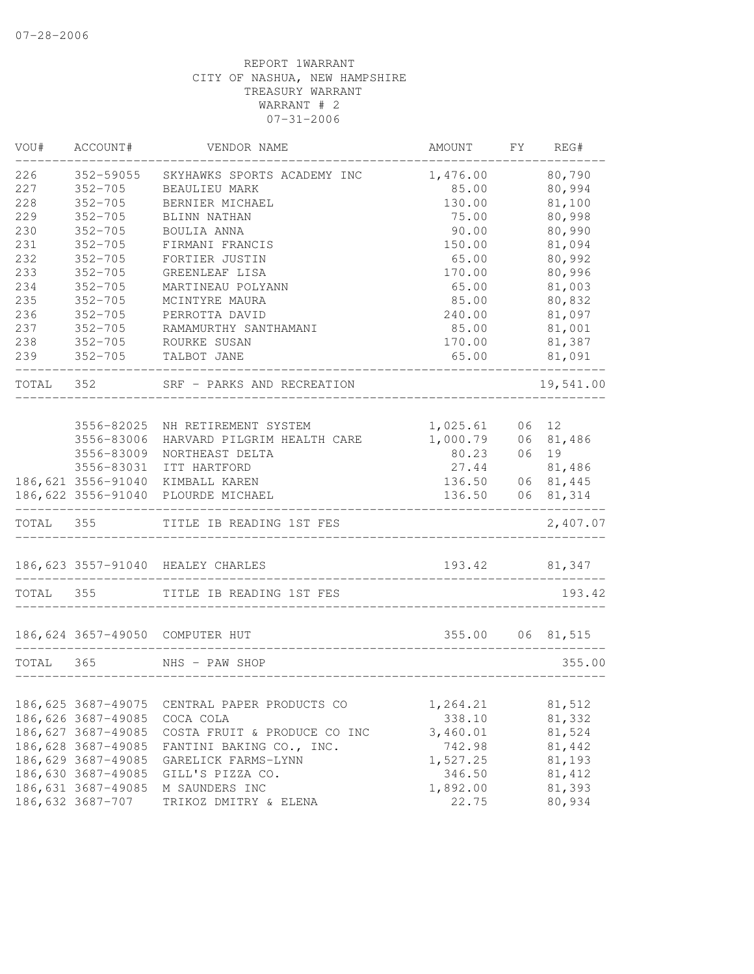| VOU#      | ACCOUNT#           | VENDOR NAME                        | AMOUNT                         | FY | REG#             |
|-----------|--------------------|------------------------------------|--------------------------------|----|------------------|
| 226       | 352-59055          | SKYHAWKS SPORTS ACADEMY INC        | 1,476.00                       |    | 80,790           |
| 227       | $352 - 705$        | <b>BEAULIEU MARK</b>               | 85.00                          |    | 80,994           |
| 228       | $352 - 705$        | BERNIER MICHAEL                    | 130.00                         |    | 81,100           |
| 229       | $352 - 705$        | BLINN NATHAN                       | 75.00                          |    | 80,998           |
| 230       | $352 - 705$        | BOULIA ANNA                        | 90.00                          |    | 80,990           |
| 231       | $352 - 705$        | FIRMANI FRANCIS                    | 150.00                         |    | 81,094           |
| 232       | $352 - 705$        | FORTIER JUSTIN                     | 65.00                          |    | 80,992           |
| 233       | $352 - 705$        | GREENLEAF LISA                     | 170.00                         |    | 80,996           |
| 234       | $352 - 705$        | MARTINEAU POLYANN                  | 65.00                          |    | 81,003           |
| 235       | $352 - 705$        | MCINTYRE MAURA                     | 85.00                          |    | 80,832           |
| 236       | $352 - 705$        | PERROTTA DAVID                     | 240.00                         |    | 81,097           |
| 237       | $352 - 705$        | RAMAMURTHY SANTHAMANI              | 85.00                          |    | 81,001           |
| 238       | $352 - 705$        | ROURKE SUSAN                       | 170.00                         |    | 81,387           |
| 239       | $352 - 705$        | TALBOT JANE                        | 65.00                          |    | 81,091           |
| TOTAL 352 |                    | SRF - PARKS AND RECREATION         |                                |    | 19,541.00        |
|           |                    |                                    |                                |    |                  |
|           | 3556-82025         | NH RETIREMENT SYSTEM               | 1,025.61                       |    | 06 12            |
|           | 3556-83006         | HARVARD PILGRIM HEALTH CARE        | 1,000.79                       | 06 | 81,486           |
|           | 3556-83009         | NORTHEAST DELTA                    | 80.23                          | 06 | 19               |
|           | 3556-83031         | ITT HARTFORD                       | 27.44                          |    | 81,486           |
|           |                    | 186,621 3556-91040 KIMBALL KAREN   | 136.50                         |    | 06 81,445        |
|           |                    | 186,622 3556-91040 PLOURDE MICHAEL | 136.50                         | 06 | 81,314           |
| TOTAL 355 |                    | TITLE IB READING 1ST FES           |                                |    | 2,407.07         |
|           |                    | 186, 623 3557-91040 HEALEY CHARLES |                                |    | 193.42 81,347    |
|           |                    |                                    | ______________________________ |    |                  |
| TOTAL 355 |                    | TITLE IB READING 1ST FES           |                                |    | 193.42           |
|           |                    | 186,624 3657-49050 COMPUTER HUT    |                                |    | 355.00 06 81,515 |
| TOTAL     | 365                | NHS - PAW SHOP                     |                                |    | 355.00           |
|           |                    |                                    |                                |    |                  |
|           | 186,625 3687-49075 | CENTRAL PAPER PRODUCTS CO          | 1,264.21                       |    | 81,512           |
|           | 186,626 3687-49085 | COCA COLA                          | 338.10                         |    | 81,332           |
|           | 186,627 3687-49085 | COSTA FRUIT & PRODUCE CO INC       | 3,460.01                       |    | 81,524           |
|           | 186,628 3687-49085 | FANTINI BAKING CO., INC.           | 742.98                         |    | 81,442           |
|           | 186,629 3687-49085 | GARELICK FARMS-LYNN                | 1,527.25                       |    | 81,193           |
|           | 186,630 3687-49085 | GILL'S PIZZA CO.                   | 346.50                         |    | 81,412           |
|           | 186,631 3687-49085 | M SAUNDERS INC                     | 1,892.00                       |    | 81,393           |
|           | 186,632 3687-707   | TRIKOZ DMITRY & ELENA              | 22.75                          |    | 80,934           |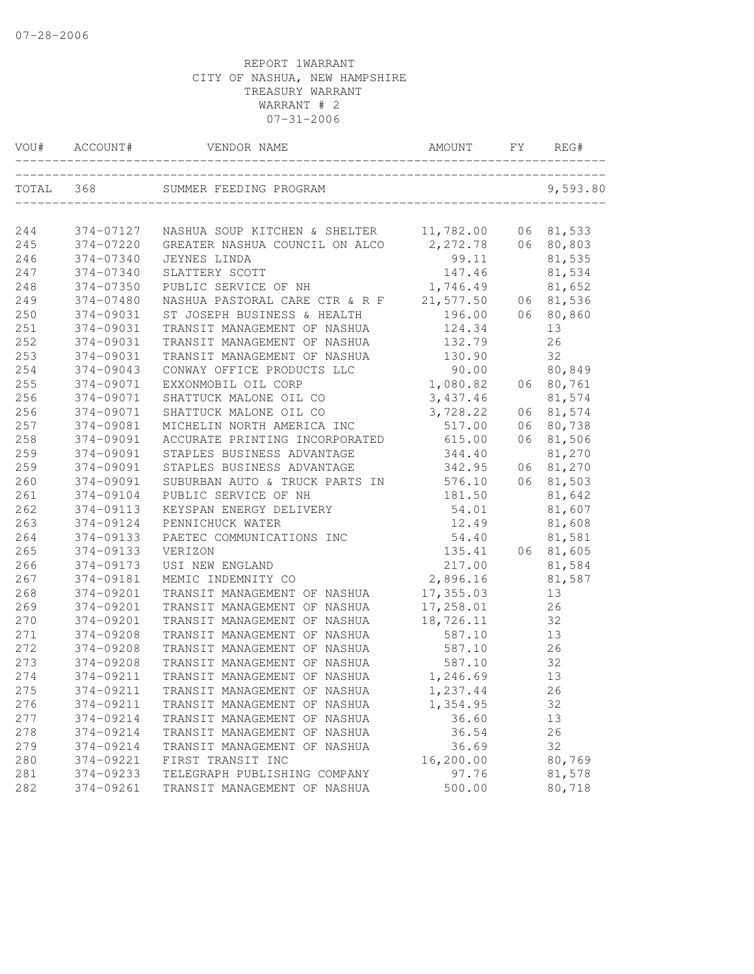| VOU#  | ACCOUNT#  | VENDOR NAME                              | AMOUNT     | FY | REG#      |
|-------|-----------|------------------------------------------|------------|----|-----------|
| TOTAL | 368       | SUMMER FEEDING PROGRAM                   |            |    | 9,593.80  |
| 244   | 374-07127 | NASHUA SOUP KITCHEN & SHELTER            | 11,782.00  |    | 06 81,533 |
| 245   | 374-07220 | GREATER NASHUA COUNCIL ON ALCO 2, 272.78 |            |    | 06 80,803 |
| 246   | 374-07340 | JEYNES LINDA                             | 99.11      |    | 81,535    |
| 247   | 374-07340 | SLATTERY SCOTT                           | 147.46     |    | 81,534    |
| 248   | 374-07350 | PUBLIC SERVICE OF NH                     | 1,746.49   |    | 81,652    |
| 249   | 374-07480 | NASHUA PASTORAL CARE CTR & R F           | 21,577.50  | 06 | 81,536    |
| 250   | 374-09031 | ST JOSEPH BUSINESS & HEALTH              | 196.00     | 06 | 80,860    |
| 251   | 374-09031 | TRANSIT MANAGEMENT OF NASHUA             | 124.34     |    | 13        |
| 252   | 374-09031 | TRANSIT MANAGEMENT OF NASHUA             | 132.79     |    | 26        |
| 253   | 374-09031 | TRANSIT MANAGEMENT OF NASHUA             | 130.90     |    | 32        |
| 254   | 374-09043 | CONWAY OFFICE PRODUCTS LLC               | 90.00      |    | 80,849    |
| 255   | 374-09071 | EXXONMOBIL OIL CORP                      | 1,080.82   | 06 | 80,761    |
| 256   | 374-09071 | SHATTUCK MALONE OIL CO                   | 3,437.46   |    | 81,574    |
| 256   | 374-09071 | SHATTUCK MALONE OIL CO                   | 3,728.22   | 06 | 81,574    |
| 257   | 374-09081 | MICHELIN NORTH AMERICA INC               | 517.00     | 06 | 80,738    |
| 258   | 374-09091 | ACCURATE PRINTING INCORPORATED           | 615.00     | 06 | 81,506    |
| 259   | 374-09091 | STAPLES BUSINESS ADVANTAGE               | 344.40     |    | 81,270    |
| 259   | 374-09091 | STAPLES BUSINESS ADVANTAGE               | 342.95     | 06 | 81,270    |
| 260   | 374-09091 | SUBURBAN AUTO & TRUCK PARTS IN           | 576.10     | 06 | 81,503    |
| 261   | 374-09104 | PUBLIC SERVICE OF NH                     | 181.50     |    | 81,642    |
| 262   | 374-09113 | KEYSPAN ENERGY DELIVERY                  | 54.01      |    | 81,607    |
| 263   | 374-09124 | PENNICHUCK WATER                         | 12.49      |    | 81,608    |
| 264   | 374-09133 | PAETEC COMMUNICATIONS INC                | 54.40      |    | 81,581    |
| 265   | 374-09133 | VERIZON                                  | 135.41     |    | 06 81,605 |
| 266   | 374-09173 | USI NEW ENGLAND                          | 217.00     |    | 81,584    |
| 267   | 374-09181 | MEMIC INDEMNITY CO                       | 2,896.16   |    | 81,587    |
| 268   | 374-09201 | TRANSIT MANAGEMENT OF NASHUA             | 17, 355.03 |    | 13        |
| 269   | 374-09201 | TRANSIT MANAGEMENT OF NASHUA             | 17,258.01  |    | 26        |
| 270   | 374-09201 | TRANSIT MANAGEMENT OF NASHUA             | 18,726.11  |    | 32        |
| 271   | 374-09208 | TRANSIT MANAGEMENT OF NASHUA             | 587.10     |    | 13        |
| 272   | 374-09208 | TRANSIT MANAGEMENT OF NASHUA             | 587.10     |    | 26        |
| 273   | 374-09208 | TRANSIT MANAGEMENT OF NASHUA             | 587.10     |    | 32        |
| 274   | 374-09211 | TRANSIT MANAGEMENT OF NASHUA             | 1,246.69   |    | 13        |
| 275   | 374-09211 | TRANSIT MANAGEMENT OF NASHUA             | 1,237.44   |    | 26        |
| 276   | 374-09211 | TRANSIT MANAGEMENT OF NASHUA             | 1,354.95   |    | 32        |
| 277   | 374-09214 | TRANSIT MANAGEMENT OF NASHUA             | 36.60      |    | 13        |
| 278   | 374-09214 | TRANSIT MANAGEMENT OF NASHUA             | 36.54      |    | 26        |
| 279   | 374-09214 | TRANSIT MANAGEMENT OF NASHUA             | 36.69      |    | 32        |
| 280   | 374-09221 | FIRST TRANSIT INC                        | 16,200.00  |    | 80,769    |
| 281   | 374-09233 | TELEGRAPH PUBLISHING COMPANY             | 97.76      |    | 81,578    |
| 282   | 374-09261 | TRANSIT MANAGEMENT OF NASHUA             | 500.00     |    | 80,718    |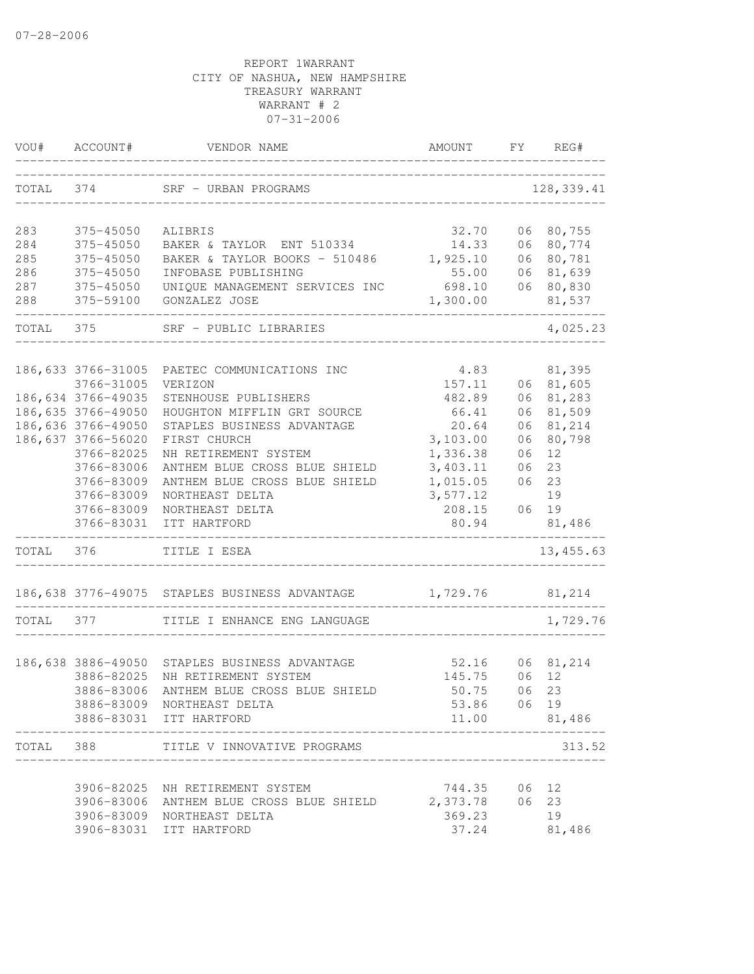| VOU#      | ACCOUNT#           | VENDOR NAME                                                | AMOUNT               | FY | REG#       |
|-----------|--------------------|------------------------------------------------------------|----------------------|----|------------|
| TOTAL 374 |                    | SRF - URBAN PROGRAMS<br>__________________________________ |                      |    | 128,339.41 |
| 283       | 375-45050          | ALIBRIS                                                    | 32.70                |    | 06 80,755  |
| 284       | 375-45050          | BAKER & TAYLOR ENT 510334                                  | 14.33                |    | 06 80,774  |
| 285       | 375-45050          | BAKER & TAYLOR BOOKS - 510486                              | 1,925.10             |    | 06 80,781  |
| 286       | 375-45050          | INFOBASE PUBLISHING                                        | 55.00                |    | 06 81,639  |
| 287       | 375-45050          | UNIQUE MANAGEMENT SERVICES INC                             | 698.10               |    | 06 80,830  |
| 288       | 375-59100          | GONZALEZ JOSE                                              | 1,300.00             |    | 81,537     |
| TOTAL 375 |                    | SRF - PUBLIC LIBRARIES                                     |                      |    | 4,025.23   |
|           | 186,633 3766-31005 | PAETEC COMMUNICATIONS INC                                  | 4.83                 |    | 81,395     |
|           | 3766-31005         | VERIZON                                                    | 157.11               |    | 06 81,605  |
|           | 186,634 3766-49035 | STENHOUSE PUBLISHERS                                       | 482.89               | 06 | 81,283     |
|           | 186,635 3766-49050 | HOUGHTON MIFFLIN GRT SOURCE                                | 66.41                | 06 | 81,509     |
|           | 186,636 3766-49050 | STAPLES BUSINESS ADVANTAGE                                 | 20.64                | 06 | 81,214     |
|           | 186,637 3766-56020 | FIRST CHURCH                                               | 3,103.00             | 06 | 80,798     |
|           | 3766-82025         | NH RETIREMENT SYSTEM                                       | 1,336.38             | 06 | 12         |
|           | 3766-83006         | ANTHEM BLUE CROSS BLUE SHIELD                              | 3,403.11             | 06 | 23         |
|           | 3766-83009         | ANTHEM BLUE CROSS BLUE SHIELD                              | 1,015.05             | 06 | 23         |
|           | 3766-83009         | NORTHEAST DELTA                                            | 3,577.12             |    | 19         |
|           | 3766-83009         | NORTHEAST DELTA                                            | 208.15               |    | 06 19      |
|           | 3766-83031         | ITT HARTFORD                                               | 80.94                |    | 81,486     |
| TOTAL 376 |                    | TITLE I ESEA                                               |                      |    | 13, 455.63 |
|           |                    | 186,638 3776-49075 STAPLES BUSINESS ADVANTAGE              | 1,729.76 81,214      |    |            |
| TOTAL 377 |                    | TITLE I ENHANCE ENG LANGUAGE                               |                      |    | 1,729.76   |
|           |                    |                                                            |                      |    |            |
|           |                    | 186,638 3886-49050 STAPLES BUSINESS ADVANTAGE              | 52.16                |    | 06 81,214  |
|           | 3886-82025         | NH RETIREMENT SYSTEM                                       | 145.75               | 06 | 12         |
|           | 3886-83006         | ANTHEM BLUE CROSS BLUE SHIELD                              | 50.75                | 06 | 23         |
|           |                    | 3886-83009 NORTHEAST DELTA<br>3886-83031 ITT HARTFORD      | 53.86 06 19<br>11.00 |    | 81,486     |
|           |                    |                                                            |                      |    |            |
| TOTAL     |                    | 388 TITLE V INNOVATIVE PROGRAMS                            |                      |    | 313.52     |
|           |                    | 3906-82025 NH RETIREMENT SYSTEM                            | 744.35               | 06 | 12         |
|           | 3906-83006         | ANTHEM BLUE CROSS BLUE SHIELD                              | 2,373.78             | 06 | 23         |
|           | 3906-83009         | NORTHEAST DELTA                                            | 369.23               |    | 19         |
|           | 3906-83031         | ITT HARTFORD                                               | 37.24                |    | 81,486     |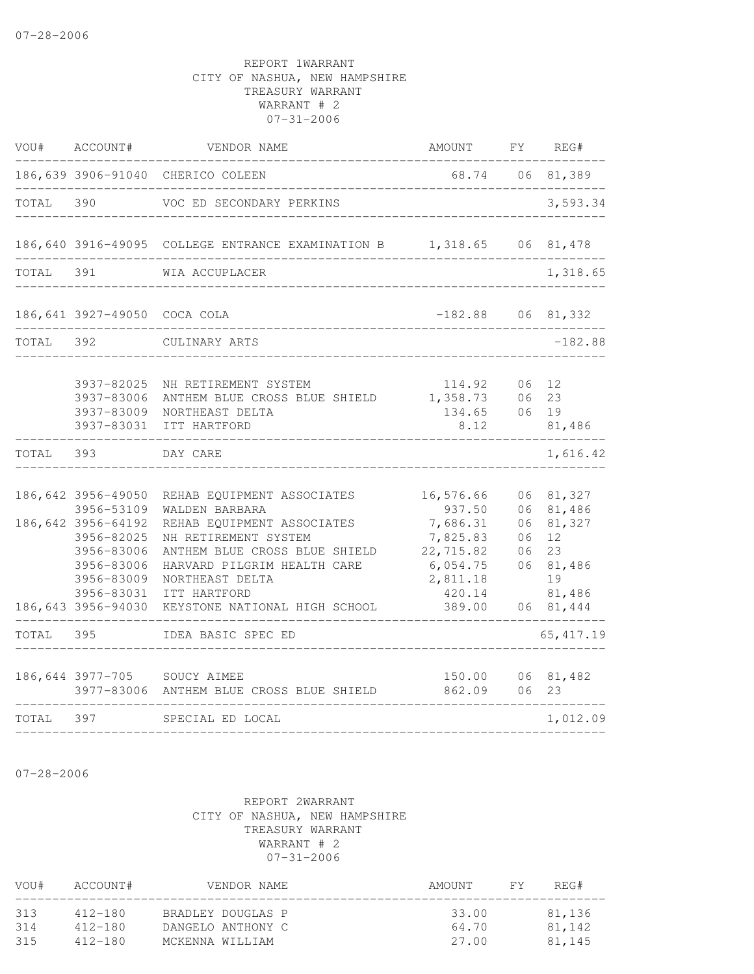| VOU#      | ACCOUNT#                                                                                                                                           | VENDOR NAME                                                                                                                                                                                                                            | AMOUNT                                                                                               | FY                               | REG#                                                                          |
|-----------|----------------------------------------------------------------------------------------------------------------------------------------------------|----------------------------------------------------------------------------------------------------------------------------------------------------------------------------------------------------------------------------------------|------------------------------------------------------------------------------------------------------|----------------------------------|-------------------------------------------------------------------------------|
|           | 186,639 3906-91040                                                                                                                                 | CHERICO COLEEN                                                                                                                                                                                                                         | 68.74                                                                                                | 06                               | 81,389                                                                        |
| TOTAL     | 390                                                                                                                                                | VOC ED SECONDARY PERKINS                                                                                                                                                                                                               |                                                                                                      |                                  | 3,593.34                                                                      |
|           |                                                                                                                                                    | 186,640 3916-49095 COLLEGE ENTRANCE EXAMINATION B 1,318.65 06 81,478                                                                                                                                                                   |                                                                                                      |                                  |                                                                               |
| TOTAL 391 |                                                                                                                                                    | WIA ACCUPLACER                                                                                                                                                                                                                         |                                                                                                      |                                  | 1,318.65                                                                      |
|           | 186,641 3927-49050 COCA COLA                                                                                                                       |                                                                                                                                                                                                                                        | $-182.88$ 06 81, 332                                                                                 |                                  |                                                                               |
| TOTAL     | 392                                                                                                                                                | CULINARY ARTS                                                                                                                                                                                                                          | _______________                                                                                      |                                  | $-182.88$                                                                     |
|           | 3937-82025<br>3937-83006<br>3937-83009<br>3937-83031                                                                                               | NH RETIREMENT SYSTEM<br>ANTHEM BLUE CROSS BLUE SHIELD<br>NORTHEAST DELTA<br>ITT HARTFORD                                                                                                                                               | 114.92<br>1,358.73<br>134.65<br>8.12                                                                 | 06<br>06<br>06                   | 12<br>23<br>19<br>81,486                                                      |
| TOTAL     | 393                                                                                                                                                | DAY CARE                                                                                                                                                                                                                               |                                                                                                      |                                  | 1,616.42                                                                      |
|           | 186,642 3956-49050<br>3956-53109<br>186,642 3956-64192<br>3956-82025<br>3956-83006<br>3956-83006<br>3956-83009<br>3956-83031<br>186,643 3956-94030 | REHAB EQUIPMENT ASSOCIATES<br>WALDEN BARBARA<br>REHAB EQUIPMENT ASSOCIATES<br>NH RETIREMENT SYSTEM<br>ANTHEM BLUE CROSS BLUE SHIELD<br>HARVARD PILGRIM HEALTH CARE<br>NORTHEAST DELTA<br>ITT HARTFORD<br>KEYSTONE NATIONAL HIGH SCHOOL | 16,576.66<br>937.50<br>7,686.31<br>7,825.83<br>22,715.82<br>6,054.75<br>2,811.18<br>420.14<br>389.00 | 06<br>06<br>06<br>06<br>06<br>06 | 81,327<br>81,486<br>81,327<br>12<br>23<br>81,486<br>19<br>81,486<br>06 81,444 |
| TOTAL     | 395                                                                                                                                                | IDEA BASIC SPEC ED                                                                                                                                                                                                                     |                                                                                                      |                                  | 65, 417.19                                                                    |
|           | 3977-83006                                                                                                                                         | 186,644 3977-705 SOUCY AIMEE<br>ANTHEM BLUE CROSS BLUE SHIELD                                                                                                                                                                          | 150.00<br>862.09                                                                                     | 06<br>06                         | 81,482<br>23                                                                  |
| TOTAL     | 397                                                                                                                                                | SPECIAL ED LOCAL                                                                                                                                                                                                                       |                                                                                                      |                                  | 1,012.09                                                                      |
|           |                                                                                                                                                    |                                                                                                                                                                                                                                        |                                                                                                      |                                  |                                                                               |

07-28-2006

| VOU#       | ACCOUNT#           | VENDOR NAME                            | AMOUNT         | FY. | REG#             |
|------------|--------------------|----------------------------------------|----------------|-----|------------------|
| 313<br>314 | 412-180<br>412-180 | BRADLEY DOUGLAS P<br>DANGELO ANTHONY C | 33.00<br>64.70 |     | 81,136<br>81,142 |
| 315        | $412 - 180$        | MCKENNA WILLIAM                        | 27.00          |     | 81,145           |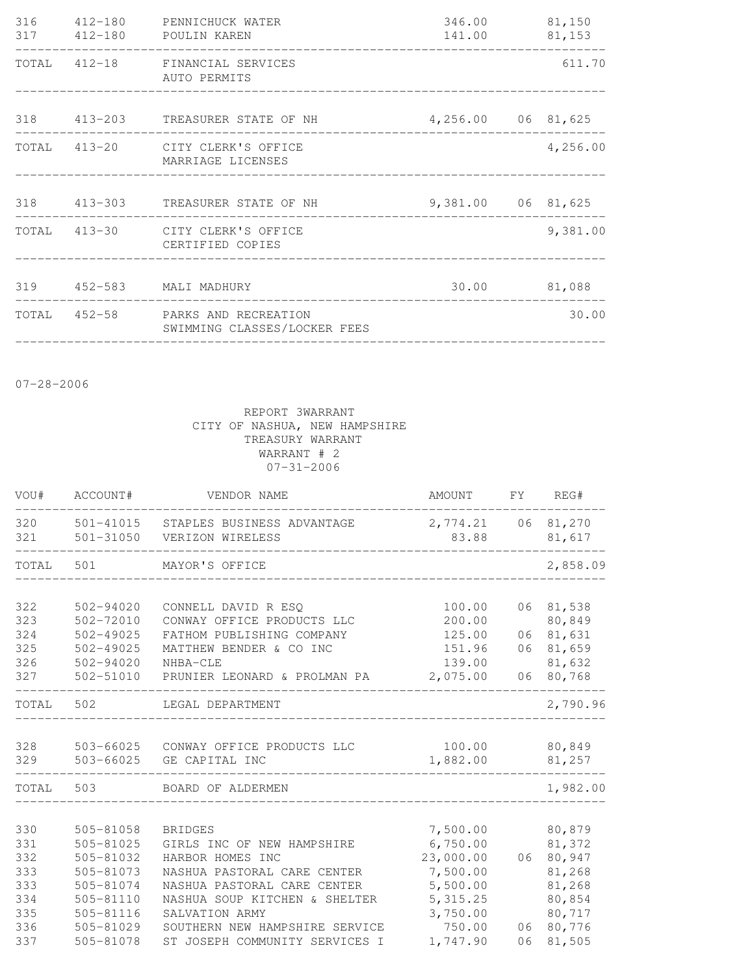| 316 | 412-180 PENNICHUCK WATER<br>317 412-180 POULIN KAREN              | 346.00<br>141.00 81,153 | 81,150   |
|-----|-------------------------------------------------------------------|-------------------------|----------|
|     | TOTAL 412-18 FINANCIAL SERVICES<br>AUTO PERMITS                   |                         | 611.70   |
|     | 318 413-203 TREASURER STATE OF NH                                 | 4,256.00 06 81,625      |          |
|     | TOTAL 413-20 CITY CLERK'S OFFICE<br>MARRIAGE LICENSES             |                         | 4,256.00 |
|     | 318 413-303 TREASURER STATE OF NH                                 | 9,381.00 06 81,625      |          |
|     | TOTAL 413-30 CITY CLERK'S OFFICE<br>CERTIFIED COPIES              |                         | 9,381.00 |
|     | 319  452-583  MALI MADHURY                                        | 30.00 81,088            |          |
|     | TOTAL 452-58 PARKS AND RECREATION<br>SWIMMING CLASSES/LOCKER FEES |                         | 30.00    |

07-28-2006

| VOU#       | ACCOUNT#                       | VENDOR NAME                                                        | AMOUNT                      | FY | REG#                   |
|------------|--------------------------------|--------------------------------------------------------------------|-----------------------------|----|------------------------|
| 320<br>321 |                                | 501-41015 STAPLES BUSINESS ADVANTAGE<br>501-31050 VERIZON WIRELESS | 2,774.21 06 81,270<br>83.88 |    | 81,617                 |
| TOTAL      | 501                            | MAYOR'S OFFICE                                                     |                             |    | 2,858.09               |
|            |                                |                                                                    |                             |    |                        |
| 322        | 502-94020                      | CONNELL DAVID R ESQ                                                | 100.00                      |    | 06 81,538              |
| 323        | 502-72010                      | CONWAY OFFICE PRODUCTS LLC                                         | 200.00                      |    | 80,849                 |
| 324<br>325 | $502 - 49025$<br>$502 - 49025$ | FATHOM PUBLISHING COMPANY<br>MATTHEW BENDER & CO INC               | 125.00<br>151.96            |    | 06 81,631<br>06 81,659 |
| 326        | 502-94020                      | NHBA-CLE                                                           | 139.00                      |    | 81,632                 |
| 327        | 502-51010                      | PRUNIER LEONARD & PROLMAN PA                                       | 2,075.00                    | 06 | 80,768                 |
| TOTAL 502  |                                | LEGAL DEPARTMENT                                                   |                             |    | 2,790.96               |
| 328        |                                | 503-66025 CONWAY OFFICE PRODUCTS LLC                               | 100.00 80,849               |    |                        |
| 329        |                                | 503-66025 GE CAPITAL INC                                           | 1,882.00                    |    | 81,257                 |
| TOTAL      | 503                            | BOARD OF ALDERMEN                                                  |                             |    | 1,982.00               |
|            |                                |                                                                    |                             |    |                        |
| 330        | 505-81058                      | <b>BRIDGES</b>                                                     | 7,500.00                    |    | 80,879                 |
| 331        | 505-81025                      | GIRLS INC OF NEW HAMPSHIRE                                         | 6,750.00                    |    | 81,372                 |
| 332        | 505-81032                      | HARBOR HOMES INC                                                   | 23,000.00                   |    | 06 80,947              |
| 333<br>333 | 505-81073<br>505-81074         | NASHUA PASTORAL CARE CENTER<br>NASHUA PASTORAL CARE CENTER         | 7,500.00<br>5,500.00        |    | 81,268<br>81,268       |
| 334        | 505-81110                      | NASHUA SOUP KITCHEN & SHELTER                                      | 5, 315.25                   |    | 80,854                 |
| 335        | 505-81116                      | SALVATION ARMY                                                     | 3,750.00                    |    | 80,717                 |
| 336        | 505-81029                      | SOUTHERN NEW HAMPSHIRE SERVICE                                     | 750.00                      |    | 06 80,776              |
| 337        | 505-81078                      | ST JOSEPH COMMUNITY SERVICES I                                     | 1,747.90                    | 06 | 81,505                 |
|            |                                |                                                                    |                             |    |                        |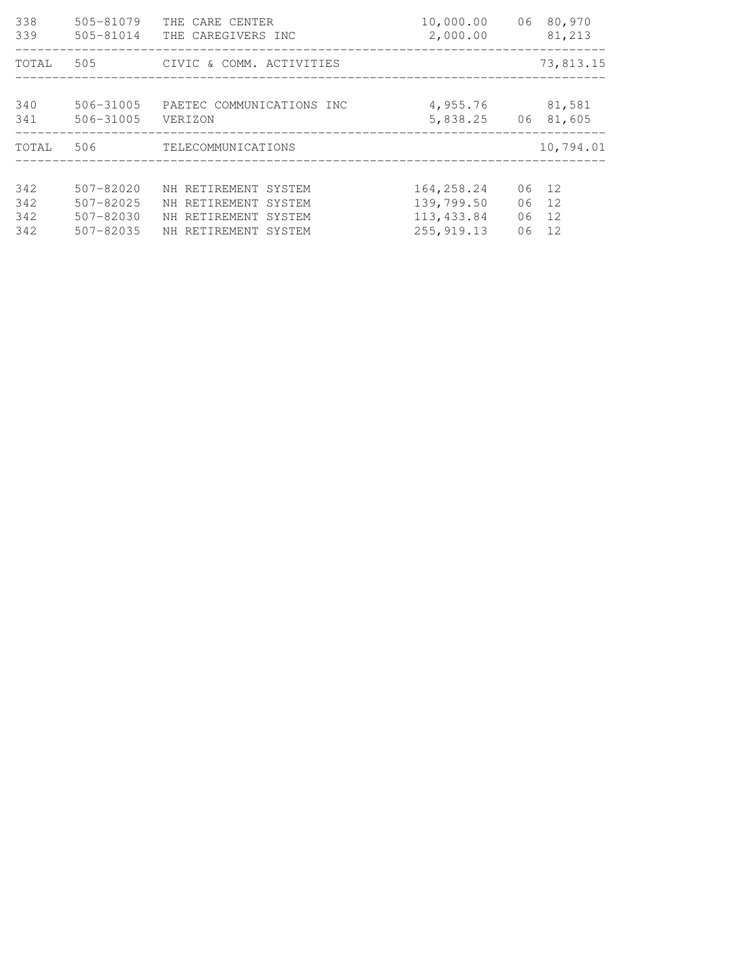| 338<br>339 | 505-81079<br>$505 - 81014$ | THE CARE CENTER<br>THE CAREGIVERS INC | 10,000.00<br>2,000.00 | 06 80,970<br>81,213 |
|------------|----------------------------|---------------------------------------|-----------------------|---------------------|
| TOTAL      | 505                        | CIVIC & COMM. ACTIVITIES              |                       | 73,813.15           |
| 340<br>341 | 506-31005<br>$506 - 31005$ | PAETEC COMMUNICATIONS INC<br>VERIZON  | 4,955.76<br>5,838.25  | 81,581<br>06 81,605 |
| TOTAL      | 506                        | TELECOMMUNICATIONS                    |                       | 10,794.01           |
|            |                            |                                       |                       |                     |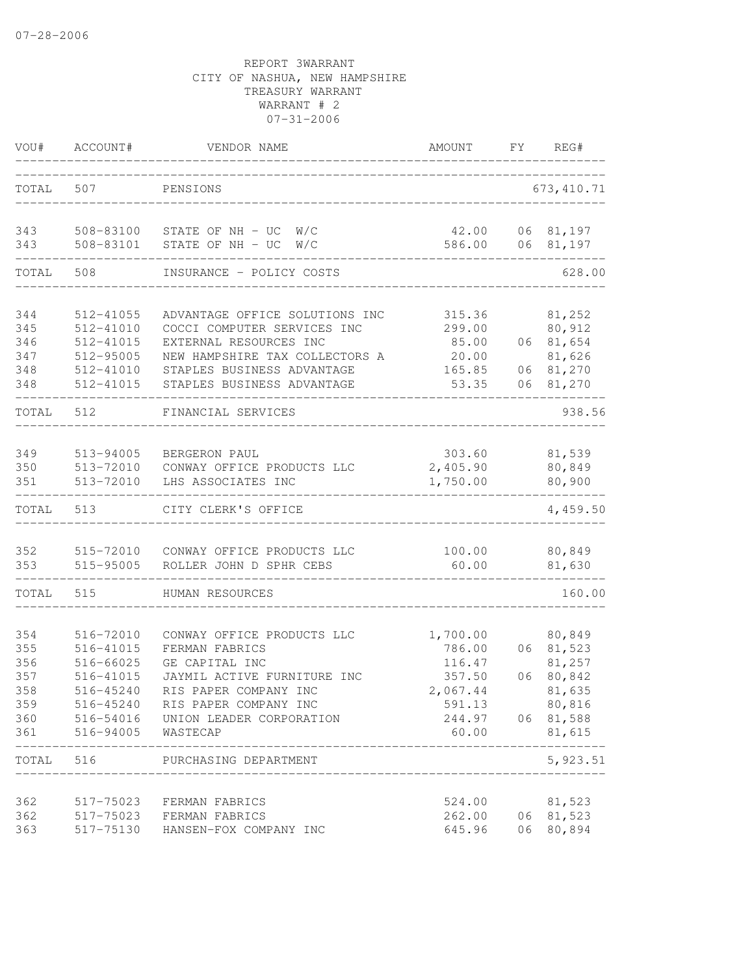| VOU#                                   | ACCOUNT#                                                      | VENDOR NAME                                                                                                                                               | AMOUNT                                                       | FY       | REG#                                                     |
|----------------------------------------|---------------------------------------------------------------|-----------------------------------------------------------------------------------------------------------------------------------------------------------|--------------------------------------------------------------|----------|----------------------------------------------------------|
| TOTAL                                  | 507                                                           | PENSIONS                                                                                                                                                  |                                                              |          | 673, 410.71                                              |
| 343<br>343                             | 508-83101                                                     | 508-83100 STATE OF NH - UC W/C<br>STATE OF NH - UC<br>W/C                                                                                                 | 42.00<br>586.00                                              |          | 06 81,197<br>06 81,197                                   |
| TOTAL                                  | 508                                                           | INSURANCE - POLICY COSTS                                                                                                                                  |                                                              |          | 628.00                                                   |
| 344<br>345<br>346                      | 512-41055<br>512-41010<br>512-41015                           | ADVANTAGE OFFICE SOLUTIONS INC<br>COCCI COMPUTER SERVICES INC<br>EXTERNAL RESOURCES INC                                                                   | 315.36<br>299.00<br>85.00                                    |          | 81,252<br>80,912<br>06 81,654                            |
| 347<br>348<br>348                      | 512-95005<br>512-41010<br>512-41015                           | NEW HAMPSHIRE TAX COLLECTORS A<br>STAPLES BUSINESS ADVANTAGE<br>STAPLES BUSINESS ADVANTAGE                                                                | 20.00<br>165.85<br>53.35                                     | 06       | 81,626<br>06 81,270<br>81,270                            |
| TOTAL                                  | 512                                                           | FINANCIAL SERVICES                                                                                                                                        |                                                              |          | 938.56                                                   |
| 349<br>350<br>351                      | 513-94005<br>513-72010<br>513-72010                           | BERGERON PAUL<br>CONWAY OFFICE PRODUCTS LLC<br>LHS ASSOCIATES INC                                                                                         | 303.60<br>2,405.90<br>1,750.00                               |          | 81,539<br>80,849<br>80,900                               |
| TOTAL                                  | 513                                                           | CITY CLERK'S OFFICE                                                                                                                                       |                                                              |          | 4,459.50                                                 |
| 352<br>353                             | 515-72010<br>515-95005                                        | CONWAY OFFICE PRODUCTS LLC<br>ROLLER JOHN D SPHR CEBS                                                                                                     | 100.00<br>60.00                                              |          | 80,849<br>81,630                                         |
| TOTAL                                  | 515                                                           | HUMAN RESOURCES                                                                                                                                           |                                                              |          | 160.00                                                   |
| 354<br>355<br>356<br>357<br>358<br>359 | 516-72010<br>516-41015<br>516-66025<br>516-41015<br>516-45240 | CONWAY OFFICE PRODUCTS LLC<br>FERMAN FABRICS<br>GE CAPITAL INC<br>JAYMIL ACTIVE FURNITURE INC<br>RIS PAPER COMPANY INC<br>516-45240 RIS PAPER COMPANY INC | 1,700.00<br>786.00<br>116.47<br>357.50<br>2,067.44<br>591.13 | 06<br>06 | 80,849<br>81,523<br>81,257<br>80,842<br>81,635<br>80,816 |
| 360<br>361                             | 516-94005                                                     | 516-54016 UNION LEADER CORPORATION<br>WASTECAP                                                                                                            | 244.97<br>60.00                                              |          | 06 81,588<br>81,615                                      |
| TOTAL 516                              |                                                               | PURCHASING DEPARTMENT                                                                                                                                     |                                                              |          | 5,923.51                                                 |
| 362<br>362<br>363                      | 517-75130                                                     | 517-75023 FERMAN FABRICS<br>517-75023 FERMAN FABRICS<br>HANSEN-FOX COMPANY INC                                                                            | 524.00<br>262.00<br>645.96                                   | 06       | 81,523<br>06 81,523<br>80,894                            |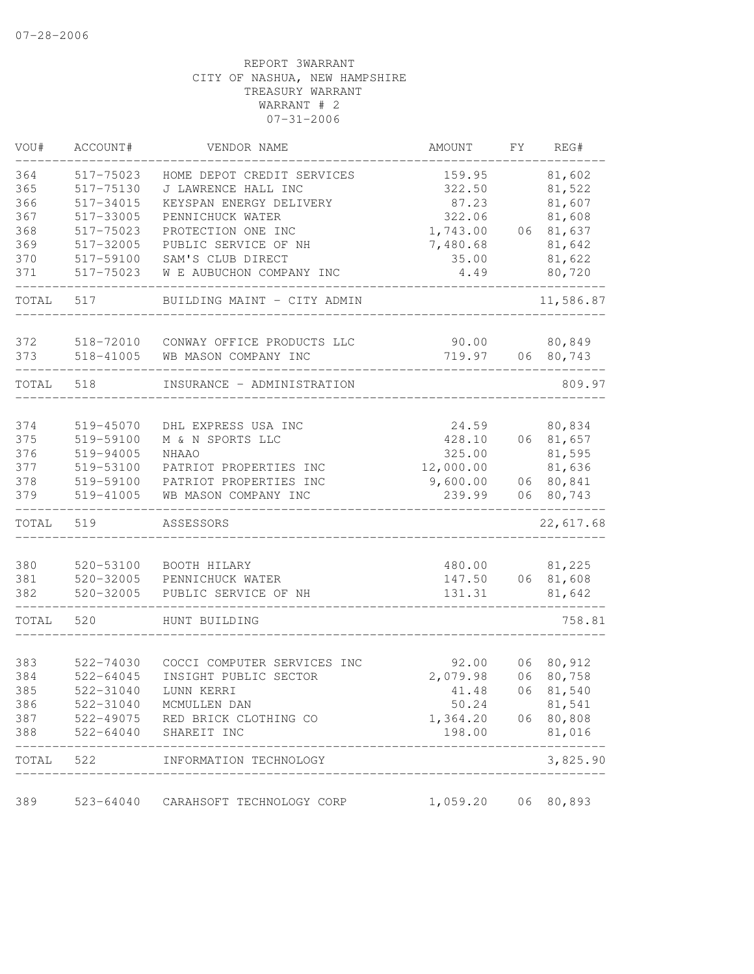| VOU#  | ACCOUNT#      | VENDOR NAME                 | AMOUNT    | FΥ | REG#      |
|-------|---------------|-----------------------------|-----------|----|-----------|
| 364   | 517-75023     | HOME DEPOT CREDIT SERVICES  | 159.95    |    | 81,602    |
| 365   | 517-75130     | J LAWRENCE HALL INC         | 322.50    |    | 81,522    |
| 366   | 517-34015     | KEYSPAN ENERGY DELIVERY     | 87.23     |    | 81,607    |
| 367   | 517-33005     | PENNICHUCK WATER            | 322.06    |    | 81,608    |
| 368   | 517-75023     | PROTECTION ONE INC          | 1,743.00  |    | 06 81,637 |
| 369   | 517-32005     | PUBLIC SERVICE OF NH        | 7,480.68  |    | 81,642    |
| 370   | 517-59100     | SAM'S CLUB DIRECT           | 35.00     |    | 81,622    |
| 371   | 517-75023     | W E AUBUCHON COMPANY INC    | 4.49      |    | 80,720    |
| TOTAL | 517           | BUILDING MAINT - CITY ADMIN |           |    | 11,586.87 |
| 372   | 518-72010     | CONWAY OFFICE PRODUCTS LLC  | 90.00     |    | 80,849    |
| 373   | 518-41005     | WB MASON COMPANY INC        | 719.97    |    | 06 80,743 |
| TOTAL | 518           | INSURANCE - ADMINISTRATION  |           |    | 809.97    |
|       |               |                             |           |    |           |
| 374   | 519-45070     | DHL EXPRESS USA INC         | 24.59     |    | 80,834    |
| 375   | 519-59100     | M & N SPORTS LLC            | 428.10    |    | 06 81,657 |
| 376   | 519-94005     | <b>NHAAO</b>                | 325.00    |    | 81,595    |
| 377   | 519-53100     | PATRIOT PROPERTIES INC      | 12,000.00 |    | 81,636    |
| 378   | 519-59100     | PATRIOT PROPERTIES INC      | 9,600.00  |    | 06 80,841 |
| 379   | 519-41005     | WB MASON COMPANY INC        | 239.99    | 06 | 80,743    |
| TOTAL | 519           | ASSESSORS                   |           |    | 22,617.68 |
|       |               |                             |           |    |           |
| 380   | 520-53100     | BOOTH HILARY                | 480.00    |    | 81,225    |
| 381   | $520 - 32005$ | PENNICHUCK WATER            | 147.50    |    | 06 81,608 |
| 382   | $520 - 32005$ | PUBLIC SERVICE OF NH        | 131.31    |    | 81,642    |
| TOTAL | 520           | HUNT BUILDING               |           |    | 758.81    |
| 383   | 522-74030     | COCCI COMPUTER SERVICES INC | 92.00     | 06 | 80,912    |
| 384   | $522 - 64045$ | INSIGHT PUBLIC SECTOR       | 2,079.98  | 06 | 80,758    |
| 385   | 522-31040     | LUNN KERRI                  | 41.48     | 06 | 81,540    |
| 386   | 522-31040     | MCMULLEN DAN                | 50.24     |    | 81,541    |
| 387   | 522-49075     | RED BRICK CLOTHING CO       | 1,364.20  |    | 06 80,808 |
| 388   | 522-64040     | SHAREIT INC                 | 198.00    |    | 81,016    |
| TOTAL | 522           | INFORMATION TECHNOLOGY      |           |    | 3,825.90  |
| 389   | 523-64040     | CARAHSOFT TECHNOLOGY CORP   | 1,059.20  | 06 | 80,893    |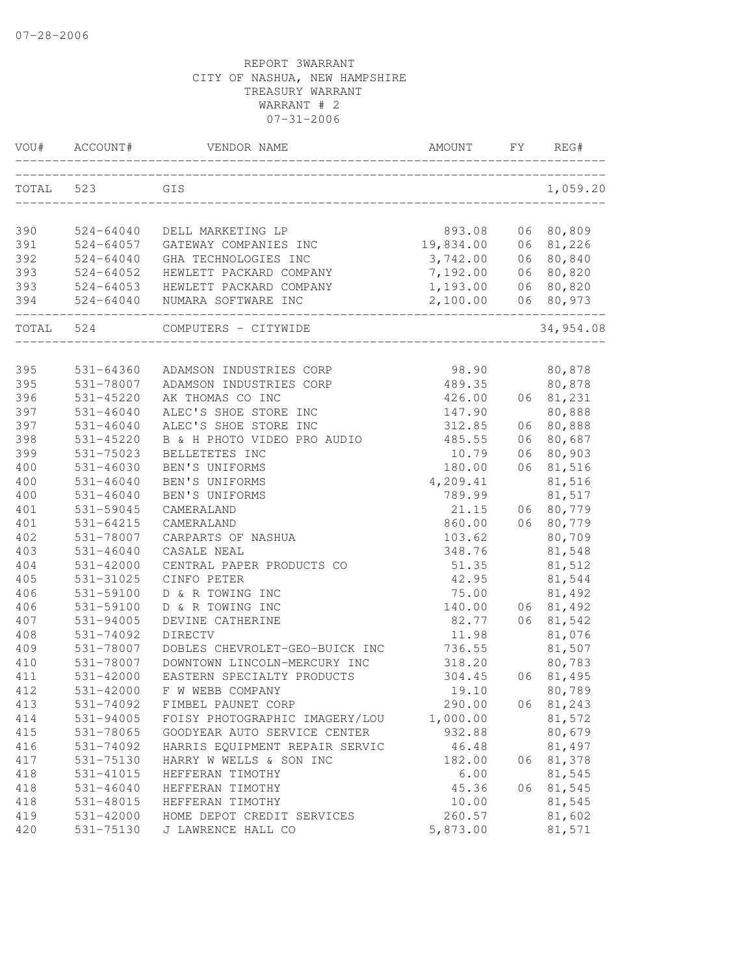| VOU#       | ACCOUNT#                   | VENDOR NAME                               | AMOUNT          | FY.      | REG#             |
|------------|----------------------------|-------------------------------------------|-----------------|----------|------------------|
| TOTAL      | 523                        | GIS                                       |                 |          | 1,059.20         |
| 390        | $524 - 64040$              | DELL MARKETING LP                         | 893.08          | 06       | 80,809           |
| 391        | $524 - 64057$              | GATEWAY COMPANIES INC                     | 19,834.00       | 06       | 81,226           |
| 392        | $524 - 64040$              | GHA TECHNOLOGIES INC                      | 3,742.00        | 06       | 80,840           |
| 393        | $524 - 64052$              | HEWLETT PACKARD COMPANY                   | 7,192.00        | 06       | 80,820           |
| 393        | 524-64053                  | HEWLETT PACKARD COMPANY                   | 1,193.00        | 06       | 80,820           |
| 394        | 524-64040                  | NUMARA SOFTWARE INC                       | 2,100.00        | 06       | 80,973           |
| TOTAL      | 524                        | COMPUTERS - CITYWIDE                      |                 |          | 34,954.08        |
|            |                            |                                           |                 |          |                  |
| 395        | 531-64360                  | ADAMSON INDUSTRIES CORP                   | 98.90           |          | 80,878           |
| 395        | 531-78007                  | ADAMSON INDUSTRIES CORP                   | 489.35          |          | 80,878           |
| 396<br>397 | 531-45220<br>$531 - 46040$ | AK THOMAS CO INC<br>ALEC'S SHOE STORE INC | 426.00          | 06       | 81,231           |
|            | $531 - 46040$              | ALEC'S SHOE STORE INC                     | 147.90          |          | 80,888           |
| 397<br>398 | 531-45220                  | B & H PHOTO VIDEO PRO AUDIO               | 312.85          | 06<br>06 | 80,888           |
| 399        | 531-75023                  | BELLETETES INC                            | 485.55          | 06       | 80,687<br>80,903 |
| 400        |                            |                                           | 10.79<br>180.00 | 06       | 81,516           |
| 400        | 531-46030<br>531-46040     | BEN'S UNIFORMS<br>BEN'S UNIFORMS          | 4,209.41        |          | 81,516           |
| 400        | 531-46040                  | BEN'S UNIFORMS                            | 789.99          |          | 81,517           |
| 401        | 531-59045                  | CAMERALAND                                | 21.15           | 06       | 80,779           |
| 401        | 531-64215                  | CAMERALAND                                | 860.00          | 06       | 80,779           |
| 402        | 531-78007                  | CARPARTS OF NASHUA                        | 103.62          |          | 80,709           |
| 403        | $531 - 46040$              | CASALE NEAL                               | 348.76          |          | 81,548           |
| 404        | 531-42000                  | CENTRAL PAPER PRODUCTS CO                 | 51.35           |          | 81,512           |
| 405        | 531-31025                  | CINFO PETER                               | 42.95           |          | 81,544           |
| 406        | 531-59100                  | D & R TOWING INC                          | 75.00           |          | 81,492           |
| 406        | 531-59100                  | D & R TOWING INC                          | 140.00          | 06       | 81,492           |
| 407        | 531-94005                  | DEVINE CATHERINE                          | 82.77           | 06       | 81,542           |
| 408        | 531-74092                  | <b>DIRECTV</b>                            | 11.98           |          | 81,076           |
| 409        | 531-78007                  | DOBLES CHEVROLET-GEO-BUICK INC            | 736.55          |          | 81,507           |
| 410        | 531-78007                  | DOWNTOWN LINCOLN-MERCURY INC              | 318.20          |          | 80,783           |
| 411        | 531-42000                  | EASTERN SPECIALTY PRODUCTS                | 304.45          | 06       | 81,495           |
| 412        | 531-42000                  | F W WEBB COMPANY                          | 19.10           |          | 80,789           |
| 413        | 531-74092                  | FIMBEL PAUNET CORP                        | 290.00          | 06       | 81,243           |
| 414        | 531-94005                  | FOISY PHOTOGRAPHIC IMAGERY/LOU            | 1,000.00        |          | 81,572           |
| 415        | 531-78065                  | GOODYEAR AUTO SERVICE CENTER              | 932.88          |          | 80,679           |
| 416        | 531-74092                  | HARRIS EQUIPMENT REPAIR SERVIC            | 46.48           |          | 81,497           |
| 417        | 531-75130                  | HARRY W WELLS & SON INC                   | 182.00          | 06       | 81,378           |
| 418        | 531-41015                  | HEFFERAN TIMOTHY                          | 6.00            |          | 81,545           |
| 418        | 531-46040                  | HEFFERAN TIMOTHY                          | 45.36           | 06       | 81,545           |
| 418        | 531-48015                  | HEFFERAN TIMOTHY                          | 10.00           |          | 81,545           |
| 419        | 531-42000                  | HOME DEPOT CREDIT SERVICES                | 260.57          |          | 81,602           |
| 420        | 531-75130                  | J LAWRENCE HALL CO                        | 5,873.00        |          | 81,571           |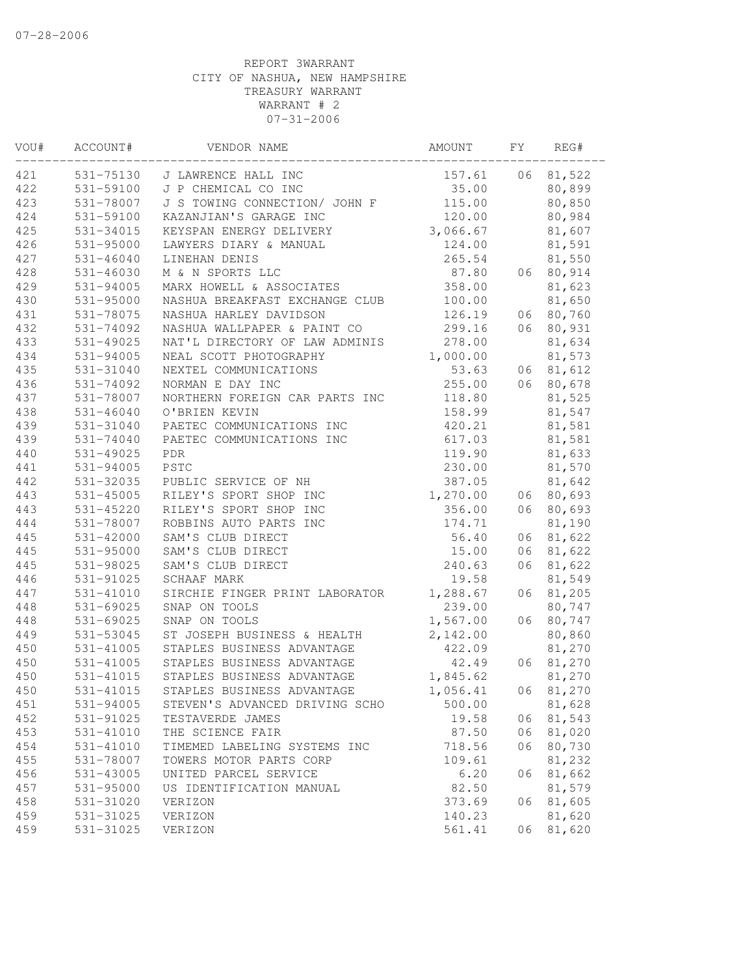| VOU# | ACCOUNT#      | VENDOR NAME                    | AMOUNT   | FΥ | REG#   |
|------|---------------|--------------------------------|----------|----|--------|
| 421  | 531-75130     | J LAWRENCE HALL INC            | 157.61   | 06 | 81,522 |
| 422  | 531-59100     | J P CHEMICAL CO INC            | 35.00    |    | 80,899 |
| 423  | 531-78007     | J S TOWING CONNECTION/ JOHN F  | 115.00   |    | 80,850 |
| 424  | 531-59100     | KAZANJIAN'S GARAGE INC         | 120.00   |    | 80,984 |
| 425  | 531-34015     | KEYSPAN ENERGY DELIVERY        | 3,066.67 |    | 81,607 |
| 426  | 531-95000     | LAWYERS DIARY & MANUAL         | 124.00   |    | 81,591 |
| 427  | $531 - 46040$ | LINEHAN DENIS                  | 265.54   |    | 81,550 |
| 428  | 531-46030     | M & N SPORTS LLC               | 87.80    | 06 | 80,914 |
| 429  | $531 - 94005$ | MARX HOWELL & ASSOCIATES       | 358.00   |    | 81,623 |
| 430  | 531-95000     | NASHUA BREAKFAST EXCHANGE CLUB | 100.00   |    | 81,650 |
| 431  | 531-78075     | NASHUA HARLEY DAVIDSON         | 126.19   | 06 | 80,760 |
| 432  | 531-74092     | NASHUA WALLPAPER & PAINT CO    | 299.16   | 06 | 80,931 |
| 433  | $531 - 49025$ | NAT'L DIRECTORY OF LAW ADMINIS | 278.00   |    | 81,634 |
| 434  | 531-94005     | NEAL SCOTT PHOTOGRAPHY         | 1,000.00 |    | 81,573 |
| 435  | 531-31040     | NEXTEL COMMUNICATIONS          | 53.63    | 06 | 81,612 |
| 436  | 531-74092     | NORMAN E DAY INC               | 255.00   | 06 | 80,678 |
| 437  | 531-78007     | NORTHERN FOREIGN CAR PARTS INC | 118.80   |    | 81,525 |
| 438  | $531 - 46040$ | O'BRIEN KEVIN                  | 158.99   |    | 81,547 |
| 439  | 531-31040     | PAETEC COMMUNICATIONS INC      | 420.21   |    | 81,581 |
| 439  | 531-74040     | PAETEC COMMUNICATIONS INC      | 617.03   |    | 81,581 |
| 440  | $531 - 49025$ | <b>PDR</b>                     | 119.90   |    | 81,633 |
| 441  | $531 - 94005$ | PSTC                           | 230.00   |    | 81,570 |
| 442  | 531-32035     | PUBLIC SERVICE OF NH           | 387.05   |    | 81,642 |
| 443  | 531-45005     | RILEY'S SPORT SHOP INC         | 1,270.00 | 06 | 80,693 |
| 443  | 531-45220     | RILEY'S SPORT SHOP INC         | 356.00   | 06 | 80,693 |
| 444  | 531-78007     | ROBBINS AUTO PARTS INC         | 174.71   |    | 81,190 |
| 445  | 531-42000     | SAM'S CLUB DIRECT              | 56.40    | 06 | 81,622 |
| 445  | 531-95000     | SAM'S CLUB DIRECT              | 15.00    | 06 | 81,622 |
| 445  | 531-98025     | SAM'S CLUB DIRECT              | 240.63   | 06 | 81,622 |
| 446  | 531-91025     | SCHAAF MARK                    | 19.58    |    | 81,549 |
| 447  | 531-41010     | SIRCHIE FINGER PRINT LABORATOR | 1,288.67 | 06 | 81,205 |
| 448  | 531-69025     | SNAP ON TOOLS                  | 239.00   |    | 80,747 |
| 448  | 531-69025     | SNAP ON TOOLS                  | 1,567.00 | 06 | 80,747 |
| 449  | 531-53045     | ST JOSEPH BUSINESS & HEALTH    | 2,142.00 |    | 80,860 |
| 450  | $531 - 41005$ | STAPLES BUSINESS ADVANTAGE     | 422.09   |    | 81,270 |
| 450  | $531 - 41005$ | STAPLES BUSINESS ADVANTAGE     | 42.49    | 06 | 81,270 |
| 450  | 531-41015     | STAPLES BUSINESS ADVANTAGE     | 1,845.62 |    | 81,270 |
| 450  | $531 - 41015$ | STAPLES BUSINESS ADVANTAGE     | 1,056.41 | 06 | 81,270 |
| 451  | 531-94005     | STEVEN'S ADVANCED DRIVING SCHO | 500.00   |    | 81,628 |
| 452  | 531-91025     | TESTAVERDE JAMES               | 19.58    | 06 | 81,543 |
| 453  | 531-41010     | THE SCIENCE FAIR               | 87.50    | 06 | 81,020 |
| 454  | 531-41010     | TIMEMED LABELING SYSTEMS INC   | 718.56   | 06 | 80,730 |
| 455  | 531-78007     | TOWERS MOTOR PARTS CORP        | 109.61   |    | 81,232 |
| 456  | 531-43005     | UNITED PARCEL SERVICE          | 6.20     | 06 | 81,662 |
| 457  | 531-95000     | US IDENTIFICATION MANUAL       | 82.50    |    | 81,579 |
| 458  | 531-31020     | VERIZON                        | 373.69   | 06 | 81,605 |
| 459  | 531-31025     | VERIZON                        | 140.23   |    | 81,620 |
| 459  | 531-31025     | VERIZON                        | 561.41   | 06 | 81,620 |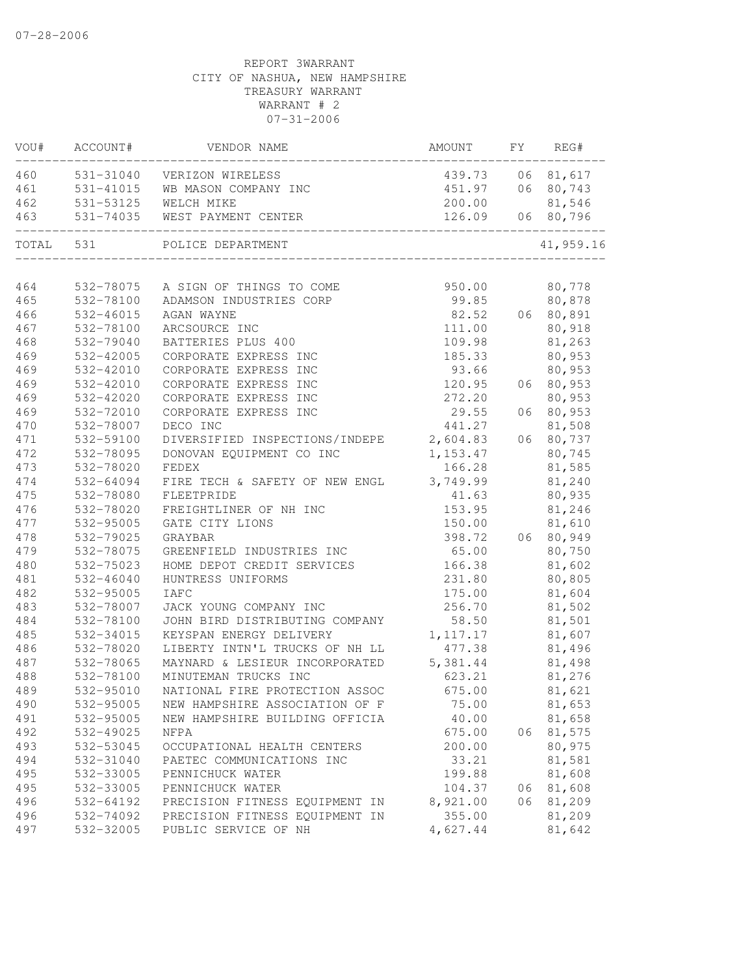| VOU#      | ACCOUNT#  | VENDOR NAME                             | AMOUNT    | FY   | REG#      |
|-----------|-----------|-----------------------------------------|-----------|------|-----------|
| 460       |           | 531-31040 VERIZON WIRELESS              | 439.73    | 06   | 81,617    |
| 461       |           | 531-41015 WB MASON COMPANY INC          | 451.97    |      | 06 80,743 |
| 462       | 531-53125 | WELCH MIKE                              | 200.00    |      | 81,546    |
| 463       | 531-74035 | WEST PAYMENT CENTER                     | 126.09    |      | 06 80,796 |
| TOTAL 531 |           | POLICE DEPARTMENT                       |           |      | 41,959.16 |
| 464       | 532-78075 | A SIGN OF THINGS TO COME                | 950.00    |      | 80,778    |
| 465       | 532-78100 | ADAMSON INDUSTRIES CORP                 | 99.85     |      | 80,878    |
| 466       | 532-46015 | AGAN WAYNE                              | 82.52     |      | 06 80,891 |
| 467       | 532-78100 | ARCSOURCE INC                           | 111.00    |      | 80,918    |
| 468       | 532-79040 | BATTERIES PLUS 400                      | 109.98    |      | 81,263    |
| 469       | 532-42005 | CORPORATE EXPRESS INC                   | 185.33    |      | 80,953    |
| 469       | 532-42010 | CORPORATE EXPRESS INC                   | 93.66     |      | 80,953    |
| 469       | 532-42010 | CORPORATE EXPRESS INC                   | 120.95    |      | 06 80,953 |
| 469       | 532-42020 | CORPORATE EXPRESS INC                   | 272.20    |      | 80,953    |
| 469       | 532-72010 | CORPORATE EXPRESS INC                   | 29.55     | 06   | 80,953    |
| 470       | 532-78007 | DECO INC                                | 441.27    |      | 81,508    |
| 471       | 532-59100 | DIVERSIFIED INSPECTIONS/INDEPE 2,604.83 |           |      | 06 80,737 |
| 472       | 532-78095 | DONOVAN EQUIPMENT CO INC                | 1,153.47  |      | 80,745    |
| 473       | 532-78020 | FEDEX                                   | 166.28    |      | 81,585    |
| 474       | 532-64094 | FIRE TECH & SAFETY OF NEW ENGL 3,749.99 |           |      | 81,240    |
| 475       | 532-78080 | FLEETPRIDE                              | 41.63     |      | 80,935    |
| 476       | 532-78020 | FREIGHTLINER OF NH INC                  | 153.95    |      | 81,246    |
| 477       | 532-95005 | GATE CITY LIONS                         | 150.00    |      | 81,610    |
| 478       | 532-79025 | GRAYBAR                                 | 398.72    |      | 06 80,949 |
| 479       | 532-78075 | GREENFIELD INDUSTRIES INC               | 65.00     |      | 80,750    |
| 480       | 532-75023 | HOME DEPOT CREDIT SERVICES              | 166.38    |      | 81,602    |
| 481       | 532-46040 | HUNTRESS UNIFORMS                       | 231.80    |      | 80,805    |
| 482       | 532-95005 | <b>IAFC</b>                             | 175.00    |      | 81,604    |
| 483       | 532-78007 | JACK YOUNG COMPANY INC                  | 256.70    |      | 81,502    |
| 484       | 532-78100 | JOHN BIRD DISTRIBUTING COMPANY          | 58.50     |      | 81,501    |
| 485       | 532-34015 | KEYSPAN ENERGY DELIVERY                 | 1, 117.17 |      | 81,607    |
| 486       | 532-78020 | LIBERTY INTN'L TRUCKS OF NH LL          | 477.38    |      | 81,496    |
| 487       | 532-78065 | MAYNARD & LESIEUR INCORPORATED          | 5,381.44  |      | 81,498    |
| 488       | 532-78100 | MINUTEMAN TRUCKS INC                    | 623.21    |      | 81,276    |
| 489       | 532-95010 | NATIONAL FIRE PROTECTION ASSOC          | 675.00    |      | 81,621    |
| 490       | 532-95005 | NEW HAMPSHIRE ASSOCIATION OF F          | 75.00     |      | 81,653    |
| 491       | 532-95005 | NEW HAMPSHIRE BUILDING OFFICIA          | 40.00     |      | 81,658    |
| 492       | 532-49025 | NFPA                                    | 675.00    | 06   | 81,575    |
| 493       | 532-53045 | OCCUPATIONAL HEALTH CENTERS             | 200.00    |      | 80,975    |
| 494       | 532-31040 | PAETEC COMMUNICATIONS INC               | 33.21     |      | 81,581    |
| 495       | 532-33005 | PENNICHUCK WATER                        | 199.88    |      | 81,608    |
| 495       | 532-33005 | PENNICHUCK WATER                        | 104.37    | 06   | 81,608    |
| 496       | 532-64192 | PRECISION FITNESS EQUIPMENT IN          | 8,921.00  | 06 - | 81,209    |
| 496       | 532-74092 | PRECISION FITNESS EQUIPMENT IN          | 355.00    |      | 81,209    |
| 497       | 532-32005 | PUBLIC SERVICE OF NH                    | 4,627.44  |      | 81,642    |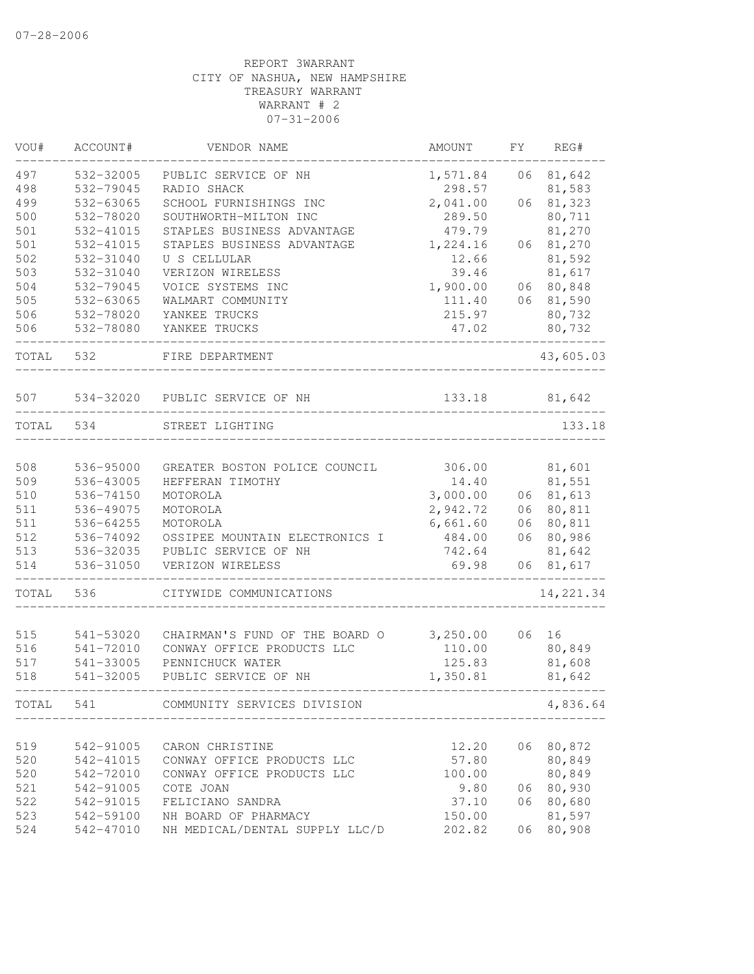| VOU#  | ACCOUNT#                   | VENDOR NAME                                                  | AMOUNT   | FΥ | REG#       |
|-------|----------------------------|--------------------------------------------------------------|----------|----|------------|
| 497   | 532-32005                  | PUBLIC SERVICE OF NH                                         | 1,571.84 | 06 | 81,642     |
| 498   | 532-79045                  | RADIO SHACK                                                  | 298.57   |    | 81,583     |
| 499   | 532-63065                  | SCHOOL FURNISHINGS INC                                       | 2,041.00 | 06 | 81,323     |
| 500   | 532-78020                  | SOUTHWORTH-MILTON INC                                        | 289.50   |    | 80,711     |
| 501   | 532-41015                  | STAPLES BUSINESS ADVANTAGE                                   | 479.79   |    | 81,270     |
| 501   | 532-41015                  | STAPLES BUSINESS ADVANTAGE                                   | 1,224.16 | 06 | 81,270     |
| 502   | 532-31040                  | U S CELLULAR                                                 | 12.66    |    | 81,592     |
| 503   | 532-31040                  | VERIZON WIRELESS                                             | 39.46    |    | 81,617     |
| 504   | 532-79045                  | VOICE SYSTEMS INC                                            | 1,900.00 |    | 06 80,848  |
| 505   | 532-63065                  | WALMART COMMUNITY                                            | 111.40   | 06 | 81,590     |
| 506   | 532-78020                  | YANKEE TRUCKS                                                | 215.97   |    | 80,732     |
| 506   | 532-78080                  | YANKEE TRUCKS                                                | 47.02    |    | 80,732     |
| TOTAL | 532                        | FIRE DEPARTMENT                                              |          |    | 43,605.03  |
| 507   |                            | 534-32020 PUBLIC SERVICE OF NH                               | 133.18   |    | 81,642     |
| TOTAL | 534                        | STREET LIGHTING                                              |          |    | 133.18     |
|       |                            |                                                              |          |    |            |
| 508   | 536-95000                  | GREATER BOSTON POLICE COUNCIL                                | 306.00   |    | 81,601     |
| 509   | 536-43005                  | HEFFERAN TIMOTHY                                             | 14.40    |    | 81,551     |
| 510   | 536-74150                  | MOTOROLA                                                     | 3,000.00 |    | 06 81,613  |
| 511   | 536-49075                  | MOTOROLA                                                     | 2,942.72 |    | 06 80,811  |
| 511   | 536-64255                  | MOTOROLA                                                     | 6,661.60 | 06 | 80,811     |
| 512   | 536-74092                  | OSSIPEE MOUNTAIN ELECTRONICS I                               | 484.00   | 06 | 80,986     |
| 513   | 536-32035                  | PUBLIC SERVICE OF NH                                         | 742.64   |    | 81,642     |
| 514   | 536-31050                  | VERIZON WIRELESS                                             | 69.98    | 06 | 81,617     |
| TOTAL | 536                        | CITYWIDE COMMUNICATIONS                                      |          |    | 14, 221.34 |
| 515   |                            |                                                              | 3,250.00 | 06 | 16         |
| 516   | 541-53020<br>$541 - 72010$ | CHAIRMAN'S FUND OF THE BOARD O<br>CONWAY OFFICE PRODUCTS LLC | 110.00   |    | 80,849     |
| 517   | 541-33005                  | PENNICHUCK WATER                                             | 125.83   |    | 81,608     |
| 518   | 541-32005                  | PUBLIC SERVICE OF NH                                         | 1,350.81 |    | 81,642     |
| TOTAL | 541                        | COMMUNITY SERVICES DIVISION                                  |          |    | 4,836.64   |
|       |                            |                                                              |          |    |            |
| 519   | 542-91005                  | CARON CHRISTINE                                              | 12.20    |    | 06 80,872  |
| 520   | 542-41015                  | CONWAY OFFICE PRODUCTS LLC                                   | 57.80    |    | 80,849     |
| 520   | 542-72010                  | CONWAY OFFICE PRODUCTS LLC                                   | 100.00   |    | 80,849     |
| 521   | 542-91005                  | COTE JOAN                                                    | 9.80     | 06 | 80,930     |
| 522   | 542-91015                  | FELICIANO SANDRA                                             | 37.10    | 06 | 80,680     |
| 523   | 542-59100                  | NH BOARD OF PHARMACY                                         | 150.00   |    | 81,597     |
| 524   | 542-47010                  | NH MEDICAL/DENTAL SUPPLY LLC/D                               | 202.82   | 06 | 80,908     |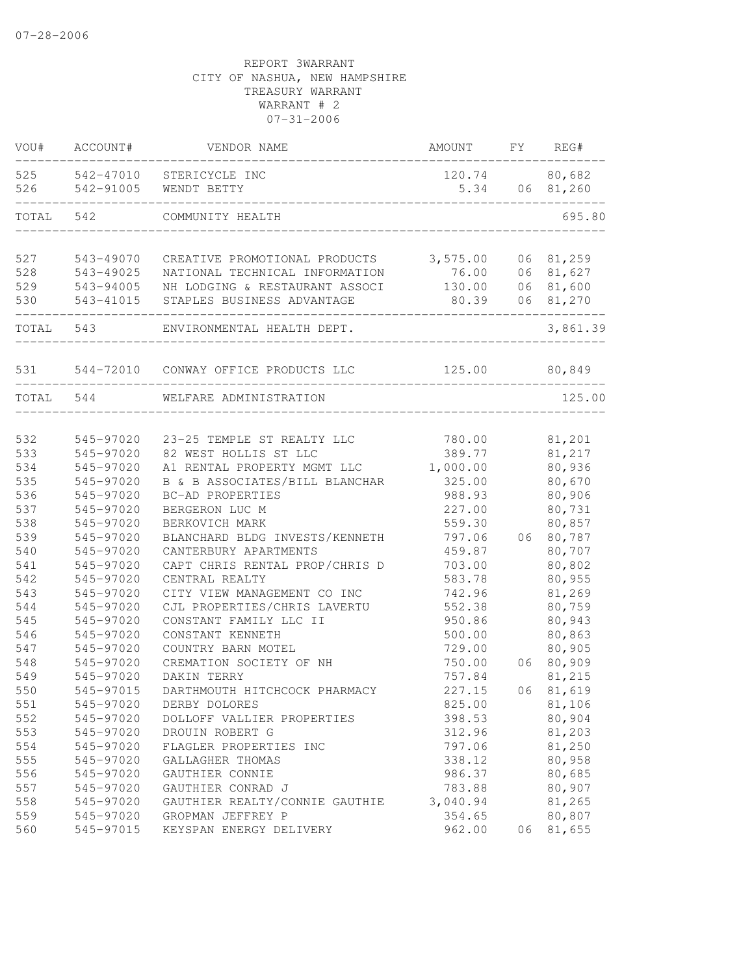| VOU#      | ACCOUNT#               | VENDOR NAME                                                             | AMOUNT   | FY | REG#          |
|-----------|------------------------|-------------------------------------------------------------------------|----------|----|---------------|
| 525       | 542-47010              | STERICYCLE INC                                                          |          |    | 120.74 80,682 |
| 526       | 542-91005              | WENDT BETTY                                                             | 5.34     |    | 06 81,260     |
| TOTAL     | 542                    | COMMUNITY HEALTH                                                        |          |    | 695.80        |
|           |                        |                                                                         |          |    |               |
| 527       | 543-49070              | CREATIVE PROMOTIONAL PRODUCTS 3,575.00                                  |          | 06 | 81,259        |
| 528       | 543-49025<br>543-94005 | NATIONAL TECHNICAL INFORMATION<br>NH LODGING & RESTAURANT ASSOCI 130.00 | 76.00    | 06 | 81,627        |
| 529       |                        |                                                                         |          | 06 | 81,600        |
| 530       | 543-41015              | STAPLES BUSINESS ADVANTAGE                                              | 80.39    | 06 | 81,270        |
| TOTAL 543 |                        | ENVIRONMENTAL HEALTH DEPT.                                              |          |    | 3,861.39      |
|           |                        | 531 544-72010 CONWAY OFFICE PRODUCTS LLC 5125.00 80,849                 |          |    |               |
| TOTAL 544 |                        | WELFARE ADMINISTRATION                                                  |          |    | 125.00        |
|           |                        |                                                                         |          |    |               |
| 532       | 545-97020              | 23-25 TEMPLE ST REALTY LLC                                              | 780.00   |    | 81,201        |
| 533       | 545-97020              | 82 WEST HOLLIS ST LLC                                                   | 389.77   |    | 81,217        |
| 534       | 545-97020              | A1 RENTAL PROPERTY MGMT LLC                                             | 1,000.00 |    | 80,936        |
| 535       | 545-97020              | B & B ASSOCIATES/BILL BLANCHAR                                          | 325.00   |    | 80,670        |
| 536       | 545-97020              | BC-AD PROPERTIES                                                        | 988.93   |    | 80,906        |
| 537       | 545-97020              | BERGERON LUC M                                                          | 227.00   |    | 80,731        |
| 538       | 545-97020              | BERKOVICH MARK                                                          | 559.30   |    | 80,857        |
| 539       | 545-97020              | BLANCHARD BLDG INVESTS/KENNETH                                          | 797.06   | 06 | 80,787        |
| 540       | 545-97020              | CANTERBURY APARTMENTS                                                   | 459.87   |    | 80,707        |
| 541       | 545-97020              | CAPT CHRIS RENTAL PROP/CHRIS D                                          | 703.00   |    | 80,802        |
| 542       | 545-97020              | CENTRAL REALTY                                                          | 583.78   |    | 80,955        |
| 543       | 545-97020              | CITY VIEW MANAGEMENT CO INC                                             | 742.96   |    | 81,269        |
| 544       | 545-97020              | CJL PROPERTIES/CHRIS LAVERTU                                            | 552.38   |    | 80,759        |
| 545       | 545-97020              | CONSTANT FAMILY LLC II                                                  | 950.86   |    | 80,943        |
| 546       | 545-97020              | CONSTANT KENNETH                                                        | 500.00   |    | 80,863        |
| 547       | 545-97020              | COUNTRY BARN MOTEL                                                      | 729.00   |    | 80,905        |
| 548       | 545-97020              | CREMATION SOCIETY OF NH                                                 | 750.00   | 06 | 80,909        |
| 549       | 545-97020              | DAKIN TERRY                                                             | 757.84   |    | 81,215        |
| 550       | 545-97015              | DARTHMOUTH HITCHCOCK PHARMACY                                           | 227.15   | 06 | 81,619        |
| 551       | 545-97020              | DERBY DOLORES                                                           | 825.00   |    | 81,106        |
| 552       | 545-97020              | DOLLOFF VALLIER PROPERTIES                                              | 398.53   |    | 80,904        |
| 553       | 545-97020              | DROUIN ROBERT G                                                         | 312.96   |    | 81,203        |
| 554       | 545-97020              | FLAGLER PROPERTIES INC                                                  | 797.06   |    | 81,250        |
| 555       | 545-97020              | GALLAGHER THOMAS                                                        | 338.12   |    | 80,958        |
| 556       | 545-97020              | GAUTHIER CONNIE                                                         | 986.37   |    | 80,685        |
| 557       | 545-97020              | GAUTHIER CONRAD J                                                       | 783.88   |    | 80,907        |
| 558       | 545-97020              | GAUTHIER REALTY/CONNIE GAUTHIE                                          | 3,040.94 |    | 81,265        |
| 559       | 545-97020              | GROPMAN JEFFREY P                                                       | 354.65   |    | 80,807        |
| 560       | 545-97015              | KEYSPAN ENERGY DELIVERY                                                 | 962.00   | 06 | 81,655        |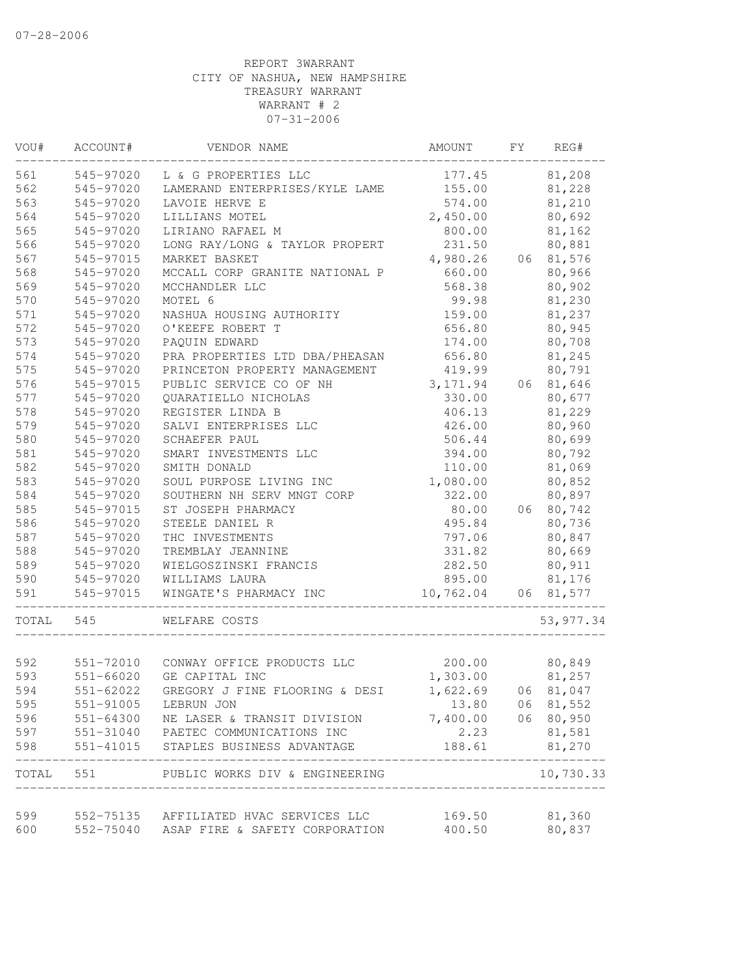| VOU#      | ACCOUNT#  | VENDOR NAME                              | AMOUNT                      | FY | REG#            |
|-----------|-----------|------------------------------------------|-----------------------------|----|-----------------|
| 561       | 545-97020 | L & G PROPERTIES LLC                     | 177.45                      |    | 81,208          |
| 562       | 545-97020 | LAMERAND ENTERPRISES/KYLE LAME           | 155.00                      |    | 81,228          |
| 563       | 545-97020 | LAVOIE HERVE E                           | 574.00                      |    | 81,210          |
| 564       | 545-97020 | LILLIANS MOTEL                           | 2,450.00                    |    | 80,692          |
| 565       | 545-97020 | LIRIANO RAFAEL M                         | 800.00                      |    | 81,162          |
| 566       | 545-97020 | LONG RAY/LONG & TAYLOR PROPERT           | 231.50                      |    | 80,881          |
| 567       | 545-97015 | MARKET BASKET                            | 4,980.26                    |    | 06 81,576       |
| 568       | 545-97020 | MCCALL CORP GRANITE NATIONAL P           | 660.00                      |    | 80,966          |
| 569       | 545-97020 | MCCHANDLER LLC                           | 568.38                      |    | 80,902          |
| 570       | 545-97020 | MOTEL 6                                  | 99.98                       |    | 81,230          |
| 571       | 545-97020 | NASHUA HOUSING AUTHORITY                 | 159.00                      |    | 81,237          |
| 572       | 545-97020 | O'KEEFE ROBERT T                         | 656.80                      |    | 80,945          |
| 573       | 545-97020 | PAQUIN EDWARD                            | 174.00                      |    | 80,708          |
| 574       | 545-97020 | PRA PROPERTIES LTD DBA/PHEASAN           | 656.80                      |    | 81,245          |
| 575       | 545-97020 | PRINCETON PROPERTY MANAGEMENT            | 419.99                      |    | 80,791          |
| 576       | 545-97015 | PUBLIC SERVICE CO OF NH                  | 3, 171.94                   |    | 06 81,646       |
| 577       | 545-97020 | QUARATIELLO NICHOLAS                     | 330.00                      |    | 80,677          |
| 578       | 545-97020 | REGISTER LINDA B                         | 406.13                      |    | 81,229          |
| 579       | 545-97020 | SALVI ENTERPRISES LLC                    | 426.00                      |    | 80,960          |
| 580       | 545-97020 | SCHAEFER PAUL                            | 506.44                      |    | 80,699          |
| 581       | 545-97020 | SMART INVESTMENTS LLC                    | 394.00                      |    | 80,792          |
| 582       | 545-97020 | SMITH DONALD                             | 110.00                      |    | 81,069          |
| 583       | 545-97020 | SOUL PURPOSE LIVING INC                  | 1,080.00                    |    | 80,852          |
| 584       | 545-97020 | SOUTHERN NH SERV MNGT CORP               | 322.00                      |    | 80,897          |
| 585       | 545-97015 | ST JOSEPH PHARMACY                       | 80.00                       |    | 06 80,742       |
| 586       | 545-97020 | STEELE DANIEL R                          | 495.84                      |    | 80,736          |
| 587       | 545-97020 | THC INVESTMENTS                          | 797.06                      |    | 80,847          |
| 588       | 545-97020 | TREMBLAY JEANNINE                        | 331.82                      |    | 80,669          |
| 589       | 545-97020 | WIELGOSZINSKI FRANCIS                    | 282.50                      |    | 80,911          |
| 590       | 545-97020 | WILLIAMS LAURA                           | 895.00                      |    | 81,176          |
| 591       | 545-97015 | WINGATE'S PHARMACY INC                   | 10,762.04 06 81,577         |    |                 |
| TOTAL 545 |           | WELFARE COSTS                            |                             |    | 53, 977.34      |
|           |           |                                          |                             |    |                 |
| 592       |           | 551-72010 CONWAY OFFICE PRODUCTS LLC     | 200.00 80,849               |    |                 |
| 593       | 551-66020 | GE CAPITAL INC                           | 1,303.00                    |    | 81,257          |
| 594       | 551-62022 | GREGORY J FINE FLOORING & DESI           | 1,622.69                    | 06 | 81,047          |
| 595       | 551-91005 | LEBRUN JON                               |                             |    | 13.80 06 81,552 |
| 596       |           | 551-64300 NE LASER & TRANSIT DIVISION    | 7,400.00 06 80,950          |    |                 |
| 597       |           | 551-31040 PAETEC COMMUNICATIONS INC      | 2.23                        |    | 81,581          |
| 598       |           | 551-41015 STAPLES BUSINESS ADVANTAGE     | 188.61                      |    | 81,270          |
| TOTAL     |           | 551 PUBLIC WORKS DIV & ENGINEERING       | ___________________________ |    | 10,730.33       |
| 599       |           | 552-75135 AFFILIATED HVAC SERVICES LLC   |                             |    | 81,360          |
| 600       |           | 552-75040 ASAP FIRE & SAFETY CORPORATION | 169.50<br>400.50            |    | 80,837          |
|           |           |                                          |                             |    |                 |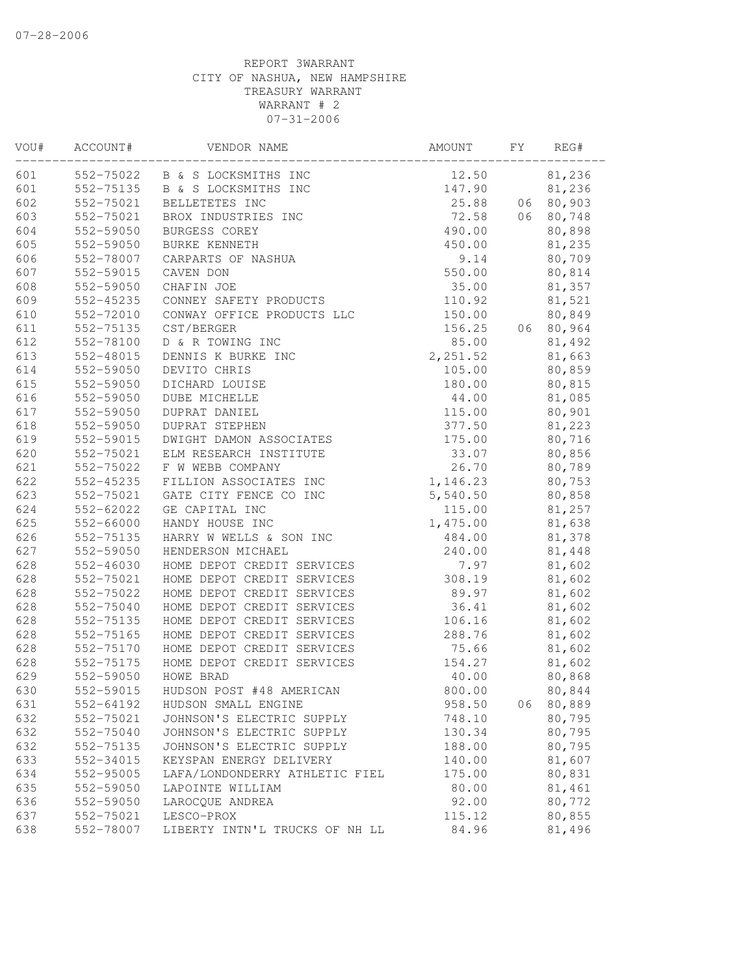| VOU# | ACCOUNT#      | VENDOR NAME                    | AMOUNT   | FΥ | REG#   |
|------|---------------|--------------------------------|----------|----|--------|
| 601  |               | 552-75022 B & S LOCKSMITHS INC | 12.50    |    | 81,236 |
| 601  | 552-75135     | B & S LOCKSMITHS INC           | 147.90   |    | 81,236 |
| 602  | 552-75021     | BELLETETES INC                 | 25.88    | 06 | 80,903 |
| 603  | 552-75021     | BROX INDUSTRIES INC            | 72.58    | 06 | 80,748 |
| 604  | 552-59050     | BURGESS COREY                  | 490.00   |    | 80,898 |
| 605  | 552-59050     | BURKE KENNETH                  | 450.00   |    | 81,235 |
| 606  | 552-78007     | CARPARTS OF NASHUA             | 9.14     |    | 80,709 |
| 607  | 552-59015     | CAVEN DON                      | 550.00   |    | 80,814 |
| 608  | 552-59050     | CHAFIN JOE                     | 35.00    |    | 81,357 |
| 609  | 552-45235     | CONNEY SAFETY PRODUCTS         | 110.92   |    | 81,521 |
| 610  | 552-72010     | CONWAY OFFICE PRODUCTS LLC     | 150.00   |    | 80,849 |
| 611  | 552-75135     | CST/BERGER                     | 156.25   | 06 | 80,964 |
| 612  | 552-78100     | D & R TOWING INC               | 85.00    |    | 81,492 |
| 613  | 552-48015     | DENNIS K BURKE INC             | 2,251.52 |    | 81,663 |
| 614  | 552-59050     | DEVITO CHRIS                   | 105.00   |    | 80,859 |
| 615  | 552-59050     | DICHARD LOUISE                 | 180.00   |    | 80,815 |
| 616  | 552-59050     | DUBE MICHELLE                  | 44.00    |    | 81,085 |
| 617  | 552-59050     | DUPRAT DANIEL                  | 115.00   |    | 80,901 |
| 618  | 552-59050     | <b>DUPRAT STEPHEN</b>          | 377.50   |    | 81,223 |
| 619  | 552-59015     | DWIGHT DAMON ASSOCIATES        | 175.00   |    | 80,716 |
| 620  | 552-75021     | ELM RESEARCH INSTITUTE         | 33.07    |    | 80,856 |
| 621  | 552-75022     | F W WEBB COMPANY               | 26.70    |    | 80,789 |
| 622  | 552-45235     | FILLION ASSOCIATES INC         | 1,146.23 |    | 80,753 |
| 623  | 552-75021     | GATE CITY FENCE CO INC         | 5,540.50 |    | 80,858 |
| 624  | 552-62022     | GE CAPITAL INC                 | 115.00   |    | 81,257 |
| 625  | 552-66000     | HANDY HOUSE INC                | 1,475.00 |    | 81,638 |
| 626  | 552-75135     | HARRY W WELLS & SON INC        | 484.00   |    | 81,378 |
| 627  | 552-59050     | HENDERSON MICHAEL              | 240.00   |    | 81,448 |
| 628  | $552 - 46030$ | HOME DEPOT CREDIT SERVICES     | 7.97     |    | 81,602 |
| 628  | 552-75021     | HOME DEPOT CREDIT SERVICES     | 308.19   |    | 81,602 |
| 628  | 552-75022     | HOME DEPOT CREDIT SERVICES     | 89.97    |    | 81,602 |
| 628  | 552-75040     | HOME DEPOT CREDIT SERVICES     | 36.41    |    | 81,602 |
| 628  | 552-75135     | HOME DEPOT CREDIT SERVICES     | 106.16   |    | 81,602 |
| 628  | 552-75165     | HOME DEPOT CREDIT SERVICES     | 288.76   |    | 81,602 |
| 628  | 552-75170     | HOME DEPOT CREDIT SERVICES     | 75.66    |    | 81,602 |
| 628  | 552-75175     | HOME DEPOT CREDIT SERVICES     | 154.27   |    | 81,602 |
| 629  | 552-59050     | HOWE BRAD                      | 40.00    |    | 80,868 |
| 630  | 552-59015     | HUDSON POST #48 AMERICAN       | 800.00   |    | 80,844 |
| 631  | 552-64192     | HUDSON SMALL ENGINE            | 958.50   | 06 | 80,889 |
| 632  | 552-75021     | JOHNSON'S ELECTRIC SUPPLY      | 748.10   |    | 80,795 |
| 632  | 552-75040     | JOHNSON'S ELECTRIC SUPPLY      | 130.34   |    | 80,795 |
| 632  | 552-75135     | JOHNSON'S ELECTRIC SUPPLY      | 188.00   |    | 80,795 |
| 633  | 552-34015     | KEYSPAN ENERGY DELIVERY        | 140.00   |    | 81,607 |
| 634  | 552-95005     | LAFA/LONDONDERRY ATHLETIC FIEL | 175.00   |    | 80,831 |
| 635  | 552-59050     | LAPOINTE WILLIAM               | 80.00    |    | 81,461 |
| 636  | 552-59050     | LAROCQUE ANDREA                | 92.00    |    | 80,772 |
| 637  | 552-75021     | LESCO-PROX                     | 115.12   |    | 80,855 |
| 638  | 552-78007     | LIBERTY INTN'L TRUCKS OF NH LL | 84.96    |    | 81,496 |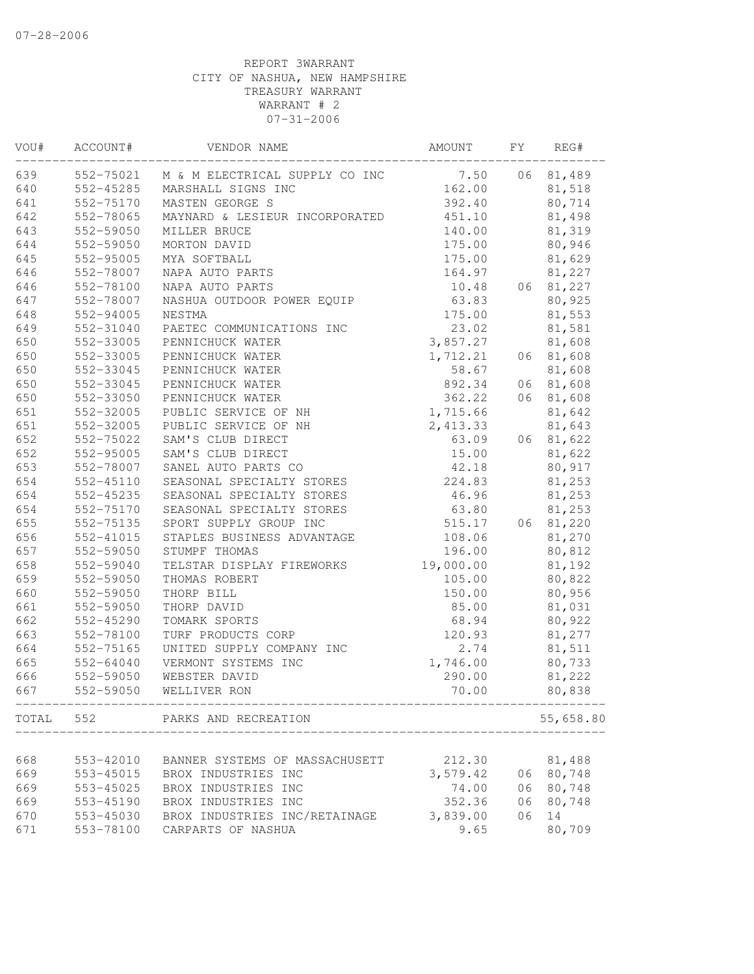| VOU# | ACCOUNT#                 | VENDOR NAME                              | AMOUNT    | FY | REG#      |
|------|--------------------------|------------------------------------------|-----------|----|-----------|
| 639  |                          | 552-75021 M & M ELECTRICAL SUPPLY CO INC | 7.50      | 06 | 81,489    |
| 640  | 552-45285                | MARSHALL SIGNS INC                       | 162.00    |    | 81,518    |
| 641  | 552-75170                | MASTEN GEORGE S                          | 392.40    |    | 80,714    |
| 642  | 552-78065                | MAYNARD & LESIEUR INCORPORATED           | 451.10    |    | 81,498    |
| 643  | 552-59050                | MILLER BRUCE                             | 140.00    |    | 81,319    |
| 644  | 552-59050                | MORTON DAVID                             | 175.00    |    | 80,946    |
| 645  | 552-95005                | MYA SOFTBALL                             | 175.00    |    | 81,629    |
| 646  | 552-78007                | NAPA AUTO PARTS                          | 164.97    |    | 81,227    |
| 646  | 552-78100                | NAPA AUTO PARTS                          | 10.48     |    | 06 81,227 |
| 647  | 552-78007                | NASHUA OUTDOOR POWER EQUIP               | 63.83     |    | 80,925    |
| 648  | 552-94005                | NESTMA                                   | 175.00    |    | 81,553    |
| 649  | 552-31040                | PAETEC COMMUNICATIONS INC                | 23.02     |    | 81,581    |
| 650  | 552-33005                | PENNICHUCK WATER                         | 3,857.27  |    | 81,608    |
| 650  | 552-33005                | PENNICHUCK WATER                         | 1,712.21  |    | 06 81,608 |
| 650  | 552-33045                | PENNICHUCK WATER                         | 58.67     |    | 81,608    |
| 650  | 552-33045                | PENNICHUCK WATER                         | 892.34    |    | 06 81,608 |
| 650  | 552-33050                | PENNICHUCK WATER                         | 362.22    | 06 | 81,608    |
| 651  | 552-32005                | PUBLIC SERVICE OF NH                     | 1,715.66  |    | 81,642    |
| 651  | 552-32005                | PUBLIC SERVICE OF NH                     | 2,413.33  |    | 81,643    |
| 652  | 552-75022                | SAM'S CLUB DIRECT                        | 63.09     | 06 | 81,622    |
| 652  | 552-95005                | SAM'S CLUB DIRECT                        | 15.00     |    | 81,622    |
| 653  | 552-78007                | SANEL AUTO PARTS CO                      | 42.18     |    | 80,917    |
| 654  | 552-45110                | SEASONAL SPECIALTY STORES                | 224.83    |    | 81,253    |
| 654  | $552 - 45235$            | SEASONAL SPECIALTY STORES                | 46.96     |    | 81,253    |
| 654  | 552-75170                | SEASONAL SPECIALTY STORES                | 63.80     |    | 81,253    |
| 655  | 552-75135                | SPORT SUPPLY GROUP INC                   | 515.17    | 06 | 81,220    |
| 656  | 552-41015                | STAPLES BUSINESS ADVANTAGE               | 108.06    |    | 81,270    |
| 657  | 552-59050                | STUMPF THOMAS                            | 196.00    |    | 80,812    |
| 658  | 552-59040                | TELSTAR DISPLAY FIREWORKS                | 19,000.00 |    | 81,192    |
| 659  | 552-59050                | THOMAS ROBERT                            | 105.00    |    | 80,822    |
| 660  | 552-59050                | THORP BILL                               | 150.00    |    | 80,956    |
| 661  | 552-59050                | THORP DAVID                              | 85.00     |    | 81,031    |
| 662  | 552-45290                | TOMARK SPORTS                            | 68.94     |    | 80,922    |
| 663  | 552-78100                | TURF PRODUCTS CORP                       | 120.93    |    | 81,277    |
| 664  | 552-75165                | UNITED SUPPLY COMPANY INC                | 2.74      |    | 81,511    |
| 665  | 552-64040                | VERMONT SYSTEMS INC                      | 1,746.00  |    | 80,733    |
| 666  | 552-59050                | WEBSTER DAVID                            | 290.00    |    | 81,222    |
| 667  | 552-59050                | WELLIVER RON                             | 70.00     |    | 80,838    |
|      | ------------------------ | TOTAL 552 PARKS AND RECREATION           |           |    | 55,658.80 |
|      |                          |                                          |           |    |           |
| 668  | 553-42010                | BANNER SYSTEMS OF MASSACHUSETT           | 212.30    |    | 81,488    |
| 669  | 553-45015                | BROX INDUSTRIES INC                      | 3,579.42  |    | 06 80,748 |
| 669  | 553-45025                | BROX INDUSTRIES INC                      | 74.00     | 06 | 80,748    |
| 669  | 553-45190                | BROX INDUSTRIES INC                      | 352.36    | 06 | 80,748    |
| 670  | 553-45030                | BROX INDUSTRIES INC/RETAINAGE            | 3,839.00  | 06 | 14        |
| 671  | 553-78100                | CARPARTS OF NASHUA                       | 9.65      |    | 80,709    |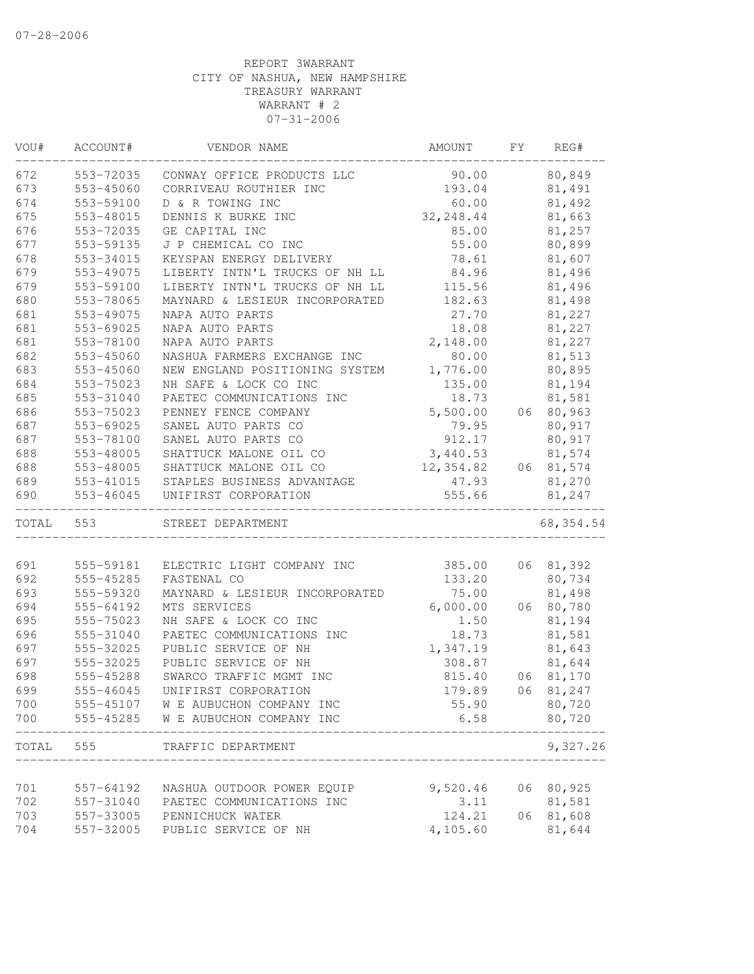| VOU#  | ACCOUNT#  | VENDOR NAME                              | AMOUNT     | FY | REG#       |
|-------|-----------|------------------------------------------|------------|----|------------|
| 672   | 553-72035 | CONWAY OFFICE PRODUCTS LLC               | 90.00      |    | 80,849     |
| 673   | 553-45060 | CORRIVEAU ROUTHIER INC                   | 193.04     |    | 81,491     |
| 674   | 553-59100 | D & R TOWING INC                         | 60.00      |    | 81,492     |
| 675   | 553-48015 | DENNIS K BURKE INC                       | 32, 248.44 |    | 81,663     |
| 676   | 553-72035 | GE CAPITAL INC                           | 85.00      |    | 81,257     |
| 677   | 553-59135 | J P CHEMICAL CO INC                      | 55.00      |    | 80,899     |
| 678   | 553-34015 | KEYSPAN ENERGY DELIVERY                  | 78.61      |    | 81,607     |
| 679   | 553-49075 | LIBERTY INTN'L TRUCKS OF NH LL           | 84.96      |    | 81,496     |
| 679   | 553-59100 | LIBERTY INTN'L TRUCKS OF NH LL           | 115.56     |    | 81,496     |
| 680   | 553-78065 | MAYNARD & LESIEUR INCORPORATED           | 182.63     |    | 81,498     |
| 681   | 553-49075 | NAPA AUTO PARTS                          | 27.70      |    | 81,227     |
| 681   | 553-69025 | NAPA AUTO PARTS                          | 18.08      |    | 81,227     |
| 681   | 553-78100 | NAPA AUTO PARTS                          | 2,148.00   |    | 81,227     |
| 682   | 553-45060 | NASHUA FARMERS EXCHANGE INC              | 80.00      |    | 81,513     |
| 683   | 553-45060 | NEW ENGLAND POSITIONING SYSTEM           | 1,776.00   |    | 80,895     |
| 684   | 553-75023 | NH SAFE & LOCK CO INC                    | 135.00     |    | 81,194     |
| 685   | 553-31040 | PAETEC COMMUNICATIONS INC                | 18.73      |    | 81,581     |
| 686   | 553-75023 | PENNEY FENCE COMPANY                     | 5,500.00   | 06 | 80,963     |
| 687   | 553-69025 | SANEL AUTO PARTS CO                      | 79.95      |    | 80,917     |
| 687   | 553-78100 | SANEL AUTO PARTS CO                      | 912.17     |    | 80,917     |
| 688   | 553-48005 | SHATTUCK MALONE OIL CO                   | 3,440.53   |    | 81,574     |
| 688   | 553-48005 | SHATTUCK MALONE OIL CO                   | 12,354.82  |    | 06 81,574  |
| 689   | 553-41015 | STAPLES BUSINESS ADVANTAGE               | 47.93      |    | 81,270     |
| 690   | 553-46045 | UNIFIRST CORPORATION                     | 555.66     |    | 81,247     |
| TOTAL | 553       | STREET DEPARTMENT                        |            |    | 68, 354.54 |
|       |           |                                          |            |    |            |
| 691   | 555-59181 | ELECTRIC LIGHT COMPANY INC               | 385.00     |    | 06 81,392  |
| 692   | 555-45285 | FASTENAL CO                              | 133.20     |    | 80,734     |
| 693   | 555-59320 | MAYNARD & LESIEUR INCORPORATED           | 75.00      |    | 81,498     |
| 694   | 555-64192 | MTS SERVICES                             | 6,000.00   |    | 06 80,780  |
| 695   | 555-75023 | NH SAFE & LOCK CO INC                    | 1.50       |    | 81,194     |
| 696   | 555-31040 | PAETEC COMMUNICATIONS INC                | 18.73      |    | 81,581     |
| 697   | 555-32025 | PUBLIC SERVICE OF NH                     | 1,347.19   |    | 81,643     |
| 697   | 555-32025 | PUBLIC SERVICE OF NH                     | 308.87     |    | 81,644     |
| 698   | 555-45288 | SWARCO TRAFFIC MGMT INC                  | 815.40     | 06 | 81,170     |
| 699   | 555-46045 | UNIFIRST CORPORATION                     | 179.89     | 06 | 81,247     |
| 700   |           | 555-45107 W E AUBUCHON COMPANY INC       | 55.90      |    | 80,720     |
| 700   | 555-45285 | W E AUBUCHON COMPANY INC                 | 6.58       |    | 80,720     |
| TOTAL | 555       | TRAFFIC DEPARTMENT<br>__________________ |            |    | 9,327.26   |
|       |           |                                          |            |    |            |
| 701   | 557-64192 | NASHUA OUTDOOR POWER EQUIP               | 9,520.46   |    | 06 80,925  |
| 702   | 557-31040 | PAETEC COMMUNICATIONS INC                | 3.11       |    | 81,581     |
| 703   | 557-33005 | PENNICHUCK WATER                         | 124.21     | 06 | 81,608     |
| 704   | 557-32005 | PUBLIC SERVICE OF NH                     | 4,105.60   |    | 81,644     |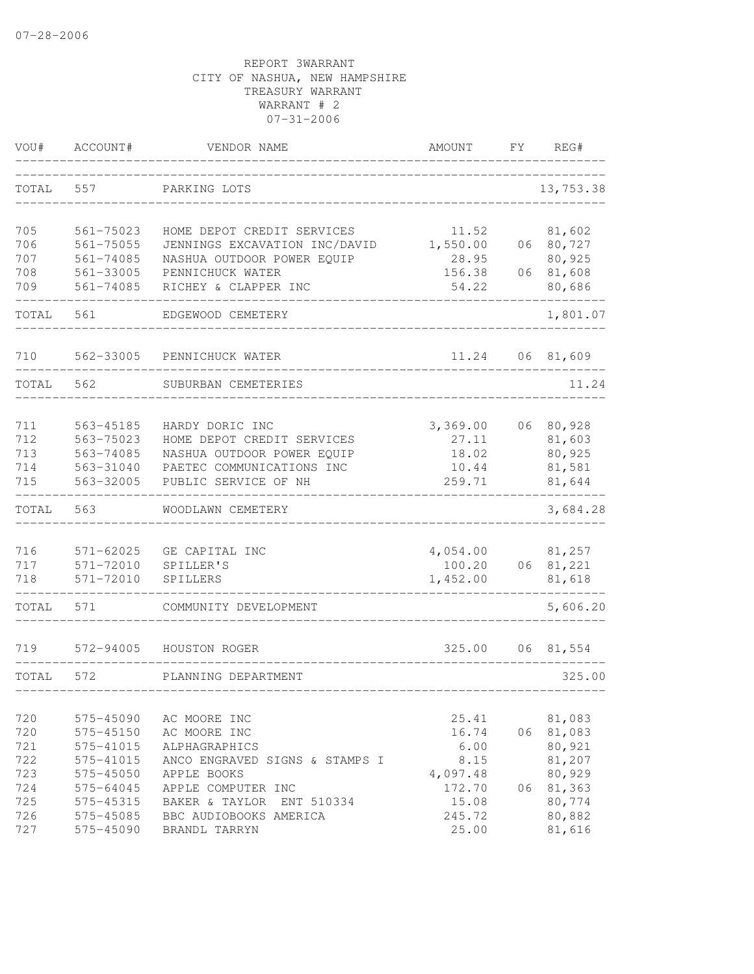| VOU#       | ACCOUNT#               | VENDOR NAME                                   | AMOUNT             | FΥ | REG#             |
|------------|------------------------|-----------------------------------------------|--------------------|----|------------------|
| TOTAL      | 557                    | PARKING LOTS                                  |                    |    | 13,753.38        |
| 705        | $561 - 75023$          | HOME DEPOT CREDIT SERVICES                    | 11.52              |    | 81,602           |
| 706        | $561 - 75055$          | JENNINGS EXCAVATION INC/DAVID                 | 1,550.00           | 06 | 80,727           |
| 707        | 561-74085              | NASHUA OUTDOOR POWER EQUIP                    | 28.95              |    | 80,925           |
| 708        | 561-33005              | PENNICHUCK WATER                              | 156.38             | 06 | 81,608           |
| 709        | 561-74085              | RICHEY & CLAPPER INC                          | 54.22              |    | 80,686           |
| TOTAL      | 561                    | EDGEWOOD CEMETERY                             |                    |    | 1,801.07         |
| 710        | 562-33005              | PENNICHUCK WATER                              | 11.24              | 06 | 81,609           |
| TOTAL      | 562                    | SUBURBAN CEMETERIES                           |                    |    | 11.24            |
|            |                        |                                               |                    |    |                  |
| 711<br>712 | 563-45185<br>563-75023 | HARDY DORIC INC<br>HOME DEPOT CREDIT SERVICES | 3,369.00<br>27.11  | 06 | 80,928           |
| 713        | 563-74085              | NASHUA OUTDOOR POWER EQUIP                    | 18.02              |    | 81,603<br>80,925 |
| 714        | 563-31040              | PAETEC COMMUNICATIONS INC                     | 10.44              |    | 81,581           |
| 715        | 563-32005              | PUBLIC SERVICE OF NH                          | 259.71             |    | 81,644           |
| TOTAL      | 563                    | WOODLAWN CEMETERY                             |                    |    | 3,684.28         |
|            | $571 - 62025$          |                                               |                    |    |                  |
| 716<br>717 | 571-72010              | GE CAPITAL INC<br>SPILLER'S                   | 4,054.00<br>100.20 | 06 | 81,257<br>81,221 |
| 718        | $571 - 72010$          | SPILLERS                                      | 1,452.00           |    | 81,618           |
| TOTAL      | 571                    | COMMUNITY DEVELOPMENT                         |                    |    | 5,606.20         |
| 719        | 572-94005              | HOUSTON ROGER                                 | 325.00             | 06 | 81,554           |
| TOTAL      | 572                    | PLANNING DEPARTMENT                           |                    |    | 325.00           |
|            |                        |                                               |                    |    |                  |
| 720        | 575-45090              | AC MOORE INC                                  | 25.41              |    | 81,083           |
| 720        | 575-45150              | AC MOORE INC                                  | 16.74              | 06 | 81,083           |
| 721        | 575-41015              | ALPHAGRAPHICS                                 | 6.00               |    | 80,921           |
| 722        | 575-41015              | ANCO ENGRAVED SIGNS & STAMPS I                | 8.15               |    | 81,207           |
| 723        | 575-45050              | APPLE BOOKS                                   | 4,097.48           |    | 80,929           |
| 724        | 575-64045              | APPLE COMPUTER INC                            | 172.70             | 06 | 81,363           |
| 725        | 575-45315              | BAKER & TAYLOR<br>ENT 510334                  | 15.08              |    | 80,774           |
| 726        | 575-45085              | BBC AUDIOBOOKS AMERICA                        | 245.72<br>25.00    |    | 80,882           |
| 727        | 575-45090              | BRANDL TARRYN                                 |                    |    | 81,616           |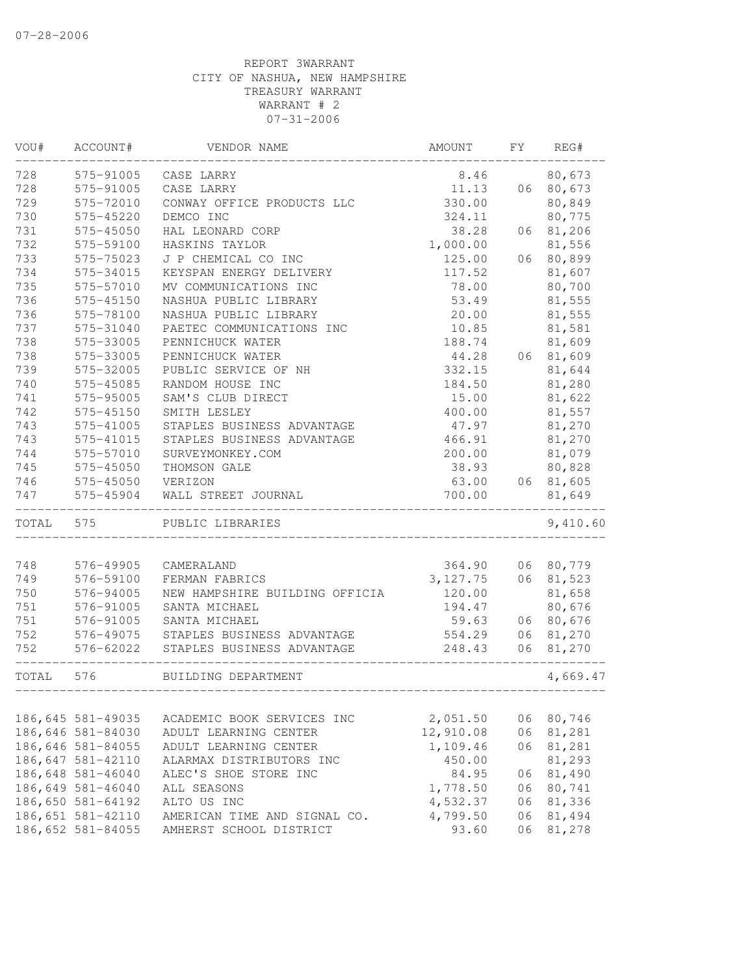| VOU#  | ACCOUNT#          | VENDOR NAME                    | AMOUNT    | FΥ | REG#      |
|-------|-------------------|--------------------------------|-----------|----|-----------|
| 728   | 575-91005         | CASE LARRY                     | 8.46      |    | 80,673    |
| 728   | 575-91005         | CASE LARRY                     | 11.13     | 06 | 80,673    |
| 729   | 575-72010         | CONWAY OFFICE PRODUCTS LLC     | 330.00    |    | 80,849    |
| 730   | 575-45220         | DEMCO INC                      | 324.11    |    | 80,775    |
| 731   | 575-45050         | HAL LEONARD CORP               | 38.28     | 06 | 81,206    |
| 732   | 575-59100         | HASKINS TAYLOR                 | 1,000.00  |    | 81,556    |
| 733   | 575-75023         | J P CHEMICAL CO INC            | 125.00    | 06 | 80,899    |
| 734   | 575-34015         | KEYSPAN ENERGY DELIVERY        | 117.52    |    | 81,607    |
| 735   | 575-57010         | MV COMMUNICATIONS INC          | 78.00     |    | 80,700    |
| 736   | 575-45150         | NASHUA PUBLIC LIBRARY          | 53.49     |    | 81,555    |
| 736   | 575-78100         | NASHUA PUBLIC LIBRARY          | 20.00     |    | 81,555    |
| 737   | 575-31040         | PAETEC COMMUNICATIONS INC      | 10.85     |    | 81,581    |
| 738   | 575-33005         | PENNICHUCK WATER               | 188.74    |    | 81,609    |
| 738   | 575-33005         | PENNICHUCK WATER               | 44.28     |    | 06 81,609 |
| 739   | 575-32005         | PUBLIC SERVICE OF NH           | 332.15    |    | 81,644    |
| 740   | 575-45085         | RANDOM HOUSE INC               | 184.50    |    | 81,280    |
| 741   | 575-95005         | SAM'S CLUB DIRECT              | 15.00     |    | 81,622    |
| 742   | 575-45150         | SMITH LESLEY                   | 400.00    |    | 81,557    |
| 743   | 575-41005         | STAPLES BUSINESS ADVANTAGE     | 47.97     |    | 81,270    |
| 743   | 575-41015         | STAPLES BUSINESS ADVANTAGE     | 466.91    |    | 81,270    |
| 744   | 575-57010         | SURVEYMONKEY.COM               | 200.00    |    | 81,079    |
| 745   | 575-45050         | THOMSON GALE                   | 38.93     |    | 80,828    |
| 746   | 575-45050         | VERIZON                        | 63.00     |    | 06 81,605 |
| 747   | 575-45904         | WALL STREET JOURNAL            | 700.00    |    | 81,649    |
| TOTAL | 575               | PUBLIC LIBRARIES               |           |    | 9,410.60  |
|       |                   |                                |           |    |           |
| 748   | 576-49905         | CAMERALAND                     | 364.90    | 06 | 80,779    |
| 749   | 576-59100         | FERMAN FABRICS                 | 3, 127.75 | 06 | 81,523    |
| 750   | 576-94005         | NEW HAMPSHIRE BUILDING OFFICIA | 120.00    |    | 81,658    |
| 751   | 576-91005         | SANTA MICHAEL                  | 194.47    |    | 80,676    |
| 751   | 576-91005         | SANTA MICHAEL                  | 59.63     | 06 | 80,676    |
| 752   | 576-49075         | STAPLES BUSINESS ADVANTAGE     | 554.29    | 06 | 81,270    |
| 752   | 576-62022         | STAPLES BUSINESS ADVANTAGE     | 248.43    | 06 | 81,270    |
| TOTAL | 576               | BUILDING DEPARTMENT            |           |    | 4,669.47  |
|       |                   |                                |           |    |           |
|       | 186,645 581-49035 | ACADEMIC BOOK SERVICES INC     | 2,051.50  | 06 | 80,746    |
|       | 186,646 581-84030 | ADULT LEARNING CENTER          | 12,910.08 | 06 | 81,281    |
|       | 186,646 581-84055 | ADULT LEARNING CENTER          | 1,109.46  | 06 | 81,281    |
|       | 186,647 581-42110 | ALARMAX DISTRIBUTORS INC       | 450.00    |    | 81,293    |
|       | 186,648 581-46040 | ALEC'S SHOE STORE INC          | 84.95     | 06 | 81,490    |
|       | 186,649 581-46040 | ALL SEASONS                    | 1,778.50  | 06 | 80,741    |
|       | 186,650 581-64192 | ALTO US INC                    | 4,532.37  | 06 | 81,336    |
|       | 186,651 581-42110 | AMERICAN TIME AND SIGNAL CO.   | 4,799.50  | 06 | 81,494    |
|       | 186,652 581-84055 | AMHERST SCHOOL DISTRICT        | 93.60     | 06 | 81,278    |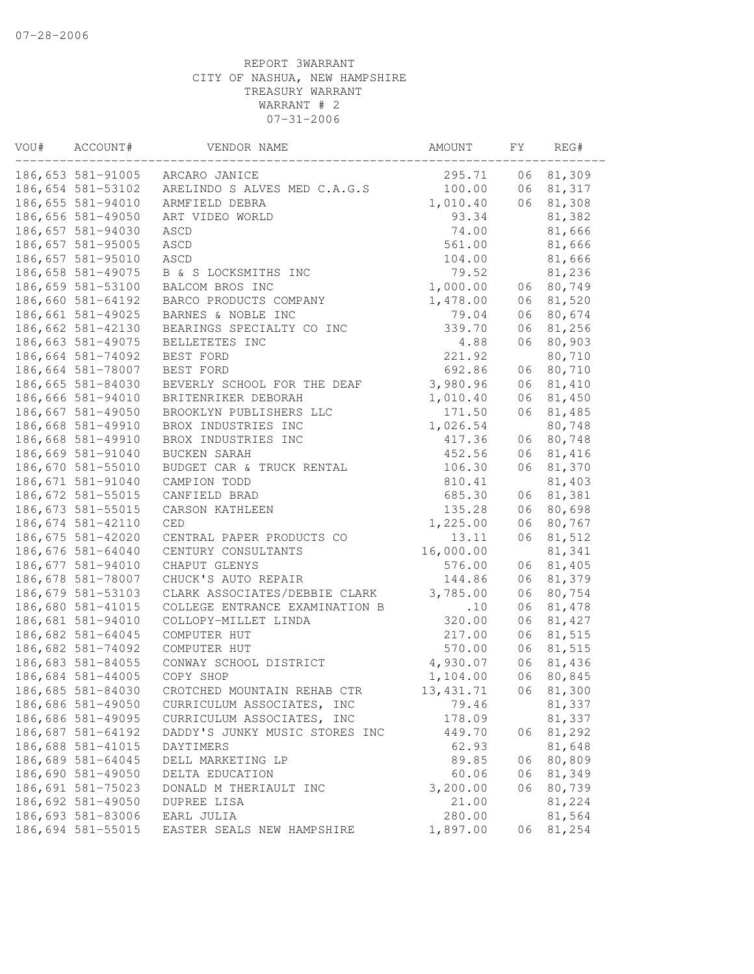| VOU# | ACCOUNT#          | VENDOR NAME                    | AMOUNT     | FΥ | REG#   |
|------|-------------------|--------------------------------|------------|----|--------|
|      | 186,653 581-91005 | ARCARO JANICE                  | 295.71     | 06 | 81,309 |
|      | 186,654 581-53102 | ARELINDO S ALVES MED C.A.G.S   | 100.00     | 06 | 81,317 |
|      | 186,655 581-94010 | ARMFIELD DEBRA                 | 1,010.40   | 06 | 81,308 |
|      | 186,656 581-49050 | ART VIDEO WORLD                | 93.34      |    | 81,382 |
|      | 186,657 581-94030 | ASCD                           | 74.00      |    | 81,666 |
|      | 186,657 581-95005 | ASCD                           | 561.00     |    | 81,666 |
|      | 186,657 581-95010 | ASCD                           | 104.00     |    | 81,666 |
|      | 186,658 581-49075 | B & S LOCKSMITHS INC           | 79.52      |    | 81,236 |
|      | 186,659 581-53100 | BALCOM BROS INC                | 1,000.00   | 06 | 80,749 |
|      | 186,660 581-64192 | BARCO PRODUCTS COMPANY         | 1,478.00   | 06 | 81,520 |
|      | 186,661 581-49025 | BARNES & NOBLE INC             | 79.04      | 06 | 80,674 |
|      | 186,662 581-42130 | BEARINGS SPECIALTY CO INC      | 339.70     | 06 | 81,256 |
|      | 186,663 581-49075 | BELLETETES INC                 | 4.88       | 06 | 80,903 |
|      | 186,664 581-74092 | BEST FORD                      | 221.92     |    | 80,710 |
|      | 186,664 581-78007 | BEST FORD                      | 692.86     | 06 | 80,710 |
|      | 186,665 581-84030 | BEVERLY SCHOOL FOR THE DEAF    | 3,980.96   | 06 | 81,410 |
|      | 186,666 581-94010 | BRITENRIKER DEBORAH            | 1,010.40   | 06 | 81,450 |
|      | 186,667 581-49050 | BROOKLYN PUBLISHERS LLC        | 171.50     | 06 | 81,485 |
|      | 186,668 581-49910 | BROX INDUSTRIES INC            | 1,026.54   |    | 80,748 |
|      | 186,668 581-49910 | BROX INDUSTRIES INC            | 417.36     | 06 | 80,748 |
|      | 186,669 581-91040 | BUCKEN SARAH                   | 452.56     | 06 | 81,416 |
|      | 186,670 581-55010 | BUDGET CAR & TRUCK RENTAL      | 106.30     | 06 | 81,370 |
|      | 186,671 581-91040 | CAMPION TODD                   | 810.41     |    | 81,403 |
|      | 186,672 581-55015 | CANFIELD BRAD                  | 685.30     | 06 | 81,381 |
|      | 186,673 581-55015 | CARSON KATHLEEN                | 135.28     | 06 | 80,698 |
|      | 186,674 581-42110 | CED                            | 1,225.00   | 06 | 80,767 |
|      | 186,675 581-42020 | CENTRAL PAPER PRODUCTS CO      | 13.11      | 06 | 81,512 |
|      | 186,676 581-64040 | CENTURY CONSULTANTS            | 16,000.00  |    | 81,341 |
|      | 186,677 581-94010 | CHAPUT GLENYS                  | 576.00     | 06 | 81,405 |
|      | 186,678 581-78007 | CHUCK'S AUTO REPAIR            | 144.86     | 06 | 81,379 |
|      | 186,679 581-53103 | CLARK ASSOCIATES/DEBBIE CLARK  | 3,785.00   | 06 | 80,754 |
|      | 186,680 581-41015 | COLLEGE ENTRANCE EXAMINATION B | .10        | 06 | 81,478 |
|      | 186,681 581-94010 | COLLOPY-MILLET LINDA           | 320.00     | 06 | 81,427 |
|      | 186,682 581-64045 | COMPUTER HUT                   | 217.00     | 06 | 81,515 |
|      | 186,682 581-74092 | COMPUTER HUT                   | 570.00     | 06 | 81,515 |
|      | 186,683 581-84055 | CONWAY SCHOOL DISTRICT         | 4,930.07   | 06 | 81,436 |
|      | 186,684 581-44005 | COPY SHOP                      | 1,104.00   | 06 | 80,845 |
|      | 186,685 581-84030 | CROTCHED MOUNTAIN REHAB CTR    | 13, 431.71 | 06 | 81,300 |
|      | 186,686 581-49050 | CURRICULUM ASSOCIATES, INC     | 79.46      |    | 81,337 |
|      | 186,686 581-49095 | CURRICULUM ASSOCIATES, INC     | 178.09     |    | 81,337 |
|      | 186,687 581-64192 | DADDY'S JUNKY MUSIC STORES INC | 449.70     | 06 | 81,292 |
|      | 186,688 581-41015 | DAYTIMERS                      | 62.93      |    | 81,648 |
|      | 186,689 581-64045 | DELL MARKETING LP              | 89.85      | 06 | 80,809 |
|      | 186,690 581-49050 | DELTA EDUCATION                | 60.06      | 06 | 81,349 |
|      | 186,691 581-75023 | DONALD M THERIAULT INC         | 3,200.00   | 06 | 80,739 |
|      | 186,692 581-49050 | DUPREE LISA                    | 21.00      |    | 81,224 |
|      | 186,693 581-83006 | EARL JULIA                     | 280.00     |    | 81,564 |
|      | 186,694 581-55015 | EASTER SEALS NEW HAMPSHIRE     | 1,897.00   | 06 | 81,254 |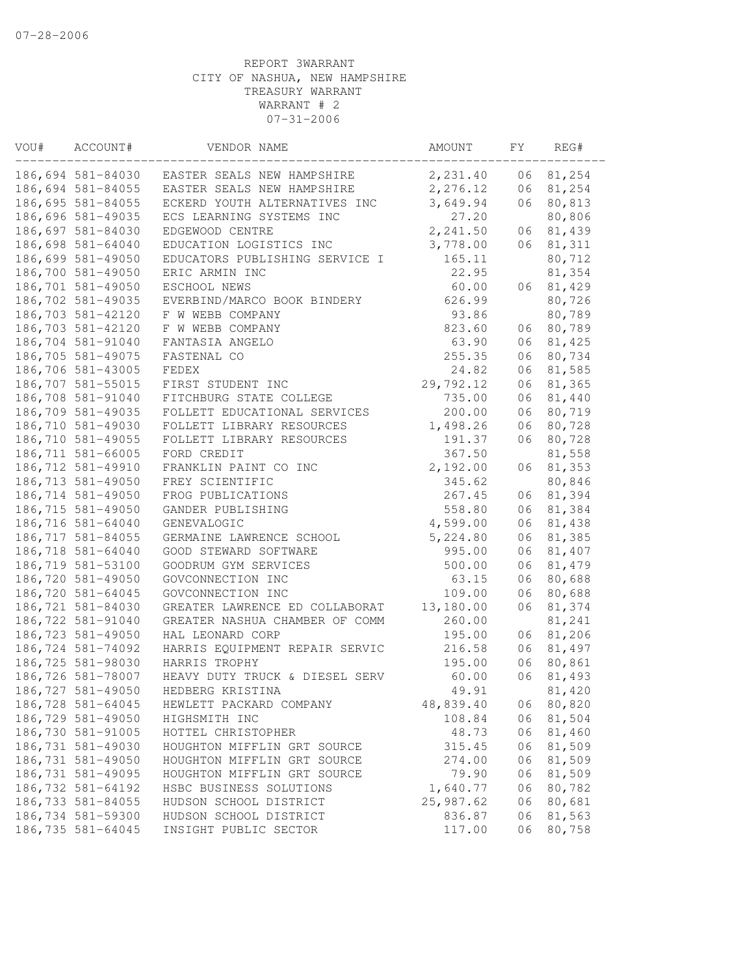| VOU# | ACCOUNT#          | VENDOR NAME                    | AMOUNT    | FΥ | REG#   |
|------|-------------------|--------------------------------|-----------|----|--------|
|      | 186,694 581-84030 | EASTER SEALS NEW HAMPSHIRE     | 2,231.40  | 06 | 81,254 |
|      | 186,694 581-84055 | EASTER SEALS NEW HAMPSHIRE     | 2,276.12  | 06 | 81,254 |
|      | 186,695 581-84055 | ECKERD YOUTH ALTERNATIVES INC  | 3,649.94  | 06 | 80,813 |
|      | 186,696 581-49035 | ECS LEARNING SYSTEMS INC       | 27.20     |    | 80,806 |
|      | 186,697 581-84030 | EDGEWOOD CENTRE                | 2,241.50  | 06 | 81,439 |
|      | 186,698 581-64040 | EDUCATION LOGISTICS INC        | 3,778.00  | 06 | 81,311 |
|      | 186,699 581-49050 | EDUCATORS PUBLISHING SERVICE I | 165.11    |    | 80,712 |
|      | 186,700 581-49050 | ERIC ARMIN INC                 | 22.95     |    | 81,354 |
|      | 186,701 581-49050 | ESCHOOL NEWS                   | 60.00     | 06 | 81,429 |
|      | 186,702 581-49035 | EVERBIND/MARCO BOOK BINDERY    | 626.99    |    | 80,726 |
|      | 186,703 581-42120 | F W WEBB COMPANY               | 93.86     |    | 80,789 |
|      | 186,703 581-42120 | F W WEBB COMPANY               | 823.60    | 06 | 80,789 |
|      | 186,704 581-91040 | FANTASIA ANGELO                | 63.90     | 06 | 81,425 |
|      | 186,705 581-49075 | FASTENAL CO                    | 255.35    | 06 | 80,734 |
|      | 186,706 581-43005 | FEDEX                          | 24.82     | 06 | 81,585 |
|      | 186,707 581-55015 | FIRST STUDENT INC              | 29,792.12 | 06 | 81,365 |
|      | 186,708 581-91040 | FITCHBURG STATE COLLEGE        | 735.00    | 06 | 81,440 |
|      | 186,709 581-49035 | FOLLETT EDUCATIONAL SERVICES   | 200.00    | 06 | 80,719 |
|      | 186,710 581-49030 | FOLLETT LIBRARY RESOURCES      | 1,498.26  | 06 | 80,728 |
|      | 186,710 581-49055 | FOLLETT LIBRARY RESOURCES      | 191.37    | 06 | 80,728 |
|      | 186,711 581-66005 | FORD CREDIT                    | 367.50    |    | 81,558 |
|      | 186,712 581-49910 | FRANKLIN PAINT CO INC          | 2,192.00  | 06 | 81,353 |
|      | 186,713 581-49050 | FREY SCIENTIFIC                | 345.62    |    | 80,846 |
|      | 186,714 581-49050 | FROG PUBLICATIONS              | 267.45    | 06 | 81,394 |
|      | 186,715 581-49050 | GANDER PUBLISHING              | 558.80    | 06 | 81,384 |
|      | 186,716 581-64040 | GENEVALOGIC                    | 4,599.00  | 06 | 81,438 |
|      | 186,717 581-84055 | GERMAINE LAWRENCE SCHOOL       | 5,224.80  | 06 | 81,385 |
|      | 186,718 581-64040 | GOOD STEWARD SOFTWARE          | 995.00    | 06 | 81,407 |
|      | 186,719 581-53100 | GOODRUM GYM SERVICES           | 500.00    | 06 | 81,479 |
|      | 186,720 581-49050 | GOVCONNECTION INC              | 63.15     | 06 | 80,688 |
|      | 186,720 581-64045 | GOVCONNECTION INC              | 109.00    | 06 | 80,688 |
|      | 186,721 581-84030 | GREATER LAWRENCE ED COLLABORAT | 13,180.00 | 06 | 81,374 |
|      | 186,722 581-91040 | GREATER NASHUA CHAMBER OF COMM | 260.00    |    | 81,241 |
|      | 186,723 581-49050 | HAL LEONARD CORP               | 195.00    | 06 | 81,206 |
|      | 186,724 581-74092 | HARRIS EQUIPMENT REPAIR SERVIC | 216.58    | 06 | 81,497 |
|      | 186,725 581-98030 | HARRIS TROPHY                  | 195.00    | 06 | 80,861 |
|      | 186,726 581-78007 | HEAVY DUTY TRUCK & DIESEL SERV | 60.00     | 06 | 81,493 |
|      | 186,727 581-49050 | HEDBERG KRISTINA               | 49.91     |    | 81,420 |
|      | 186,728 581-64045 | HEWLETT PACKARD COMPANY        | 48,839.40 | 06 | 80,820 |
|      | 186,729 581-49050 | HIGHSMITH INC                  | 108.84    | 06 | 81,504 |
|      | 186,730 581-91005 | HOTTEL CHRISTOPHER             | 48.73     | 06 | 81,460 |
|      | 186,731 581-49030 | HOUGHTON MIFFLIN GRT SOURCE    | 315.45    | 06 | 81,509 |
|      | 186,731 581-49050 | HOUGHTON MIFFLIN GRT SOURCE    | 274.00    | 06 | 81,509 |
|      | 186,731 581-49095 | HOUGHTON MIFFLIN GRT SOURCE    | 79.90     | 06 | 81,509 |
|      | 186,732 581-64192 | HSBC BUSINESS SOLUTIONS        | 1,640.77  | 06 | 80,782 |
|      | 186,733 581-84055 | HUDSON SCHOOL DISTRICT         | 25,987.62 | 06 | 80,681 |
|      | 186,734 581-59300 | HUDSON SCHOOL DISTRICT         | 836.87    | 06 | 81,563 |
|      | 186,735 581-64045 | INSIGHT PUBLIC SECTOR          | 117.00    | 06 | 80,758 |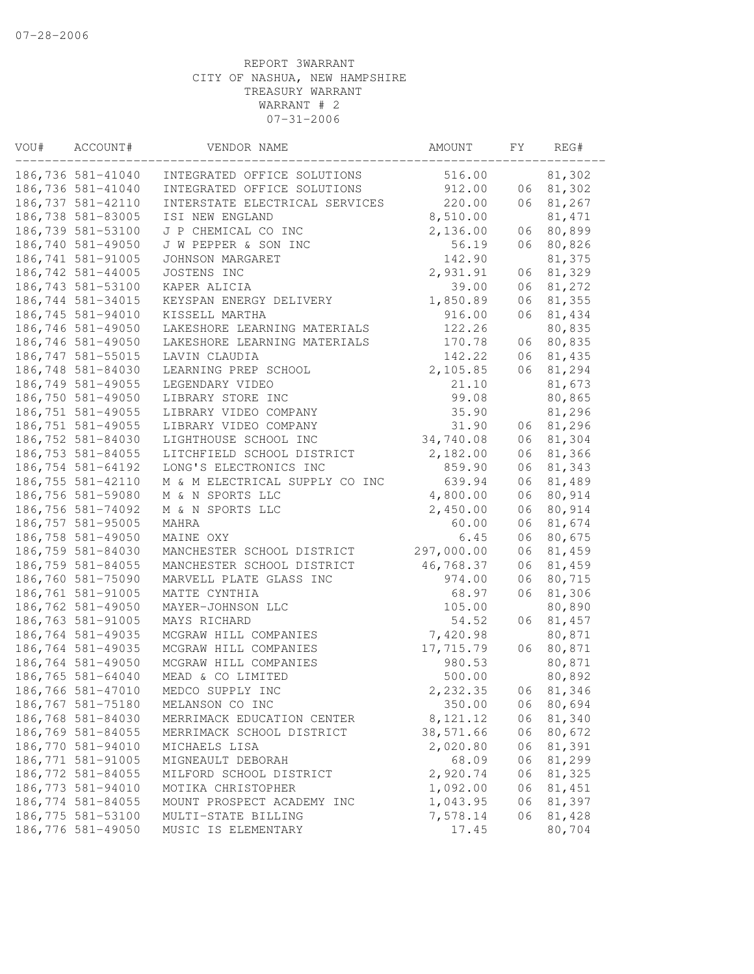| VOU# | ACCOUNT#           | VENDOR NAME                    | AMOUNT     | FΥ | REG#    |
|------|--------------------|--------------------------------|------------|----|---------|
|      | 186,736 581-41040  | INTEGRATED OFFICE SOLUTIONS    | 516.00     |    | 81,302  |
|      | 186,736 581-41040  | INTEGRATED OFFICE SOLUTIONS    | 912.00     | 06 | 81,302  |
|      | 186,737 581-42110  | INTERSTATE ELECTRICAL SERVICES | 220.00     | 06 | 81,267  |
|      | 186,738 581-83005  | ISI NEW ENGLAND                | 8,510.00   |    | 81, 471 |
|      | 186,739 581-53100  | J P CHEMICAL CO INC            | 2,136.00   | 06 | 80,899  |
|      | 186,740 581-49050  | J W PEPPER & SON INC           | 56.19      | 06 | 80,826  |
|      | 186,741 581-91005  | JOHNSON MARGARET               | 142.90     |    | 81,375  |
|      | 186,742 581-44005  | JOSTENS INC                    | 2,931.91   | 06 | 81,329  |
|      | 186,743 581-53100  | KAPER ALICIA                   | 39.00      | 06 | 81,272  |
|      | 186,744 581-34015  | KEYSPAN ENERGY DELIVERY        | 1,850.89   | 06 | 81,355  |
|      | 186,745 581-94010  | KISSELL MARTHA                 | 916.00     | 06 | 81,434  |
|      | 186,746 581-49050  | LAKESHORE LEARNING MATERIALS   | 122.26     |    | 80,835  |
|      | 186,746 581-49050  | LAKESHORE LEARNING MATERIALS   | 170.78     | 06 | 80,835  |
|      | 186,747 581-55015  | LAVIN CLAUDIA                  | 142.22     | 06 | 81,435  |
|      | 186,748 581-84030  | LEARNING PREP SCHOOL           | 2,105.85   | 06 | 81,294  |
|      | 186,749 581-49055  | LEGENDARY VIDEO                | 21.10      |    | 81,673  |
|      | 186,750 581-49050  | LIBRARY STORE INC              | 99.08      |    | 80,865  |
|      | 186,751 581-49055  | LIBRARY VIDEO COMPANY          | 35.90      |    | 81,296  |
|      | 186,751 581-49055  | LIBRARY VIDEO COMPANY          | 31.90      | 06 | 81,296  |
|      | 186,752 581-84030  | LIGHTHOUSE SCHOOL INC          | 34,740.08  | 06 | 81,304  |
|      | 186,753 581-84055  | LITCHFIELD SCHOOL DISTRICT     | 2,182.00   | 06 | 81,366  |
|      | 186,754 581-64192  | LONG'S ELECTRONICS INC         | 859.90     | 06 | 81,343  |
|      | 186,755 581-42110  | M & M ELECTRICAL SUPPLY CO INC | 639.94     | 06 | 81,489  |
|      | 186,756 581-59080  | M & N SPORTS LLC               | 4,800.00   | 06 | 80,914  |
|      | 186,756 581-74092  | M & N SPORTS LLC               | 2,450.00   | 06 | 80,914  |
|      | 186,757 581-95005  | MAHRA                          | 60.00      | 06 | 81,674  |
|      | 186,758 581-49050  | MAINE OXY                      | 6.45       | 06 | 80,675  |
|      | 186,759 581-84030  | MANCHESTER SCHOOL DISTRICT     | 297,000.00 | 06 | 81,459  |
|      | 186,759 581-84055  | MANCHESTER SCHOOL DISTRICT     | 46,768.37  | 06 | 81,459  |
|      | 186,760 581-75090  | MARVELL PLATE GLASS INC        | 974.00     | 06 | 80,715  |
|      | 186,761 581-91005  | MATTE CYNTHIA                  | 68.97      | 06 | 81,306  |
|      | 186,762 581-49050  | MAYER-JOHNSON LLC              | 105.00     |    | 80,890  |
|      | 186,763 581-91005  | MAYS RICHARD                   | 54.52      | 06 | 81,457  |
|      | 186,764 581-49035  | MCGRAW HILL COMPANIES          | 7,420.98   |    | 80,871  |
|      | 186,764 581-49035  | MCGRAW HILL COMPANIES          | 17,715.79  | 06 | 80,871  |
|      | 186,764 581-49050  | MCGRAW HILL COMPANIES          | 980.53     |    | 80,871  |
|      | 186,765 581-64040  | MEAD & CO LIMITED              | 500.00     |    | 80,892  |
|      | 186,766 581-47010  | MEDCO SUPPLY INC               | 2,232.35   | 06 | 81,346  |
|      | 186,767 581-75180  | MELANSON CO INC                | 350.00     | 06 | 80,694  |
|      | 186,768 581-84030  | MERRIMACK EDUCATION CENTER     | 8,121.12   | 06 | 81,340  |
|      | 186,769 581-84055  | MERRIMACK SCHOOL DISTRICT      | 38,571.66  | 06 | 80,672  |
|      | 186,770 581-94010  | MICHAELS LISA                  | 2,020.80   | 06 | 81,391  |
|      | 186,771 581-91005  | MIGNEAULT DEBORAH              | 68.09      | 06 | 81,299  |
|      | 186,772 581-84055  | MILFORD SCHOOL DISTRICT        | 2,920.74   | 06 | 81,325  |
|      | 186,773 581-94010  | MOTIKA CHRISTOPHER             | 1,092.00   | 06 | 81,451  |
|      | 186, 774 581-84055 | MOUNT PROSPECT ACADEMY INC     | 1,043.95   | 06 | 81,397  |
|      | 186,775 581-53100  | MULTI-STATE BILLING            | 7,578.14   | 06 | 81,428  |
|      | 186,776 581-49050  | MUSIC IS ELEMENTARY            | 17.45      |    | 80,704  |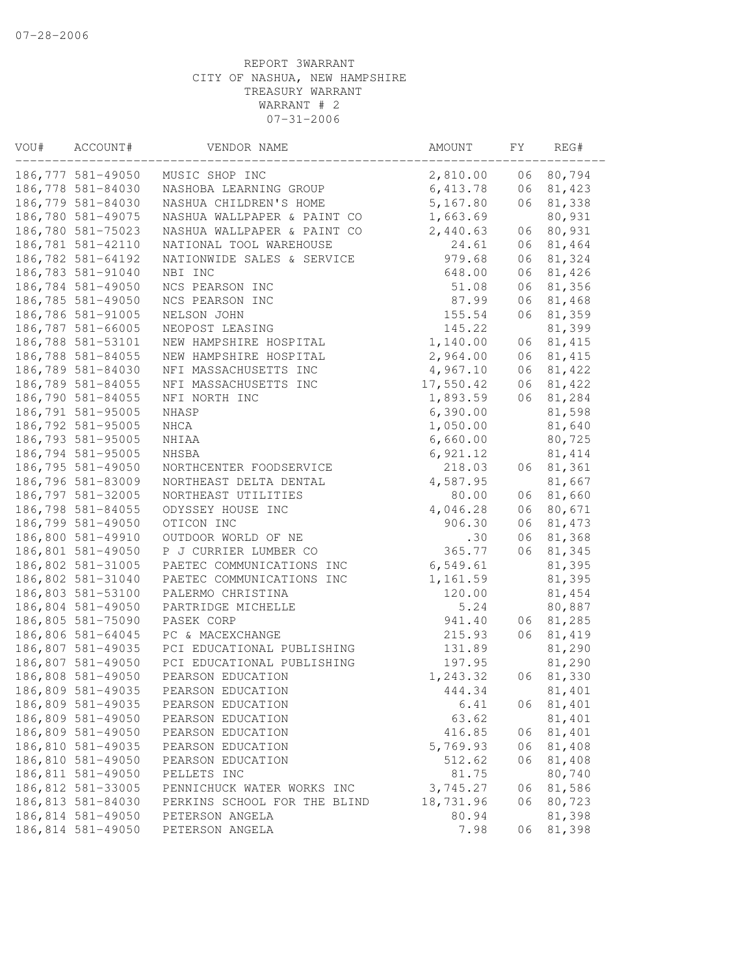| VOU# | ACCOUNT#          | VENDOR NAME                                     | AMOUNT    | FΥ | REG#    |
|------|-------------------|-------------------------------------------------|-----------|----|---------|
|      | 186,777 581-49050 | MUSIC SHOP INC                                  | 2,810.00  | 06 | 80,794  |
|      | 186,778 581-84030 | NASHOBA LEARNING GROUP                          | 6,413.78  | 06 | 81,423  |
|      | 186,779 581-84030 | NASHUA CHILDREN'S HOME                          | 5,167.80  | 06 | 81,338  |
|      | 186,780 581-49075 | NASHUA WALLPAPER & PAINT CO                     | 1,663.69  |    | 80,931  |
|      | 186,780 581-75023 | NASHUA WALLPAPER & PAINT CO                     | 2,440.63  | 06 | 80,931  |
|      | 186,781 581-42110 | NATIONAL TOOL WAREHOUSE                         | 24.61     | 06 | 81,464  |
|      | 186,782 581-64192 | NATIONWIDE SALES & SERVICE                      | 979.68    | 06 | 81,324  |
|      | 186,783 581-91040 | NBI INC                                         | 648.00    | 06 | 81,426  |
|      | 186,784 581-49050 | NCS PEARSON INC                                 | 51.08     | 06 | 81,356  |
|      | 186,785 581-49050 | NCS PEARSON INC                                 | 87.99     | 06 | 81,468  |
|      | 186,786 581-91005 | NELSON JOHN                                     | 155.54    | 06 | 81,359  |
|      | 186,787 581-66005 | NEOPOST LEASING                                 | 145.22    |    | 81,399  |
|      | 186,788 581-53101 | NEW HAMPSHIRE HOSPITAL                          | 1,140.00  | 06 | 81, 415 |
|      | 186,788 581-84055 | NEW HAMPSHIRE HOSPITAL                          | 2,964.00  | 06 | 81, 415 |
|      | 186,789 581-84030 | NFI MASSACHUSETTS INC                           | 4,967.10  | 06 | 81,422  |
|      | 186,789 581-84055 | NFI MASSACHUSETTS INC                           | 17,550.42 | 06 | 81,422  |
|      | 186,790 581-84055 | NFI NORTH INC                                   | 1,893.59  | 06 | 81,284  |
|      | 186,791 581-95005 | NHASP                                           | 6,390.00  |    | 81,598  |
|      | 186,792 581-95005 | NHCA                                            | 1,050.00  |    | 81,640  |
|      | 186,793 581-95005 | NHIAA                                           | 6,660.00  |    | 80,725  |
|      | 186,794 581-95005 | NHSBA                                           | 6,921.12  |    | 81, 414 |
|      | 186,795 581-49050 | NORTHCENTER FOODSERVICE                         | 218.03    | 06 | 81,361  |
|      | 186,796 581-83009 | NORTHEAST DELTA DENTAL                          | 4,587.95  |    | 81,667  |
|      | 186,797 581-32005 | NORTHEAST UTILITIES                             | 80.00     | 06 | 81,660  |
|      | 186,798 581-84055 | ODYSSEY HOUSE INC                               | 4,046.28  | 06 | 80,671  |
|      | 186,799 581-49050 | OTICON INC                                      | 906.30    | 06 | 81, 473 |
|      | 186,800 581-49910 | OUTDOOR WORLD OF NE                             | .30       | 06 | 81,368  |
|      | 186,801 581-49050 | P J CURRIER LUMBER CO                           | 365.77    | 06 | 81,345  |
|      | 186,802 581-31005 | PAETEC COMMUNICATIONS INC                       | 6,549.61  |    | 81,395  |
|      | 186,802 581-31040 | PAETEC COMMUNICATIONS INC                       | 1,161.59  |    | 81,395  |
|      | 186,803 581-53100 | PALERMO CHRISTINA                               | 120.00    |    | 81,454  |
|      | 186,804 581-49050 | PARTRIDGE MICHELLE                              | 5.24      |    | 80,887  |
|      | 186,805 581-75090 | PASEK CORP                                      | 941.40    | 06 | 81,285  |
|      | 186,806 581-64045 | PC & MACEXCHANGE                                | 215.93    | 06 | 81,419  |
|      | 186,807 581-49035 | PCI EDUCATIONAL PUBLISHING                      | 131.89    |    | 81,290  |
|      | 186,807 581-49050 |                                                 |           |    | 81,290  |
|      | 186,808 581-49050 | PCI EDUCATIONAL PUBLISHING<br>PEARSON EDUCATION | 197.95    |    |         |
|      |                   |                                                 | 1,243.32  | 06 | 81,330  |
|      | 186,809 581-49035 | PEARSON EDUCATION                               | 444.34    |    | 81,401  |
|      | 186,809 581-49035 | PEARSON EDUCATION                               | 6.41      | 06 | 81,401  |
|      | 186,809 581-49050 | PEARSON EDUCATION                               | 63.62     |    | 81,401  |
|      | 186,809 581-49050 | PEARSON EDUCATION                               | 416.85    | 06 | 81,401  |
|      | 186,810 581-49035 | PEARSON EDUCATION                               | 5,769.93  | 06 | 81,408  |
|      | 186,810 581-49050 | PEARSON EDUCATION                               | 512.62    | 06 | 81,408  |
|      | 186,811 581-49050 | PELLETS INC                                     | 81.75     |    | 80,740  |
|      | 186,812 581-33005 | PENNICHUCK WATER WORKS INC                      | 3,745.27  | 06 | 81,586  |
|      | 186,813 581-84030 | PERKINS SCHOOL FOR THE BLIND                    | 18,731.96 | 06 | 80,723  |
|      | 186,814 581-49050 | PETERSON ANGELA                                 | 80.94     |    | 81,398  |
|      | 186,814 581-49050 | PETERSON ANGELA                                 | 7.98      | 06 | 81,398  |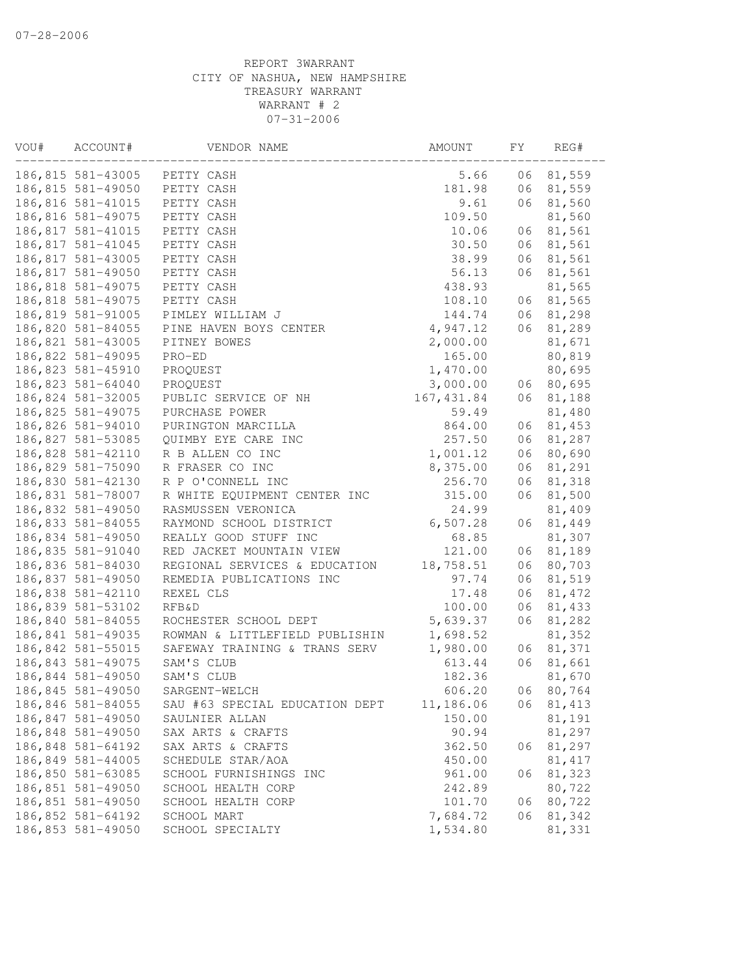| VOU# | ACCOUNT#          | VENDOR NAME                    | AMOUNT      | FΥ | REG#    |
|------|-------------------|--------------------------------|-------------|----|---------|
|      | 186,815 581-43005 | PETTY CASH                     | 5.66        | 06 | 81,559  |
|      | 186,815 581-49050 | PETTY CASH                     | 181.98      | 06 | 81,559  |
|      | 186,816 581-41015 | PETTY CASH                     | 9.61        | 06 | 81,560  |
|      | 186,816 581-49075 | PETTY CASH                     | 109.50      |    | 81,560  |
|      | 186,817 581-41015 | PETTY CASH                     | 10.06       | 06 | 81,561  |
|      | 186,817 581-41045 | PETTY CASH                     | 30.50       | 06 | 81,561  |
|      | 186,817 581-43005 | PETTY CASH                     | 38.99       | 06 | 81,561  |
|      | 186,817 581-49050 | PETTY CASH                     | 56.13       | 06 | 81,561  |
|      | 186,818 581-49075 | PETTY CASH                     | 438.93      |    | 81,565  |
|      | 186,818 581-49075 | PETTY CASH                     | 108.10      | 06 | 81,565  |
|      | 186,819 581-91005 | PIMLEY WILLIAM J               | 144.74      | 06 | 81,298  |
|      | 186,820 581-84055 | PINE HAVEN BOYS CENTER         | 4,947.12    | 06 | 81,289  |
|      | 186,821 581-43005 | PITNEY BOWES                   | 2,000.00    |    | 81,671  |
|      | 186,822 581-49095 | PRO-ED                         | 165.00      |    | 80,819  |
|      | 186,823 581-45910 | PROQUEST                       | 1,470.00    |    | 80,695  |
|      | 186,823 581-64040 | PROQUEST                       | 3,000.00    | 06 | 80,695  |
|      | 186,824 581-32005 | PUBLIC SERVICE OF NH           | 167, 431.84 | 06 | 81,188  |
|      | 186,825 581-49075 | PURCHASE POWER                 | 59.49       |    | 81,480  |
|      | 186,826 581-94010 | PURINGTON MARCILLA             | 864.00      | 06 | 81,453  |
|      | 186,827 581-53085 | QUIMBY EYE CARE INC            | 257.50      | 06 | 81,287  |
|      | 186,828 581-42110 | R B ALLEN CO INC               | 1,001.12    | 06 | 80,690  |
|      | 186,829 581-75090 | R FRASER CO INC                | 8,375.00    | 06 | 81,291  |
|      | 186,830 581-42130 | R P O'CONNELL INC              | 256.70      | 06 | 81,318  |
|      | 186,831 581-78007 | R WHITE EQUIPMENT CENTER INC   | 315.00      | 06 | 81,500  |
|      | 186,832 581-49050 | RASMUSSEN VERONICA             | 24.99       |    | 81,409  |
|      | 186,833 581-84055 | RAYMOND SCHOOL DISTRICT        | 6,507.28    | 06 | 81,449  |
|      | 186,834 581-49050 | REALLY GOOD STUFF INC          | 68.85       |    | 81,307  |
|      | 186,835 581-91040 | RED JACKET MOUNTAIN VIEW       | 121.00      | 06 | 81,189  |
|      | 186,836 581-84030 | REGIONAL SERVICES & EDUCATION  | 18,758.51   | 06 | 80,703  |
|      | 186,837 581-49050 | REMEDIA PUBLICATIONS INC       | 97.74       | 06 | 81,519  |
|      | 186,838 581-42110 | REXEL CLS                      | 17.48       | 06 | 81, 472 |
|      | 186,839 581-53102 | RFB&D                          | 100.00      | 06 | 81,433  |
|      | 186,840 581-84055 | ROCHESTER SCHOOL DEPT          | 5,639.37    | 06 | 81,282  |
|      | 186,841 581-49035 | ROWMAN & LITTLEFIELD PUBLISHIN | 1,698.52    |    | 81,352  |
|      | 186,842 581-55015 | SAFEWAY TRAINING & TRANS SERV  | 1,980.00    | 06 | 81,371  |
|      | 186,843 581-49075 | SAM'S CLUB                     | 613.44      | 06 | 81,661  |
|      | 186,844 581-49050 | SAM'S CLUB                     | 182.36      |    | 81,670  |
|      | 186,845 581-49050 | SARGENT-WELCH                  | 606.20      | 06 | 80,764  |
|      | 186,846 581-84055 | SAU #63 SPECIAL EDUCATION DEPT | 11,186.06   | 06 | 81, 413 |
|      | 186,847 581-49050 | SAULNIER ALLAN                 | 150.00      |    | 81,191  |
|      | 186,848 581-49050 | SAX ARTS & CRAFTS              | 90.94       |    | 81,297  |
|      | 186,848 581-64192 | SAX ARTS & CRAFTS              | 362.50      | 06 | 81,297  |
|      | 186,849 581-44005 | SCHEDULE STAR/AOA              | 450.00      |    | 81, 417 |
|      | 186,850 581-63085 | SCHOOL FURNISHINGS INC         | 961.00      | 06 | 81,323  |
|      | 186,851 581-49050 | SCHOOL HEALTH CORP             | 242.89      |    | 80,722  |
|      | 186,851 581-49050 | SCHOOL HEALTH CORP             | 101.70      | 06 | 80,722  |
|      | 186,852 581-64192 | SCHOOL MART                    | 7,684.72    | 06 | 81,342  |
|      | 186,853 581-49050 | SCHOOL SPECIALTY               | 1,534.80    |    | 81,331  |
|      |                   |                                |             |    |         |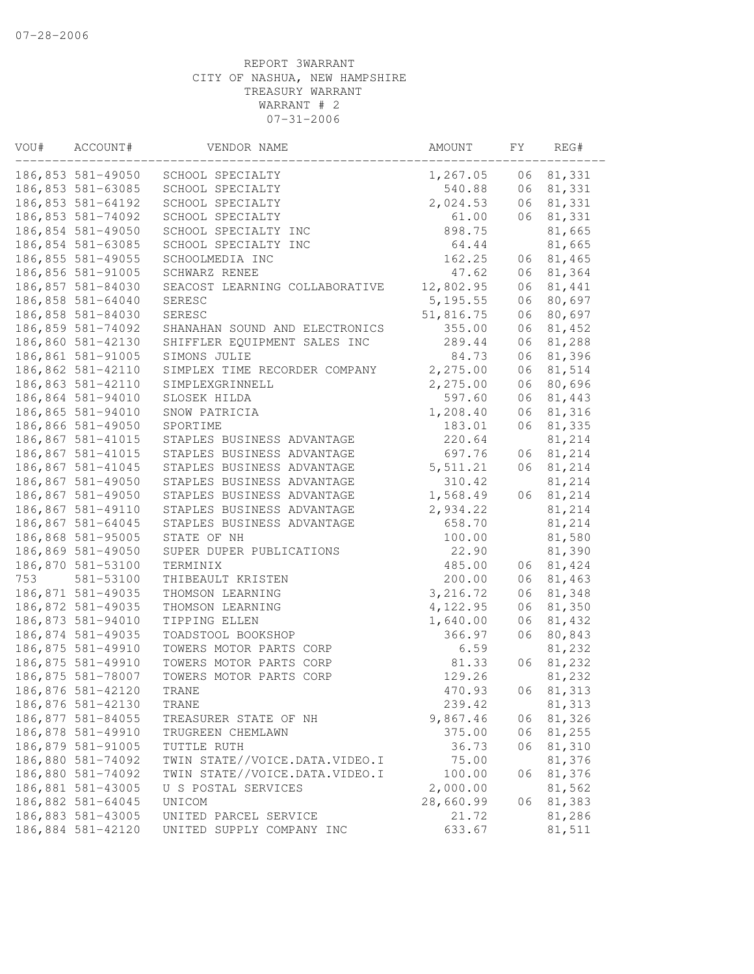| VOU# | ACCOUNT#          | VENDOR NAME                    | AMOUNT    | FΥ | REG#   |
|------|-------------------|--------------------------------|-----------|----|--------|
|      | 186,853 581-49050 | SCHOOL SPECIALTY               | 1,267.05  | 06 | 81,331 |
|      | 186,853 581-63085 | SCHOOL SPECIALTY               | 540.88    | 06 | 81,331 |
|      | 186,853 581-64192 | SCHOOL SPECIALTY               | 2,024.53  | 06 | 81,331 |
|      | 186,853 581-74092 | SCHOOL SPECIALTY               | 61.00     | 06 | 81,331 |
|      | 186,854 581-49050 | SCHOOL SPECIALTY INC           | 898.75    |    | 81,665 |
|      | 186,854 581-63085 | SCHOOL SPECIALTY INC           | 64.44     |    | 81,665 |
|      | 186,855 581-49055 | SCHOOLMEDIA INC                | 162.25    | 06 | 81,465 |
|      | 186,856 581-91005 | SCHWARZ RENEE                  | 47.62     | 06 | 81,364 |
|      | 186,857 581-84030 | SEACOST LEARNING COLLABORATIVE | 12,802.95 | 06 | 81,441 |
|      | 186,858 581-64040 | SERESC                         | 5, 195.55 | 06 | 80,697 |
|      | 186,858 581-84030 | SERESC                         | 51,816.75 | 06 | 80,697 |
|      | 186,859 581-74092 | SHANAHAN SOUND AND ELECTRONICS | 355.00    | 06 | 81,452 |
|      | 186,860 581-42130 | SHIFFLER EQUIPMENT SALES INC   | 289.44    | 06 | 81,288 |
|      | 186,861 581-91005 | SIMONS JULIE                   | 84.73     | 06 | 81,396 |
|      | 186,862 581-42110 | SIMPLEX TIME RECORDER COMPANY  | 2, 275.00 | 06 | 81,514 |
|      | 186,863 581-42110 | SIMPLEXGRINNELL                | 2,275.00  | 06 | 80,696 |
|      | 186,864 581-94010 | SLOSEK HILDA                   | 597.60    | 06 | 81,443 |
|      | 186,865 581-94010 | SNOW PATRICIA                  | 1,208.40  | 06 | 81,316 |
|      | 186,866 581-49050 | SPORTIME                       | 183.01    | 06 | 81,335 |
|      | 186,867 581-41015 | STAPLES BUSINESS ADVANTAGE     | 220.64    |    | 81,214 |
|      | 186,867 581-41015 | STAPLES BUSINESS ADVANTAGE     | 697.76    | 06 | 81,214 |
|      | 186,867 581-41045 | STAPLES BUSINESS ADVANTAGE     | 5, 511.21 | 06 | 81,214 |
|      | 186,867 581-49050 | STAPLES BUSINESS ADVANTAGE     | 310.42    |    | 81,214 |
|      | 186,867 581-49050 | STAPLES BUSINESS ADVANTAGE     | 1,568.49  | 06 | 81,214 |
|      | 186,867 581-49110 | STAPLES BUSINESS ADVANTAGE     | 2,934.22  |    | 81,214 |
|      | 186,867 581-64045 | STAPLES BUSINESS ADVANTAGE     | 658.70    |    | 81,214 |
|      | 186,868 581-95005 | STATE OF NH                    | 100.00    |    | 81,580 |
|      | 186,869 581-49050 | SUPER DUPER PUBLICATIONS       | 22.90     |    | 81,390 |
|      | 186,870 581-53100 | TERMINIX                       | 485.00    | 06 | 81,424 |
| 753  | 581-53100         | THIBEAULT KRISTEN              | 200.00    | 06 | 81,463 |
|      | 186,871 581-49035 | THOMSON LEARNING               | 3, 216.72 | 06 | 81,348 |
|      | 186,872 581-49035 | THOMSON LEARNING               | 4,122.95  | 06 | 81,350 |
|      | 186,873 581-94010 | TIPPING ELLEN                  | 1,640.00  | 06 | 81,432 |
|      | 186,874 581-49035 | TOADSTOOL BOOKSHOP             | 366.97    | 06 | 80,843 |
|      | 186,875 581-49910 | TOWERS MOTOR PARTS CORP        | 6.59      |    | 81,232 |
|      | 186,875 581-49910 | TOWERS MOTOR PARTS CORP        | 81.33     | 06 | 81,232 |
|      | 186,875 581-78007 | TOWERS MOTOR PARTS CORP        | 129.26    |    | 81,232 |
|      | 186,876 581-42120 | TRANE                          | 470.93    | 06 | 81,313 |
|      | 186,876 581-42130 | TRANE                          | 239.42    |    | 81,313 |
|      | 186,877 581-84055 | TREASURER STATE OF NH          | 9,867.46  | 06 | 81,326 |
|      | 186,878 581-49910 | TRUGREEN CHEMLAWN              | 375.00    | 06 | 81,255 |
|      | 186,879 581-91005 | TUTTLE RUTH                    | 36.73     | 06 | 81,310 |
|      | 186,880 581-74092 | TWIN STATE//VOICE.DATA.VIDEO.I | 75.00     |    | 81,376 |
|      | 186,880 581-74092 | TWIN STATE//VOICE.DATA.VIDEO.I | 100.00    | 06 | 81,376 |
|      | 186,881 581-43005 | U S POSTAL SERVICES            | 2,000.00  |    | 81,562 |
|      | 186,882 581-64045 | UNICOM                         | 28,660.99 | 06 | 81,383 |
|      | 186,883 581-43005 | UNITED PARCEL SERVICE          | 21.72     |    | 81,286 |
|      | 186,884 581-42120 | UNITED SUPPLY COMPANY INC      | 633.67    |    | 81,511 |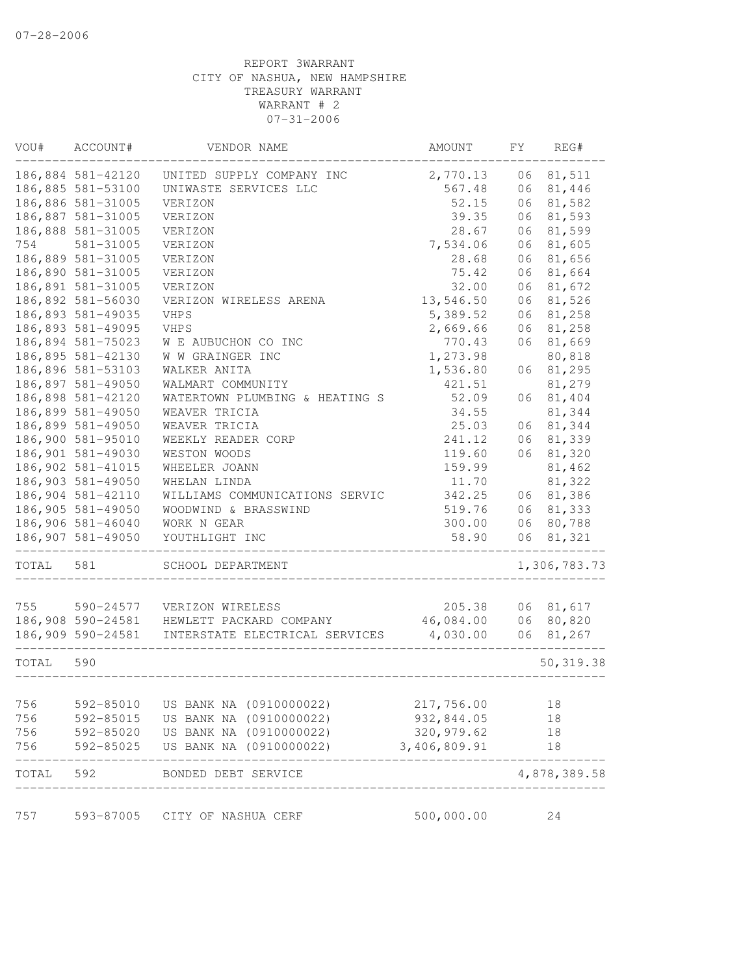| VOU#  | ACCOUNT#          | VENDOR NAME                    | AMOUNT                            | FΥ | REG#         |
|-------|-------------------|--------------------------------|-----------------------------------|----|--------------|
|       | 186,884 581-42120 | UNITED SUPPLY COMPANY INC      | 2,770.13                          | 06 | 81,511       |
|       | 186,885 581-53100 | UNIWASTE SERVICES LLC          | 567.48                            | 06 | 81,446       |
|       | 186,886 581-31005 | VERIZON                        | 52.15                             | 06 | 81,582       |
|       | 186,887 581-31005 | VERIZON                        | 39.35                             | 06 | 81,593       |
|       | 186,888 581-31005 | VERIZON                        | 28.67                             | 06 | 81,599       |
| 754   | 581-31005         | VERIZON                        | 7,534.06                          | 06 | 81,605       |
|       | 186,889 581-31005 | VERIZON                        | 28.68                             | 06 | 81,656       |
|       | 186,890 581-31005 | VERIZON                        | 75.42                             | 06 | 81,664       |
|       | 186,891 581-31005 | VERIZON                        | 32.00                             | 06 | 81,672       |
|       | 186,892 581-56030 | VERIZON WIRELESS ARENA         | 13,546.50                         | 06 | 81,526       |
|       | 186,893 581-49035 | <b>VHPS</b>                    | 5,389.52                          | 06 | 81,258       |
|       | 186,893 581-49095 | <b>VHPS</b>                    | 2,669.66                          | 06 | 81,258       |
|       | 186,894 581-75023 | W E AUBUCHON CO INC            | 770.43                            | 06 | 81,669       |
|       | 186,895 581-42130 | W W GRAINGER INC               | 1,273.98                          |    | 80,818       |
|       | 186,896 581-53103 | WALKER ANITA                   | 1,536.80                          | 06 | 81,295       |
|       | 186,897 581-49050 | WALMART COMMUNITY              | 421.51                            |    | 81,279       |
|       | 186,898 581-42120 | WATERTOWN PLUMBING & HEATING S | 52.09                             | 06 | 81,404       |
|       | 186,899 581-49050 | WEAVER TRICIA                  | 34.55                             |    | 81,344       |
|       | 186,899 581-49050 | WEAVER TRICIA                  | 25.03                             | 06 | 81,344       |
|       | 186,900 581-95010 | WEEKLY READER CORP             | 241.12                            | 06 | 81,339       |
|       | 186,901 581-49030 | WESTON WOODS                   | 119.60                            | 06 | 81,320       |
|       | 186,902 581-41015 | WHEELER JOANN                  | 159.99                            |    | 81,462       |
|       | 186,903 581-49050 | WHELAN LINDA                   | 11.70                             |    | 81,322       |
|       | 186,904 581-42110 | WILLIAMS COMMUNICATIONS SERVIC | 342.25                            |    | 06 81,386    |
|       | 186,905 581-49050 | WOODWIND & BRASSWIND           | 519.76                            | 06 | 81,333       |
|       | 186,906 581-46040 | WORK N GEAR                    | 300.00                            | 06 | 80,788       |
|       | 186,907 581-49050 | YOUTHLIGHT INC                 | 58.90                             | 06 | 81,321       |
|       |                   |                                |                                   |    |              |
| TOTAL | 581               | SCHOOL DEPARTMENT              |                                   |    | 1,306,783.73 |
| 755   | 590-24577         | VERIZON WIRELESS               | 205.38                            |    | 06 81,617    |
|       | 186,908 590-24581 | HEWLETT PACKARD COMPANY        | 46,084.00                         |    | 06 80,820    |
|       | 186,909 590-24581 | INTERSTATE ELECTRICAL SERVICES | 4,030.00                          | 06 | 81,267       |
|       |                   |                                |                                   |    |              |
| TOTAL | 590               |                                |                                   |    | 50, 319.38   |
| 756   | 592-85010         | US BANK NA (0910000022)        | 217,756.00                        |    | 18           |
| 756   | 592-85015         | US BANK NA (0910000022)        | 932,844.05                        |    | 18           |
| 756   | 592-85020         | US BANK NA (0910000022)        | 320,979.62                        |    | 18           |
| 756   | 592-85025         | US BANK NA (0910000022)        | 3,406,809.91                      |    | 18           |
| TOTAL | 592               | BONDED DEBT SERVICE            | _________________________________ |    | 4,878,389.58 |
| 757   | 593-87005         | CITY OF NASHUA CERF            | 500,000.00                        |    | 24           |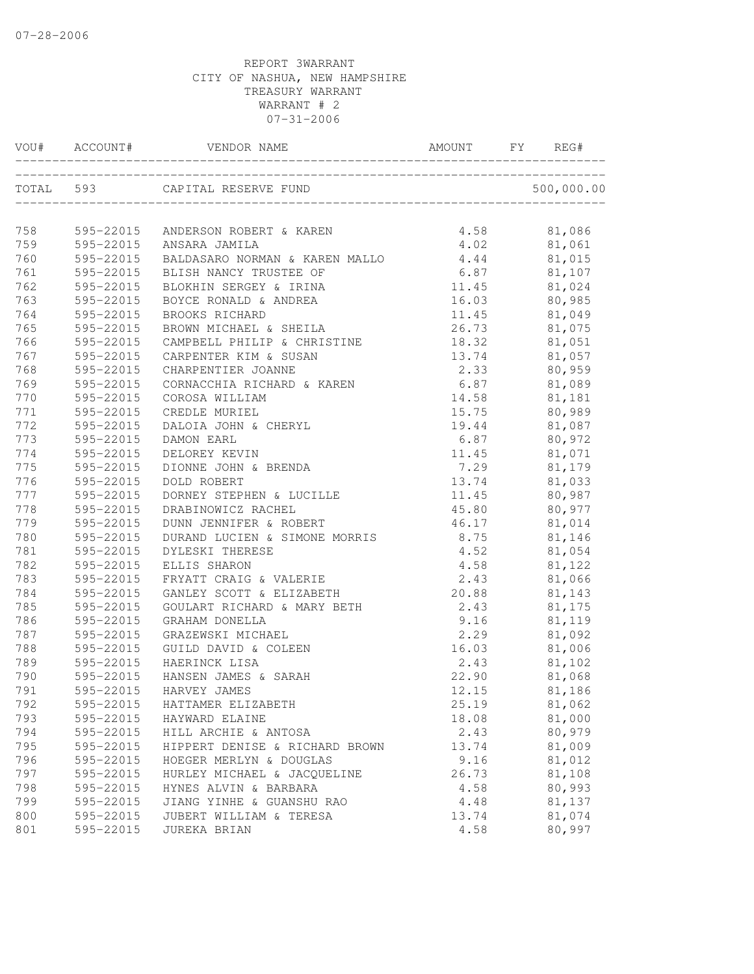| VOU# | ACCOUNT#      | VENDOR NAME                               | AMOUNT             | REG#             |
|------|---------------|-------------------------------------------|--------------------|------------------|
|      |               | TOTAL 593 CAPITAL RESERVE FUND            |                    | 500,000.00       |
|      |               | 758 595-22015 ANDERSON ROBERT & KAREN     | 4.58               | 81,086           |
| 759  |               | 595-22015 ANSARA JAMILA                   |                    |                  |
| 760  |               | 595-22015 BALDASARO NORMAN & KAREN MALLO  | $4.02$<br>$4.44$   | 81,061<br>81,015 |
| 761  |               | 595-22015 BLISH NANCY TRUSTEE OF          |                    | $6.87$ $81,107$  |
| 762  |               | 595-22015 BLOKHIN SERGEY & IRINA          |                    | 11.45 81,024     |
| 763  | 595-22015     | BOYCE RONALD & ANDREA                     |                    | 16.03 80,985     |
| 764  | 595-22015     | BROOKS RICHARD                            |                    | 11.45 81,049     |
| 765  | 595-22015     | BROWN MICHAEL & SHEILA                    |                    | 26.73 81,075     |
| 766  | $595 - 22015$ | CAMPBELL PHILIP & CHRISTINE               |                    | 18.32 81,051     |
| 767  | 595-22015     | CARPENTER KIM & SUSAN                     | 13.74              | 81,057           |
| 768  | 595-22015     | CHARPENTIER JOANNE                        |                    | 80,959           |
| 769  | 595-22015     | CORNACCHIA RICHARD & KAREN                | $2.33$<br>6.87     | 81,089           |
| 770  | 595-22015     | COROSA WILLIAM                            | 14.58              | 81,181           |
| 771  | 595-22015     | CREDLE MURIEL                             | 15.75              | 80,989           |
| 772  | 595-22015     | DALOIA JOHN & CHERYL                      |                    | 19.44 81,087     |
| 773  | 595-22015     | DAMON EARL                                |                    | $6.87$ $80,972$  |
| 774  | 595-22015     | DELOREY KEVIN                             |                    | 11.45 81,071     |
| 775  | 595-22015     | DIONNE JOHN & BRENDA                      |                    | 7.29 81,179      |
| 776  | 595-22015     | DOLD ROBERT                               | 13.74              | 81,033           |
| 777  | 595-22015     | DORNEY STEPHEN & LUCILLE                  |                    | 80,987           |
| 778  | 595-22015     | DRABINOWICZ RACHEL                        | $11.45$<br>$45.80$ | 80,977           |
|      | 779 595-22015 | DUNN JENNIFER & ROBERT                    |                    | $46.17$ $81,014$ |
| 780  | 595-22015     | DURAND LUCIEN & SIMONE MORRIS 8.75 81,146 |                    |                  |
| 781  | 595-22015     | DYLESKI THERESE                           |                    | 4.52 81,054      |
| 782  | 595-22015     | ELLIS SHARON                              |                    | 4.58 81,122      |
| 783  | 595-22015     | FRYATT CRAIG & VALERIE                    |                    | 2.43 81,066      |
| 784  | 595-22015     | GANLEY SCOTT & ELIZABETH                  |                    | 20.88 81,143     |
| 785  | 595-22015     | GOULART RICHARD & MARY BETH               | 2.43               | 81,175           |
| 786  | 595-22015     | GRAHAM DONELLA                            |                    | 81,119           |
| 787  | 595-22015     | GRAZEWSKI MICHAEL                         | $9.16$<br>2.29     | 81,092           |
| 788  | 595-22015     | GUILD DAVID & COLEEN                      | 16.03              | 81,006           |
| 789  |               | 595-22015 HAERINCK LISA                   | 2.43               | 81,102           |
| 790  |               | 595-22015 HANSEN JAMES & SARAH            |                    | 22.90 81,068     |
| 791  |               | 595-22015 HARVEY JAMES                    | 12.15              | 81,186           |
| 792  | 595-22015     | HATTAMER ELIZABETH                        | 25.19              | 81,062           |
| 793  | 595-22015     | HAYWARD ELAINE                            | 18.08              | 81,000           |
| 794  | 595-22015     | HILL ARCHIE & ANTOSA                      | 2.43               | 80,979           |
| 795  | 595-22015     | HIPPERT DENISE & RICHARD BROWN            | 13.74              | 81,009           |
| 796  | 595-22015     | HOEGER MERLYN & DOUGLAS                   | 9.16               | 81,012           |
| 797  | 595-22015     | HURLEY MICHAEL & JACQUELINE               | 26.73              | 81,108           |
| 798  | 595-22015     | HYNES ALVIN & BARBARA                     | 4.58               | 80,993           |
| 799  | 595-22015     | JIANG YINHE & GUANSHU RAO                 | 4.48               | 81,137           |
| 800  | 595-22015     | JUBERT WILLIAM & TERESA                   | 13.74              | 81,074           |
| 801  | 595-22015     | JUREKA BRIAN                              | 4.58               | 80,997           |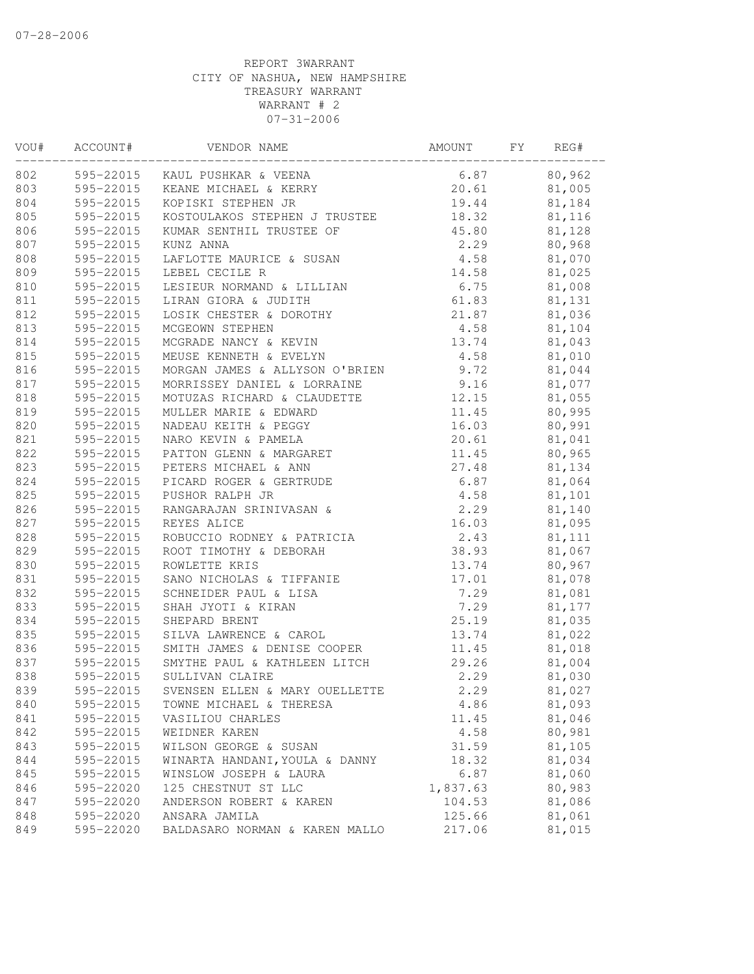| VOU# | ACCOUNT#  | VENDOR NAME                     | AMOUNT   | FΥ | REG#   |
|------|-----------|---------------------------------|----------|----|--------|
| 802  |           | 595-22015 KAUL PUSHKAR & VEENA  | 6.87     |    | 80,962 |
| 803  |           | 595-22015 KEANE MICHAEL & KERRY | 20.61    |    | 81,005 |
| 804  | 595-22015 | KOPISKI STEPHEN JR              | 19.44    |    | 81,184 |
| 805  | 595-22015 | KOSTOULAKOS STEPHEN J TRUSTEE   | 18.32    |    | 81,116 |
| 806  | 595-22015 | KUMAR SENTHIL TRUSTEE OF        | 45.80    |    | 81,128 |
| 807  | 595-22015 | KUNZ ANNA                       | 2.29     |    | 80,968 |
| 808  | 595-22015 | LAFLOTTE MAURICE & SUSAN        | 4.58     |    | 81,070 |
| 809  | 595-22015 | LEBEL CECILE R                  | 14.58    |    | 81,025 |
| 810  | 595-22015 | LESIEUR NORMAND & LILLIAN       | 6.75     |    | 81,008 |
| 811  | 595-22015 | LIRAN GIORA & JUDITH            | 61.83    |    | 81,131 |
| 812  | 595-22015 | LOSIK CHESTER & DOROTHY         | 21.87    |    | 81,036 |
| 813  | 595-22015 | MCGEOWN STEPHEN                 | 4.58     |    | 81,104 |
| 814  | 595-22015 | MCGRADE NANCY & KEVIN           | 13.74    |    | 81,043 |
| 815  | 595-22015 | MEUSE KENNETH & EVELYN          | 4.58     |    | 81,010 |
| 816  | 595-22015 | MORGAN JAMES & ALLYSON O'BRIEN  | 9.72     |    | 81,044 |
| 817  | 595-22015 | MORRISSEY DANIEL & LORRAINE     | 9.16     |    | 81,077 |
| 818  | 595-22015 | MOTUZAS RICHARD & CLAUDETTE     | 12.15    |    | 81,055 |
| 819  | 595-22015 | MULLER MARIE & EDWARD           | 11.45    |    | 80,995 |
| 820  | 595-22015 | NADEAU KEITH & PEGGY            | 16.03    |    | 80,991 |
| 821  | 595-22015 | NARO KEVIN & PAMELA             | 20.61    |    | 81,041 |
| 822  | 595-22015 | PATTON GLENN & MARGARET         | 11.45    |    | 80,965 |
| 823  | 595-22015 | PETERS MICHAEL & ANN            | 27.48    |    | 81,134 |
| 824  | 595-22015 | PICARD ROGER & GERTRUDE         | 6.87     |    | 81,064 |
| 825  | 595-22015 | PUSHOR RALPH JR                 | 4.58     |    | 81,101 |
| 826  | 595-22015 | RANGARAJAN SRINIVASAN &         | 2.29     |    | 81,140 |
| 827  | 595-22015 | REYES ALICE                     | 16.03    |    | 81,095 |
| 828  | 595-22015 | ROBUCCIO RODNEY & PATRICIA      | 2.43     |    | 81,111 |
| 829  | 595-22015 | ROOT TIMOTHY & DEBORAH          | 38.93    |    | 81,067 |
| 830  | 595-22015 | ROWLETTE KRIS                   | 13.74    |    | 80,967 |
| 831  | 595-22015 | SANO NICHOLAS & TIFFANIE        | 17.01    |    | 81,078 |
| 832  | 595-22015 | SCHNEIDER PAUL & LISA           | 7.29     |    | 81,081 |
| 833  | 595-22015 | SHAH JYOTI & KIRAN              | 7.29     |    | 81,177 |
| 834  | 595-22015 | SHEPARD BRENT                   | 25.19    |    | 81,035 |
| 835  | 595-22015 | SILVA LAWRENCE & CAROL          | 13.74    |    | 81,022 |
| 836  | 595-22015 | SMITH JAMES & DENISE COOPER     | 11.45    |    | 81,018 |
| 837  | 595-22015 | SMYTHE PAUL & KATHLEEN LITCH    | 29.26    |    | 81,004 |
| 838  | 595-22015 | SULLIVAN CLAIRE                 | 2.29     |    | 81,030 |
| 839  | 595-22015 | SVENSEN ELLEN & MARY OUELLETTE  | 2.29     |    | 81,027 |
| 840  | 595-22015 | TOWNE MICHAEL & THERESA         | 4.86     |    | 81,093 |
| 841  | 595-22015 | VASILIOU CHARLES                | 11.45    |    | 81,046 |
| 842  | 595-22015 | WEIDNER KAREN                   | 4.58     |    | 80,981 |
| 843  | 595-22015 | WILSON GEORGE & SUSAN           | 31.59    |    | 81,105 |
| 844  | 595-22015 | WINARTA HANDANI, YOULA & DANNY  | 18.32    |    | 81,034 |
| 845  | 595-22015 | WINSLOW JOSEPH & LAURA          | 6.87     |    | 81,060 |
| 846  | 595-22020 | 125 CHESTNUT ST LLC             | 1,837.63 |    | 80,983 |
| 847  | 595-22020 | ANDERSON ROBERT & KAREN         | 104.53   |    | 81,086 |
| 848  | 595-22020 | ANSARA JAMILA                   | 125.66   |    | 81,061 |
| 849  | 595-22020 | BALDASARO NORMAN & KAREN MALLO  | 217.06   |    | 81,015 |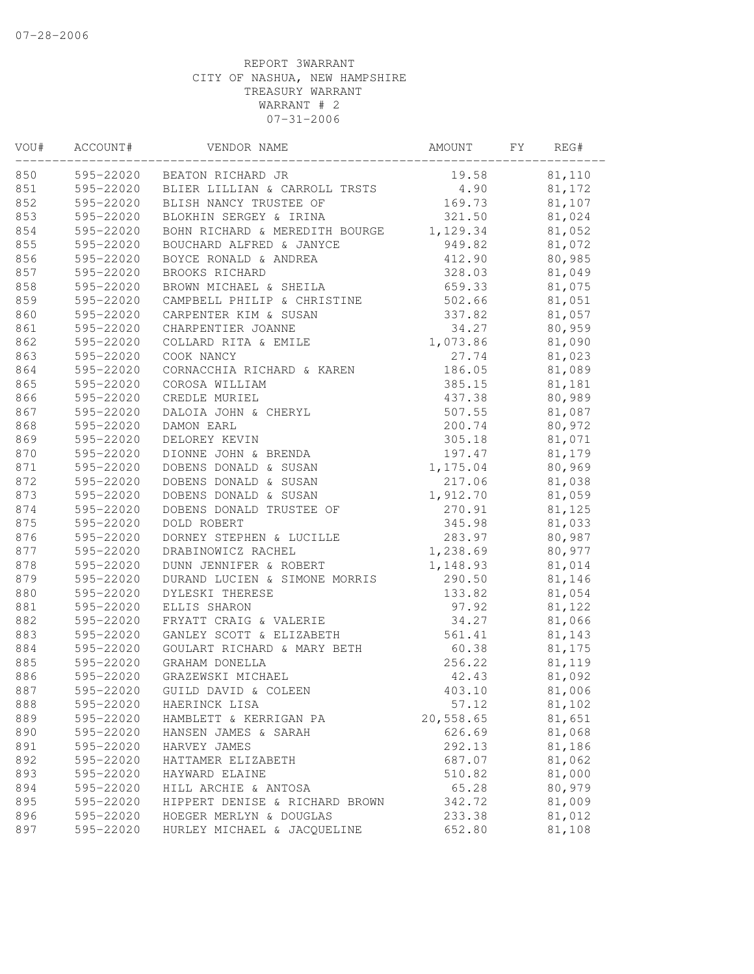| 850<br>595-22020 BEATON RICHARD JR<br>81,110<br>19.58<br>4.90<br>595-22020 BLIER LILLIAN & CARROLL TRSTS<br>81,172<br>852<br>595-22020<br>169.73<br>81,107<br>BLISH NANCY TRUSTEE OF<br>321.50<br>81,024<br>595-22020<br>BLOKHIN SERGEY & IRINA<br>595-22020<br>1,129.34<br>81,052<br>BOHN RICHARD & MEREDITH BOURGE<br>595-22020<br>BOUCHARD ALFRED & JANYCE<br>949.82<br>81,072<br>856<br>595-22020<br>BOYCE RONALD & ANDREA<br>412.90<br>80,985<br>328.03<br>BROOKS RICHARD<br>81,049<br>595-22020<br>659.33<br>81,075<br>595-22020<br>BROWN MICHAEL & SHEILA<br>595-22020<br>CAMPBELL PHILIP & CHRISTINE<br>502.66<br>81,051<br>860<br>595-22020<br>CARPENTER KIM & SUSAN<br>81,057<br>337.82<br>861<br>595-22020<br>80,959<br>CHARPENTIER JOANNE<br>34.27<br>862<br>1,073.86<br>595-22020<br>COLLARD RITA & EMILE<br>81,090<br>595-22020<br>27.74<br>81,023<br>COOK NANCY<br>864<br>595-22020<br>CORNACCHIA RICHARD & KAREN<br>186.05<br>81,089<br>865<br>595-22020<br>385.15<br>81,181<br>COROSA WILLIAM<br>866<br>80,989<br>595-22020<br>CREDLE MURIEL<br>437.38<br>867<br>81,087<br>595-22020<br>DALOIA JOHN & CHERYL<br>507.55<br>868<br>595-22020<br>200.74<br>80,972<br>DAMON EARL<br>869<br>595-22020<br>DELOREY KEVIN<br>305.18<br>81,071<br>870<br>595-22020<br>197.47<br>DIONNE JOHN & BRENDA<br>81,179<br>871<br>1,175.04<br>80,969<br>595-22020<br>DOBENS DONALD & SUSAN<br>872<br>DOBENS DONALD & SUSAN<br>595-22020<br>217.06<br>81,038<br>873<br>595-22020<br>DOBENS DONALD & SUSAN<br>1,912.70<br>81,059<br>874<br>595-22020<br>DOBENS DONALD TRUSTEE OF<br>270.91<br>81,125<br>875<br>345.98<br>81,033<br>595-22020<br>DOLD ROBERT<br>876<br>283.97<br>80,987<br>595-22020<br>DORNEY STEPHEN & LUCILLE<br>877<br>595-22020<br>1,238.69<br>80,977<br>DRABINOWICZ RACHEL<br>878<br>595-22020<br>DUNN JENNIFER & ROBERT<br>1,148.93<br>81,014<br>879<br>595-22020<br>290.50<br>DURAND LUCIEN & SIMONE MORRIS<br>81,146<br>880<br>595-22020<br>81,054<br>DYLESKI THERESE<br>133.82<br>881<br>595-22020<br>ELLIS SHARON<br>97.92<br>81,122<br>882<br>595-22020<br>FRYATT CRAIG & VALERIE<br>34.27<br>81,066<br>883<br>595-22020<br>GANLEY SCOTT & ELIZABETH<br>561.41<br>81,143<br>884<br>595-22020<br>GOULART RICHARD & MARY BETH<br>60.38<br>81,175<br>885<br>595-22020<br>256.22<br>81,119<br>GRAHAM DONELLA<br>886<br>595-22020<br>GRAZEWSKI MICHAEL<br>42.43<br>81,092<br>887<br>595-22020<br>GUILD DAVID & COLEEN<br>403.10<br>81,006<br>888<br>595-22020<br>81,102<br>HAERINCK LISA<br>57.12<br>889<br>20,558.65<br>595-22020<br>81,651<br>HAMBLETT & KERRIGAN PA<br>890<br>626.69<br>81,068<br>595-22020<br>HANSEN JAMES & SARAH<br>292.13<br>891<br>595-22020<br>HARVEY JAMES<br>81,186<br>892<br>81,062<br>595-22020<br>687.07<br>HATTAMER ELIZABETH<br>893<br>81,000<br>595-22020<br>HAYWARD ELAINE<br>510.82<br>894<br>80,979<br>595-22020<br>HILL ARCHIE & ANTOSA<br>65.28<br>895<br>595-22020<br>HIPPERT DENISE & RICHARD BROWN<br>342.72<br>81,009 | VOU# | ACCOUNT# | VENDOR NAME | AMOUNT | FY | REG# |
|------------------------------------------------------------------------------------------------------------------------------------------------------------------------------------------------------------------------------------------------------------------------------------------------------------------------------------------------------------------------------------------------------------------------------------------------------------------------------------------------------------------------------------------------------------------------------------------------------------------------------------------------------------------------------------------------------------------------------------------------------------------------------------------------------------------------------------------------------------------------------------------------------------------------------------------------------------------------------------------------------------------------------------------------------------------------------------------------------------------------------------------------------------------------------------------------------------------------------------------------------------------------------------------------------------------------------------------------------------------------------------------------------------------------------------------------------------------------------------------------------------------------------------------------------------------------------------------------------------------------------------------------------------------------------------------------------------------------------------------------------------------------------------------------------------------------------------------------------------------------------------------------------------------------------------------------------------------------------------------------------------------------------------------------------------------------------------------------------------------------------------------------------------------------------------------------------------------------------------------------------------------------------------------------------------------------------------------------------------------------------------------------------------------------------------------------------------------------------------------------------------------------------------------------------------------------------------------------------------------------------------------------------------------------------------------------------------------------------------------------------------------------------------------------------------------------------------------------------------------------------------------------------------------------------------------------------------------------------------|------|----------|-------------|--------|----|------|
|                                                                                                                                                                                                                                                                                                                                                                                                                                                                                                                                                                                                                                                                                                                                                                                                                                                                                                                                                                                                                                                                                                                                                                                                                                                                                                                                                                                                                                                                                                                                                                                                                                                                                                                                                                                                                                                                                                                                                                                                                                                                                                                                                                                                                                                                                                                                                                                                                                                                                                                                                                                                                                                                                                                                                                                                                                                                                                                                                                                    |      |          |             |        |    |      |
|                                                                                                                                                                                                                                                                                                                                                                                                                                                                                                                                                                                                                                                                                                                                                                                                                                                                                                                                                                                                                                                                                                                                                                                                                                                                                                                                                                                                                                                                                                                                                                                                                                                                                                                                                                                                                                                                                                                                                                                                                                                                                                                                                                                                                                                                                                                                                                                                                                                                                                                                                                                                                                                                                                                                                                                                                                                                                                                                                                                    | 851  |          |             |        |    |      |
|                                                                                                                                                                                                                                                                                                                                                                                                                                                                                                                                                                                                                                                                                                                                                                                                                                                                                                                                                                                                                                                                                                                                                                                                                                                                                                                                                                                                                                                                                                                                                                                                                                                                                                                                                                                                                                                                                                                                                                                                                                                                                                                                                                                                                                                                                                                                                                                                                                                                                                                                                                                                                                                                                                                                                                                                                                                                                                                                                                                    |      |          |             |        |    |      |
|                                                                                                                                                                                                                                                                                                                                                                                                                                                                                                                                                                                                                                                                                                                                                                                                                                                                                                                                                                                                                                                                                                                                                                                                                                                                                                                                                                                                                                                                                                                                                                                                                                                                                                                                                                                                                                                                                                                                                                                                                                                                                                                                                                                                                                                                                                                                                                                                                                                                                                                                                                                                                                                                                                                                                                                                                                                                                                                                                                                    | 853  |          |             |        |    |      |
|                                                                                                                                                                                                                                                                                                                                                                                                                                                                                                                                                                                                                                                                                                                                                                                                                                                                                                                                                                                                                                                                                                                                                                                                                                                                                                                                                                                                                                                                                                                                                                                                                                                                                                                                                                                                                                                                                                                                                                                                                                                                                                                                                                                                                                                                                                                                                                                                                                                                                                                                                                                                                                                                                                                                                                                                                                                                                                                                                                                    | 854  |          |             |        |    |      |
|                                                                                                                                                                                                                                                                                                                                                                                                                                                                                                                                                                                                                                                                                                                                                                                                                                                                                                                                                                                                                                                                                                                                                                                                                                                                                                                                                                                                                                                                                                                                                                                                                                                                                                                                                                                                                                                                                                                                                                                                                                                                                                                                                                                                                                                                                                                                                                                                                                                                                                                                                                                                                                                                                                                                                                                                                                                                                                                                                                                    | 855  |          |             |        |    |      |
|                                                                                                                                                                                                                                                                                                                                                                                                                                                                                                                                                                                                                                                                                                                                                                                                                                                                                                                                                                                                                                                                                                                                                                                                                                                                                                                                                                                                                                                                                                                                                                                                                                                                                                                                                                                                                                                                                                                                                                                                                                                                                                                                                                                                                                                                                                                                                                                                                                                                                                                                                                                                                                                                                                                                                                                                                                                                                                                                                                                    |      |          |             |        |    |      |
|                                                                                                                                                                                                                                                                                                                                                                                                                                                                                                                                                                                                                                                                                                                                                                                                                                                                                                                                                                                                                                                                                                                                                                                                                                                                                                                                                                                                                                                                                                                                                                                                                                                                                                                                                                                                                                                                                                                                                                                                                                                                                                                                                                                                                                                                                                                                                                                                                                                                                                                                                                                                                                                                                                                                                                                                                                                                                                                                                                                    | 857  |          |             |        |    |      |
|                                                                                                                                                                                                                                                                                                                                                                                                                                                                                                                                                                                                                                                                                                                                                                                                                                                                                                                                                                                                                                                                                                                                                                                                                                                                                                                                                                                                                                                                                                                                                                                                                                                                                                                                                                                                                                                                                                                                                                                                                                                                                                                                                                                                                                                                                                                                                                                                                                                                                                                                                                                                                                                                                                                                                                                                                                                                                                                                                                                    | 858  |          |             |        |    |      |
|                                                                                                                                                                                                                                                                                                                                                                                                                                                                                                                                                                                                                                                                                                                                                                                                                                                                                                                                                                                                                                                                                                                                                                                                                                                                                                                                                                                                                                                                                                                                                                                                                                                                                                                                                                                                                                                                                                                                                                                                                                                                                                                                                                                                                                                                                                                                                                                                                                                                                                                                                                                                                                                                                                                                                                                                                                                                                                                                                                                    | 859  |          |             |        |    |      |
|                                                                                                                                                                                                                                                                                                                                                                                                                                                                                                                                                                                                                                                                                                                                                                                                                                                                                                                                                                                                                                                                                                                                                                                                                                                                                                                                                                                                                                                                                                                                                                                                                                                                                                                                                                                                                                                                                                                                                                                                                                                                                                                                                                                                                                                                                                                                                                                                                                                                                                                                                                                                                                                                                                                                                                                                                                                                                                                                                                                    |      |          |             |        |    |      |
|                                                                                                                                                                                                                                                                                                                                                                                                                                                                                                                                                                                                                                                                                                                                                                                                                                                                                                                                                                                                                                                                                                                                                                                                                                                                                                                                                                                                                                                                                                                                                                                                                                                                                                                                                                                                                                                                                                                                                                                                                                                                                                                                                                                                                                                                                                                                                                                                                                                                                                                                                                                                                                                                                                                                                                                                                                                                                                                                                                                    |      |          |             |        |    |      |
|                                                                                                                                                                                                                                                                                                                                                                                                                                                                                                                                                                                                                                                                                                                                                                                                                                                                                                                                                                                                                                                                                                                                                                                                                                                                                                                                                                                                                                                                                                                                                                                                                                                                                                                                                                                                                                                                                                                                                                                                                                                                                                                                                                                                                                                                                                                                                                                                                                                                                                                                                                                                                                                                                                                                                                                                                                                                                                                                                                                    |      |          |             |        |    |      |
|                                                                                                                                                                                                                                                                                                                                                                                                                                                                                                                                                                                                                                                                                                                                                                                                                                                                                                                                                                                                                                                                                                                                                                                                                                                                                                                                                                                                                                                                                                                                                                                                                                                                                                                                                                                                                                                                                                                                                                                                                                                                                                                                                                                                                                                                                                                                                                                                                                                                                                                                                                                                                                                                                                                                                                                                                                                                                                                                                                                    | 863  |          |             |        |    |      |
|                                                                                                                                                                                                                                                                                                                                                                                                                                                                                                                                                                                                                                                                                                                                                                                                                                                                                                                                                                                                                                                                                                                                                                                                                                                                                                                                                                                                                                                                                                                                                                                                                                                                                                                                                                                                                                                                                                                                                                                                                                                                                                                                                                                                                                                                                                                                                                                                                                                                                                                                                                                                                                                                                                                                                                                                                                                                                                                                                                                    |      |          |             |        |    |      |
|                                                                                                                                                                                                                                                                                                                                                                                                                                                                                                                                                                                                                                                                                                                                                                                                                                                                                                                                                                                                                                                                                                                                                                                                                                                                                                                                                                                                                                                                                                                                                                                                                                                                                                                                                                                                                                                                                                                                                                                                                                                                                                                                                                                                                                                                                                                                                                                                                                                                                                                                                                                                                                                                                                                                                                                                                                                                                                                                                                                    |      |          |             |        |    |      |
|                                                                                                                                                                                                                                                                                                                                                                                                                                                                                                                                                                                                                                                                                                                                                                                                                                                                                                                                                                                                                                                                                                                                                                                                                                                                                                                                                                                                                                                                                                                                                                                                                                                                                                                                                                                                                                                                                                                                                                                                                                                                                                                                                                                                                                                                                                                                                                                                                                                                                                                                                                                                                                                                                                                                                                                                                                                                                                                                                                                    |      |          |             |        |    |      |
|                                                                                                                                                                                                                                                                                                                                                                                                                                                                                                                                                                                                                                                                                                                                                                                                                                                                                                                                                                                                                                                                                                                                                                                                                                                                                                                                                                                                                                                                                                                                                                                                                                                                                                                                                                                                                                                                                                                                                                                                                                                                                                                                                                                                                                                                                                                                                                                                                                                                                                                                                                                                                                                                                                                                                                                                                                                                                                                                                                                    |      |          |             |        |    |      |
|                                                                                                                                                                                                                                                                                                                                                                                                                                                                                                                                                                                                                                                                                                                                                                                                                                                                                                                                                                                                                                                                                                                                                                                                                                                                                                                                                                                                                                                                                                                                                                                                                                                                                                                                                                                                                                                                                                                                                                                                                                                                                                                                                                                                                                                                                                                                                                                                                                                                                                                                                                                                                                                                                                                                                                                                                                                                                                                                                                                    |      |          |             |        |    |      |
|                                                                                                                                                                                                                                                                                                                                                                                                                                                                                                                                                                                                                                                                                                                                                                                                                                                                                                                                                                                                                                                                                                                                                                                                                                                                                                                                                                                                                                                                                                                                                                                                                                                                                                                                                                                                                                                                                                                                                                                                                                                                                                                                                                                                                                                                                                                                                                                                                                                                                                                                                                                                                                                                                                                                                                                                                                                                                                                                                                                    |      |          |             |        |    |      |
|                                                                                                                                                                                                                                                                                                                                                                                                                                                                                                                                                                                                                                                                                                                                                                                                                                                                                                                                                                                                                                                                                                                                                                                                                                                                                                                                                                                                                                                                                                                                                                                                                                                                                                                                                                                                                                                                                                                                                                                                                                                                                                                                                                                                                                                                                                                                                                                                                                                                                                                                                                                                                                                                                                                                                                                                                                                                                                                                                                                    |      |          |             |        |    |      |
|                                                                                                                                                                                                                                                                                                                                                                                                                                                                                                                                                                                                                                                                                                                                                                                                                                                                                                                                                                                                                                                                                                                                                                                                                                                                                                                                                                                                                                                                                                                                                                                                                                                                                                                                                                                                                                                                                                                                                                                                                                                                                                                                                                                                                                                                                                                                                                                                                                                                                                                                                                                                                                                                                                                                                                                                                                                                                                                                                                                    |      |          |             |        |    |      |
|                                                                                                                                                                                                                                                                                                                                                                                                                                                                                                                                                                                                                                                                                                                                                                                                                                                                                                                                                                                                                                                                                                                                                                                                                                                                                                                                                                                                                                                                                                                                                                                                                                                                                                                                                                                                                                                                                                                                                                                                                                                                                                                                                                                                                                                                                                                                                                                                                                                                                                                                                                                                                                                                                                                                                                                                                                                                                                                                                                                    |      |          |             |        |    |      |
|                                                                                                                                                                                                                                                                                                                                                                                                                                                                                                                                                                                                                                                                                                                                                                                                                                                                                                                                                                                                                                                                                                                                                                                                                                                                                                                                                                                                                                                                                                                                                                                                                                                                                                                                                                                                                                                                                                                                                                                                                                                                                                                                                                                                                                                                                                                                                                                                                                                                                                                                                                                                                                                                                                                                                                                                                                                                                                                                                                                    |      |          |             |        |    |      |
|                                                                                                                                                                                                                                                                                                                                                                                                                                                                                                                                                                                                                                                                                                                                                                                                                                                                                                                                                                                                                                                                                                                                                                                                                                                                                                                                                                                                                                                                                                                                                                                                                                                                                                                                                                                                                                                                                                                                                                                                                                                                                                                                                                                                                                                                                                                                                                                                                                                                                                                                                                                                                                                                                                                                                                                                                                                                                                                                                                                    |      |          |             |        |    |      |
|                                                                                                                                                                                                                                                                                                                                                                                                                                                                                                                                                                                                                                                                                                                                                                                                                                                                                                                                                                                                                                                                                                                                                                                                                                                                                                                                                                                                                                                                                                                                                                                                                                                                                                                                                                                                                                                                                                                                                                                                                                                                                                                                                                                                                                                                                                                                                                                                                                                                                                                                                                                                                                                                                                                                                                                                                                                                                                                                                                                    |      |          |             |        |    |      |
|                                                                                                                                                                                                                                                                                                                                                                                                                                                                                                                                                                                                                                                                                                                                                                                                                                                                                                                                                                                                                                                                                                                                                                                                                                                                                                                                                                                                                                                                                                                                                                                                                                                                                                                                                                                                                                                                                                                                                                                                                                                                                                                                                                                                                                                                                                                                                                                                                                                                                                                                                                                                                                                                                                                                                                                                                                                                                                                                                                                    |      |          |             |        |    |      |
|                                                                                                                                                                                                                                                                                                                                                                                                                                                                                                                                                                                                                                                                                                                                                                                                                                                                                                                                                                                                                                                                                                                                                                                                                                                                                                                                                                                                                                                                                                                                                                                                                                                                                                                                                                                                                                                                                                                                                                                                                                                                                                                                                                                                                                                                                                                                                                                                                                                                                                                                                                                                                                                                                                                                                                                                                                                                                                                                                                                    |      |          |             |        |    |      |
|                                                                                                                                                                                                                                                                                                                                                                                                                                                                                                                                                                                                                                                                                                                                                                                                                                                                                                                                                                                                                                                                                                                                                                                                                                                                                                                                                                                                                                                                                                                                                                                                                                                                                                                                                                                                                                                                                                                                                                                                                                                                                                                                                                                                                                                                                                                                                                                                                                                                                                                                                                                                                                                                                                                                                                                                                                                                                                                                                                                    |      |          |             |        |    |      |
|                                                                                                                                                                                                                                                                                                                                                                                                                                                                                                                                                                                                                                                                                                                                                                                                                                                                                                                                                                                                                                                                                                                                                                                                                                                                                                                                                                                                                                                                                                                                                                                                                                                                                                                                                                                                                                                                                                                                                                                                                                                                                                                                                                                                                                                                                                                                                                                                                                                                                                                                                                                                                                                                                                                                                                                                                                                                                                                                                                                    |      |          |             |        |    |      |
|                                                                                                                                                                                                                                                                                                                                                                                                                                                                                                                                                                                                                                                                                                                                                                                                                                                                                                                                                                                                                                                                                                                                                                                                                                                                                                                                                                                                                                                                                                                                                                                                                                                                                                                                                                                                                                                                                                                                                                                                                                                                                                                                                                                                                                                                                                                                                                                                                                                                                                                                                                                                                                                                                                                                                                                                                                                                                                                                                                                    |      |          |             |        |    |      |
|                                                                                                                                                                                                                                                                                                                                                                                                                                                                                                                                                                                                                                                                                                                                                                                                                                                                                                                                                                                                                                                                                                                                                                                                                                                                                                                                                                                                                                                                                                                                                                                                                                                                                                                                                                                                                                                                                                                                                                                                                                                                                                                                                                                                                                                                                                                                                                                                                                                                                                                                                                                                                                                                                                                                                                                                                                                                                                                                                                                    |      |          |             |        |    |      |
|                                                                                                                                                                                                                                                                                                                                                                                                                                                                                                                                                                                                                                                                                                                                                                                                                                                                                                                                                                                                                                                                                                                                                                                                                                                                                                                                                                                                                                                                                                                                                                                                                                                                                                                                                                                                                                                                                                                                                                                                                                                                                                                                                                                                                                                                                                                                                                                                                                                                                                                                                                                                                                                                                                                                                                                                                                                                                                                                                                                    |      |          |             |        |    |      |
|                                                                                                                                                                                                                                                                                                                                                                                                                                                                                                                                                                                                                                                                                                                                                                                                                                                                                                                                                                                                                                                                                                                                                                                                                                                                                                                                                                                                                                                                                                                                                                                                                                                                                                                                                                                                                                                                                                                                                                                                                                                                                                                                                                                                                                                                                                                                                                                                                                                                                                                                                                                                                                                                                                                                                                                                                                                                                                                                                                                    |      |          |             |        |    |      |
|                                                                                                                                                                                                                                                                                                                                                                                                                                                                                                                                                                                                                                                                                                                                                                                                                                                                                                                                                                                                                                                                                                                                                                                                                                                                                                                                                                                                                                                                                                                                                                                                                                                                                                                                                                                                                                                                                                                                                                                                                                                                                                                                                                                                                                                                                                                                                                                                                                                                                                                                                                                                                                                                                                                                                                                                                                                                                                                                                                                    |      |          |             |        |    |      |
|                                                                                                                                                                                                                                                                                                                                                                                                                                                                                                                                                                                                                                                                                                                                                                                                                                                                                                                                                                                                                                                                                                                                                                                                                                                                                                                                                                                                                                                                                                                                                                                                                                                                                                                                                                                                                                                                                                                                                                                                                                                                                                                                                                                                                                                                                                                                                                                                                                                                                                                                                                                                                                                                                                                                                                                                                                                                                                                                                                                    |      |          |             |        |    |      |
|                                                                                                                                                                                                                                                                                                                                                                                                                                                                                                                                                                                                                                                                                                                                                                                                                                                                                                                                                                                                                                                                                                                                                                                                                                                                                                                                                                                                                                                                                                                                                                                                                                                                                                                                                                                                                                                                                                                                                                                                                                                                                                                                                                                                                                                                                                                                                                                                                                                                                                                                                                                                                                                                                                                                                                                                                                                                                                                                                                                    |      |          |             |        |    |      |
|                                                                                                                                                                                                                                                                                                                                                                                                                                                                                                                                                                                                                                                                                                                                                                                                                                                                                                                                                                                                                                                                                                                                                                                                                                                                                                                                                                                                                                                                                                                                                                                                                                                                                                                                                                                                                                                                                                                                                                                                                                                                                                                                                                                                                                                                                                                                                                                                                                                                                                                                                                                                                                                                                                                                                                                                                                                                                                                                                                                    |      |          |             |        |    |      |
|                                                                                                                                                                                                                                                                                                                                                                                                                                                                                                                                                                                                                                                                                                                                                                                                                                                                                                                                                                                                                                                                                                                                                                                                                                                                                                                                                                                                                                                                                                                                                                                                                                                                                                                                                                                                                                                                                                                                                                                                                                                                                                                                                                                                                                                                                                                                                                                                                                                                                                                                                                                                                                                                                                                                                                                                                                                                                                                                                                                    |      |          |             |        |    |      |
|                                                                                                                                                                                                                                                                                                                                                                                                                                                                                                                                                                                                                                                                                                                                                                                                                                                                                                                                                                                                                                                                                                                                                                                                                                                                                                                                                                                                                                                                                                                                                                                                                                                                                                                                                                                                                                                                                                                                                                                                                                                                                                                                                                                                                                                                                                                                                                                                                                                                                                                                                                                                                                                                                                                                                                                                                                                                                                                                                                                    |      |          |             |        |    |      |
|                                                                                                                                                                                                                                                                                                                                                                                                                                                                                                                                                                                                                                                                                                                                                                                                                                                                                                                                                                                                                                                                                                                                                                                                                                                                                                                                                                                                                                                                                                                                                                                                                                                                                                                                                                                                                                                                                                                                                                                                                                                                                                                                                                                                                                                                                                                                                                                                                                                                                                                                                                                                                                                                                                                                                                                                                                                                                                                                                                                    |      |          |             |        |    |      |
|                                                                                                                                                                                                                                                                                                                                                                                                                                                                                                                                                                                                                                                                                                                                                                                                                                                                                                                                                                                                                                                                                                                                                                                                                                                                                                                                                                                                                                                                                                                                                                                                                                                                                                                                                                                                                                                                                                                                                                                                                                                                                                                                                                                                                                                                                                                                                                                                                                                                                                                                                                                                                                                                                                                                                                                                                                                                                                                                                                                    |      |          |             |        |    |      |
|                                                                                                                                                                                                                                                                                                                                                                                                                                                                                                                                                                                                                                                                                                                                                                                                                                                                                                                                                                                                                                                                                                                                                                                                                                                                                                                                                                                                                                                                                                                                                                                                                                                                                                                                                                                                                                                                                                                                                                                                                                                                                                                                                                                                                                                                                                                                                                                                                                                                                                                                                                                                                                                                                                                                                                                                                                                                                                                                                                                    |      |          |             |        |    |      |
|                                                                                                                                                                                                                                                                                                                                                                                                                                                                                                                                                                                                                                                                                                                                                                                                                                                                                                                                                                                                                                                                                                                                                                                                                                                                                                                                                                                                                                                                                                                                                                                                                                                                                                                                                                                                                                                                                                                                                                                                                                                                                                                                                                                                                                                                                                                                                                                                                                                                                                                                                                                                                                                                                                                                                                                                                                                                                                                                                                                    |      |          |             |        |    |      |
|                                                                                                                                                                                                                                                                                                                                                                                                                                                                                                                                                                                                                                                                                                                                                                                                                                                                                                                                                                                                                                                                                                                                                                                                                                                                                                                                                                                                                                                                                                                                                                                                                                                                                                                                                                                                                                                                                                                                                                                                                                                                                                                                                                                                                                                                                                                                                                                                                                                                                                                                                                                                                                                                                                                                                                                                                                                                                                                                                                                    |      |          |             |        |    |      |
|                                                                                                                                                                                                                                                                                                                                                                                                                                                                                                                                                                                                                                                                                                                                                                                                                                                                                                                                                                                                                                                                                                                                                                                                                                                                                                                                                                                                                                                                                                                                                                                                                                                                                                                                                                                                                                                                                                                                                                                                                                                                                                                                                                                                                                                                                                                                                                                                                                                                                                                                                                                                                                                                                                                                                                                                                                                                                                                                                                                    |      |          |             |        |    |      |
| 896<br>595-22020<br>HOEGER MERLYN & DOUGLAS<br>233.38<br>81,012                                                                                                                                                                                                                                                                                                                                                                                                                                                                                                                                                                                                                                                                                                                                                                                                                                                                                                                                                                                                                                                                                                                                                                                                                                                                                                                                                                                                                                                                                                                                                                                                                                                                                                                                                                                                                                                                                                                                                                                                                                                                                                                                                                                                                                                                                                                                                                                                                                                                                                                                                                                                                                                                                                                                                                                                                                                                                                                    |      |          |             |        |    |      |
| 897<br>595-22020<br>HURLEY MICHAEL & JACQUELINE<br>652.80<br>81,108                                                                                                                                                                                                                                                                                                                                                                                                                                                                                                                                                                                                                                                                                                                                                                                                                                                                                                                                                                                                                                                                                                                                                                                                                                                                                                                                                                                                                                                                                                                                                                                                                                                                                                                                                                                                                                                                                                                                                                                                                                                                                                                                                                                                                                                                                                                                                                                                                                                                                                                                                                                                                                                                                                                                                                                                                                                                                                                |      |          |             |        |    |      |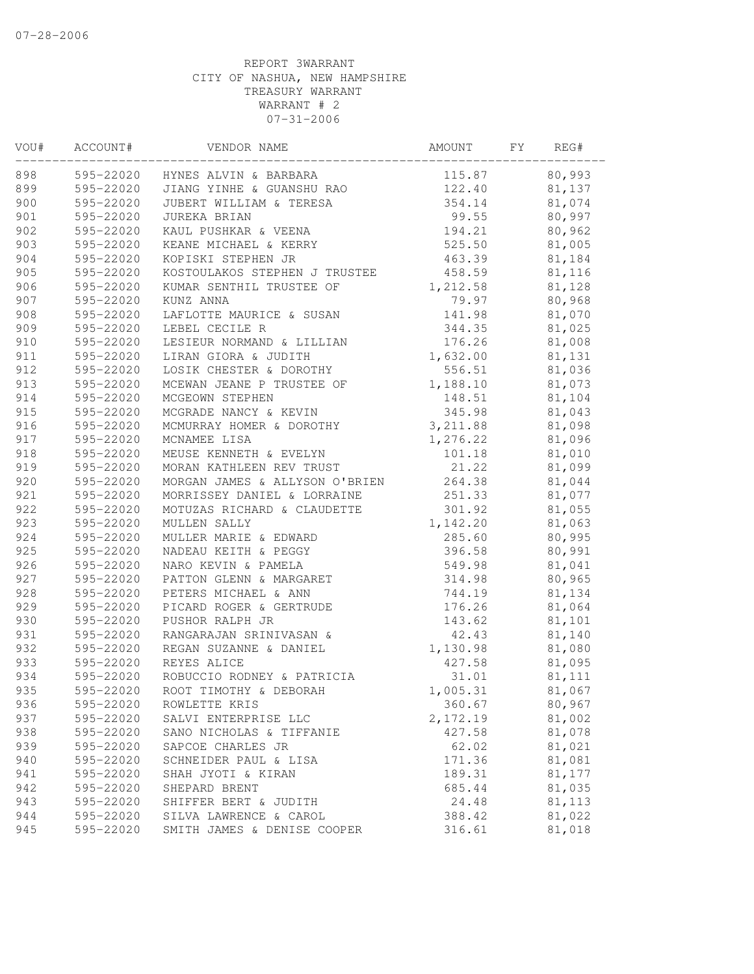| VOU# | ACCOUNT#  | VENDOR NAME                         | AMOUNT    | FY | REG#   |
|------|-----------|-------------------------------------|-----------|----|--------|
| 898  |           | 595-22020 HYNES ALVIN & BARBARA     | 115.87    |    | 80,993 |
| 899  |           | 595-22020 JIANG YINHE & GUANSHU RAO | 122.40    |    | 81,137 |
| 900  | 595-22020 | JUBERT WILLIAM & TERESA             | 354.14    |    | 81,074 |
| 901  | 595-22020 | JUREKA BRIAN                        | 99.55     |    | 80,997 |
| 902  | 595-22020 | KAUL PUSHKAR & VEENA                | 194.21    |    | 80,962 |
| 903  | 595-22020 | KEANE MICHAEL & KERRY               | 525.50    |    | 81,005 |
| 904  | 595-22020 | KOPISKI STEPHEN JR                  | 463.39    |    | 81,184 |
| 905  | 595-22020 | KOSTOULAKOS STEPHEN J TRUSTEE       | 458.59    |    | 81,116 |
| 906  | 595-22020 | KUMAR SENTHIL TRUSTEE OF            | 1,212.58  |    | 81,128 |
| 907  | 595-22020 | KUNZ ANNA                           | 79.97     |    | 80,968 |
| 908  | 595-22020 | LAFLOTTE MAURICE & SUSAN            | 141.98    |    | 81,070 |
| 909  | 595-22020 | LEBEL CECILE R                      | 344.35    |    | 81,025 |
| 910  | 595-22020 | LESIEUR NORMAND & LILLIAN           | 176.26    |    | 81,008 |
| 911  | 595-22020 | LIRAN GIORA & JUDITH                | 1,632.00  |    | 81,131 |
| 912  | 595-22020 | LOSIK CHESTER & DOROTHY             | 556.51    |    | 81,036 |
| 913  | 595-22020 | MCEWAN JEANE P TRUSTEE OF           | 1,188.10  |    | 81,073 |
| 914  | 595-22020 | MCGEOWN STEPHEN                     | 148.51    |    | 81,104 |
| 915  | 595-22020 | MCGRADE NANCY & KEVIN               | 345.98    |    | 81,043 |
| 916  | 595-22020 | MCMURRAY HOMER & DOROTHY            | 3, 211.88 |    | 81,098 |
| 917  | 595-22020 | MCNAMEE LISA                        | 1,276.22  |    | 81,096 |
| 918  | 595-22020 | MEUSE KENNETH & EVELYN              | 101.18    |    | 81,010 |
| 919  | 595-22020 | MORAN KATHLEEN REV TRUST            | 21.22     |    | 81,099 |
| 920  | 595-22020 | MORGAN JAMES & ALLYSON O'BRIEN      | 264.38    |    | 81,044 |
| 921  | 595-22020 | MORRISSEY DANIEL & LORRAINE         | 251.33    |    | 81,077 |
| 922  | 595-22020 | MOTUZAS RICHARD & CLAUDETTE         | 301.92    |    | 81,055 |
| 923  | 595-22020 | MULLEN SALLY                        | 1,142.20  |    | 81,063 |
| 924  | 595-22020 | MULLER MARIE & EDWARD               | 285.60    |    | 80,995 |
| 925  | 595-22020 | NADEAU KEITH & PEGGY                | 396.58    |    | 80,991 |
| 926  | 595-22020 | NARO KEVIN & PAMELA                 | 549.98    |    | 81,041 |
| 927  | 595-22020 | PATTON GLENN & MARGARET             | 314.98    |    | 80,965 |
| 928  | 595-22020 | PETERS MICHAEL & ANN                | 744.19    |    | 81,134 |
| 929  | 595-22020 | PICARD ROGER & GERTRUDE             | 176.26    |    | 81,064 |
| 930  | 595-22020 | PUSHOR RALPH JR                     | 143.62    |    | 81,101 |
| 931  | 595-22020 | RANGARAJAN SRINIVASAN &             | 42.43     |    | 81,140 |
| 932  | 595-22020 | REGAN SUZANNE & DANIEL              | 1,130.98  |    | 81,080 |
| 933  | 595-22020 | REYES ALICE                         | 427.58    |    | 81,095 |
| 934  | 595-22020 | ROBUCCIO RODNEY & PATRICIA          | 31.01     |    | 81,111 |
| 935  | 595-22020 | ROOT TIMOTHY & DEBORAH              | 1,005.31  |    | 81,067 |
| 936  | 595-22020 | ROWLETTE KRIS                       | 360.67    |    | 80,967 |
| 937  | 595-22020 | SALVI ENTERPRISE LLC                | 2,172.19  |    | 81,002 |
| 938  | 595-22020 | SANO NICHOLAS & TIFFANIE            | 427.58    |    | 81,078 |
| 939  | 595-22020 | SAPCOE CHARLES JR                   | 62.02     |    | 81,021 |
| 940  | 595-22020 | SCHNEIDER PAUL & LISA               | 171.36    |    | 81,081 |
| 941  | 595-22020 | SHAH JYOTI & KIRAN                  | 189.31    |    | 81,177 |
| 942  | 595-22020 | SHEPARD BRENT                       | 685.44    |    | 81,035 |
| 943  | 595-22020 | SHIFFER BERT & JUDITH               | 24.48     |    | 81,113 |
| 944  | 595-22020 | SILVA LAWRENCE & CAROL              | 388.42    |    | 81,022 |
| 945  | 595-22020 | SMITH JAMES & DENISE COOPER         | 316.61    |    | 81,018 |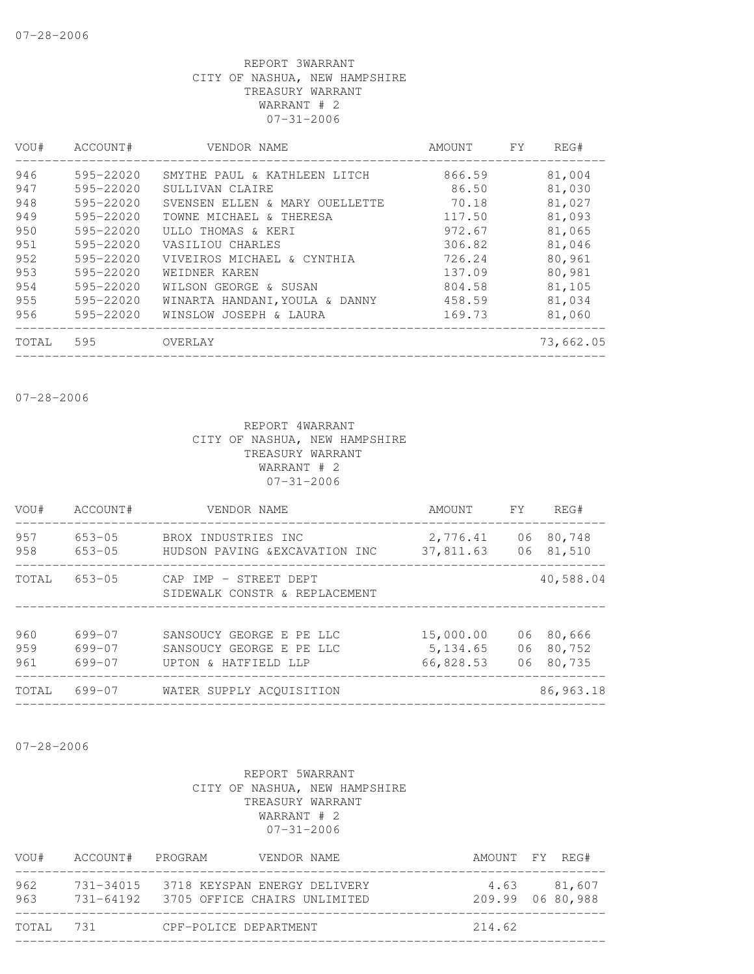| VOU#  | ACCOUNT#      | VENDOR NAME                    | AMOUNT | FY. | REG#      |
|-------|---------------|--------------------------------|--------|-----|-----------|
| 946   | 595-22020     | SMYTHE PAUL & KATHLEEN LITCH   | 866.59 |     | 81,004    |
| 947   | 595-22020     | SULLIVAN CLAIRE                | 86.50  |     | 81,030    |
| 948   | $595 - 22020$ | SVENSEN ELLEN & MARY OUELLETTE | 70.18  |     | 81,027    |
| 949   | 595-22020     | TOWNE MICHAEL & THERESA        | 117.50 |     | 81,093    |
| 950   | 595-22020     | ULLO THOMAS & KERI             | 972.67 |     | 81,065    |
| 951   | $595 - 22020$ | VASILIOU CHARLES               | 306.82 |     | 81,046    |
| 952   | 595-22020     | VIVEIROS MICHAEL & CYNTHIA     | 726.24 |     | 80,961    |
| 953   | $595 - 22020$ | WEIDNER KAREN                  | 137.09 |     | 80,981    |
| 954   | 595-22020     | WILSON GEORGE & SUSAN          | 804.58 |     | 81,105    |
| 955   | 595-22020     | WINARTA HANDANI, YOULA & DANNY | 458.59 |     | 81,034    |
| 956   | 595-22020     | WINSLOW JOSEPH & LAURA         | 169.73 |     | 81,060    |
| TOTAL | 595           | OVERLAY                        |        |     | 73,662.05 |

07-28-2006

#### REPORT 4WARRANT CITY OF NASHUA, NEW HAMPSHIRE TREASURY WARRANT WARRANT # 2 07-31-2006

| VOU#              | ACCOUNT#                   | VENDOR NAME                                                                  | AMOUNT                             | <b>FY</b>      | REG#                       |
|-------------------|----------------------------|------------------------------------------------------------------------------|------------------------------------|----------------|----------------------------|
| 957<br>958        | $653 - 05$<br>$653 - 05$   | BROX INDUSTRIES INC<br>HUDSON PAVING & EXCAVATION INC                        | 2,776.41<br>37,811.63              | 06<br>06       | 80,748<br>81,510           |
| TOTAL             | $653 - 05$                 | CAP IMP - STREET DEPT<br>SIDEWALK CONSTR & REPLACEMENT                       |                                    |                | 40,588.04                  |
| 960<br>959<br>961 | 699-07<br>699-07<br>699-07 | SANSOUCY GEORGE E PE LLC<br>SANSOUCY GEORGE E PE LLC<br>UPTON & HATFIELD LLP | 15,000.00<br>5,134.65<br>66,828.53 | 06<br>06<br>06 | 80,666<br>80,752<br>80,735 |
| TOTAL             | 699-07                     | WATER SUPPLY ACOUISITION                                                     |                                    |                | 86,963.18                  |

07-28-2006

| VOU#       | ACCOUNT# PROGRAM |                                        | VENDOR NAME                  |        | AMOUNT FY REG#                  |
|------------|------------------|----------------------------------------|------------------------------|--------|---------------------------------|
| 962<br>963 | 731-34015        | 731-64192 3705 OFFICE CHAIRS UNLIMITED | 3718 KEYSPAN ENERGY DELIVERY |        | 4.63 81.607<br>209.99 06 80,988 |
| TOTAL 731  |                  | CPF-POLICE DEPARTMENT                  |                              | 214.62 |                                 |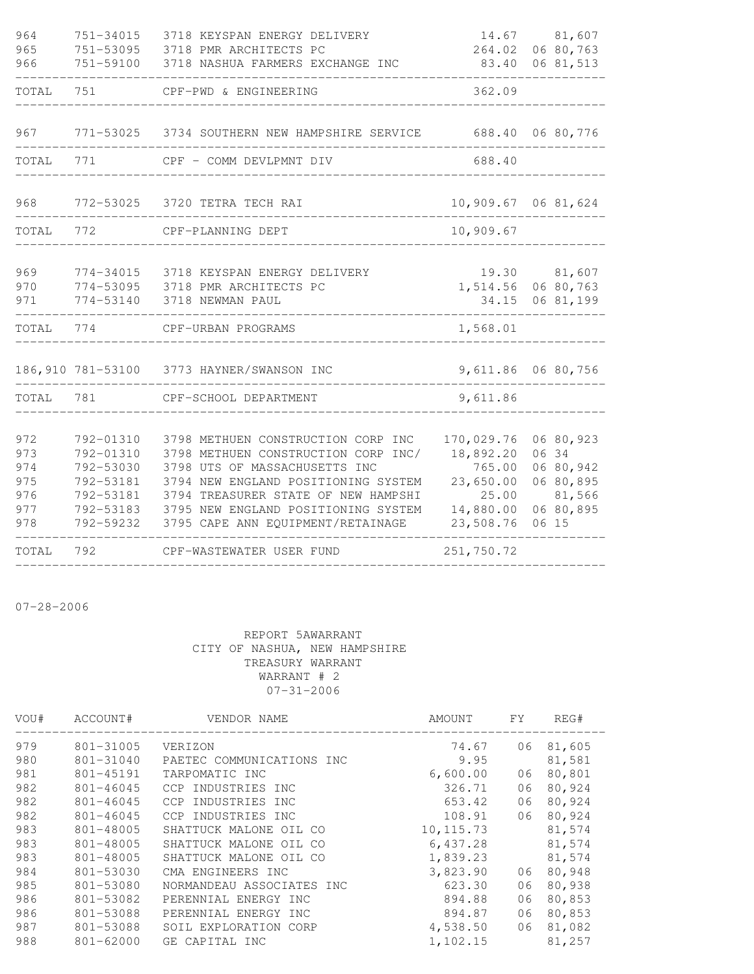| 362.09<br>751<br>TOTAL<br>CPF-PWD & ENGINEERING                                                                                                                                                                                                                                                                                                                                                                                                                                                                                                                             |        |
|-----------------------------------------------------------------------------------------------------------------------------------------------------------------------------------------------------------------------------------------------------------------------------------------------------------------------------------------------------------------------------------------------------------------------------------------------------------------------------------------------------------------------------------------------------------------------------|--------|
|                                                                                                                                                                                                                                                                                                                                                                                                                                                                                                                                                                             |        |
| 967<br>771-53025 3734 SOUTHERN NEW HAMPSHIRE SERVICE<br>688.40<br>06 80,776                                                                                                                                                                                                                                                                                                                                                                                                                                                                                                 |        |
| TOTAL<br>771<br>688.40<br>CPF - COMM DEVLPMNT DIV                                                                                                                                                                                                                                                                                                                                                                                                                                                                                                                           |        |
| 968<br>10,909.67<br>772-53025<br>3720 TETRA TECH RAI<br>06 81,624                                                                                                                                                                                                                                                                                                                                                                                                                                                                                                           |        |
| 10,909.67<br>TOTAL<br>772<br>CPF-PLANNING DEPT                                                                                                                                                                                                                                                                                                                                                                                                                                                                                                                              |        |
| 969<br>19.30 81,607<br>774-34015<br>3718 KEYSPAN ENERGY DELIVERY<br>1,514.56<br>06 80,763<br>970<br>774-53095<br>3718 PMR ARCHITECTS PC<br>06 81,199<br>971<br>774-53140<br>3718 NEWMAN PAUL<br>34.15                                                                                                                                                                                                                                                                                                                                                                       |        |
| TOTAL<br>774<br>1,568.01<br>CPF-URBAN PROGRAMS                                                                                                                                                                                                                                                                                                                                                                                                                                                                                                                              |        |
| 186,910 781-53100<br>9,611.86<br>3773 HAYNER/SWANSON INC<br>06 80,756                                                                                                                                                                                                                                                                                                                                                                                                                                                                                                       |        |
| 9,611.86<br>TOTAL<br>781<br>CPF-SCHOOL DEPARTMENT                                                                                                                                                                                                                                                                                                                                                                                                                                                                                                                           |        |
| 170,029.76<br>972<br>792-01310<br>3798 METHUEN CONSTRUCTION CORP INC<br>06 80,923<br>18,892.20<br>06 34<br>973<br>792-01310<br>3798 METHUEN CONSTRUCTION CORP INC/<br>974<br>765.00<br>06 80,942<br>792-53030<br>3798 UTS OF MASSACHUSETTS INC<br>975<br>23,650.00<br>792-53181<br>3794 NEW ENGLAND POSITIONING SYSTEM<br>06 80,895<br>3794 TREASURER STATE OF NEW HAMPSHI<br>976<br>792-53181<br>25.00<br>3795 NEW ENGLAND POSITIONING SYSTEM<br>14,880.00<br>06 80,895<br>977<br>792-53183<br>978<br>792-59232<br>3795 CAPE ANN EQUIPMENT/RETAINAGE<br>23,508.76<br>06 15 | 81,566 |
| 251,750.72<br>TOTAL<br>792<br>CPF-WASTEWATER USER FUND                                                                                                                                                                                                                                                                                                                                                                                                                                                                                                                      |        |

07-28-2006

| VOU# | ACCOUNT#      | VENDOR NAME               | AMOUNT     | FΥ | REG#   |
|------|---------------|---------------------------|------------|----|--------|
| 979  | $801 - 31005$ | VERIZON                   | 74.67      | 06 | 81,605 |
| 980  | 801-31040     | PAETEC COMMUNICATIONS INC | 9.95       |    | 81,581 |
| 981  | 801-45191     | TARPOMATIC INC            | 6,600.00   | 06 | 80,801 |
| 982  | $801 - 46045$ | CCP INDUSTRIES INC        | 326.71     | 06 | 80,924 |
| 982  | $801 - 46045$ | CCP INDUSTRIES INC        | 653.42     | 06 | 80,924 |
| 982  | 801-46045     | CCP INDUSTRIES INC        | 108.91     | 06 | 80,924 |
| 983  | 801-48005     | SHATTUCK MALONE OIL CO    | 10, 115.73 |    | 81,574 |
| 983  | 801-48005     | SHATTUCK MALONE<br>OIL CO | 6,437.28   |    | 81,574 |
| 983  | 801-48005     | SHATTUCK MALONE OIL CO    | 1,839.23   |    | 81,574 |
| 984  | 801-53030     | CMA ENGINEERS INC         | 3,823.90   | 06 | 80,948 |
| 985  | 801-53080     | NORMANDEAU ASSOCIATES INC | 623.30     | 06 | 80,938 |
| 986  | 801-53082     | PERENNIAL ENERGY INC      | 894.88     | 06 | 80,853 |
| 986  | 801-53088     | PERENNIAL ENERGY INC      | 894.87     | 06 | 80,853 |
| 987  | 801-53088     | SOIL EXPLORATION CORP     | 4,538.50   | 06 | 81,082 |
| 988  | $801 - 62000$ | GE CAPITAL INC            | 1,102.15   |    | 81,257 |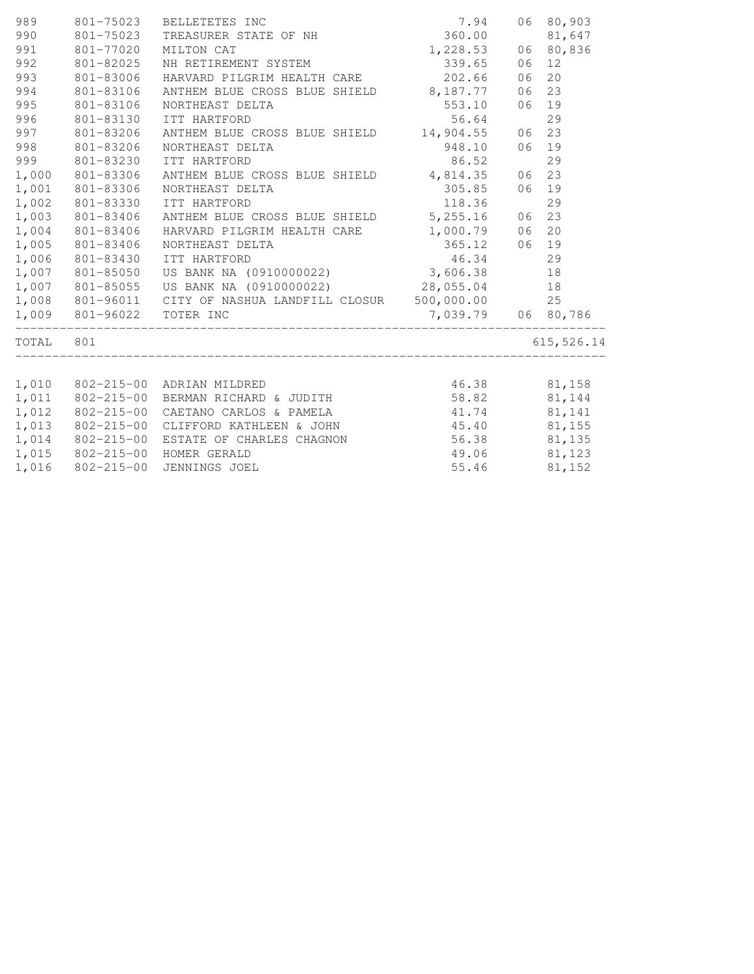| 989       | 801-75023                 | BELLETETES INC                                               | $7.94$<br>$360.00$<br>$1,228.53$ |    | 06 80,903   |
|-----------|---------------------------|--------------------------------------------------------------|----------------------------------|----|-------------|
| 990       | 801-75023                 | TREASURER STATE OF NH                                        |                                  |    | 81,647      |
| 991       | 801-77020                 | MILTON CAT                                                   |                                  |    | 06 80,836   |
| 992       | 801-82025                 | NH RETIREMENT SYSTEM                                         | 339.65                           | 06 | 12          |
| 993       | 801-83006                 | HARVARD PILGRIM HEALTH CARE 202.66                           |                                  | 06 | 20          |
| 994       | 801-83106                 | ANTHEM BLUE CROSS BLUE SHIELD 8,187.77                       |                                  | 06 | 23          |
| 995       | 801-83106                 | NORTHEAST DELTA                                              | 553.10                           | 06 | 19          |
| 996       | 801-83130                 | ITT HARTFORD                                                 | 56.64                            |    | 29          |
| 997       | 801-83206                 | ANTHEM BLUE CROSS BLUE SHIELD 14,904.55                      |                                  |    | 06 23       |
| 998       | 801-83206                 | NORTHEAST DELTA                                              | 948.10                           |    | 06 19       |
| 999       | 801-83230                 | ITT HARTFORD                                                 | 86.52                            |    | 29          |
|           | 1,000 801-83306           | ANTHEM BLUE CROSS BLUE SHIELD 4,814.35                       |                                  | 06 | 23          |
| 1,001     | 801-83306                 | NORTHEAST DELTA                                              | 305.85                           | 06 | 19          |
| 1,002     | 801-83330                 | ITT HARTFORD                                                 | 118.36                           |    | 29          |
| 1,003     | 801-83406                 | ANTHEM BLUE CROSS BLUE SHIELD 5,255.16                       |                                  |    | 06 23       |
| 1,004     | 801-83406                 | HARVARD PILGRIM HEALTH CARE 1,000.79                         |                                  | 06 | 20          |
| 1,005     | 801-83406                 |                                                              |                                  |    | 06 19       |
| 1,006     | 801-83430                 |                                                              |                                  |    | 29          |
| 1,007     | 801-85050                 |                                                              |                                  |    | 18          |
| 1,007     | 801-85055                 | US BANK NA (0910000022) 28,055.04 18                         |                                  |    |             |
|           |                           | 1,008  801-96011  CITY OF NASHUA LANDFILL CLOSUR  500,000.00 |                                  |    | 25          |
|           | 1,009 801-96022 TOTER INC |                                                              | 7,039.79 06 80,786               |    |             |
| TOTAL 801 |                           |                                                              |                                  |    | 615, 526.14 |
|           |                           |                                                              |                                  |    |             |
| 1,010     |                           | 46.38 81,158<br>802-215-00 ADRIAN MILDRED                    |                                  |    |             |
| 1,011     |                           | 802-215-00 BERMAN RICHARD & JUDITH 58.82 81,144              |                                  |    |             |
| 1,012     |                           | 802-215-00 CAETANO CARLOS & PAMELA                           | 41.74                            |    | 81,141      |
| 1,013     | $802 - 215 - 00$          | CLIFFORD KATHLEEN & JOHN 45.40 81,155                        |                                  |    |             |
| 1,014     |                           | 802-215-00 ESTATE OF CHARLES CHAGNON                         | 56.38 81,135                     |    |             |
|           |                           | 1,015 802-215-00 HOMER GERALD                                | 49.06 81,123                     |    |             |
| 1,016     | $802 - 215 - 00$          | JENNINGS JOEL                                                | 55.46                            |    | 81,152      |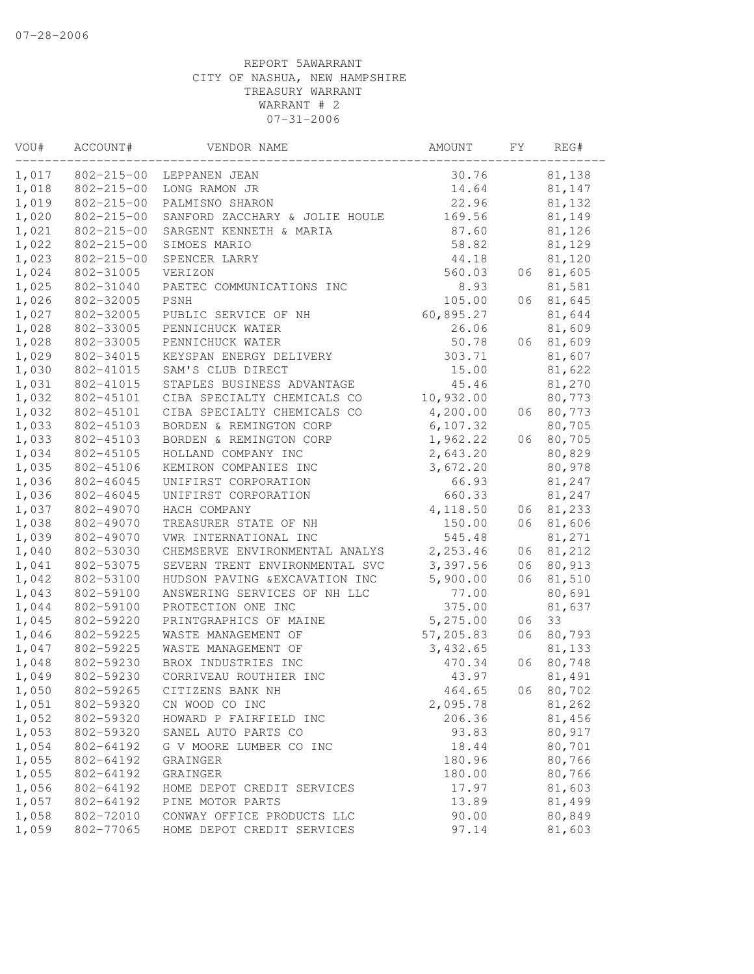| VOU#  | ACCOUNT#         | VENDOR NAME                    | AMOUNT     | FΥ | REG#   |
|-------|------------------|--------------------------------|------------|----|--------|
| 1,017 | $802 - 215 - 00$ | LEPPANEN JEAN                  | 30.76      |    | 81,138 |
| 1,018 | $802 - 215 - 00$ | LONG RAMON JR                  | 14.64      |    | 81,147 |
| 1,019 | $802 - 215 - 00$ | PALMISNO SHARON                | 22.96      |    | 81,132 |
| 1,020 | $802 - 215 - 00$ | SANFORD ZACCHARY & JOLIE HOULE | 169.56     |    | 81,149 |
| 1,021 | $802 - 215 - 00$ | SARGENT KENNETH & MARIA        | 87.60      |    | 81,126 |
| 1,022 | $802 - 215 - 00$ | SIMOES MARIO                   | 58.82      |    | 81,129 |
| 1,023 | $802 - 215 - 00$ | SPENCER LARRY                  | 44.18      |    | 81,120 |
| 1,024 | 802-31005        | VERIZON                        | 560.03     | 06 | 81,605 |
| 1,025 | 802-31040        | PAETEC COMMUNICATIONS INC      | 8.93       |    | 81,581 |
| 1,026 | 802-32005        | PSNH                           | 105.00     | 06 | 81,645 |
| 1,027 | 802-32005        | PUBLIC SERVICE OF NH           | 60,895.27  |    | 81,644 |
| 1,028 | 802-33005        | PENNICHUCK WATER               | 26.06      |    | 81,609 |
| 1,028 | 802-33005        | PENNICHUCK WATER               | 50.78      | 06 | 81,609 |
| 1,029 | 802-34015        | KEYSPAN ENERGY DELIVERY        | 303.71     |    | 81,607 |
| 1,030 | 802-41015        | SAM'S CLUB DIRECT              | 15.00      |    | 81,622 |
| 1,031 | 802-41015        | STAPLES BUSINESS ADVANTAGE     | 45.46      |    | 81,270 |
| 1,032 | 802-45101        | CIBA SPECIALTY CHEMICALS CO    | 10,932.00  |    | 80,773 |
| 1,032 | 802-45101        | CIBA SPECIALTY CHEMICALS CO    | 4,200.00   | 06 | 80,773 |
| 1,033 | 802-45103        | BORDEN & REMINGTON CORP        | 6, 107.32  |    | 80,705 |
| 1,033 | 802-45103        | BORDEN & REMINGTON CORP        | 1,962.22   | 06 | 80,705 |
| 1,034 | 802-45105        | HOLLAND COMPANY INC            | 2,643.20   |    | 80,829 |
| 1,035 | 802-45106        | KEMIRON COMPANIES INC          | 3,672.20   |    | 80,978 |
| 1,036 | 802-46045        | UNIFIRST CORPORATION           | 66.93      |    | 81,247 |
| 1,036 | 802-46045        | UNIFIRST CORPORATION           | 660.33     |    | 81,247 |
| 1,037 | 802-49070        | HACH COMPANY                   | 4,118.50   | 06 | 81,233 |
| 1,038 | 802-49070        | TREASURER STATE OF NH          | 150.00     | 06 | 81,606 |
| 1,039 | 802-49070        | VWR INTERNATIONAL INC          | 545.48     |    | 81,271 |
| 1,040 | 802-53030        | CHEMSERVE ENVIRONMENTAL ANALYS | 2,253.46   | 06 | 81,212 |
| 1,041 | 802-53075        | SEVERN TRENT ENVIRONMENTAL SVC | 3,397.56   | 06 | 80,913 |
| 1,042 | 802-53100        | HUDSON PAVING & EXCAVATION INC | 5,900.00   | 06 | 81,510 |
| 1,043 | 802-59100        | ANSWERING SERVICES OF NH LLC   | 77.00      |    | 80,691 |
| 1,044 | 802-59100        | PROTECTION ONE INC             | 375.00     |    | 81,637 |
| 1,045 | 802-59220        | PRINTGRAPHICS OF MAINE         | 5,275.00   | 06 | 33     |
| 1,046 | 802-59225        | WASTE MANAGEMENT OF            | 57, 205.83 | 06 | 80,793 |
| 1,047 | 802-59225        | WASTE MANAGEMENT OF            | 3,432.65   |    | 81,133 |
| 1,048 | 802-59230        | BROX INDUSTRIES INC            | 470.34     | 06 | 80,748 |
| 1,049 | 802-59230        | CORRIVEAU ROUTHIER INC         | 43.97      |    | 81,491 |
| 1,050 | 802-59265        | CITIZENS BANK NH               | 464.65     | 06 | 80,702 |
| 1,051 | 802-59320        | CN WOOD CO INC                 | 2,095.78   |    | 81,262 |
| 1,052 | 802-59320        | HOWARD P FAIRFIELD INC         | 206.36     |    | 81,456 |
| 1,053 | 802-59320        | SANEL AUTO PARTS CO            | 93.83      |    | 80,917 |
| 1,054 | 802-64192        | G V MOORE LUMBER CO INC        | 18.44      |    | 80,701 |
| 1,055 | 802-64192        | GRAINGER                       | 180.96     |    | 80,766 |
| 1,055 | 802-64192        | GRAINGER                       | 180.00     |    | 80,766 |
| 1,056 | 802-64192        | HOME DEPOT CREDIT SERVICES     | 17.97      |    | 81,603 |
| 1,057 | 802-64192        | PINE MOTOR PARTS               | 13.89      |    | 81,499 |
| 1,058 | 802-72010        | CONWAY OFFICE PRODUCTS LLC     | 90.00      |    | 80,849 |
| 1,059 | 802-77065        | HOME DEPOT CREDIT SERVICES     | 97.14      |    | 81,603 |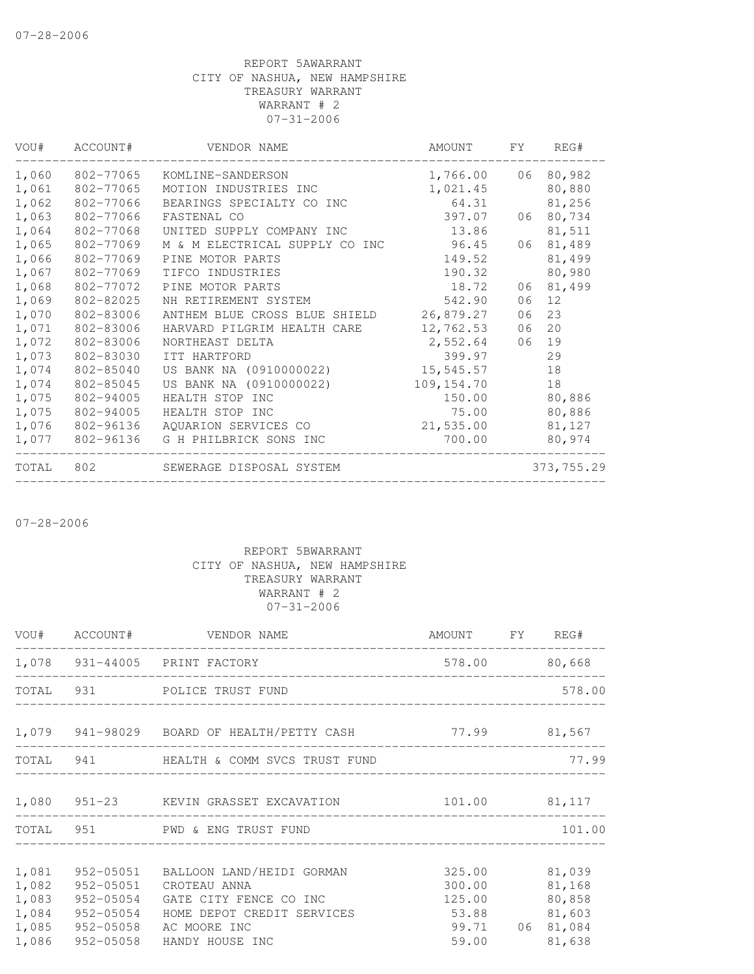| VOU#  | ACCOUNT#  | VENDOR NAME                    | AMOUNT     | FY. | REG#       |
|-------|-----------|--------------------------------|------------|-----|------------|
| 1,060 | 802-77065 | KOMLINE-SANDERSON              | 1,766.00   | 06  | 80,982     |
| 1,061 | 802-77065 | MOTION INDUSTRIES INC          | 1,021.45   |     | 80,880     |
| 1,062 | 802-77066 | BEARINGS SPECIALTY CO INC      | 64.31      |     | 81,256     |
| 1,063 | 802-77066 | FASTENAL CO                    | 397.07     | 06  | 80,734     |
| 1,064 | 802-77068 | UNITED SUPPLY COMPANY INC      | 13.86      |     | 81,511     |
| 1,065 | 802-77069 | M & M ELECTRICAL SUPPLY CO INC | 96.45      | 06  | 81,489     |
| 1,066 | 802-77069 | PINE MOTOR PARTS               | 149.52     |     | 81,499     |
| 1,067 | 802-77069 | TIFCO INDUSTRIES               | 190.32     |     | 80,980     |
| 1,068 | 802-77072 | PINE MOTOR PARTS               | 18.72      | 06  | 81,499     |
| 1,069 | 802-82025 | NH RETIREMENT SYSTEM           | 542.90     | 06  | 12         |
| 1,070 | 802-83006 | ANTHEM BLUE CROSS BLUE SHIELD  | 26,879.27  | 06  | 23         |
| 1,071 | 802-83006 | HARVARD PILGRIM HEALTH CARE    | 12,762.53  | 06  | 20         |
| 1,072 | 802-83006 | NORTHEAST DELTA                | 2,552.64   | 06  | 19         |
| 1,073 | 802-83030 | ITT HARTFORD                   | 399.97     |     | 29         |
| 1,074 | 802-85040 | US BANK NA (0910000022)        | 15,545.57  |     | 18         |
| 1,074 | 802-85045 | US BANK NA (0910000022)        | 109,154.70 |     | 18         |
| 1,075 | 802-94005 | HEALTH STOP INC                | 150.00     |     | 80,886     |
| 1,075 | 802-94005 | HEALTH STOP INC                | 75.00      |     | 80,886     |
| 1,076 | 802-96136 | AOUARION SERVICES CO           | 21,535.00  |     | 81,127     |
| 1,077 | 802-96136 | G H PHILBRICK SONS INC         | 700.00     |     | 80,974     |
| TOTAL | 802       | SEWERAGE DISPOSAL SYSTEM       |            |     | 373,755.29 |

07-28-2006

|                                                    |                                                  | VOU# ACCOUNT# VENDOR NAME<br>_________________________                                                                                                   | AMOUNT FY REG#                               |                                                                   |
|----------------------------------------------------|--------------------------------------------------|----------------------------------------------------------------------------------------------------------------------------------------------------------|----------------------------------------------|-------------------------------------------------------------------|
|                                                    |                                                  | 1,078 931-44005 PRINT FACTORY                                                                                                                            |                                              | 578.00 80,668                                                     |
|                                                    |                                                  | TOTAL 931 POLICE TRUST FUND                                                                                                                              |                                              | 578.00                                                            |
|                                                    |                                                  | 1,079 941-98029 BOARD OF HEALTH/PETTY CASH 77.99 81,567                                                                                                  | _____________________________________        |                                                                   |
|                                                    |                                                  | TOTAL 941 HEALTH & COMM SVCS TRUST FUND                                                                                                                  |                                              | 77.99                                                             |
|                                                    |                                                  | 1,080 951-23 KEVIN GRASSET EXCAVATION 101.00 81,117                                                                                                      |                                              |                                                                   |
|                                                    |                                                  | TOTAL 951 PWD & ENG TRUST FUND                                                                                                                           |                                              | 101.00                                                            |
| 1,081<br>1,082<br>1,083<br>1,084<br>1,085<br>1,086 | 952-05051<br>952-05054<br>952-05054<br>952-05058 | 952-05051 BALLOON LAND/HEIDI GORMAN<br>CROTEAU ANNA<br>GATE CITY FENCE CO INC<br>HOME DEPOT CREDIT SERVICES<br>AC MOORE INC<br>952-05058 HANDY HOUSE INC | 325.00<br>300.00<br>125.00<br>53.88<br>59.00 | 81,039<br>81,168<br>80,858<br>81,603<br>99.71 06 81,084<br>81,638 |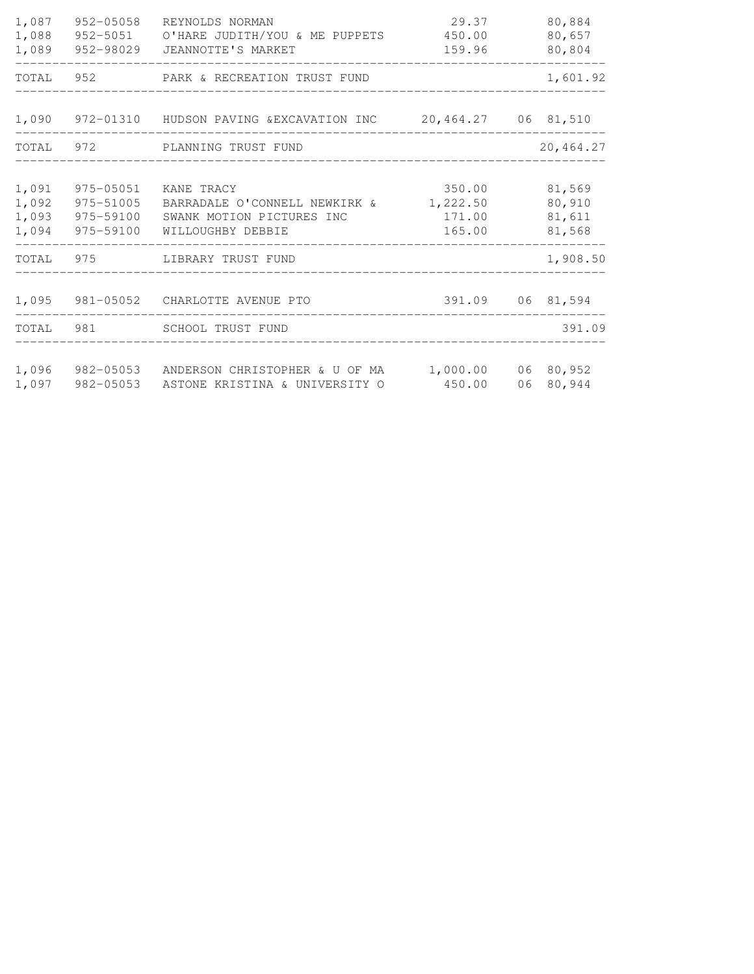| 1,087<br>1,088<br>1,089          | 952-05058                           | REYNOLDS NORMAN<br>952-5051 O'HARE JUDITH/YOU & ME PUPPETS 450.00<br>952-98029 JEANNOTTE'S MARKET                           | 29.37<br>159.96                        |    | 80,884<br>80,657<br>80,804           |
|----------------------------------|-------------------------------------|-----------------------------------------------------------------------------------------------------------------------------|----------------------------------------|----|--------------------------------------|
|                                  |                                     | TOTAL 952 PARK & RECREATION TRUST FUND                                                                                      |                                        |    | 1,601.92                             |
|                                  |                                     | 1,090 972-01310 HUDSON PAVING & EXCAVATION INC 20,464.27 06 81,510                                                          |                                        |    |                                      |
|                                  |                                     | TOTAL 972 PLANNING TRUST FUND                                                                                               |                                        |    | 20,464.27                            |
| 1,091<br>1,092<br>1,093<br>1,094 | 975-05051<br>975-51005<br>975-59100 | KANE TRACY<br>BARRADALE O'CONNELL NEWKIRK &<br>SWANK MOTION PICTURES INC<br>975-59100 WILLOUGHBY DEBBIE<br>---------------- | 350.00<br>1,222.50<br>171.00<br>165.00 |    | 81,569<br>80,910<br>81,611<br>81,568 |
|                                  |                                     | TOTAL 975 LIBRARY TRUST FUND                                                                                                |                                        |    | 1,908.50                             |
|                                  |                                     | 1,095 981-05052 CHARLOTTE AVENUE PTO                                                                                        | 391.09 06 81,594                       |    |                                      |
|                                  |                                     | TOTAL 981 SCHOOL TRUST FUND                                                                                                 |                                        |    | 391.09                               |
| 1,097                            |                                     | 1,096 982-05053 ANDERSON CHRISTOPHER & U OF MA 1,000.00 06 80,952<br>982-05053 ASTONE KRISTINA & UNIVERSITY O               | 450.00                                 | 06 | 80,944                               |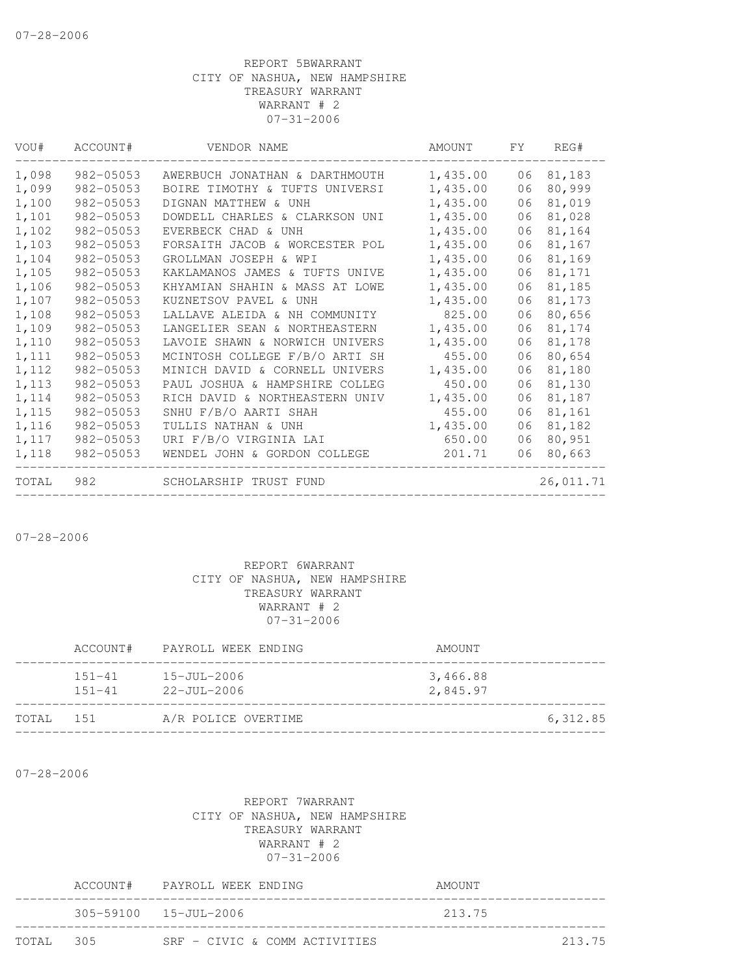| VOU#  | ACCOUNT#      | VENDOR NAME                    | AMOUNT   | FY. | REG#      |
|-------|---------------|--------------------------------|----------|-----|-----------|
| 1,098 | 982-05053     | AWERBUCH JONATHAN & DARTHMOUTH | 1,435.00 | 06  | 81,183    |
| 1,099 | $982 - 05053$ | BOIRE TIMOTHY & TUFTS UNIVERSI | 1,435.00 | 06  | 80,999    |
| 1,100 | 982-05053     | DIGNAN MATTHEW & UNH           | 1,435.00 | 06  | 81,019    |
| 1,101 | 982-05053     | DOWDELL CHARLES & CLARKSON UNI | 1,435.00 | 06  | 81,028    |
| 1,102 | 982-05053     | EVERBECK CHAD & UNH            | 1,435.00 | 06  | 81,164    |
| 1,103 | 982-05053     | FORSAITH JACOB & WORCESTER POL | 1,435.00 | 06  | 81,167    |
| 1,104 | 982-05053     | GROLLMAN JOSEPH & WPI          | 1,435.00 | 06  | 81,169    |
| 1,105 | 982-05053     | KAKLAMANOS JAMES & TUFTS UNIVE | 1,435.00 | 06  | 81,171    |
| 1,106 | 982-05053     | KHYAMIAN SHAHIN & MASS AT LOWE | 1,435.00 | 06  | 81,185    |
| 1,107 | 982-05053     | KUZNETSOV PAVEL & UNH          | 1,435.00 | 06  | 81,173    |
| 1,108 | 982-05053     | LALLAVE ALEIDA & NH COMMUNITY  | 825.00   | 06  | 80,656    |
| 1,109 | 982-05053     | LANGELIER SEAN & NORTHEASTERN  | 1,435.00 | 06  | 81,174    |
| 1,110 | 982-05053     | LAVOIE SHAWN & NORWICH UNIVERS | 1,435.00 | 06  | 81,178    |
| 1,111 | 982-05053     | MCINTOSH COLLEGE F/B/O ARTI SH | 455.00   | 06  | 80,654    |
| 1,112 | 982-05053     | MINICH DAVID & CORNELL UNIVERS | 1,435.00 | 06  | 81,180    |
| 1,113 | $982 - 05053$ | PAUL JOSHUA & HAMPSHIRE COLLEG | 450.00   | 06  | 81,130    |
| 1,114 | 982-05053     | RICH DAVID & NORTHEASTERN UNIV | 1,435.00 | 06  | 81,187    |
| 1,115 | 982-05053     | SNHU F/B/O AARTI SHAH          | 455.00   | 06  | 81,161    |
| 1,116 | 982-05053     | TULLIS NATHAN & UNH            | 1,435.00 | 06  | 81,182    |
| 1,117 | 982-05053     | URI F/B/O VIRGINIA LAI         | 650.00   | 06  | 80,951    |
| 1,118 | 982-05053     | WENDEL JOHN & GORDON COLLEGE   | 201.71   | 06  | 80,663    |
| TOTAL | 982           | SCHOLARSHIP TRUST FUND         |          |     | 26,011.71 |

07-28-2006

### REPORT 6WARRANT CITY OF NASHUA, NEW HAMPSHIRE TREASURY WARRANT WARRANT # 2 07-31-2006

|       | ACCOUNT#                 | PAYROLL WEEK ENDING                    | AMOUNT               |          |
|-------|--------------------------|----------------------------------------|----------------------|----------|
|       | $151 - 41$<br>$151 - 41$ | $15 - JU1 - 2006$<br>$22 - JUL - 2006$ | 3,466.88<br>2,845.97 |          |
| TOTAL | 1.51                     | A/R POLICE OVERTIME                    |                      | 6,312.85 |
|       |                          |                                        |                      |          |

07-28-2006

|           | ACCOUNT# PAYROLL WEEK ENDING    | AMOUNT |        |
|-----------|---------------------------------|--------|--------|
|           | $305 - 59100 - 15 - JU1 - 2006$ | 213.75 |        |
| TOTAL 305 | $SRF - CIVTC & COMM ACTIVTTERS$ |        | 213.75 |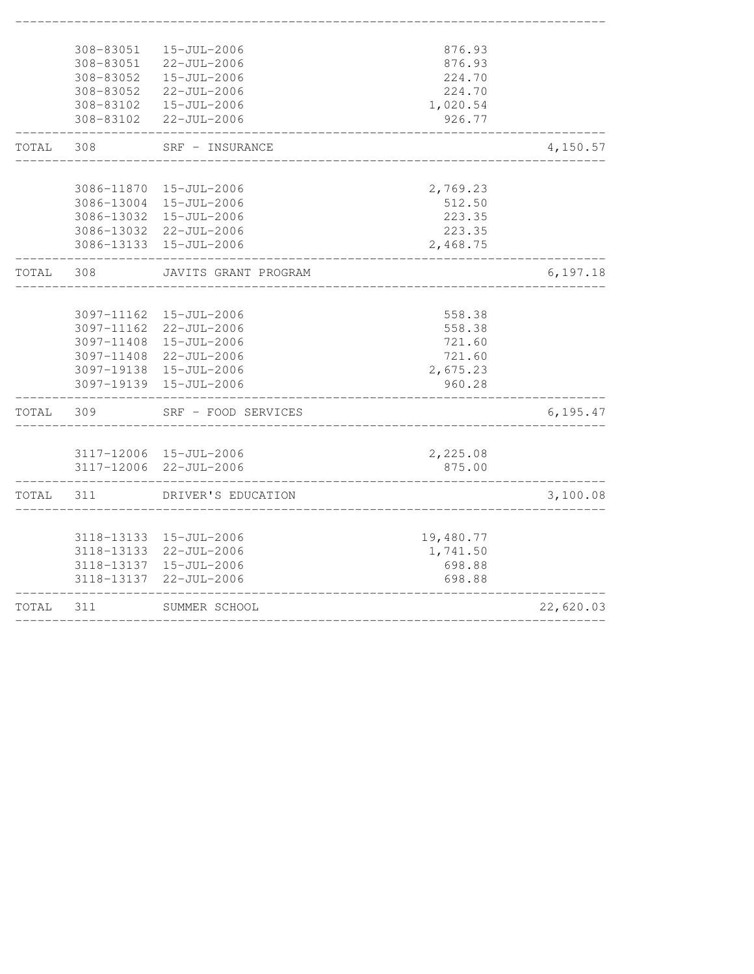|       | 308-83051                | 15-JUL-2006                      | 876.93             |           |
|-------|--------------------------|----------------------------------|--------------------|-----------|
|       | 308-83051                | $22 - JUL - 2006$                | 876.93             |           |
|       | 308-83052                | $15 - JUL - 2006$                | 224.70             |           |
|       | 308-83052                | $22 - JUL - 2006$                | 224.70             |           |
|       | 308-83102                | 15-JUL-2006                      | 1,020.54           |           |
|       | 308-83102                | $22 - JUL - 2006$                | 926.77             |           |
| TOTAL | 308                      | SRF - INSURANCE                  |                    | 4,150.57  |
|       |                          |                                  |                    |           |
|       | 3086-11870               | 15-JUL-2006                      | 2,769.23           |           |
|       | 3086-13004               | 15-JUL-2006                      | 512.50             |           |
|       | 3086-13032<br>3086-13032 | 15-JUL-2006<br>$22 - JUL - 2006$ | 223.35<br>223.35   |           |
|       | 3086-13133               | 15-JUL-2006                      | 2,468.75           |           |
|       |                          |                                  |                    |           |
| TOTAL | 308                      | JAVITS GRANT PROGRAM             |                    | 6,197.18  |
|       |                          |                                  |                    |           |
|       | 3097-11162               | $15 - JUL - 2006$                | 558.38             |           |
|       | 3097-11162               | $22 - JUL - 2006$                | 558.38             |           |
|       | 3097-11408               | 15-JUL-2006                      | 721.60             |           |
|       | 3097-11408               | $22 - JUL - 2006$                | 721.60             |           |
|       | 3097-19138<br>3097-19139 | 15-JUL-2006<br>15-JUL-2006       | 2,675.23<br>960.28 |           |
|       |                          |                                  |                    |           |
| TOTAL | 309                      | SRF - FOOD SERVICES              |                    | 6, 195.47 |
|       |                          |                                  |                    |           |
|       |                          | 3117-12006 15-JUL-2006           | 2,225.08           |           |
|       | 3117-12006               | $22 - JUL - 2006$                | 875.00             |           |
| TOTAL | 311                      | DRIVER'S EDUCATION               |                    | 3,100.08  |
|       |                          |                                  |                    |           |
|       | 3118-13133               | 15-JUL-2006                      | 19,480.77          |           |
|       | 3118-13133               | $22 - JUL - 2006$                | 1,741.50           |           |
|       | 3118-13137<br>3118-13137 | 15-JUL-2006<br>$22 - JUL - 2006$ | 698.88<br>698.88   |           |
|       |                          |                                  |                    |           |
| TOTAL | 311                      | SUMMER SCHOOL                    |                    | 22,620.03 |
|       |                          |                                  |                    |           |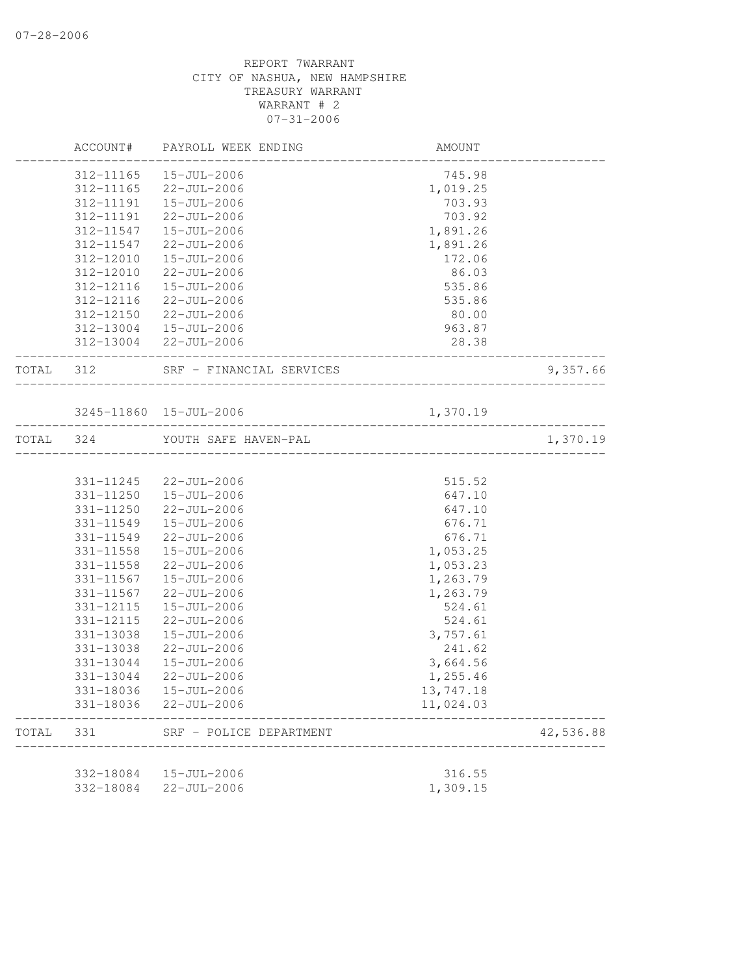|           |                        | ACCOUNT# PAYROLL WEEK ENDING     | AMOUNT                     |                              |
|-----------|------------------------|----------------------------------|----------------------------|------------------------------|
|           | 312-11165              | 15-JUL-2006                      | 745.98                     |                              |
|           | 312-11165              | 22-JUL-2006                      | 1,019.25                   |                              |
|           | 312-11191              | 15-JUL-2006                      | 703.93                     |                              |
|           | 312-11191              | 22-JUL-2006                      | 703.92                     |                              |
|           | 312-11547              | 15-JUL-2006                      | 1,891.26                   |                              |
|           | 312-11547              | 22-JUL-2006                      | 1,891.26                   |                              |
|           | 312-12010              | 15-JUL-2006                      | 172.06                     |                              |
|           | 312-12010              | $22 - JUL - 2006$                | 86.03                      |                              |
|           | 312-12116              | $15 - JUL - 2006$                | 535.86                     |                              |
|           | 312-12116              | 22-JUL-2006                      | 535.86                     |                              |
|           | 312-12150              | 22-JUL-2006                      | 80.00                      |                              |
|           |                        | 312-13004  15-JUL-2006           | 963.87                     |                              |
|           |                        | 312-13004 22-JUL-2006            | 28.38<br>_________________ |                              |
| TOTAL 312 |                        | SRF - FINANCIAL SERVICES         | _______________________    | 9,357.66                     |
|           |                        | 3245-11860 15-JUL-2006           | 1,370.19                   |                              |
| TOTAL 324 |                        | YOUTH SAFE HAVEN-PAL             |                            | ________________<br>1,370.19 |
|           |                        |                                  |                            |                              |
|           |                        | 331-11245 22-JUL-2006            | 515.52                     |                              |
|           | 331-11250              | 15-JUL-2006                      | 647.10                     |                              |
|           | 331-11250              | 22-JUL-2006                      | 647.10                     |                              |
|           | 331-11549              | 15-JUL-2006                      | 676.71                     |                              |
|           | 331-11549              | $22 - JUL - 2006$                | 676.71                     |                              |
|           | 331-11558              | 15-JUL-2006                      | 1,053.25                   |                              |
|           | 331-11558              | 22-JUL-2006                      | 1,053.23                   |                              |
|           | 331-11567              | 15-JUL-2006                      | 1,263.79                   |                              |
|           | 331-11567              | 22-JUL-2006                      | 1,263.79                   |                              |
|           | 331-12115              | 15-JUL-2006                      | 524.61                     |                              |
|           | 331-12115              | 22-JUL-2006                      | 524.61                     |                              |
|           | 331-13038              | $15 - JUL - 2006$                | 3,757.61                   |                              |
|           | 331-13038              | 22-JUL-2006                      | 241.62                     |                              |
|           | 331-13044              | 15-JUL-2006                      | 3,664.56                   |                              |
|           | 331-13044              | $22 - JUL - 2006$                | 1,255.46                   |                              |
|           | 331-18036<br>331-18036 | 15-JUL-2006<br>$22 - JUL - 2006$ | 13,747.18<br>11,024.03     |                              |
| TOTAL     | 331                    | SRF - POLICE DEPARTMENT          |                            | 42,536.88                    |
|           |                        |                                  |                            |                              |
|           | 332-18084              | 15-JUL-2006                      | 316.55                     |                              |
|           | 332-18084              | $22 - JUL - 2006$                | 1,309.15                   |                              |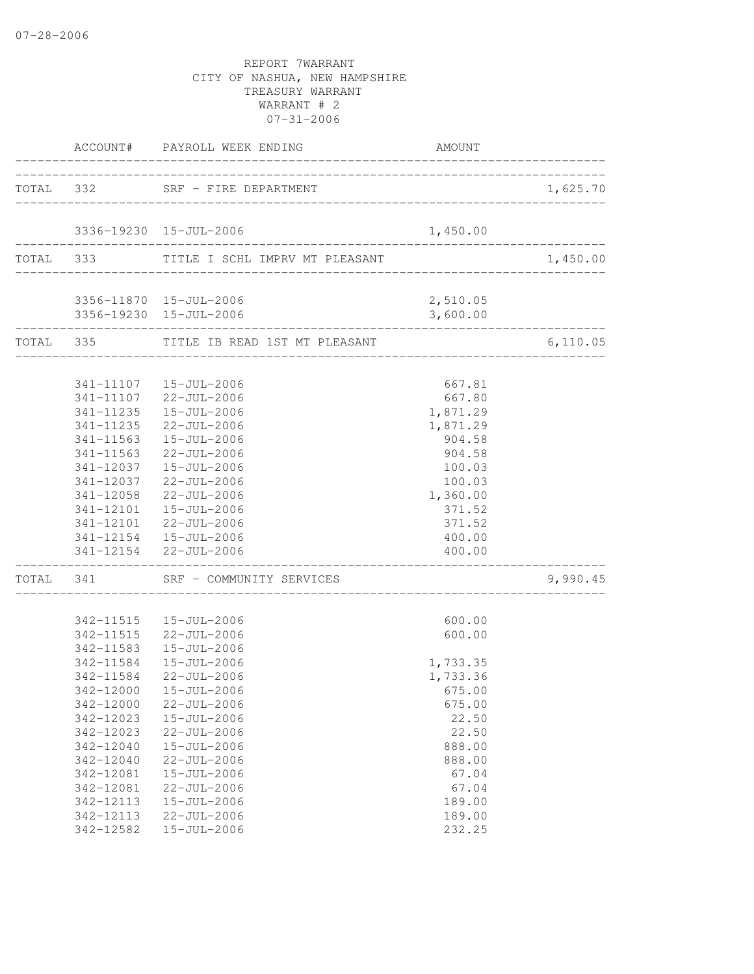|                          | ACCOUNT# PAYROLL WEEK ENDING                                         | AMOUNT                      |                               |
|--------------------------|----------------------------------------------------------------------|-----------------------------|-------------------------------|
|                          | TOTAL 332 SRF - FIRE DEPARTMENT                                      |                             | 1,625.70                      |
|                          | 3336-19230 15-JUL-2006                                               | 1,450.00                    |                               |
|                          | TOTAL 333 TITLE I SCHL IMPRV MT PLEASANT                             |                             | _________________<br>1,450.00 |
|                          | 3356-11870  15-JUL-2006                                              | 2,510.05                    |                               |
|                          | 3356-19230 15-JUL-2006                                               | 3,600.00<br>_______________ |                               |
| ________________________ | TOTAL 335 TITLE IB READ 1ST MT PLEASANT                              |                             | 6,110.05                      |
|                          | 341-11107  15-JUL-2006                                               | 667.81                      |                               |
|                          | 341-11107 22-JUL-2006                                                | 667.80                      |                               |
|                          | 341-11235   15-JUL-2006                                              | 1,871.29                    |                               |
| 341-11235                | 22-JUL-2006                                                          | 1,871.29                    |                               |
| 341-11563                | 15-JUL-2006                                                          | 904.58                      |                               |
| 341-11563                | $22 - JUL - 2006$                                                    | 904.58                      |                               |
|                          | 341-12037  15-JUL-2006                                               | 100.03                      |                               |
|                          | 341-12037 22-JUL-2006                                                | 100.03                      |                               |
|                          | 341-12058 22-JUL-2006                                                | 1,360.00                    |                               |
|                          | 341-12101  15-JUL-2006                                               | 371.52<br>371.52            |                               |
|                          | 341-12101 22-JUL-2006                                                | 400.00                      |                               |
|                          | $341 - 12154$ $15 - JUL - 2006$<br>341-12154 22-JUL-2006             | 400.00                      |                               |
|                          | ______________________________<br>TOTAL 341 SRF - COMMUNITY SERVICES |                             | 9,990.45                      |
|                          | 342-11515  15-JUL-2006                                               | 600.00                      |                               |
|                          | 342-11515 22-JUL-2006                                                | 600.00                      |                               |
|                          | 342-11583  15-JUL-2006                                               |                             |                               |
|                          | 342-11584  15-JUL-2006                                               | 1,733.35                    |                               |
| 342-11584                | 22-JUL-2006                                                          | 1,733.36                    |                               |
|                          | 342-12000  15-JUL-2006                                               | 675.00                      |                               |
| 342-12000                | $22 - JUL - 2006$                                                    | 675.00                      |                               |
| 342-12023                | 15-JUL-2006                                                          | 22.50                       |                               |
| 342-12023                | $22 - JUL - 2006$                                                    | 22.50                       |                               |
| 342-12040                | 15-JUL-2006                                                          | 888.00                      |                               |
| 342-12040                | 22-JUL-2006                                                          | 888.00                      |                               |
| 342-12081<br>342-12081   | 15-JUL-2006<br>$22 - JUL - 2006$                                     | 67.04                       |                               |
| 342-12113                | 15-JUL-2006                                                          | 67.04<br>189.00             |                               |
| 342-12113                | 22-JUL-2006                                                          | 189.00                      |                               |
| 342-12582                | 15-JUL-2006                                                          | 232.25                      |                               |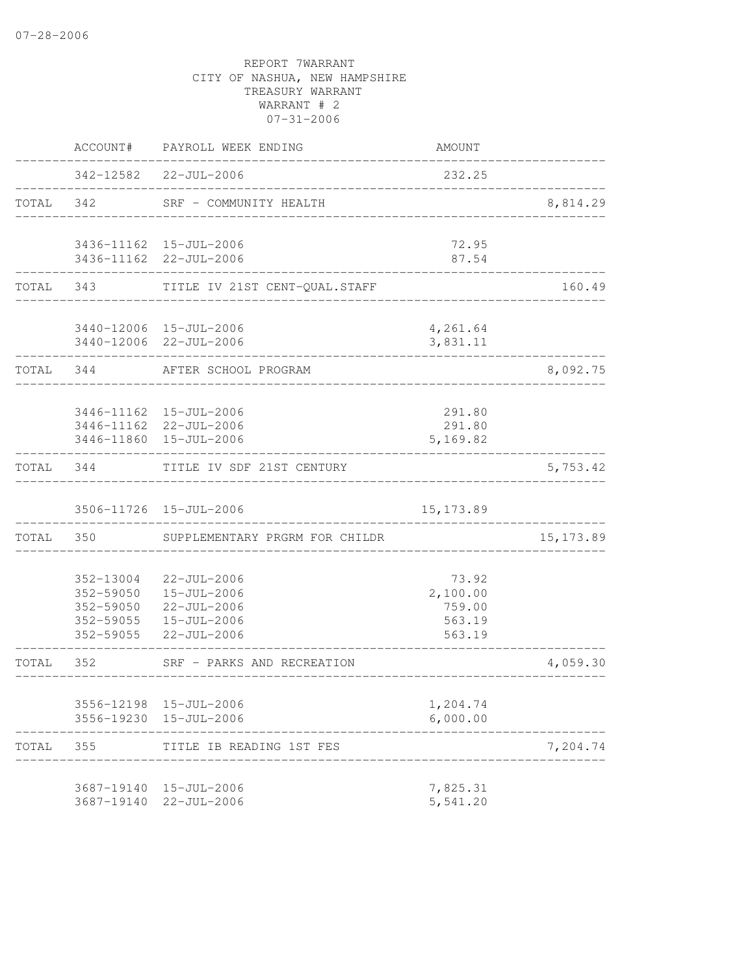|       | ACCOUNT#                 | PAYROLL WEEK ENDING                                                                                     | AMOUNT                                          |            |
|-------|--------------------------|---------------------------------------------------------------------------------------------------------|-------------------------------------------------|------------|
|       |                          | 342-12582 22-JUL-2006                                                                                   | 232.25                                          |            |
| TOTAL | 342                      | SRF - COMMUNITY HEALTH                                                                                  |                                                 | 8,814.29   |
|       |                          | 3436-11162 15-JUL-2006<br>3436-11162 22-JUL-2006                                                        | 72.95<br>87.54                                  |            |
| TOTAL | 343                      | TITLE IV 21ST CENT-QUAL. STAFF                                                                          |                                                 | 160.49     |
|       |                          | 3440-12006 15-JUL-2006<br>3440-12006 22-JUL-2006                                                        | 4,261.64<br>3,831.11                            |            |
| TOTAL | 344                      | AFTER SCHOOL PROGRAM                                                                                    |                                                 | 8,092.75   |
|       |                          | 3446-11162  15-JUL-2006<br>3446-11162 22-JUL-2006<br>3446-11860 15-JUL-2006                             | 291.80<br>291.80<br>5,169.82                    |            |
| TOTAL | 344                      | TITLE IV SDF 21ST CENTURY                                                                               |                                                 | 5,753.42   |
|       |                          | 3506-11726 15-JUL-2006                                                                                  | 15, 173.89                                      |            |
| TOTAL | 350                      | SUPPLEMENTARY PRGRM FOR CHILDR                                                                          |                                                 | 15, 173.89 |
|       | 352-13004<br>352-59055   | 22-JUL-2006<br>352-59050  15-JUL-2006<br>352-59050 22-JUL-2006<br>352-59055  15-JUL-2006<br>22-JUL-2006 | 73.92<br>2,100.00<br>759.00<br>563.19<br>563.19 |            |
| TOTAL | 352                      | SRF - PARKS AND RECREATION                                                                              |                                                 | 4,059.30   |
|       |                          | 3556-12198 15-JUL-2006<br>3556-19230 15-JUL-2006                                                        | 1,204.74<br>6,000.00                            |            |
| TOTAL | 355                      | TITLE IB READING 1ST FES                                                                                |                                                 | 7,204.74   |
|       | 3687-19140<br>3687-19140 | 15-JUL-2006<br>$22 - JUL - 2006$                                                                        | 7,825.31<br>5,541.20                            |            |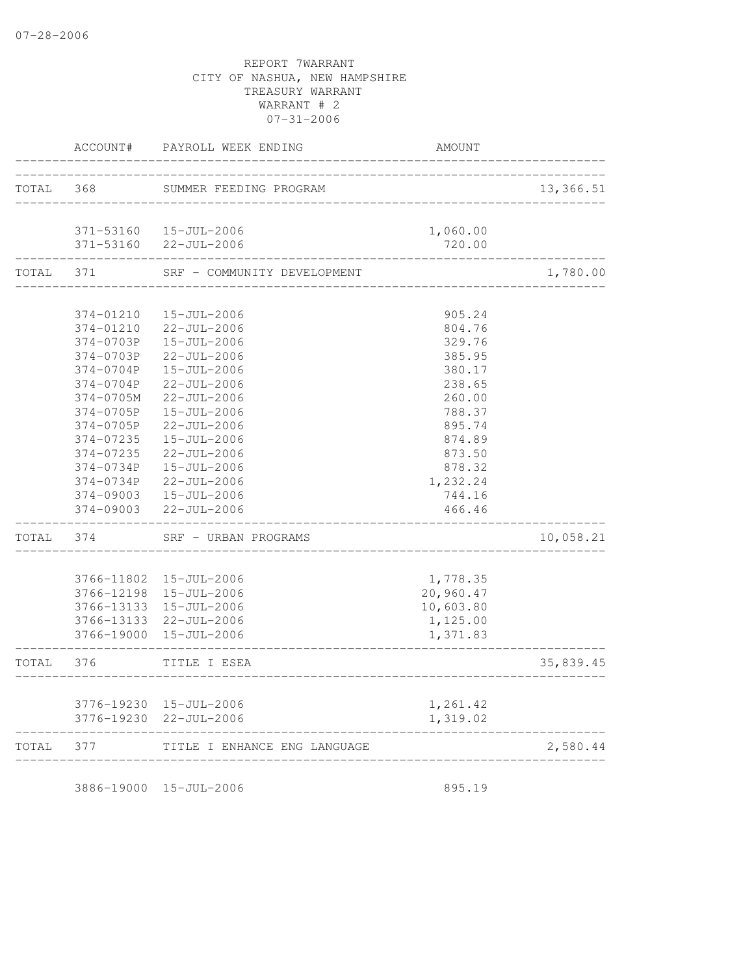|       | ACCOUNT#   | PAYROLL WEEK ENDING          | AMOUNT    |           |
|-------|------------|------------------------------|-----------|-----------|
|       |            |                              |           |           |
| TOTAL | 368        | SUMMER FEEDING PROGRAM       |           | 13,366.51 |
|       | 371-53160  | 15-JUL-2006                  | 1,060.00  |           |
|       | 371-53160  | $22 - JUL - 2006$            | 720.00    |           |
| TOTAL | 371        | SRF - COMMUNITY DEVELOPMENT  |           | 1,780.00  |
|       | 374-01210  | 15-JUL-2006                  | 905.24    |           |
|       | 374-01210  | $22 - JUL - 2006$            | 804.76    |           |
|       | 374-0703P  | 15-JUL-2006                  | 329.76    |           |
|       | 374-0703P  | $22 - JUL - 2006$            | 385.95    |           |
|       | 374-0704P  | 15-JUL-2006                  | 380.17    |           |
|       | 374-0704P  | 22-JUL-2006                  | 238.65    |           |
|       | 374-0705M  | $22 - JUL - 2006$            | 260.00    |           |
|       | 374-0705P  | 15-JUL-2006                  | 788.37    |           |
|       | 374-0705P  | $22 - JUL - 2006$            | 895.74    |           |
|       | 374-07235  | $15 - JUL - 2006$            | 874.89    |           |
|       | 374-07235  | $22 - JUL - 2006$            | 873.50    |           |
|       | 374-0734P  | $15 - JUL - 2006$            | 878.32    |           |
|       | 374-0734P  | 22-JUL-2006                  | 1,232.24  |           |
|       | 374-09003  | 15-JUL-2006                  | 744.16    |           |
|       | 374-09003  | $22 - JUL - 2006$            | 466.46    |           |
| TOTAL | 374        | SRF - URBAN PROGRAMS         |           | 10,058.21 |
|       |            | 3766-11802 15-JUL-2006       | 1,778.35  |           |
|       |            | 3766-12198 15-JUL-2006       | 20,960.47 |           |
|       | 3766-13133 | 15-JUL-2006                  | 10,603.80 |           |
|       |            | 3766-13133 22-JUL-2006       | 1,125.00  |           |
|       |            | 3766-19000 15-JUL-2006       | 1,371.83  |           |
| TOTAL | 376        | TITLE I ESEA                 |           | 35,839.45 |
|       |            |                              |           |           |
|       |            | 3776-19230 15-JUL-2006       | 1,261.42  |           |
|       |            | 3776-19230 22-JUL-2006       | 1,319.02  |           |
| TOTAL | 377        | TITLE I ENHANCE ENG LANGUAGE |           | 2,580.44  |
|       |            |                              |           |           |

3886-19000 15-JUL-2006 895.19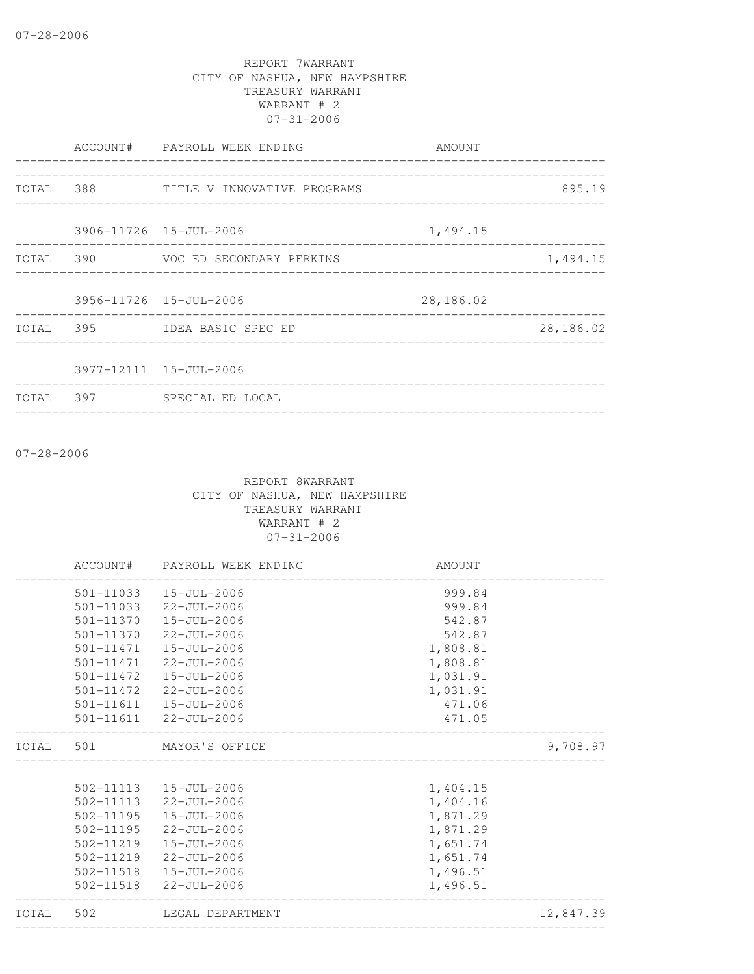|           | ACCOUNT# PAYROLL WEEK ENDING                            | AMOUNT<br>------------------------ | ----------------- |
|-----------|---------------------------------------------------------|------------------------------------|-------------------|
|           | TOTAL 388 TITLE V INNOVATIVE PROGRAMS                   |                                    | 895.19            |
|           | 3906-11726 15-JUL-2006<br>_____________________________ | 1,494.15                           |                   |
| TOTAL 390 | VOC ED SECONDARY PERKINS                                |                                    | 1,494.15          |
|           | 3956-11726 15-JUL-2006                                  | 28,186.02                          |                   |
|           | TOTAL 395 IDEA BASIC SPEC ED                            |                                    | 28,186.02         |
|           | 3977-12111 15-JUL-2006                                  |                                    |                   |
|           | TOTAL 397 SPECIAL ED LOCAL                              |                                    |                   |
|           |                                                         |                                    |                   |

07-28-2006

|           | ACCOUNT# PAYROLL WEEK ENDING | AMOUNT   |           |
|-----------|------------------------------|----------|-----------|
|           | 501-11033  15-JUL-2006       | 999.84   |           |
|           | 501-11033 22-JUL-2006        | 999.84   |           |
|           | 501-11370  15-JUL-2006       | 542.87   |           |
|           | 501-11370 22-JUL-2006        | 542.87   |           |
|           | 501-11471  15-JUL-2006       | 1,808.81 |           |
|           | 501-11471 22-JUL-2006        | 1,808.81 |           |
|           | 501-11472   15-JUL-2006      | 1,031.91 |           |
|           | 501-11472 22-JUL-2006        | 1,031.91 |           |
|           | 501-11611  15-JUL-2006       | 471.06   |           |
|           | 501-11611 22-JUL-2006        | 471.05   |           |
|           | TOTAL 501 MAYOR'S OFFICE     |          | 9,708.97  |
|           |                              |          |           |
|           | 502-11113  15-JUL-2006       | 1,404.15 |           |
|           | 502-11113 22-JUL-2006        | 1,404.16 |           |
|           | 502-11195  15-JUL-2006       | 1,871.29 |           |
|           | 502-11195 22-JUL-2006        | 1,871.29 |           |
| 502-11219 | 15-JUL-2006                  | 1,651.74 |           |
|           | 502-11219 22-JUL-2006        | 1,651.74 |           |
|           | 502-11518  15-JUL-2006       | 1,496.51 |           |
|           | 502-11518 22-JUL-2006        | 1,496.51 |           |
|           | TOTAL 502 LEGAL DEPARTMENT   |          | 12,847.39 |
|           |                              |          |           |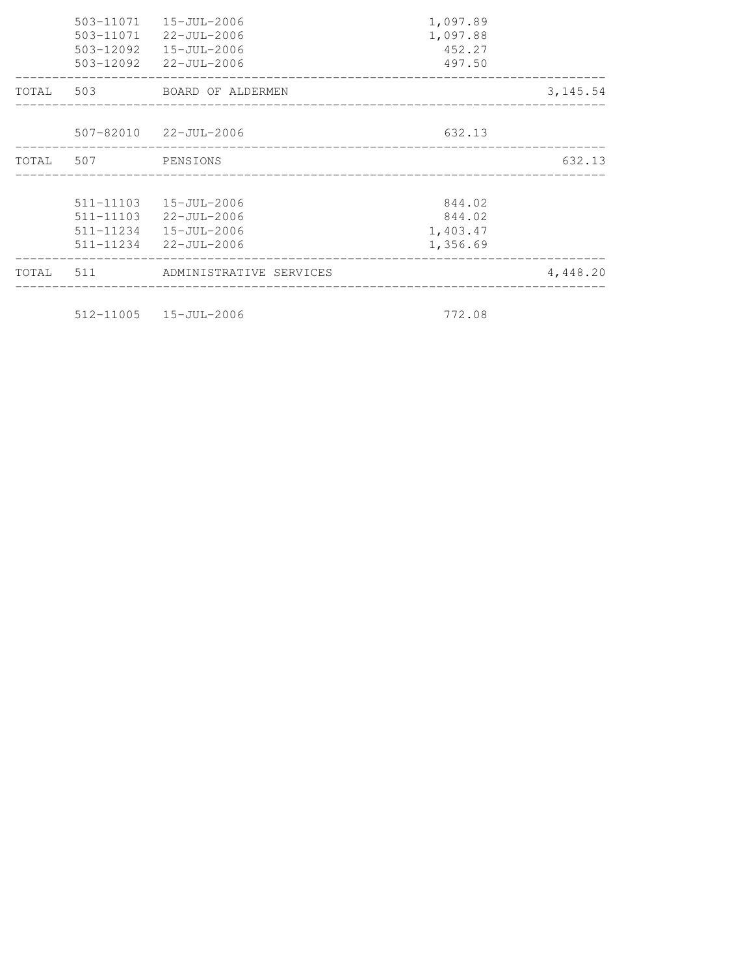| TOTAL |                    | 511 ADMINISTRATIVE SERVICES |          | 4,448.20 |
|-------|--------------------|-----------------------------|----------|----------|
|       |                    | 511-11234 22-JUL-2006       | 1,356.69 |          |
|       | 511-11234          | 15-JUL-2006                 | 1,403.47 |          |
|       | 511-11103          | 22-JUL-2006                 | 844.02   |          |
|       | 511-11103          | 15-JUL-2006                 | 844.02   |          |
|       | TOTAL 507 PENSIONS |                             |          | 632.13   |
|       |                    | 507-82010 22-JUL-2006       | 632.13   |          |
|       |                    |                             |          |          |
| TOTAL |                    | 503 BOARD OF ALDERMEN       |          | 3,145.54 |
|       |                    | 503-12092 22-JUL-2006       | 497.50   |          |
|       | 503-12092          | 15-JUL-2006                 | 452.27   |          |
|       | 503-11071          | 22-JUL-2006                 | 1,097.88 |          |
|       | 503-11071          | 15-JUL-2006                 | 1,097.89 |          |

512-11005 15-JUL-2006 772.08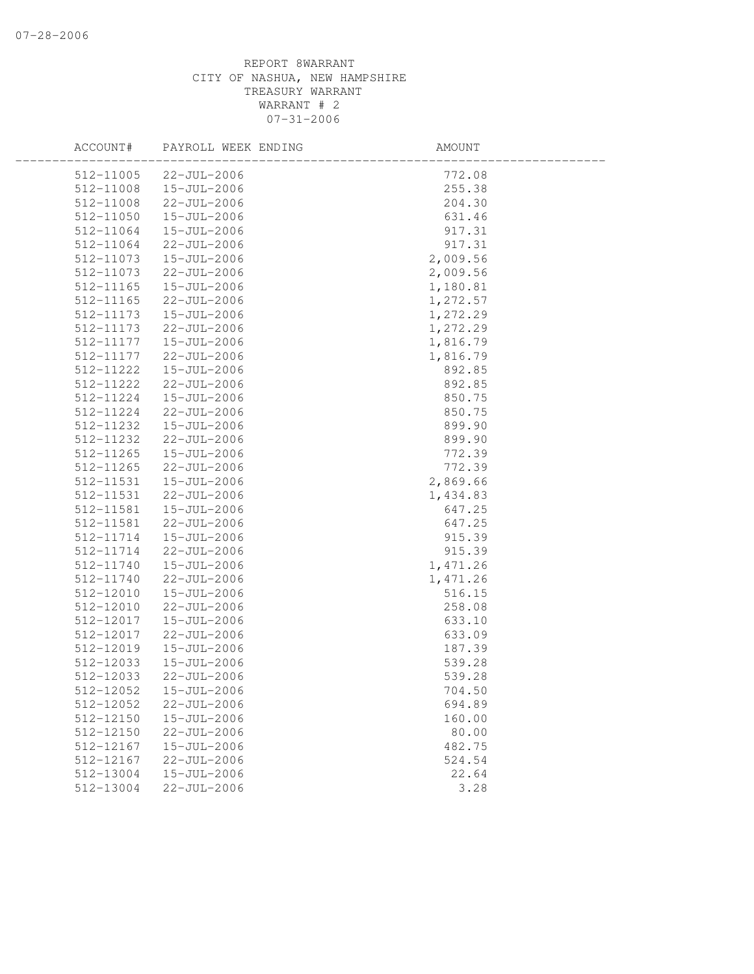| ACCOUNT#               | PAYROLL WEEK ENDING        | AMOUNT          |  |
|------------------------|----------------------------|-----------------|--|
| 512-11005              | 22-JUL-2006                | 772.08          |  |
| 512-11008              | 15-JUL-2006                | 255.38          |  |
| 512-11008              | 22-JUL-2006                | 204.30          |  |
| 512-11050              | 15-JUL-2006                | 631.46          |  |
| 512-11064              | 15-JUL-2006                | 917.31          |  |
| 512-11064              | 22-JUL-2006                | 917.31          |  |
| 512-11073              | 15-JUL-2006                | 2,009.56        |  |
| 512-11073              | 22-JUL-2006                | 2,009.56        |  |
| 512-11165              | 15-JUL-2006                | 1,180.81        |  |
| 512-11165              | 22-JUL-2006                | 1,272.57        |  |
| 512-11173              | 15-JUL-2006                | 1,272.29        |  |
| 512-11173              | 22-JUL-2006                | 1,272.29        |  |
| 512-11177              | 15-JUL-2006                | 1,816.79        |  |
| 512-11177              | 22-JUL-2006                | 1,816.79        |  |
| 512-11222              | 15-JUL-2006                | 892.85          |  |
| 512-11222              | 22-JUL-2006                | 892.85          |  |
| 512-11224              | 15-JUL-2006                | 850.75          |  |
| 512-11224              | 22-JUL-2006                | 850.75          |  |
| 512-11232              | 15-JUL-2006                | 899.90          |  |
| 512-11232              | 22-JUL-2006                | 899.90          |  |
| 512-11265              | 15-JUL-2006                | 772.39          |  |
| 512-11265              | 22-JUL-2006                | 772.39          |  |
| 512-11531              | 15-JUL-2006                | 2,869.66        |  |
| 512-11531              | 22-JUL-2006                | 1,434.83        |  |
| 512-11581              | 15-JUL-2006                | 647.25          |  |
| 512-11581              | 22-JUL-2006                | 647.25          |  |
| 512-11714              | 15-JUL-2006                | 915.39          |  |
| 512-11714              | 22-JUL-2006                | 915.39          |  |
| 512-11740              | 15-JUL-2006                | 1,471.26        |  |
| 512-11740              | 22-JUL-2006                | 1,471.26        |  |
| 512-12010              | 15-JUL-2006                | 516.15          |  |
| 512-12010              | 22-JUL-2006                | 258.08          |  |
| 512-12017              | 15-JUL-2006                | 633.10          |  |
| 512-12017              | 22-JUL-2006                | 633.09          |  |
| 512-12019              | $15 - JUL - 2006$          | 187.39          |  |
| 512-12033              | 15-JUL-2006                | 539.28          |  |
| 512-12033              | $22 - JUL - 2006$          | 539.28          |  |
| 512-12052              | $15 - JUL - 2006$          | 704.50          |  |
| 512-12052              | 22-JUL-2006                | 694.89          |  |
| 512-12150              | 15-JUL-2006                | 160.00          |  |
| 512-12150              | $22 - JUL - 2006$          | 80.00<br>482.75 |  |
| 512-12167              | 15-JUL-2006<br>22-JUL-2006 | 524.54          |  |
| 512-12167<br>512-13004 |                            |                 |  |
|                        | 15-JUL-2006                | 22.64           |  |
| 512-13004              | 22-JUL-2006                | 3.28            |  |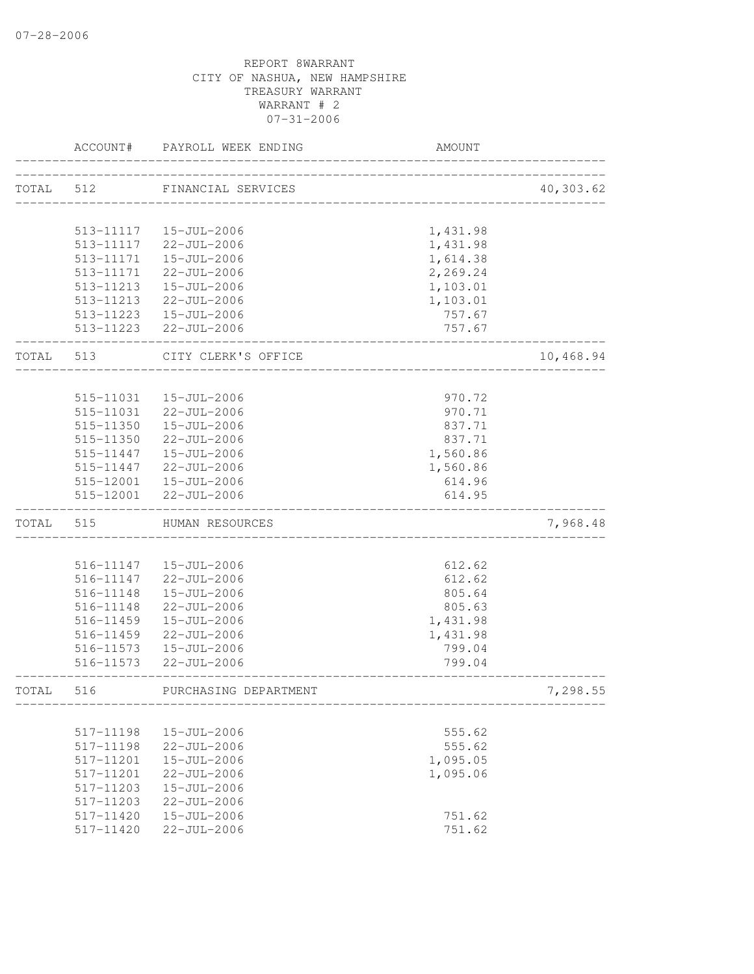|           | ACCOUNT#               | PAYROLL WEEK ENDING                         | AMOUNT               |           |
|-----------|------------------------|---------------------------------------------|----------------------|-----------|
| TOTAL     | 512                    | FINANCIAL SERVICES                          |                      | 40,303.62 |
|           |                        |                                             |                      |           |
|           |                        | 513-11117   15-JUL-2006                     | 1,431.98             |           |
|           | 513-11117<br>513-11171 | 22-JUL-2006<br>15-JUL-2006                  | 1,431.98             |           |
|           | 513-11171              | 22-JUL-2006                                 | 1,614.38<br>2,269.24 |           |
|           | 513-11213              | 15-JUL-2006                                 | 1,103.01             |           |
|           |                        | 513-11213 22-JUL-2006                       | 1,103.01             |           |
|           |                        | 513-11223  15-JUL-2006                      | 757.67               |           |
|           |                        | 513-11223 22-JUL-2006                       | 757.67               |           |
| TOTAL 513 |                        | CITY CLERK'S OFFICE                         |                      | 10,468.94 |
|           |                        |                                             |                      |           |
|           | 515-11031              | 15-JUL-2006                                 | 970.72               |           |
|           | 515-11031              | 22-JUL-2006                                 | 970.71               |           |
|           |                        | 515-11350  15-JUL-2006                      | 837.71               |           |
|           |                        | 515-11350 22-JUL-2006                       | 837.71               |           |
|           |                        | 515-11447  15-JUL-2006                      | 1,560.86             |           |
|           | 515-11447              | 22-JUL-2006                                 | 1,560.86<br>614.96   |           |
|           | 515-12001              | 515-12001  15-JUL-2006<br>$22 - JUL - 2006$ | 614.95               |           |
| TOTAL     | 515                    | HUMAN RESOURCES                             |                      | 7,968.48  |
|           |                        |                                             |                      |           |
|           |                        | 516-11147   15-JUL-2006                     | 612.62               |           |
|           | 516-11147              | 22-JUL-2006                                 | 612.62               |           |
|           | 516-11148              | 15-JUL-2006                                 | 805.64               |           |
|           | 516-11148              | $22 - JUL - 2006$                           | 805.63               |           |
|           | 516-11459              | 15-JUL-2006                                 | 1,431.98             |           |
|           | 516-11459              | $22 - JUL - 2006$                           | 1,431.98             |           |
|           | 516-11573              | 15-JUL-2006                                 | 799.04               |           |
|           | 516-11573              | 22-JUL-2006                                 | 799.04               |           |
| TOTAL     | 516                    | PURCHASING DEPARTMENT                       |                      | 7,298.55  |
|           |                        |                                             |                      |           |
|           | 517-11198              | 15-JUL-2006                                 | 555.62               |           |
|           | 517-11198              | $22 - JUL - 2006$                           | 555.62               |           |
|           | 517-11201              | $15 - JUL - 2006$                           | 1,095.05             |           |
|           | 517-11201              | $22 - JUL - 2006$                           | 1,095.06             |           |
|           | 517-11203              | $15 - JUL - 2006$                           |                      |           |
|           | 517-11203              | $22 - JUL - 2006$                           |                      |           |
|           | 517-11420              | 15-JUL-2006                                 | 751.62               |           |
|           | 517-11420              | $22 - JUL - 2006$                           | 751.62               |           |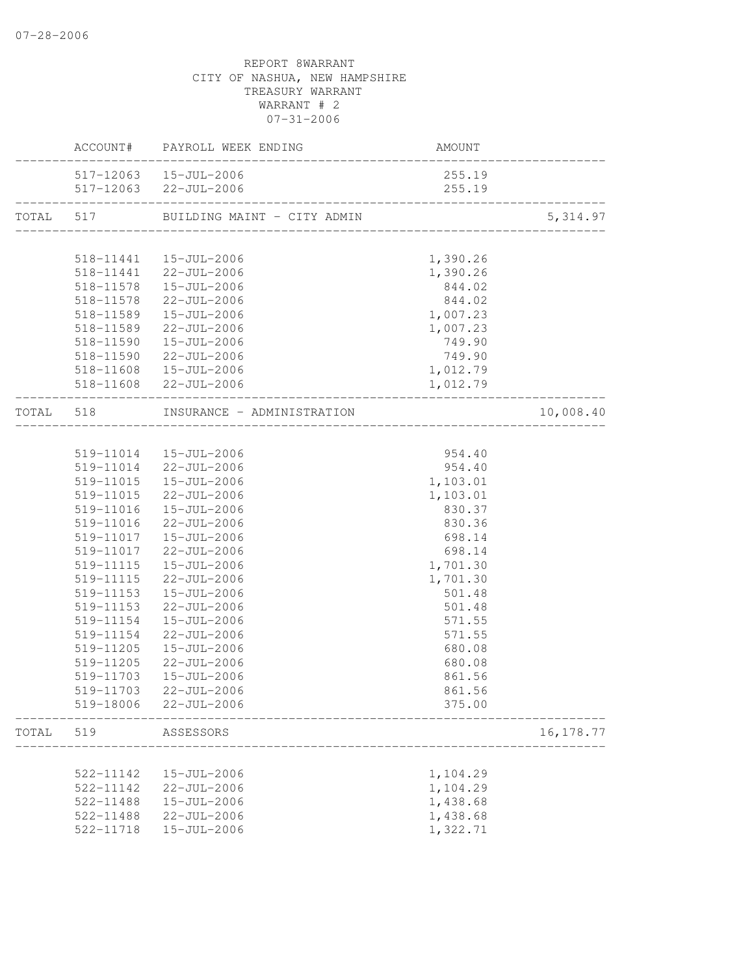|           |                          | ACCOUNT# PAYROLL WEEK ENDING               | AMOUNT   |            |
|-----------|--------------------------|--------------------------------------------|----------|------------|
|           |                          | 517-12063  15-JUL-2006                     | 255.19   |            |
|           | ________________________ | 517-12063 22-JUL-2006                      | 255.19   |            |
|           |                          | TOTAL 517 BUILDING MAINT - CITY ADMIN 5, 3 |          | 5, 314.97  |
|           |                          |                                            |          |            |
|           |                          | 518-11441  15-JUL-2006                     | 1,390.26 |            |
|           |                          | 518-11441 22-JUL-2006                      | 1,390.26 |            |
|           |                          | 518-11578  15-JUL-2006                     | 844.02   |            |
|           |                          | 518-11578 22-JUL-2006                      | 844.02   |            |
|           |                          | 518-11589  15-JUL-2006                     | 1,007.23 |            |
|           | 518-11589                | 22-JUL-2006                                | 1,007.23 |            |
|           | 518-11590                | 15-JUL-2006                                | 749.90   |            |
|           | 518-11590                | $22 - JUL - 2006$                          | 749.90   |            |
|           | 518-11608                | 15-JUL-2006                                | 1,012.79 |            |
|           |                          | 518-11608 22-JUL-2006                      | 1,012.79 |            |
| TOTAL 518 |                          | INSURANCE - ADMINISTRATION                 |          | 10,008.40  |
|           |                          |                                            |          |            |
|           |                          | 519-11014  15-JUL-2006                     | 954.40   |            |
|           |                          | 519-11014 22-JUL-2006                      | 954.40   |            |
|           |                          | 519-11015  15-JUL-2006                     | 1,103.01 |            |
|           | 519-11015                | 22-JUL-2006                                | 1,103.01 |            |
|           | 519-11016                | 15-JUL-2006                                | 830.37   |            |
|           | 519-11016                | $22 - JUL - 2006$                          | 830.36   |            |
|           |                          | 519-11017  15-JUL-2006                     | 698.14   |            |
|           |                          | 519-11017 22-JUL-2006                      | 698.14   |            |
|           |                          | 519-11115  15-JUL-2006                     | 1,701.30 |            |
|           | 519-11115                | 22-JUL-2006                                | 1,701.30 |            |
|           | 519-11153                | 15-JUL-2006                                | 501.48   |            |
|           | 519-11153                | 22-JUL-2006                                | 501.48   |            |
|           | 519-11154                | 15-JUL-2006                                | 571.55   |            |
|           | 519-11154                | 22-JUL-2006                                | 571.55   |            |
|           | 519-11205                | 15-JUL-2006                                | 680.08   |            |
|           | 519-11205                | 22-JUL-2006                                | 680.08   |            |
|           | 519-11703                | 15-JUL-2006                                | 861.56   |            |
|           |                          | 519-11703 22-JUL-2006                      | 861.56   |            |
|           | 519-18006                | 22-JUL-2006                                | 375.00   |            |
| TOTAL     | 519                      | ASSESSORS                                  |          | 16, 178.77 |
|           |                          |                                            |          |            |
|           | 522-11142                | 15-JUL-2006                                | 1,104.29 |            |
|           | 522-11142                | 22-JUL-2006                                | 1,104.29 |            |
|           | 522-11488                | 15-JUL-2006                                | 1,438.68 |            |
|           | 522-11488                | 22-JUL-2006                                | 1,438.68 |            |
|           | 522-11718                | 15-JUL-2006                                | 1,322.71 |            |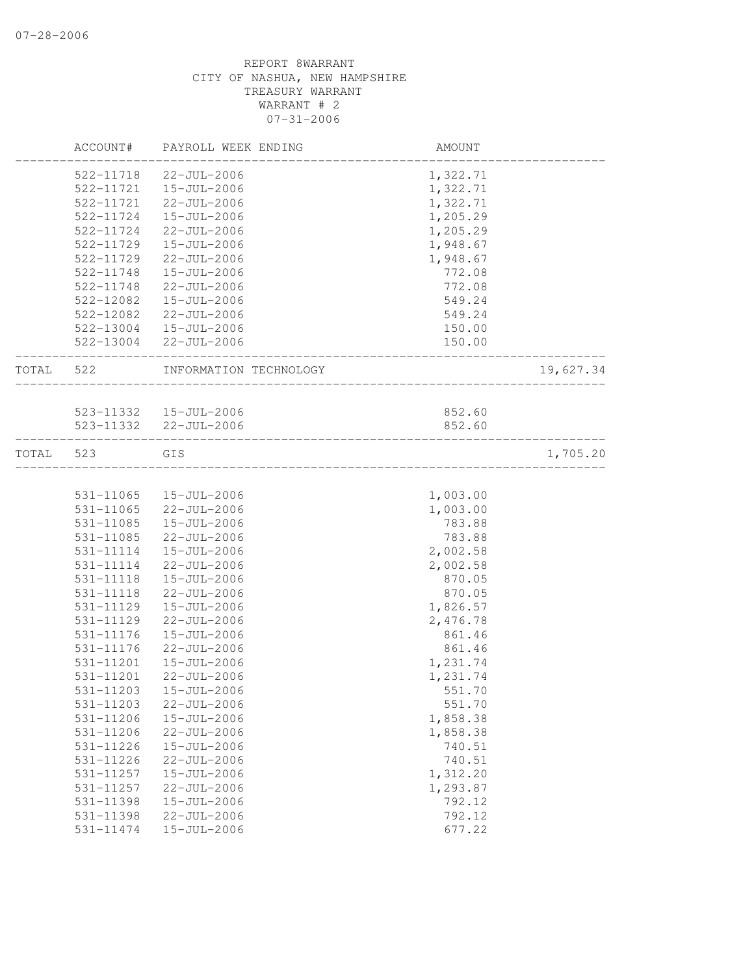|       | ACCOUNT#  | PAYROLL WEEK ENDING    | AMOUNT   |           |
|-------|-----------|------------------------|----------|-----------|
|       | 522-11718 | 22-JUL-2006            | 1,322.71 |           |
|       | 522-11721 | 15-JUL-2006            | 1,322.71 |           |
|       | 522-11721 | 22-JUL-2006            | 1,322.71 |           |
|       | 522-11724 | 15-JUL-2006            | 1,205.29 |           |
|       | 522-11724 | 22-JUL-2006            | 1,205.29 |           |
|       | 522-11729 | 15-JUL-2006            | 1,948.67 |           |
|       | 522-11729 | $22 - JUL - 2006$      | 1,948.67 |           |
|       | 522-11748 | 15-JUL-2006            | 772.08   |           |
|       | 522-11748 | 22-JUL-2006            | 772.08   |           |
|       | 522-12082 | 15-JUL-2006            | 549.24   |           |
|       | 522-12082 | $22 - JUL - 2006$      | 549.24   |           |
|       | 522-13004 | 15-JUL-2006            | 150.00   |           |
|       | 522-13004 | 22-JUL-2006            | 150.00   |           |
| TOTAL | 522       | INFORMATION TECHNOLOGY |          | 19,627.34 |
|       |           |                        |          |           |
|       |           | 523-11332  15-JUL-2006 | 852.60   |           |
|       |           | 523-11332 22-JUL-2006  | 852.60   |           |
| TOTAL | 523       | GIS                    |          | 1,705.20  |
|       |           |                        |          |           |
|       | 531-11065 | 15-JUL-2006            | 1,003.00 |           |
|       | 531-11065 | 22-JUL-2006            | 1,003.00 |           |
|       | 531-11085 | 15-JUL-2006            | 783.88   |           |
|       | 531-11085 | 22-JUL-2006            | 783.88   |           |
|       | 531-11114 | 15-JUL-2006            | 2,002.58 |           |
|       | 531-11114 | 22-JUL-2006            | 2,002.58 |           |
|       | 531-11118 | $15 - JUL - 2006$      | 870.05   |           |
|       | 531-11118 | $22 - JUL - 2006$      | 870.05   |           |
|       | 531-11129 | 15-JUL-2006            | 1,826.57 |           |
|       | 531-11129 | 22-JUL-2006            | 2,476.78 |           |
|       | 531-11176 | $15 - JUL - 2006$      | 861.46   |           |
|       | 531-11176 | 22-JUL-2006            | 861.46   |           |
|       | 531-11201 | 15-JUL-2006            | 1,231.74 |           |
|       | 531-11201 | $22 - JUL - 2006$      | 1,231.74 |           |
|       | 531-11203 | 15-JUL-2006            | 551.70   |           |
|       | 531-11203 | 22-JUL-2006            | 551.70   |           |
|       | 531-11206 | 15-JUL-2006            | 1,858.38 |           |
|       | 531-11206 | 22-JUL-2006            | 1,858.38 |           |
|       | 531-11226 | 15-JUL-2006            | 740.51   |           |
|       | 531-11226 | 22-JUL-2006            | 740.51   |           |
|       | 531-11257 | 15-JUL-2006            | 1,312.20 |           |
|       | 531-11257 | 22-JUL-2006            | 1,293.87 |           |
|       | 531-11398 | 15-JUL-2006            | 792.12   |           |
|       | 531-11398 | 22-JUL-2006            | 792.12   |           |
|       | 531-11474 | 15-JUL-2006            | 677.22   |           |
|       |           |                        |          |           |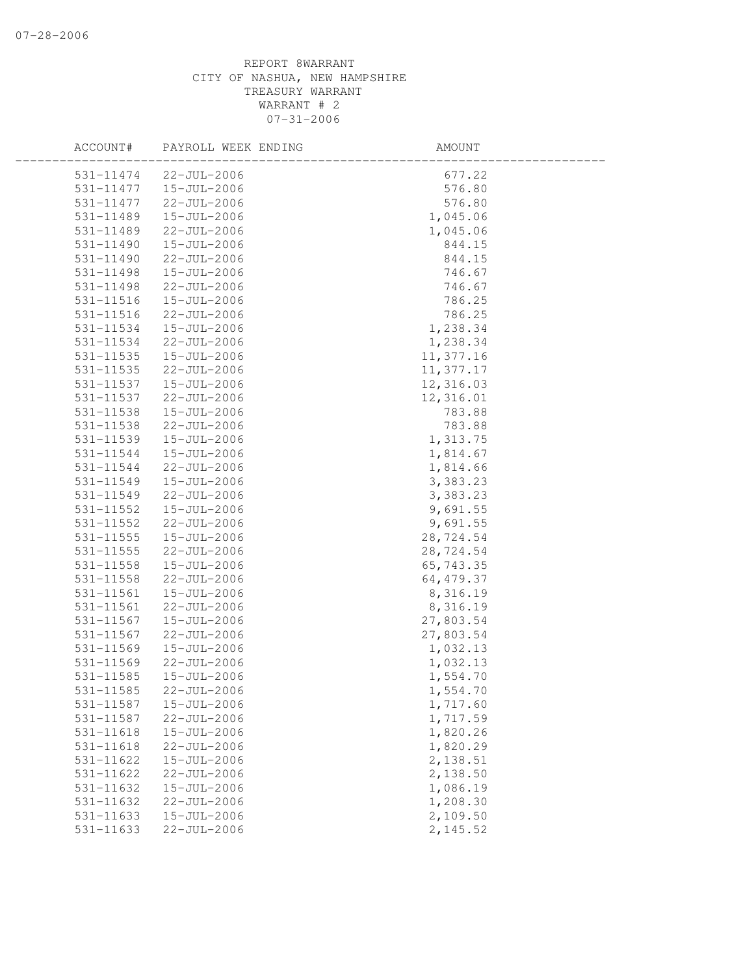| ACCOUNT#      | PAYROLL WEEK ENDING | AMOUNT     |  |
|---------------|---------------------|------------|--|
| 531-11474     | 22-JUL-2006         | 677.22     |  |
| 531-11477     | 15-JUL-2006         | 576.80     |  |
| 531-11477     | 22-JUL-2006         | 576.80     |  |
| 531-11489     | 15-JUL-2006         | 1,045.06   |  |
| 531-11489     | 22-JUL-2006         | 1,045.06   |  |
| 531-11490     | 15-JUL-2006         | 844.15     |  |
| 531-11490     | 22-JUL-2006         | 844.15     |  |
| 531-11498     | 15-JUL-2006         | 746.67     |  |
| 531-11498     | 22-JUL-2006         | 746.67     |  |
| 531-11516     | $15 - JUL - 2006$   | 786.25     |  |
| 531-11516     | $22 - JUL - 2006$   | 786.25     |  |
| 531-11534     | 15-JUL-2006         | 1,238.34   |  |
| 531-11534     | 22-JUL-2006         | 1,238.34   |  |
| 531-11535     | 15-JUL-2006         | 11,377.16  |  |
| 531-11535     | 22-JUL-2006         | 11,377.17  |  |
| 531-11537     | 15-JUL-2006         | 12,316.03  |  |
| 531-11537     | 22-JUL-2006         | 12,316.01  |  |
| 531-11538     | 15-JUL-2006         | 783.88     |  |
| 531-11538     | $22 - JUL - 2006$   | 783.88     |  |
| 531-11539     | 15-JUL-2006         | 1,313.75   |  |
| 531-11544     | 15-JUL-2006         | 1,814.67   |  |
| 531-11544     | 22-JUL-2006         | 1,814.66   |  |
| 531-11549     | 15-JUL-2006         | 3,383.23   |  |
| 531-11549     | 22-JUL-2006         | 3,383.23   |  |
| 531-11552     | 15-JUL-2006         | 9,691.55   |  |
| 531-11552     | 22-JUL-2006         | 9,691.55   |  |
| 531-11555     | 15-JUL-2006         | 28,724.54  |  |
| $531 - 11555$ | 22-JUL-2006         | 28,724.54  |  |
| 531-11558     | 15-JUL-2006         | 65,743.35  |  |
| 531-11558     | 22-JUL-2006         | 64, 479.37 |  |
| 531-11561     | 15-JUL-2006         | 8,316.19   |  |
| 531-11561     | 22-JUL-2006         | 8,316.19   |  |
| 531-11567     | 15-JUL-2006         | 27,803.54  |  |
| 531-11567     | 22-JUL-2006         | 27,803.54  |  |
| 531-11569     | 15-JUL-2006         | 1,032.13   |  |
| 531-11569     | 22-JUL-2006         | 1,032.13   |  |
| 531-11585     | 15-JUL-2006         | 1,554.70   |  |
| 531-11585     | 22-JUL-2006         | 1,554.70   |  |
| 531-11587     | 15-JUL-2006         | 1,717.60   |  |
| 531-11587     | 22-JUL-2006         | 1,717.59   |  |
| 531-11618     | 15-JUL-2006         | 1,820.26   |  |
| 531-11618     | 22-JUL-2006         | 1,820.29   |  |
| 531-11622     | 15-JUL-2006         | 2,138.51   |  |
| 531-11622     | 22-JUL-2006         | 2,138.50   |  |
| 531-11632     | 15-JUL-2006         | 1,086.19   |  |
| 531-11632     | $22 - JUL - 2006$   | 1,208.30   |  |
| 531-11633     | 15-JUL-2006         | 2,109.50   |  |
| 531-11633     | 22-JUL-2006         | 2,145.52   |  |
|               |                     |            |  |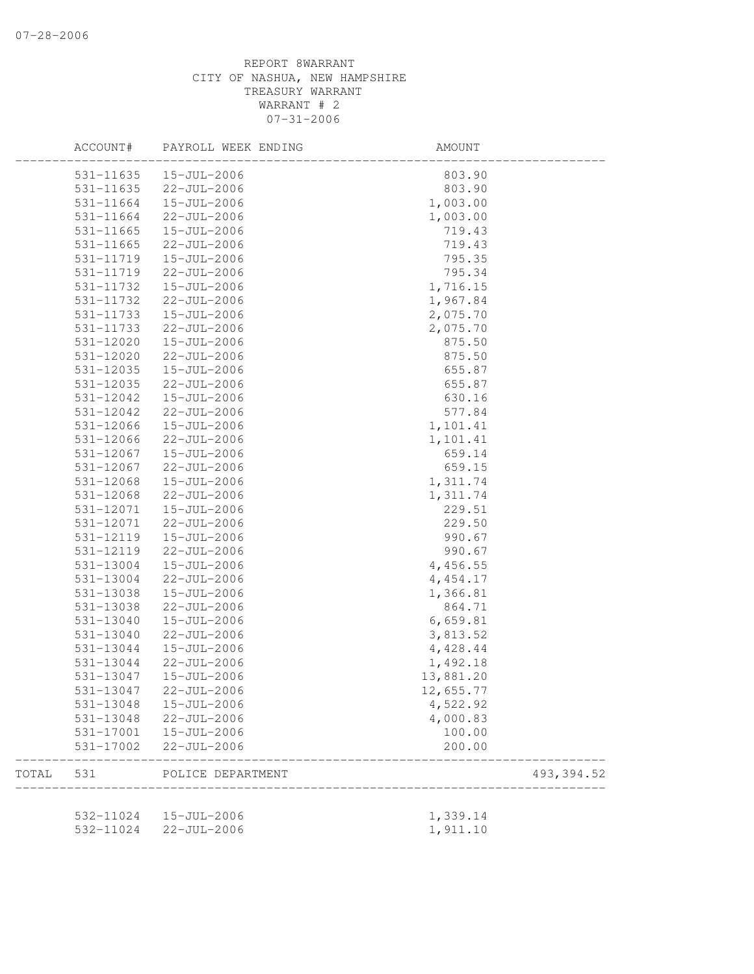|       | ACCOUNT#  | PAYROLL WEEK ENDING    | AMOUNT                   |            |
|-------|-----------|------------------------|--------------------------|------------|
|       | 531-11635 | 15-JUL-2006            | 803.90                   |            |
|       | 531-11635 | 22-JUL-2006            | 803.90                   |            |
|       | 531-11664 | 15-JUL-2006            | 1,003.00                 |            |
|       | 531-11664 | 22-JUL-2006            | 1,003.00                 |            |
|       | 531-11665 | 15-JUL-2006            | 719.43                   |            |
|       | 531-11665 | 22-JUL-2006            | 719.43                   |            |
|       | 531-11719 | 15-JUL-2006            | 795.35                   |            |
|       | 531-11719 | 22-JUL-2006            | 795.34                   |            |
|       | 531-11732 | 15-JUL-2006            | 1,716.15                 |            |
|       | 531-11732 | 22-JUL-2006            | 1,967.84                 |            |
|       | 531-11733 | 15-JUL-2006            | 2,075.70                 |            |
|       | 531-11733 | 22-JUL-2006            | 2,075.70                 |            |
|       | 531-12020 | 15-JUL-2006            | 875.50                   |            |
|       | 531-12020 | 22-JUL-2006            | 875.50                   |            |
|       | 531-12035 | 15-JUL-2006            | 655.87                   |            |
|       | 531-12035 | $22 - JUL - 2006$      | 655.87                   |            |
|       | 531-12042 | 15-JUL-2006            | 630.16                   |            |
|       | 531-12042 | 22-JUL-2006            | 577.84                   |            |
|       | 531-12066 | $15 - JUL - 2006$      | 1,101.41                 |            |
|       | 531-12066 | $22 - JUL - 2006$      | 1,101.41                 |            |
|       | 531-12067 | 15-JUL-2006            | 659.14                   |            |
|       | 531-12067 | 22-JUL-2006            | 659.15                   |            |
|       | 531-12068 | 15-JUL-2006            | 1,311.74                 |            |
|       | 531-12068 | 22-JUL-2006            | 1,311.74                 |            |
|       | 531-12071 | 15-JUL-2006            | 229.51                   |            |
|       | 531-12071 | 22-JUL-2006            | 229.50                   |            |
|       | 531-12119 | 15-JUL-2006            | 990.67                   |            |
|       | 531-12119 | 22-JUL-2006            | 990.67                   |            |
|       | 531-13004 | 15-JUL-2006            | 4,456.55                 |            |
|       | 531-13004 | $22 - JUL - 2006$      | 4, 454.17                |            |
|       | 531-13038 | 15-JUL-2006            | 1,366.81                 |            |
|       | 531-13038 | 22-JUL-2006            | 864.71                   |            |
|       | 531-13040 | 15-JUL-2006            | 6,659.81                 |            |
|       | 531-13040 | $22 - JUL - 2006$      | 3,813.52                 |            |
|       | 531-13044 | 15-JUL-2006            | 4,428.44                 |            |
|       | 531-13044 | 22-JUL-2006            | 1,492.18                 |            |
|       | 531-13047 | 15-JUL-2006            | 13,881.20                |            |
|       | 531-13047 | $22 - JUL - 2006$      | 12,655.77                |            |
|       | 531-13048 | 15-JUL-2006            | 4,522.92                 |            |
|       | 531-13048 | 22-JUL-2006            | 4,000.83                 |            |
|       | 531-17001 | 15-JUL-2006            | 100.00                   |            |
|       | 531-17002 | $22 - JUL - 2006$      | 200.00                   |            |
| TOTAL | 531       | POLICE DEPARTMENT      | ------------------------ | 493,394.52 |
|       |           |                        |                          |            |
|       |           | 532-11024  15-JUL-2006 | 1,339.14                 |            |
|       | 532-11024 | 22-JUL-2006            | 1,911.10                 |            |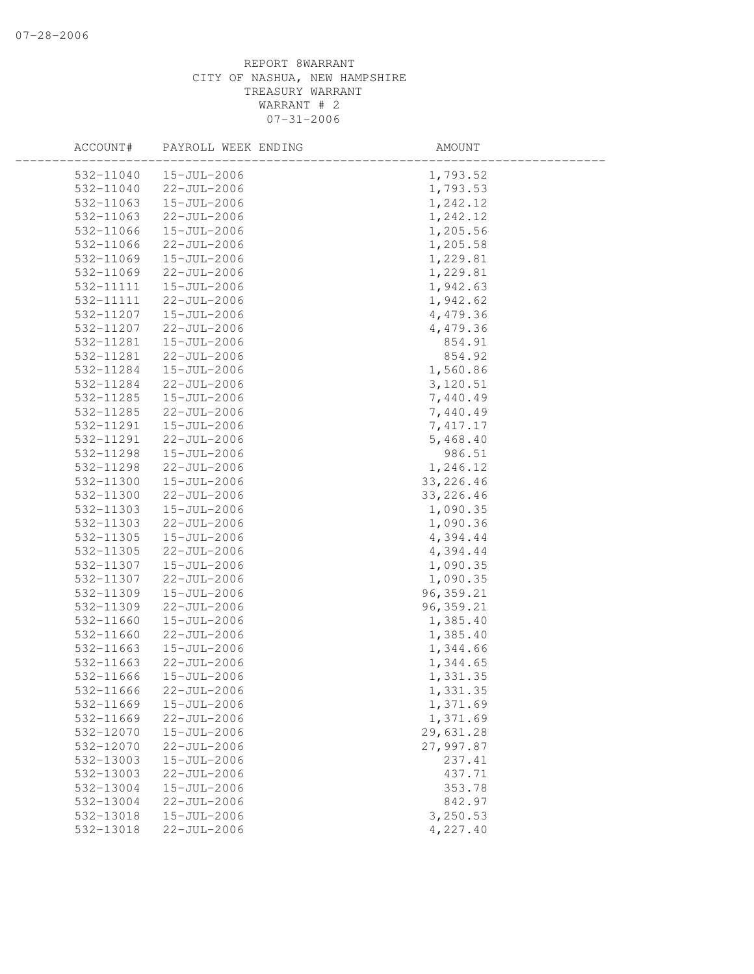| ACCOUNT#  | PAYROLL WEEK ENDING | AMOUNT     |  |
|-----------|---------------------|------------|--|
| 532-11040 | 15-JUL-2006         | 1,793.52   |  |
| 532-11040 | 22-JUL-2006         | 1,793.53   |  |
| 532-11063 | 15-JUL-2006         | 1,242.12   |  |
| 532-11063 | 22-JUL-2006         | 1,242.12   |  |
| 532-11066 | 15-JUL-2006         | 1,205.56   |  |
| 532-11066 | 22-JUL-2006         | 1,205.58   |  |
| 532-11069 | 15-JUL-2006         | 1,229.81   |  |
| 532-11069 | 22-JUL-2006         | 1,229.81   |  |
| 532-11111 | 15-JUL-2006         | 1,942.63   |  |
| 532-11111 | $22 - JUL - 2006$   | 1,942.62   |  |
| 532-11207 | 15-JUL-2006         | 4,479.36   |  |
| 532-11207 | 22-JUL-2006         | 4,479.36   |  |
| 532-11281 | 15-JUL-2006         | 854.91     |  |
| 532-11281 | 22-JUL-2006         | 854.92     |  |
| 532-11284 | 15-JUL-2006         | 1,560.86   |  |
| 532-11284 | 22-JUL-2006         | 3,120.51   |  |
| 532-11285 | 15-JUL-2006         | 7,440.49   |  |
| 532-11285 | 22-JUL-2006         | 7,440.49   |  |
| 532-11291 | $15 - JUL - 2006$   | 7,417.17   |  |
| 532-11291 | 22-JUL-2006         | 5,468.40   |  |
| 532-11298 | 15-JUL-2006         | 986.51     |  |
| 532-11298 | 22-JUL-2006         | 1,246.12   |  |
| 532-11300 | 15-JUL-2006         | 33, 226.46 |  |
| 532-11300 | 22-JUL-2006         | 33, 226.46 |  |
| 532-11303 | 15-JUL-2006         | 1,090.35   |  |
| 532-11303 | 22-JUL-2006         | 1,090.36   |  |
| 532-11305 | 15-JUL-2006         | 4,394.44   |  |
| 532-11305 | 22-JUL-2006         | 4,394.44   |  |
| 532-11307 | 15-JUL-2006         | 1,090.35   |  |
| 532-11307 | 22-JUL-2006         | 1,090.35   |  |
| 532-11309 | 15-JUL-2006         | 96, 359.21 |  |
| 532-11309 | 22-JUL-2006         | 96, 359.21 |  |
| 532-11660 | 15-JUL-2006         | 1,385.40   |  |
| 532-11660 | $22 - JUL - 2006$   | 1,385.40   |  |
| 532-11663 | 15-JUL-2006         | 1,344.66   |  |
| 532-11663 | 22-JUL-2006         | 1,344.65   |  |
| 532-11666 | 15-JUL-2006         | 1,331.35   |  |
| 532-11666 | 22-JUL-2006         | 1,331.35   |  |
| 532-11669 | 15-JUL-2006         | 1,371.69   |  |
| 532-11669 | 22-JUL-2006         | 1,371.69   |  |
| 532-12070 | 15-JUL-2006         | 29,631.28  |  |
| 532-12070 | 22-JUL-2006         | 27,997.87  |  |
| 532-13003 | 15-JUL-2006         | 237.41     |  |
| 532-13003 | $22 - JUL - 2006$   | 437.71     |  |
| 532-13004 | 15-JUL-2006         | 353.78     |  |
| 532-13004 | 22-JUL-2006         | 842.97     |  |
| 532-13018 | 15-JUL-2006         | 3,250.53   |  |
| 532-13018 | 22-JUL-2006         | 4,227.40   |  |
|           |                     |            |  |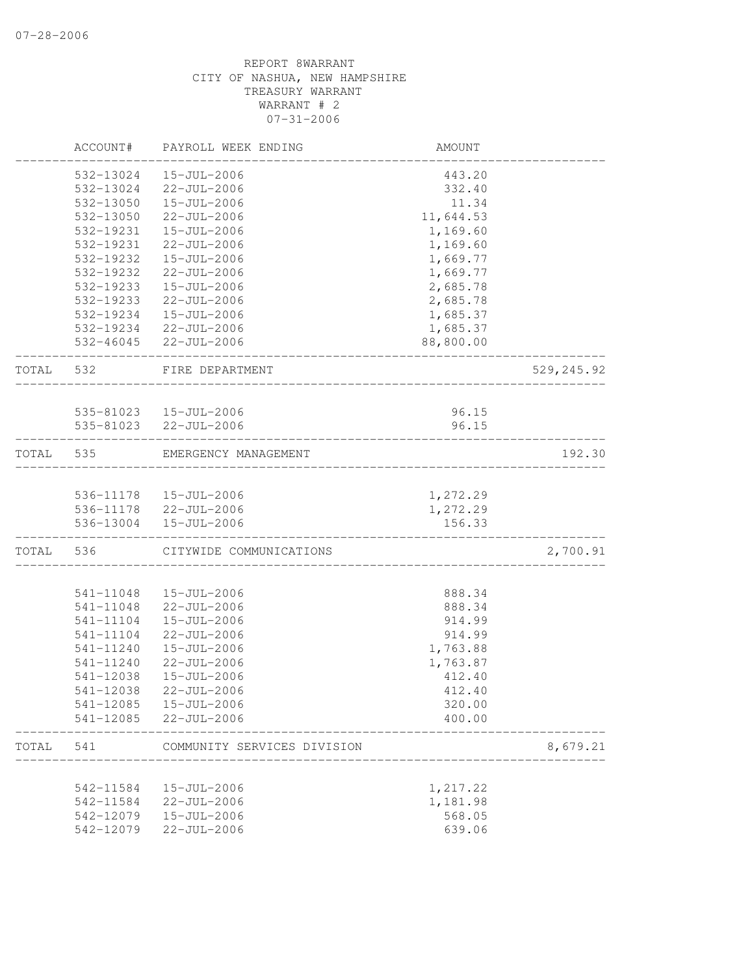|       | ACCOUNT#  | PAYROLL WEEK ENDING                             | AMOUNT    |            |
|-------|-----------|-------------------------------------------------|-----------|------------|
|       | 532-13024 | 15-JUL-2006                                     | 443.20    |            |
|       | 532-13024 | 22-JUL-2006                                     | 332.40    |            |
|       | 532-13050 | 15-JUL-2006                                     | 11.34     |            |
|       | 532-13050 | 22-JUL-2006                                     | 11,644.53 |            |
|       | 532-19231 | 15-JUL-2006                                     | 1,169.60  |            |
|       | 532-19231 | $22 - JUL - 2006$                               | 1,169.60  |            |
|       | 532-19232 | 15-JUL-2006                                     | 1,669.77  |            |
|       | 532-19232 | 22-JUL-2006                                     | 1,669.77  |            |
|       | 532-19233 | 15-JUL-2006                                     | 2,685.78  |            |
|       | 532-19233 | 22-JUL-2006                                     | 2,685.78  |            |
|       | 532-19234 | 15-JUL-2006                                     | 1,685.37  |            |
|       |           | 532-19234 22-JUL-2006                           | 1,685.37  |            |
|       |           | 532-46045 22-JUL-2006                           | 88,800.00 |            |
| TOTAL | 532       | FIRE DEPARTMENT                                 |           | 529,245.92 |
|       |           |                                                 |           |            |
|       |           | 535-81023  15-JUL-2006                          | 96.15     |            |
|       |           | 535-81023 22-JUL-2006                           | 96.15     |            |
| TOTAL | 535       | EMERGENCY MANAGEMENT                            |           | 192.30     |
|       |           |                                                 |           |            |
|       |           | 536-11178  15-JUL-2006<br>536-11178 22-JUL-2006 | 1,272.29  |            |
|       |           |                                                 | 1,272.29  |            |
|       |           | 536-13004  15-JUL-2006                          | 156.33    |            |
| TOTAL | 536       | CITYWIDE COMMUNICATIONS                         |           | 2,700.91   |
|       | 541-11048 | 15-JUL-2006                                     | 888.34    |            |
|       | 541-11048 | 22-JUL-2006                                     | 888.34    |            |
|       | 541-11104 | 15-JUL-2006                                     | 914.99    |            |
|       | 541-11104 | $22 - JUL - 2006$                               | 914.99    |            |
|       | 541-11240 | 15-JUL-2006                                     | 1,763.88  |            |
|       | 541-11240 | 22-JUL-2006                                     | 1,763.87  |            |
|       | 541-12038 | 15-JUL-2006                                     | 412.40    |            |
|       | 541-12038 | $22 - JUL - 2006$                               | 412.40    |            |
|       | 541-12085 | $15 - JUL - 2006$                               | 320.00    |            |
|       | 541-12085 | 22-JUL-2006                                     | 400.00    |            |
| TOTAL | 541       | COMMUNITY SERVICES DIVISION                     |           | 8,679.21   |
|       |           |                                                 |           |            |
|       | 542-11584 | 15-JUL-2006                                     | 1,217.22  |            |
|       | 542-11584 | $22 - JUL - 2006$                               | 1,181.98  |            |
|       | 542-12079 | 15-JUL-2006                                     | 568.05    |            |
|       | 542-12079 | 22-JUL-2006                                     | 639.06    |            |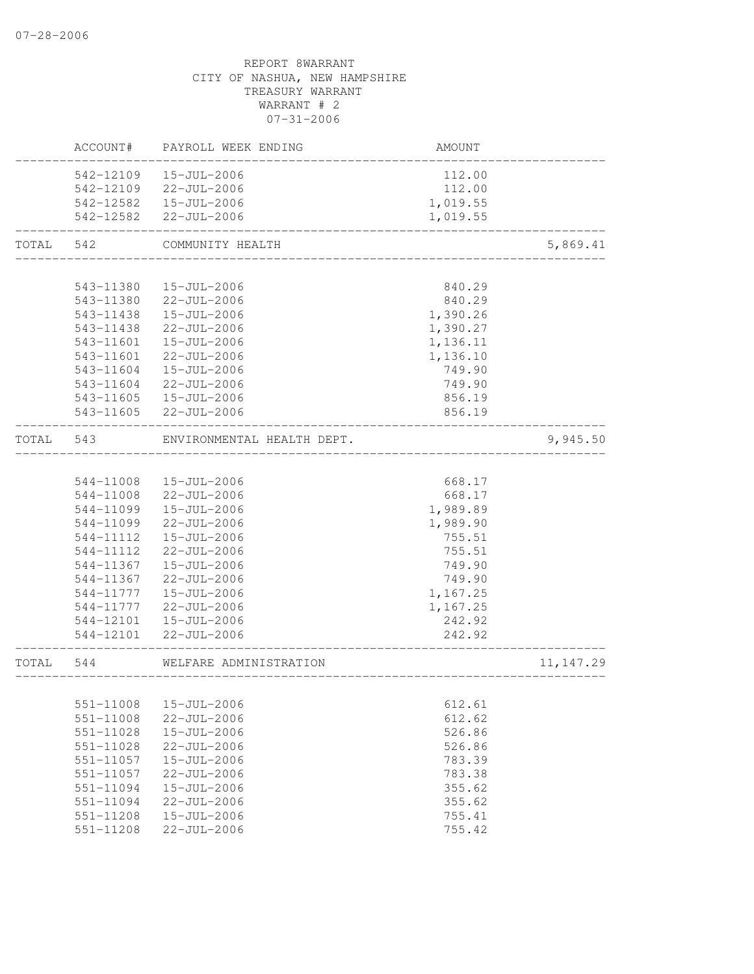# REPORT 8WARRANT CITY OF NASHUA, NEW HAMPSHIRE TREASURY WARRANT WARRANT # 2 07-31-2006 ACCOUNT# PAYROLL WEEK ENDING AMOUNT -------------------------------------------------------------------------------- 542-12109 15-JUL-2006 112.00 542-12109 22-JUL-2006 112.00 542-12582 15-JUL-2006 1,019.55 542-12582 22-JUL-2006 1,019.55 -------------------------------------------------------------------------------- TOTAL 542 COMMUNITY HEALTH 5,869.41 -------------------------------------------------------------------------------- 543-11380 15-JUL-2006 840.29 543-11380 22-JUL-2006 840.29 543-11438 15-JUL-2006 1,390.26 543-11438 22-JUL-2006 1,390.27 543-11601 15-JUL-2006 1,136.11 543-11601 22-JUL-2006 1,136.10 543-11604 15-JUL-2006 749.90 543-11604 22-JUL-2006 749.90 543-11605 15-JUL-2006 856.19 543-11605 22-JUL-2006 856.19 -------------------------------------------------------------------------------- TOTAL 543 ENVIRONMENTAL HEALTH DEPT. 9,945.50 -------------------------------------------------------------------------------- 544-11008 15-JUL-2006 668.17 544-11008 22-JUL-2006 668.17 544-11099 15-JUL-2006 1,989.89 544-11099 22-JUL-2006 1,989.90 544-11112 15-JUL-2006 755.51 544-11112 22-JUL-2006 755.51 544-11367 15-JUL-2006 749.90 544-11367 22-JUL-2006 749.90 544-11777 15-JUL-2006 1,167.25 544-11777 22-JUL-2006 1,167.25 544-12101 15-JUL-2006 242.92 544-12101 22-JUL-2006 242.92 -------------------------------------------------------------------------------- TOTAL 544 WELFARE ADMINISTRATION 11, 147.29 -------------------------------------------------------------------------------- 551-11008 15-JUL-2006 612.61 551-11008 22-JUL-2006 612.62 551-11028 15-JUL-2006 526.86 551-11028 22-JUL-2006 526.86 551-11057 15-JUL-2006 783.39 551-11057 22-JUL-2006 783.38 551-11094 15-JUL-2006 355.62 551-11094 22-JUL-2006 355.62 551-11208 15-JUL-2006 755.41

551-11208 22-JUL-2006 755.42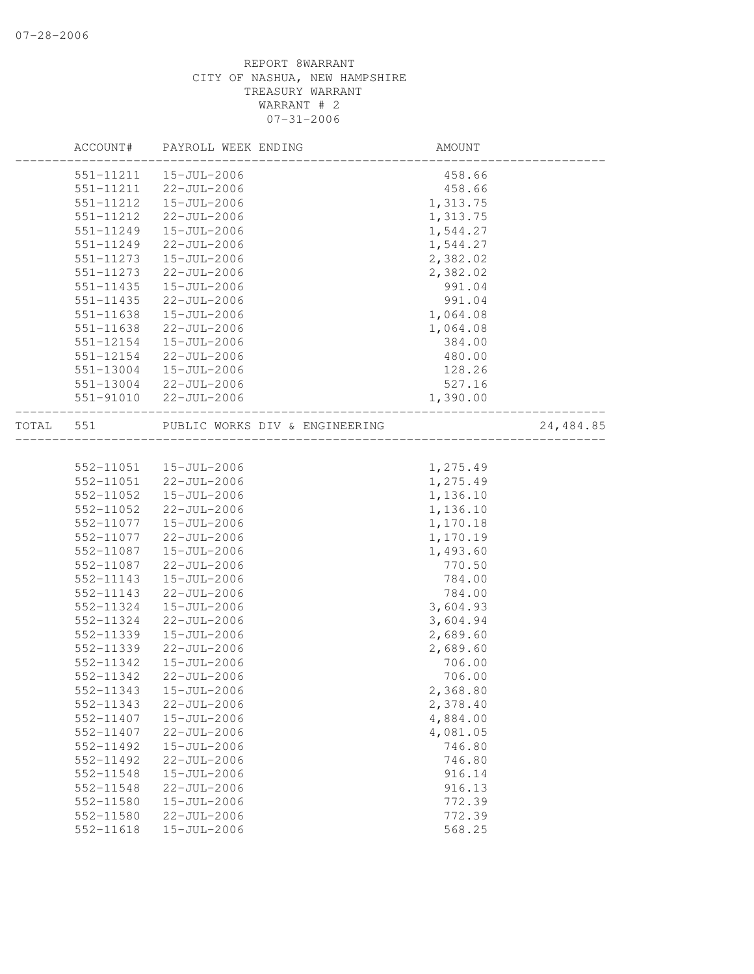|       | ACCOUNT#  | PAYROLL WEEK ENDING            | AMOUNT   |           |
|-------|-----------|--------------------------------|----------|-----------|
|       | 551-11211 | 15-JUL-2006                    | 458.66   |           |
|       | 551-11211 | 22-JUL-2006                    | 458.66   |           |
|       | 551-11212 | 15-JUL-2006                    | 1,313.75 |           |
|       | 551-11212 | 22-JUL-2006                    | 1,313.75 |           |
|       | 551-11249 | 15-JUL-2006                    | 1,544.27 |           |
|       | 551-11249 | 22-JUL-2006                    | 1,544.27 |           |
|       | 551-11273 | 15-JUL-2006                    | 2,382.02 |           |
|       | 551-11273 | $22 - JUL - 2006$              | 2,382.02 |           |
|       | 551-11435 | 15-JUL-2006                    | 991.04   |           |
|       | 551-11435 | 22-JUL-2006                    | 991.04   |           |
|       | 551-11638 | 15-JUL-2006                    | 1,064.08 |           |
|       | 551-11638 | 22-JUL-2006                    | 1,064.08 |           |
|       | 551-12154 | 15-JUL-2006                    | 384.00   |           |
|       | 551-12154 | 22-JUL-2006                    | 480.00   |           |
|       | 551-13004 | 15-JUL-2006                    | 128.26   |           |
|       |           | 551-13004 22-JUL-2006          | 527.16   |           |
|       |           | 551-91010 22-JUL-2006          | 1,390.00 |           |
|       |           |                                |          |           |
| TOTAL | 551       | PUBLIC WORKS DIV & ENGINEERING |          | 24,484.85 |
|       |           |                                |          |           |
|       | 552-11051 | 15-JUL-2006                    | 1,275.49 |           |
|       |           | 552-11051 22-JUL-2006          | 1,275.49 |           |
|       | 552-11052 | 15-JUL-2006                    | 1,136.10 |           |
|       | 552-11052 | 22-JUL-2006                    | 1,136.10 |           |
|       | 552-11077 | 15-JUL-2006                    | 1,170.18 |           |
|       | 552-11077 | 22-JUL-2006                    | 1,170.19 |           |
|       | 552-11087 | 15-JUL-2006                    | 1,493.60 |           |
|       | 552-11087 | 22-JUL-2006                    | 770.50   |           |
|       | 552-11143 | 15-JUL-2006                    | 784.00   |           |
|       | 552-11143 | $22 - JUL - 2006$              | 784.00   |           |
|       | 552-11324 | 15-JUL-2006                    | 3,604.93 |           |
|       | 552-11324 | 22-JUL-2006                    | 3,604.94 |           |
|       | 552-11339 | $15 - JUL - 2006$              | 2,689.60 |           |
|       | 552-11339 | 22-JUL-2006                    | 2,689.60 |           |
|       | 552-11342 | 15-JUL-2006                    | 706.00   |           |
|       | 552-11342 | 22-JUL-2006                    | 706.00   |           |
|       |           | 552-11343  15-JUL-2006         | 2,368.80 |           |
|       | 552-11343 | $22 - JUL - 2006$              | 2,378.40 |           |
|       | 552-11407 | $15 - JUL - 2006$              | 4,884.00 |           |
|       | 552-11407 | 22-JUL-2006                    | 4,081.05 |           |
|       | 552-11492 | 15-JUL-2006                    | 746.80   |           |
|       |           |                                |          |           |
|       | 552-11492 | 22-JUL-2006                    | 746.80   |           |
|       | 552-11548 | $15 - JUL - 2006$              | 916.14   |           |
|       | 552-11548 | $22 - JUL - 2006$              | 916.13   |           |
|       | 552-11580 | $15 - JUL - 2006$              | 772.39   |           |
|       | 552-11580 | $22 - JUL - 2006$              | 772.39   |           |
|       | 552-11618 | 15-JUL-2006                    | 568.25   |           |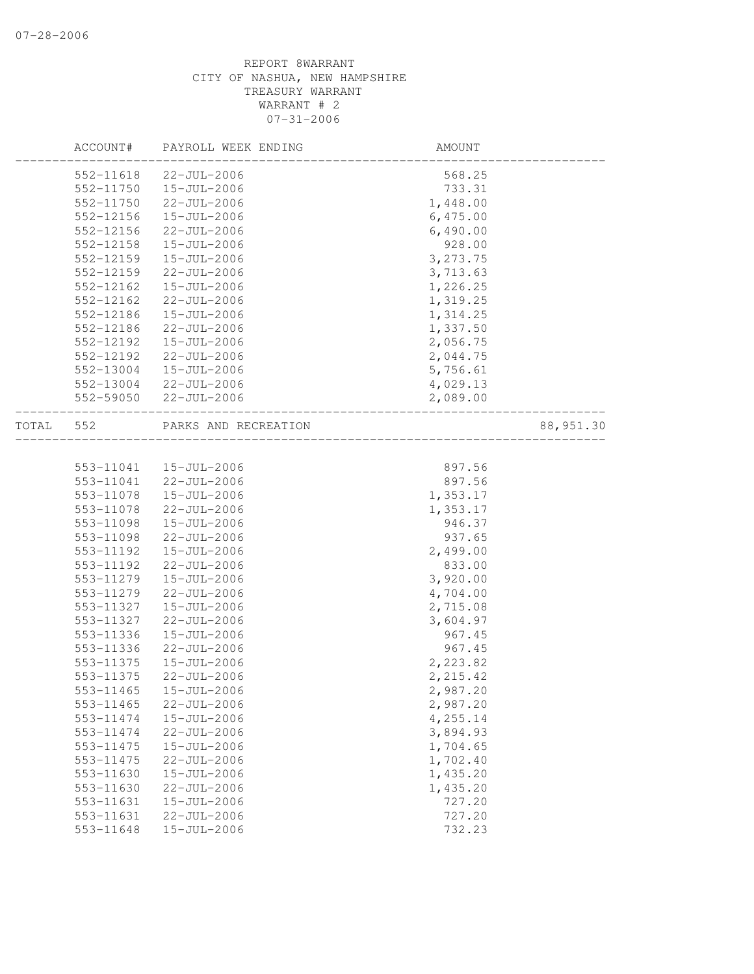|       | ACCOUNT#      | PAYROLL WEEK ENDING  | AMOUNT                    |            |
|-------|---------------|----------------------|---------------------------|------------|
|       | 552-11618     | 22-JUL-2006          | 568.25                    |            |
|       | 552-11750     | $15 - JUL - 2006$    | 733.31                    |            |
|       | 552-11750     | 22-JUL-2006          | 1,448.00                  |            |
|       | 552-12156     | 15-JUL-2006          | 6,475.00                  |            |
|       | 552-12156     | 22-JUL-2006          | 6,490.00                  |            |
|       | 552-12158     | 15-JUL-2006          | 928.00                    |            |
|       | 552-12159     | 15-JUL-2006          | 3,273.75                  |            |
|       | $552 - 12159$ | $22 - JUL - 2006$    | 3,713.63                  |            |
|       | 552-12162     | 15-JUL-2006          | 1,226.25                  |            |
|       | 552-12162     | $22 - JUL - 2006$    | 1,319.25                  |            |
|       | 552-12186     | 15-JUL-2006          | 1,314.25                  |            |
|       | 552-12186     | 22-JUL-2006          | 1,337.50                  |            |
|       | 552-12192     | 15-JUL-2006          | 2,056.75                  |            |
|       | 552-12192     | 22-JUL-2006          | 2,044.75                  |            |
|       | 552-13004     | 15-JUL-2006          | 5,756.61                  |            |
|       | 552-13004     | 22-JUL-2006          | 4,029.13                  |            |
|       | 552-59050     | 22-JUL-2006          | 2,089.00                  |            |
| TOTAL | 552           | PARKS AND RECREATION | _________________________ | 88, 951.30 |
|       |               |                      |                           |            |
|       | 553-11041     | 15-JUL-2006          | 897.56                    |            |
|       | 553-11041     | 22-JUL-2006          | 897.56                    |            |
|       | 553-11078     | 15-JUL-2006          | 1,353.17                  |            |
|       | 553-11078     | 22-JUL-2006          | 1,353.17                  |            |
|       | 553-11098     | 15-JUL-2006          | 946.37                    |            |
|       | 553-11098     | 22-JUL-2006          | 937.65                    |            |
|       | 553-11192     | 15-JUL-2006          | 2,499.00                  |            |
|       | 553-11192     | 22-JUL-2006          | 833.00                    |            |
|       | 553-11279     | 15-JUL-2006          | 3,920.00                  |            |
|       | 553-11279     | 22-JUL-2006          | 4,704.00                  |            |
|       | 553-11327     | 15-JUL-2006          | 2,715.08                  |            |
|       | 553-11327     | 22-JUL-2006          | 3,604.97                  |            |
|       | 553-11336     | 15-JUL-2006          | 967.45                    |            |
|       | 553-11336     | $22 - JUL - 2006$    | 967.45                    |            |
|       | 553-11375     | 15-JUL-2006          | 2,223.82                  |            |
|       | 553-11375     | 22-JUL-2006          | 2,215.42                  |            |
|       | 553-11465     | 15-JUL-2006          | 2,987.20                  |            |
|       | 553-11465     | 22-JUL-2006          | 2,987.20                  |            |
|       | 553-11474     | 15-JUL-2006          | 4,255.14                  |            |
|       | 553-11474     | $22 - JUL - 2006$    | 3,894.93                  |            |
|       | 553-11475     | 15-JUL-2006          | 1,704.65                  |            |
|       | 553-11475     | 22-JUL-2006          | 1,702.40                  |            |
|       | 553-11630     | 15-JUL-2006          | 1,435.20                  |            |
|       | 553-11630     | $22 - JUL - 2006$    | 1,435.20                  |            |
|       | 553-11631     | 15-JUL-2006          | 727.20                    |            |
|       | 553-11631     | $22 - JUL - 2006$    | 727.20                    |            |
|       | 553-11648     | 15-JUL-2006          | 732.23                    |            |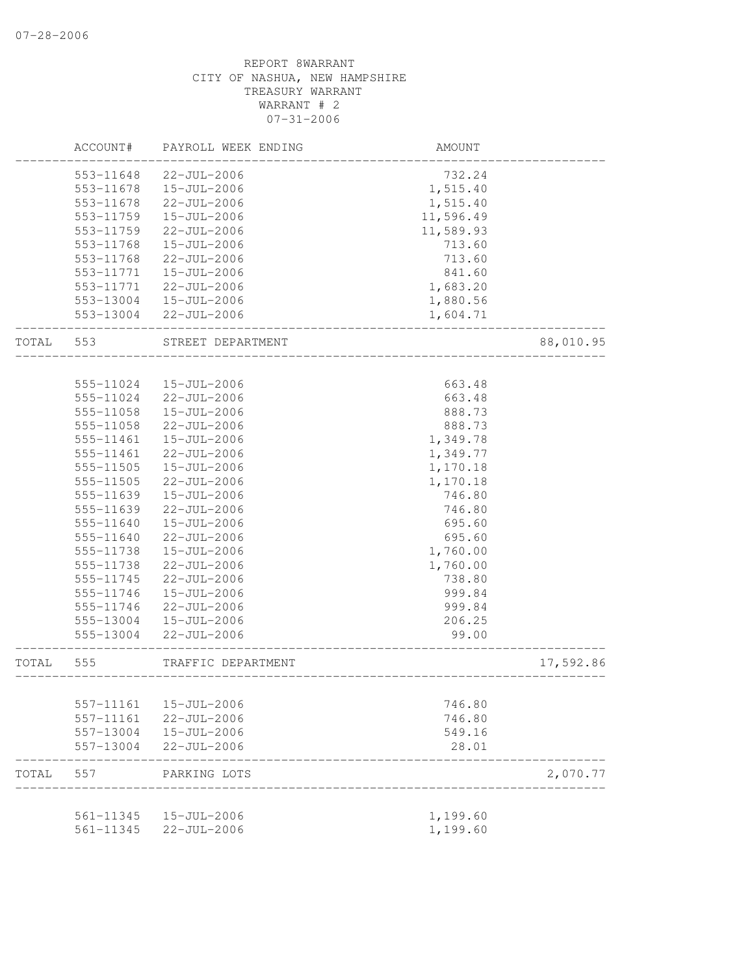|       | ACCOUNT#  | PAYROLL WEEK ENDING | AMOUNT    |           |
|-------|-----------|---------------------|-----------|-----------|
|       | 553-11648 | $22 - JUL - 2006$   | 732.24    |           |
|       | 553-11678 | $15 - JUL - 2006$   | 1,515.40  |           |
|       | 553-11678 | 22-JUL-2006         | 1,515.40  |           |
|       | 553-11759 | 15-JUL-2006         | 11,596.49 |           |
|       | 553-11759 | $22 - JUL - 2006$   | 11,589.93 |           |
|       | 553-11768 | 15-JUL-2006         | 713.60    |           |
|       | 553-11768 | 22-JUL-2006         | 713.60    |           |
|       | 553-11771 | 15-JUL-2006         | 841.60    |           |
|       | 553-11771 | $22 - JUL - 2006$   | 1,683.20  |           |
|       | 553-13004 | 15-JUL-2006         | 1,880.56  |           |
|       | 553-13004 | 22-JUL-2006         | 1,604.71  |           |
| TOTAL | 553       | STREET DEPARTMENT   |           | 88,010.95 |
|       |           |                     |           |           |
|       | 555-11024 | 15-JUL-2006         | 663.48    |           |
|       | 555-11024 | 22-JUL-2006         | 663.48    |           |
|       | 555-11058 | 15-JUL-2006         | 888.73    |           |
|       | 555-11058 | 22-JUL-2006         | 888.73    |           |
|       | 555-11461 | $15 - JUL - 2006$   | 1,349.78  |           |
|       | 555-11461 | 22-JUL-2006         | 1,349.77  |           |
|       | 555-11505 | 15-JUL-2006         | 1,170.18  |           |
|       | 555-11505 | $22 - JUL - 2006$   | 1,170.18  |           |
|       | 555-11639 | $15 - JUL - 2006$   | 746.80    |           |
|       | 555-11639 | 22-JUL-2006         | 746.80    |           |
|       | 555-11640 | $15 - JUL - 2006$   | 695.60    |           |
|       | 555-11640 | $22 - JUL - 2006$   | 695.60    |           |
|       | 555-11738 | 15-JUL-2006         | 1,760.00  |           |
|       | 555-11738 | 22-JUL-2006         | 1,760.00  |           |
|       | 555-11745 | $22 - JUL - 2006$   | 738.80    |           |
|       | 555-11746 | 15-JUL-2006         | 999.84    |           |
|       | 555-11746 | 22-JUL-2006         | 999.84    |           |
|       | 555-13004 | 15-JUL-2006         | 206.25    |           |
|       | 555-13004 | $22 - JUL - 2006$   | 99.00     |           |
| TOTAL | 555       | TRAFFIC DEPARTMENT  |           | 17,592.86 |
|       |           |                     |           |           |
|       | 557-11161 | $15 - JUL - 2006$   | 746.80    |           |
|       | 557-11161 | 22-JUL-2006         | 746.80    |           |
|       | 557-13004 | 15-JUL-2006         | 549.16    |           |
|       | 557-13004 | 22-JUL-2006         | 28.01     |           |
| TOTAL | 557       | PARKING LOTS        |           | 2,070.77  |
|       | 561-11345 | 15-JUL-2006         | 1,199.60  |           |
|       | 561-11345 | $22 - JUL - 2006$   | 1,199.60  |           |
|       |           |                     |           |           |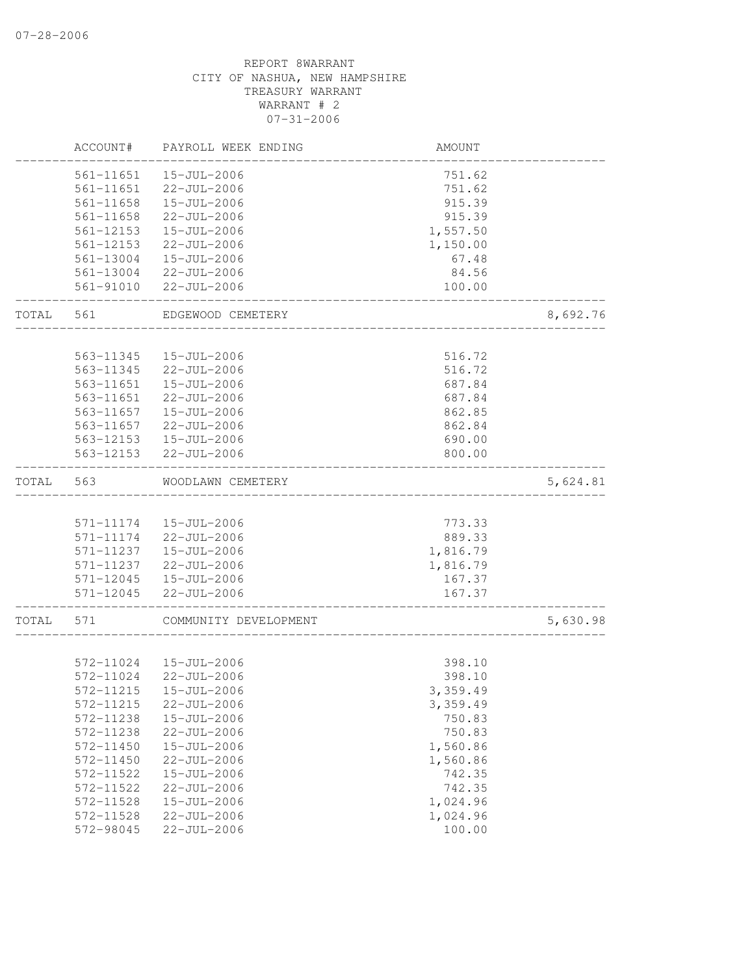|       | ACCOUNT#               | PAYROLL WEEK ENDING                    | AMOUNT           |          |
|-------|------------------------|----------------------------------------|------------------|----------|
|       | 561-11651              | $15 - JUL - 2006$                      | 751.62           |          |
|       | 561-11651              | 22-JUL-2006                            | 751.62           |          |
|       | 561-11658              | 15-JUL-2006                            | 915.39           |          |
|       | $561 - 11658$          | $22 - JUL - 2006$                      | 915.39           |          |
|       | 561-12153              | $15 - JUL - 2006$                      | 1,557.50         |          |
|       | 561-12153              | $22 - JUL - 2006$                      | 1,150.00         |          |
|       | 561-13004              | 15-JUL-2006                            | 67.48            |          |
|       | 561-13004              | 22-JUL-2006                            | 84.56            |          |
|       | 561-91010              | 22-JUL-2006                            | 100.00           |          |
| TOTAL | 561                    | EDGEWOOD CEMETERY                      |                  | 8,692.76 |
|       |                        |                                        |                  |          |
|       | 563-11345              | 15-JUL-2006                            | 516.72           |          |
|       | 563-11345<br>563-11651 | $22 - JUL - 2006$<br>$15 - JUL - 2006$ | 516.72           |          |
|       |                        |                                        | 687.84           |          |
|       | 563-11651              | 22-JUL-2006                            | 687.84           |          |
|       | 563-11657              | 15-JUL-2006                            | 862.85           |          |
|       | 563-11657              | 22-JUL-2006                            | 862.84           |          |
|       | 563-12153<br>563-12153 | 15-JUL-2006<br>22-JUL-2006             | 690.00<br>800.00 |          |
| TOTAL | 563                    | WOODLAWN CEMETERY                      |                  | 5,624.81 |
|       |                        |                                        |                  |          |
|       | 571-11174              | 15-JUL-2006                            | 773.33           |          |
|       | 571-11174              | 22-JUL-2006                            | 889.33           |          |
|       | 571-11237              | 15-JUL-2006                            | 1,816.79         |          |
|       | 571-11237              | 22-JUL-2006                            | 1,816.79         |          |
|       | 571-12045              | 15-JUL-2006                            | 167.37           |          |
|       | 571-12045              | 22-JUL-2006                            | 167.37           |          |
| TOTAL | 571                    | COMMUNITY DEVELOPMENT                  |                  | 5,630.98 |
|       |                        |                                        |                  |          |
|       | 572-11024              | 15-JUL-2006                            | 398.10           |          |
|       | 572-11024              | 22-JUL-2006                            | 398.10           |          |
|       | 572-11215              | 15-JUL-2006                            | 3,359.49         |          |
|       | 572-11215              | $22 - JUL - 2006$                      | 3,359.49         |          |
|       | 572-11238              | $15 - JUL - 2006$                      | 750.83           |          |
|       | 572-11238              | $22 - JUL - 2006$                      | 750.83           |          |
|       | 572-11450              | $15 - JUL - 2006$                      | 1,560.86         |          |
|       | 572-11450              | 22-JUL-2006                            | 1,560.86         |          |
|       | 572-11522              | 15-JUL-2006                            | 742.35           |          |
|       | 572-11522              | $22 - JUL - 2006$                      | 742.35           |          |
|       | 572-11528              | $15 - JUL - 2006$                      | 1,024.96         |          |
|       | 572-11528              | 22-JUL-2006                            | 1,024.96         |          |
|       | 572-98045              | 22-JUL-2006                            | 100.00           |          |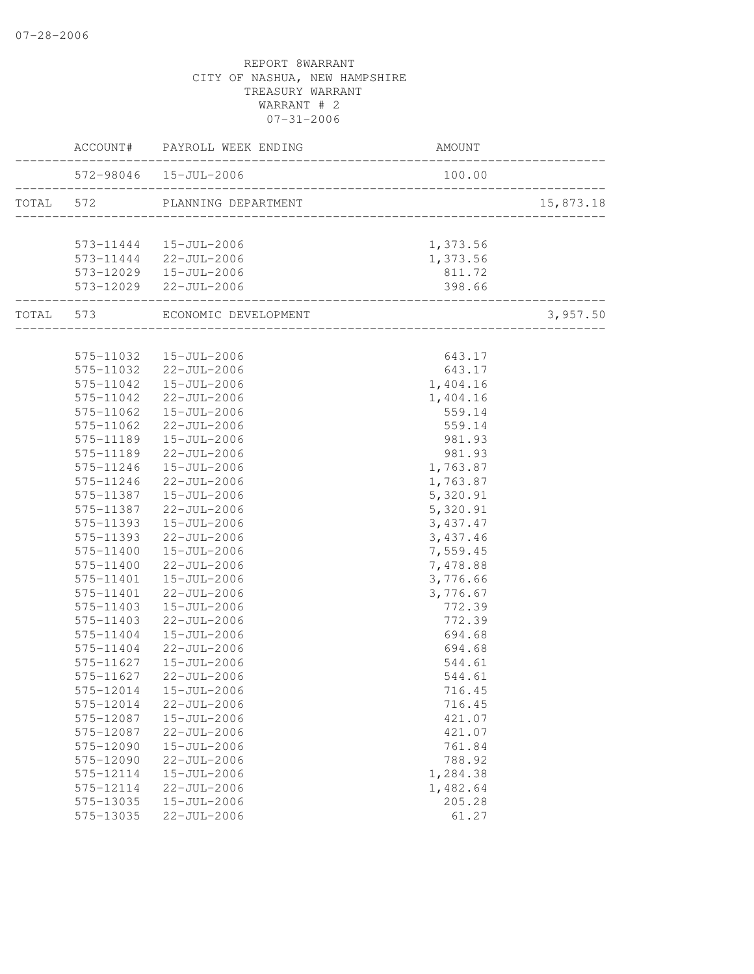|  |                        | ACCOUNT# PAYROLL WEEK ENDING                                | AMOUNT               |           |
|--|------------------------|-------------------------------------------------------------|----------------------|-----------|
|  |                        | 572-98046  15-JUL-2006<br>_________________________________ | 100.00               |           |
|  |                        | TOTAL 572 PLANNING DEPARTMENT                               |                      | 15,873.18 |
|  |                        | 573-11444   15-JUL-2006                                     | 1,373.56             |           |
|  |                        | 573-11444 22-JUL-2006                                       | 1,373.56             |           |
|  |                        | $573-12029$ $15-JUL-2006$                                   | 811.72               |           |
|  | ___________________    | 573-12029 22-JUL-2006                                       | 398.66               |           |
|  |                        | TOTAL 573 ECONOMIC DEVELOPMENT                              |                      | 3,957.50  |
|  |                        |                                                             |                      |           |
|  |                        | 575-11032  15-JUL-2006                                      | 643.17               |           |
|  |                        | 575-11032 22-JUL-2006                                       | 643.17               |           |
|  | 575-11042              | 15-JUL-2006                                                 | 1,404.16             |           |
|  | 575-11042              | 22-JUL-2006                                                 | 1,404.16             |           |
|  | 575-11062              | 15-JUL-2006                                                 | 559.14               |           |
|  | 575-11062              | 22-JUL-2006                                                 | 559.14               |           |
|  | 575-11189              | 15-JUL-2006                                                 | 981.93               |           |
|  | 575-11189              | 22-JUL-2006                                                 | 981.93               |           |
|  | 575-11246<br>575-11246 | 15-JUL-2006<br>22-JUL-2006                                  | 1,763.87             |           |
|  | 575-11387              | $15 - JUL - 2006$                                           | 1,763.87             |           |
|  | 575-11387              | 22-JUL-2006                                                 | 5,320.91<br>5,320.91 |           |
|  | 575-11393              | 15-JUL-2006                                                 | 3,437.47             |           |
|  | 575-11393              | $22 - JUL - 2006$                                           | 3,437.46             |           |
|  | 575-11400              | 15-JUL-2006                                                 | 7,559.45             |           |
|  | 575-11400              | 22-JUL-2006                                                 | 7,478.88             |           |
|  | 575-11401              | 15-JUL-2006                                                 | 3,776.66             |           |
|  | 575-11401              | 22-JUL-2006                                                 | 3,776.67             |           |
|  | 575-11403              | 15-JUL-2006                                                 | 772.39               |           |
|  | 575-11403              | 22-JUL-2006                                                 | 772.39               |           |
|  | 575-11404              | 15-JUL-2006                                                 | 694.68               |           |
|  | 575-11404              | 22-JUL-2006                                                 | 694.68               |           |
|  | 575-11627              | 15-JUL-2006                                                 | 544.61               |           |
|  | 575-11627              | 22-JUL-2006                                                 | 544.61               |           |
|  |                        |                                                             | 716.45               |           |
|  | 575-12014              | 22-JUL-2006                                                 | 716.45               |           |
|  | 575-12087              | $15 - JUL - 2006$                                           | 421.07               |           |
|  | 575-12087              | $22 - JUL - 2006$                                           | 421.07               |           |
|  | 575-12090              | $15 - JUL - 2006$                                           | 761.84               |           |
|  | 575-12090              | 22-JUL-2006                                                 | 788.92               |           |
|  | 575-12114              | $15 - JUL - 2006$                                           | 1,284.38             |           |
|  | 575-12114              | $22 - JUL - 2006$                                           | 1,482.64             |           |
|  | 575-13035              | 15-JUL-2006                                                 | 205.28               |           |
|  | 575-13035              | $22 - JUL - 2006$                                           | 61.27                |           |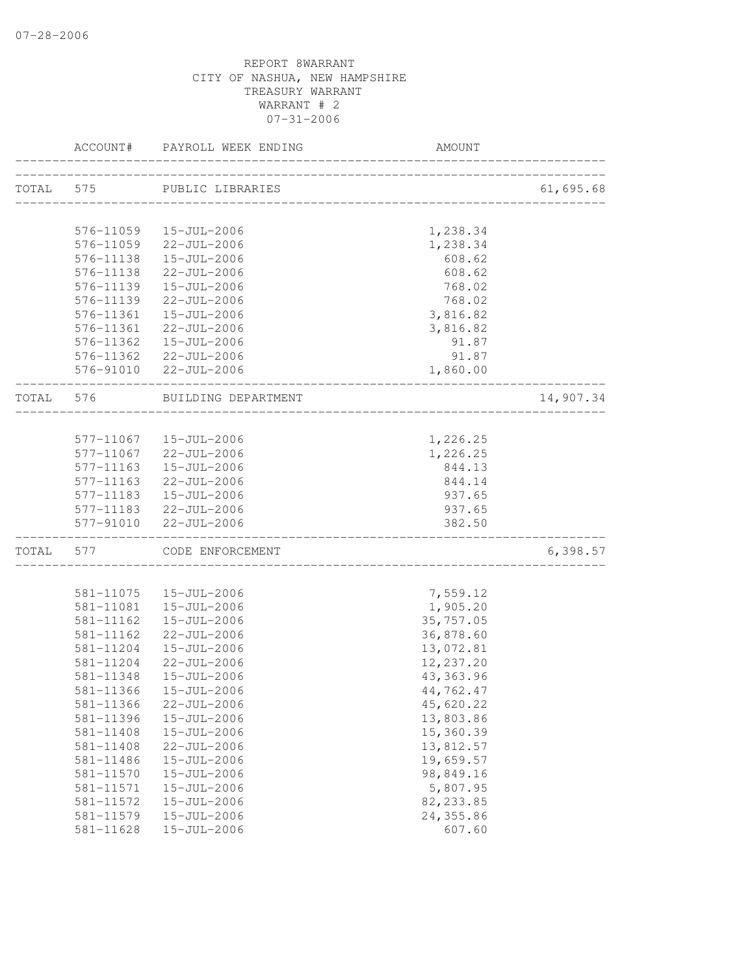|           | ACCOUNT#          | PAYROLL WEEK ENDING        | AMOUNT                            |           |
|-----------|-------------------|----------------------------|-----------------------------------|-----------|
| TOTAL 575 |                   | PUBLIC LIBRARIES           |                                   | 61,695.68 |
|           |                   |                            |                                   |           |
|           |                   | 576-11059  15-JUL-2006     | 1,238.34                          |           |
|           |                   | 576-11059 22-JUL-2006      | 1,238.34                          |           |
|           |                   | 576-11138  15-JUL-2006     | 608.62                            |           |
|           |                   | 576-11138 22-JUL-2006      | 608.62                            |           |
|           |                   | 576-11139  15-JUL-2006     | 768.02                            |           |
|           |                   | 576-11139 22-JUL-2006      | 768.02                            |           |
|           |                   | 576-11361  15-JUL-2006     | 3,816.82                          |           |
|           |                   | 576-11361 22-JUL-2006      | 3,816.82                          |           |
|           |                   | 576-11362  15-JUL-2006     | 91.87                             |           |
|           |                   | 576-11362 22-JUL-2006      | 91.87                             |           |
|           |                   | 576-91010 22-JUL-2006      | 1,860.00                          |           |
|           | TOTAL 576         | BUILDING DEPARTMENT        |                                   | 14,907.34 |
|           |                   |                            |                                   |           |
|           |                   | 577-11067  15-JUL-2006     | 1,226.25                          |           |
|           |                   | 577-11067 22-JUL-2006      | 1,226.25                          |           |
|           |                   | 577-11163  15-JUL-2006     | 844.13                            |           |
|           |                   | 577-11163 22-JUL-2006      | 844.14                            |           |
|           |                   | 577-11183  15-JUL-2006     | 937.65                            |           |
|           |                   | 577-11183 22-JUL-2006      | 937.65                            |           |
|           | _________________ | 577-91010 22-JUL-2006      | 382.50                            |           |
|           |                   | TOTAL 577 CODE ENFORCEMENT | _________________________________ | 6,398.57  |
|           |                   |                            |                                   |           |
|           |                   | 581-11075  15-JUL-2006     | 7,559.12                          |           |
|           | 581-11081         | 15-JUL-2006                | 1,905.20                          |           |
|           | 581-11162         | 15-JUL-2006                | 35,757.05                         |           |
|           | 581-11162         | 22-JUL-2006                | 36,878.60                         |           |
|           | 581-11204         | 15-JUL-2006                | 13,072.81                         |           |
|           |                   | 581-11204 22-JUL-2006      | 12,237.20                         |           |
|           | 581-11348         | 15-JUL-2006                | 43, 363.96                        |           |
|           |                   | 581-11366  15-JUL-2006     | 44,762.47                         |           |
|           | 581-11366         | $22 - JUL - 2006$          | 45,620.22                         |           |
|           | 581-11396         | 15-JUL-2006                | 13,803.86                         |           |
|           | 581-11408         | $15 - JUL - 2006$          | 15,360.39                         |           |
|           | 581-11408         | 22-JUL-2006                | 13,812.57                         |           |
|           | 581-11486         | 15-JUL-2006                | 19,659.57                         |           |
|           | 581-11570         | 15-JUL-2006                | 98,849.16                         |           |
|           | 581-11571         | 15-JUL-2006                | 5,807.95                          |           |
|           | 581-11572         | 15-JUL-2006                | 82, 233.85                        |           |
|           | 581-11579         | 15-JUL-2006                | 24,355.86                         |           |
|           | $581 - 11628$     | 15-JUL-2006                | 607.60                            |           |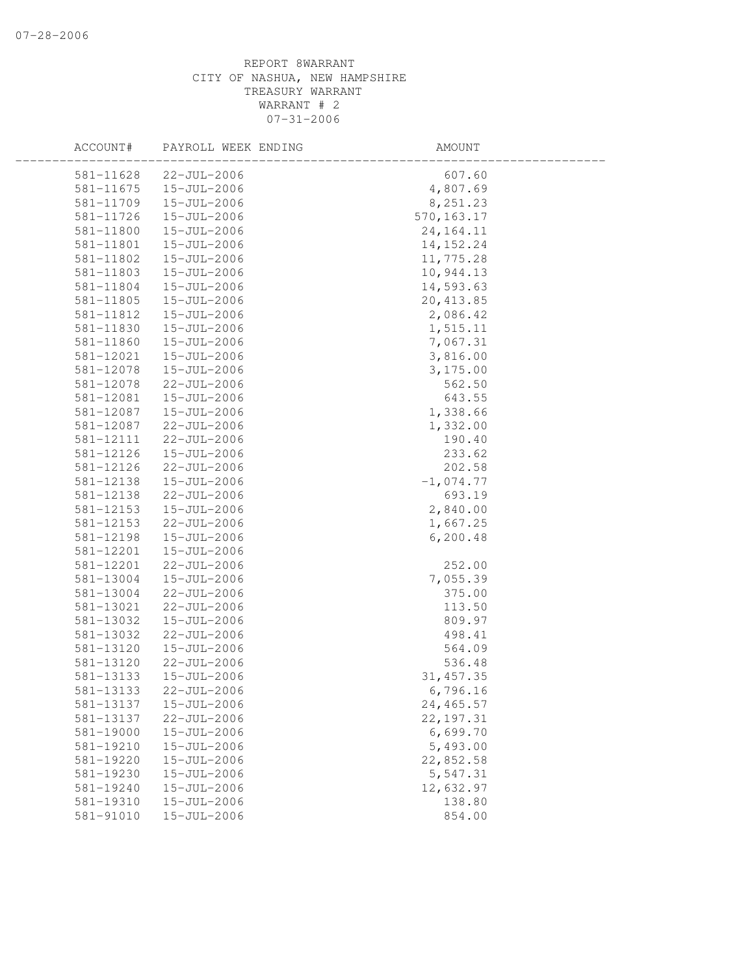| ACCOUNT#  | PAYROLL WEEK ENDING | AMOUNT      |  |
|-----------|---------------------|-------------|--|
| 581-11628 | 22-JUL-2006         | 607.60      |  |
| 581-11675 | 15-JUL-2006         | 4,807.69    |  |
| 581-11709 | 15-JUL-2006         | 8,251.23    |  |
| 581-11726 | 15-JUL-2006         | 570, 163.17 |  |
| 581-11800 | 15-JUL-2006         | 24, 164. 11 |  |
| 581-11801 | 15-JUL-2006         | 14, 152. 24 |  |
| 581-11802 | 15-JUL-2006         | 11,775.28   |  |
| 581-11803 | 15-JUL-2006         | 10,944.13   |  |
| 581-11804 | 15-JUL-2006         | 14,593.63   |  |
| 581-11805 | $15 - JUL - 2006$   | 20, 413.85  |  |
| 581-11812 | 15-JUL-2006         | 2,086.42    |  |
| 581-11830 | 15-JUL-2006         | 1,515.11    |  |
| 581-11860 | 15-JUL-2006         | 7,067.31    |  |
| 581-12021 | 15-JUL-2006         | 3,816.00    |  |
| 581-12078 | 15-JUL-2006         | 3,175.00    |  |
| 581-12078 | 22-JUL-2006         | 562.50      |  |
| 581-12081 | 15-JUL-2006         | 643.55      |  |
| 581-12087 | 15-JUL-2006         | 1,338.66    |  |
| 581-12087 | $22 - JUL - 2006$   | 1,332.00    |  |
| 581-12111 | $22 - JUL - 2006$   | 190.40      |  |
| 581-12126 | 15-JUL-2006         | 233.62      |  |
| 581-12126 | 22-JUL-2006         | 202.58      |  |
| 581-12138 | 15-JUL-2006         | $-1,074.77$ |  |
| 581-12138 | 22-JUL-2006         | 693.19      |  |
| 581-12153 | 15-JUL-2006         | 2,840.00    |  |
| 581-12153 | 22-JUL-2006         | 1,667.25    |  |
| 581-12198 | 15-JUL-2006         | 6, 200.48   |  |
| 581-12201 | 15-JUL-2006         |             |  |
| 581-12201 | 22-JUL-2006         | 252.00      |  |
| 581-13004 | 15-JUL-2006         | 7,055.39    |  |
| 581-13004 | 22-JUL-2006         | 375.00      |  |
| 581-13021 | 22-JUL-2006         | 113.50      |  |
| 581-13032 | 15-JUL-2006         | 809.97      |  |
| 581-13032 | 22-JUL-2006         | 498.41      |  |
| 581-13120 | 15-JUL-2006         | 564.09      |  |
| 581-13120 | 22-JUL-2006         | 536.48      |  |
| 581-13133 | 15-JUL-2006         | 31, 457.35  |  |
| 581-13133 | 22-JUL-2006         | 6,796.16    |  |
| 581-13137 | 15-JUL-2006         | 24,465.57   |  |
| 581-13137 | $22 - JUL - 2006$   | 22, 197.31  |  |
| 581-19000 | $15 - JUL - 2006$   | 6,699.70    |  |
| 581-19210 | 15-JUL-2006         | 5,493.00    |  |
| 581-19220 | 15-JUL-2006         | 22,852.58   |  |
| 581-19230 | 15-JUL-2006         | 5,547.31    |  |
| 581-19240 | 15-JUL-2006         | 12,632.97   |  |
| 581-19310 | $15 - JUL - 2006$   | 138.80      |  |
| 581-91010 | 15-JUL-2006         | 854.00      |  |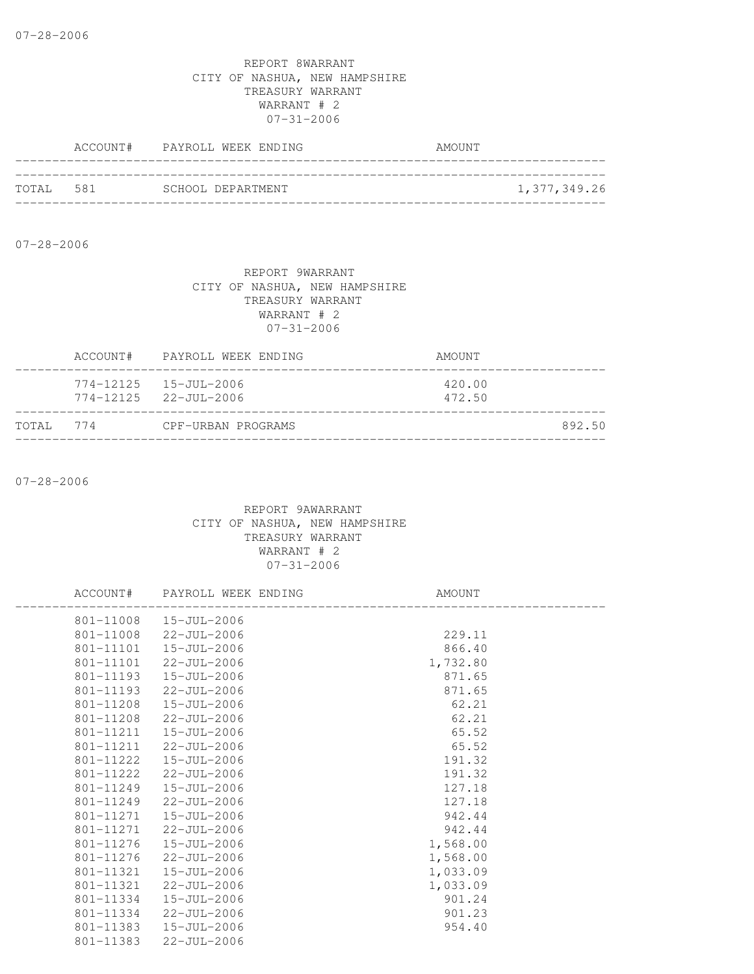|           | ACCOUNT# PAYROLL WEEK ENDING | AMOUNT       |
|-----------|------------------------------|--------------|
| TOTAL 581 |                              |              |
|           | SCHOOL DEPARTMENT            | 1,377,349.26 |

07-28-2006

#### REPORT 9WARRANT CITY OF NASHUA, NEW HAMPSHIRE TREASURY WARRANT WARRANT # 2 07-31-2006

| TOTAL 774 | CPF-URBAN PROGRAMS                                                 |                  | 892.50 |
|-----------|--------------------------------------------------------------------|------------------|--------|
|           | $774 - 12125$ $15 - JUL - 2006$<br>$774 - 12125$ $22 - JUL - 2006$ | 420.00<br>472.50 |        |
|           | ACCOUNT# PAYROLL WEEK ENDING                                       | AMOUNT           |        |

07-28-2006

|           | ACCOUNT# PAYROLL WEEK ENDING | AMOUNT   |  |
|-----------|------------------------------|----------|--|
|           | 801-11008  15-JUL-2006       |          |  |
|           | 801-11008 22-JUL-2006        | 229.11   |  |
|           | 801-11101  15-JUL-2006       | 866.40   |  |
|           | 801-11101 22-JUL-2006        | 1,732.80 |  |
| 801-11193 | 15-JUL-2006                  | 871.65   |  |
| 801-11193 | 22-JUL-2006                  | 871.65   |  |
| 801-11208 | $15 - JUL - 2006$            | 62.21    |  |
| 801-11208 | 22-JUL-2006                  | 62.21    |  |
|           | 801-11211  15-JUL-2006       | 65.52    |  |
|           | 801-11211 22-JUL-2006        | 65.52    |  |
| 801-11222 | 15-JUL-2006                  | 191.32   |  |
| 801-11222 | 22-JUL-2006                  | 191.32   |  |
| 801-11249 | 15-JUL-2006                  | 127.18   |  |
| 801-11249 | 22-JUL-2006                  | 127.18   |  |
| 801-11271 | 15-JUL-2006                  | 942.44   |  |
|           | 801-11271 22-JUL-2006        | 942.44   |  |
| 801-11276 | 15-JUL-2006                  | 1,568.00 |  |
| 801-11276 | 22-JUL-2006                  | 1,568.00 |  |
| 801-11321 | 15-JUL-2006                  | 1,033.09 |  |
|           | 801-11321 22-JUL-2006        | 1,033.09 |  |
| 801-11334 | 15-JUL-2006                  | 901.24   |  |
| 801-11334 | 22-JUL-2006                  | 901.23   |  |
| 801-11383 | 15-JUL-2006                  | 954.40   |  |
|           | 801-11383 22-JUL-2006        |          |  |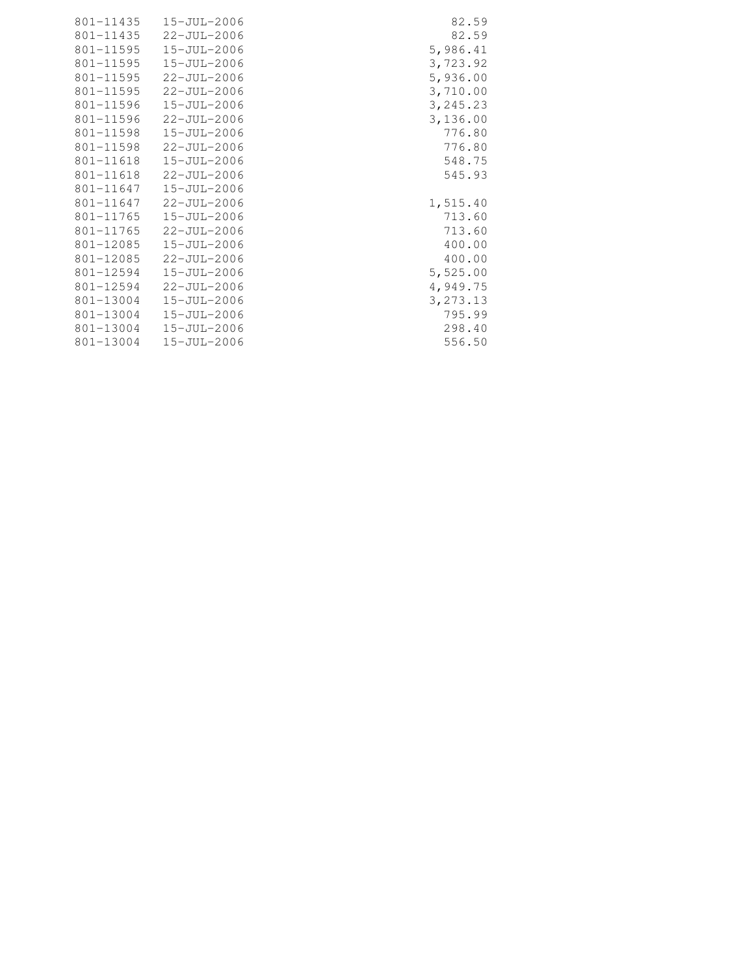| 801-11435 | 15-JUL-2006       | 82.59     |
|-----------|-------------------|-----------|
| 801-11435 | 22-JUL-2006       | 82.59     |
| 801-11595 | $15 - JUL - 2006$ | 5,986.41  |
| 801-11595 | 15-JUL-2006       | 3,723.92  |
| 801-11595 | $22 - JUL - 2006$ | 5,936.00  |
| 801-11595 | 22-JUL-2006       | 3,710.00  |
| 801-11596 | $15 - JUL - 2006$ | 3,245.23  |
| 801-11596 | 22-JUL-2006       | 3,136.00  |
| 801-11598 | 15-JUL-2006       | 776.80    |
| 801-11598 | 22-JUL-2006       | 776.80    |
| 801-11618 | 15-JUL-2006       | 548.75    |
| 801-11618 | 22-JUL-2006       | 545.93    |
| 801-11647 | 15-JUL-2006       |           |
| 801-11647 | 22-JUL-2006       | 1,515.40  |
| 801-11765 | 15-JUL-2006       | 713.60    |
| 801-11765 | 22-JUL-2006       | 713.60    |
| 801-12085 | $15 - JUL - 2006$ | 400.00    |
| 801-12085 | $22 - JUL - 2006$ | 400.00    |
| 801-12594 | 15-JUL-2006       | 5,525.00  |
| 801-12594 | $22 - JUL - 2006$ | 4,949.75  |
| 801-13004 | 15-JUL-2006       | 3, 273.13 |
| 801-13004 | 15-JUL-2006       | 795.99    |
| 801-13004 | 15-JUL-2006       | 298.40    |
| 801-13004 | 15-JUL-2006       | 556.50    |
|           |                   |           |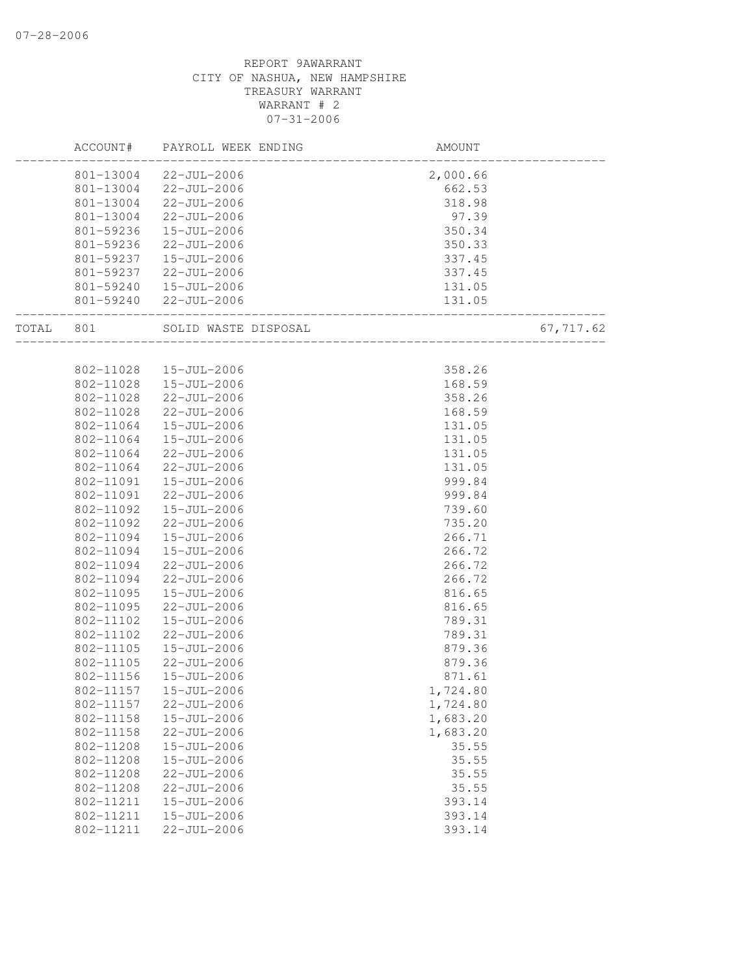## REPORT 9AWARRANT CITY OF NASHUA, NEW HAMPSHIRE TREASURY WARRANT WARRANT # 2 07-31-2006

|       | ACCOUNT#  | PAYROLL WEEK ENDING  | AMOUNT   |           |
|-------|-----------|----------------------|----------|-----------|
|       | 801-13004 | 22-JUL-2006          | 2,000.66 |           |
|       | 801-13004 | 22-JUL-2006          | 662.53   |           |
|       | 801-13004 | 22-JUL-2006          | 318.98   |           |
|       | 801-13004 | 22-JUL-2006          | 97.39    |           |
|       | 801-59236 | 15-JUL-2006          | 350.34   |           |
|       | 801-59236 | $22 - JUL - 2006$    | 350.33   |           |
|       | 801-59237 | 15-JUL-2006          | 337.45   |           |
|       | 801-59237 | $22 - JUL - 2006$    | 337.45   |           |
|       | 801-59240 | $15 - JUL - 2006$    | 131.05   |           |
|       | 801-59240 | 22-JUL-2006          | 131.05   |           |
| TOTAL | 801       | SOLID WASTE DISPOSAL |          | 67,717.62 |
|       |           |                      |          |           |
|       | 802-11028 | 15-JUL-2006          | 358.26   |           |
|       | 802-11028 | 15-JUL-2006          | 168.59   |           |
|       | 802-11028 | $22 - JUL - 2006$    | 358.26   |           |
|       | 802-11028 | 22-JUL-2006          | 168.59   |           |
|       | 802-11064 | 15-JUL-2006          | 131.05   |           |
|       | 802-11064 | 15-JUL-2006          | 131.05   |           |
|       | 802-11064 | 22-JUL-2006          | 131.05   |           |
|       | 802-11064 | 22-JUL-2006          | 131.05   |           |
|       | 802-11091 | 15-JUL-2006          | 999.84   |           |
|       | 802-11091 | $22 - JUL - 2006$    | 999.84   |           |
|       | 802-11092 | 15-JUL-2006          | 739.60   |           |
|       | 802-11092 | 22-JUL-2006          | 735.20   |           |
|       | 802-11094 | 15-JUL-2006          | 266.71   |           |
|       | 802-11094 | 15-JUL-2006          | 266.72   |           |
|       | 802-11094 | $22 - JUL - 2006$    | 266.72   |           |
|       | 802-11094 | $22 - JUL - 2006$    | 266.72   |           |
|       | 802-11095 | 15-JUL-2006          | 816.65   |           |
|       | 802-11095 | $22 - JUL - 2006$    | 816.65   |           |
|       | 802-11102 | 15-JUL-2006          | 789.31   |           |
|       | 802-11102 | $22 - JUL - 2006$    | 789.31   |           |
|       | 802-11105 | $15 - JUL - 2006$    | 879.36   |           |
|       | 802-11105 | 22-JUL-2006          | 879.36   |           |
|       | 802-11156 | 15-JUL-2006          | 871.61   |           |
|       | 802-11157 | $15 - JUL - 2006$    | 1,724.80 |           |
|       | 802-11157 | 22-JUL-2006          | 1,724.80 |           |
|       | 802-11158 | $15 - JUL - 2006$    | 1,683.20 |           |
|       | 802-11158 | $22 - JUL - 2006$    | 1,683.20 |           |
|       | 802-11208 | 15-JUL-2006          | 35.55    |           |
|       | 802-11208 | 15-JUL-2006          | 35.55    |           |
|       | 802-11208 | $22 - JUL - 2006$    | 35.55    |           |
|       | 802-11208 | $22 - JUL - 2006$    | 35.55    |           |
|       | 802-11211 | $15 - JUL - 2006$    | 393.14   |           |
|       | 802-11211 | 15-JUL-2006          | 393.14   |           |
|       | 802-11211 | 22-JUL-2006          | 393.14   |           |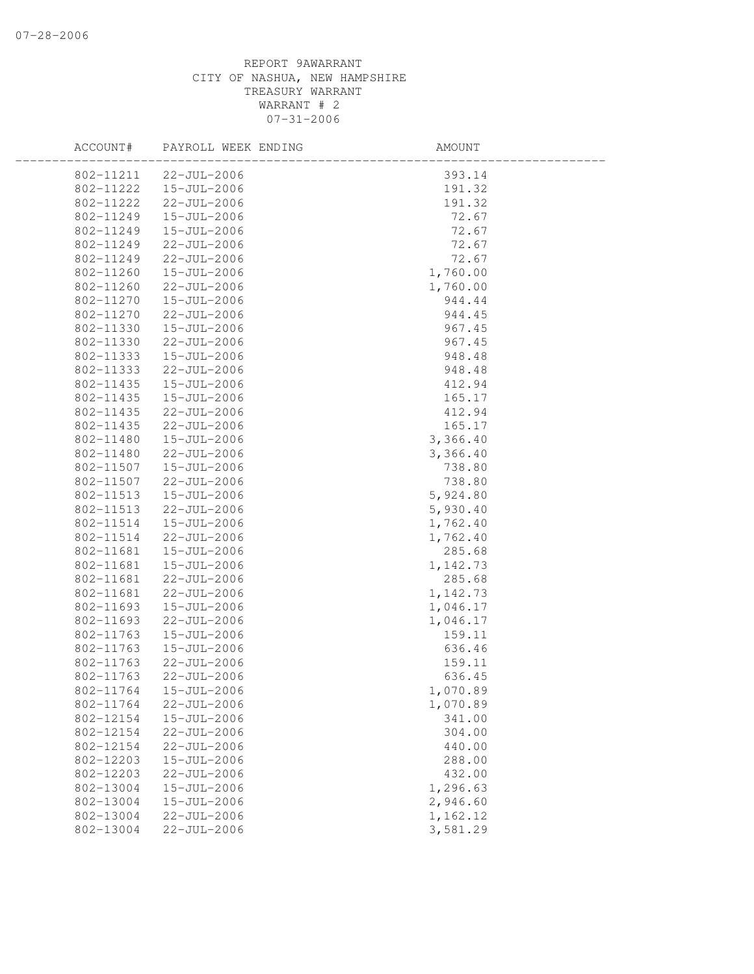## REPORT 9AWARRANT CITY OF NASHUA, NEW HAMPSHIRE TREASURY WARRANT WARRANT # 2 07-31-2006

| ACCOUNT#  | PAYROLL WEEK ENDING | AMOUNT   |  |
|-----------|---------------------|----------|--|
| 802-11211 | $22 - JUL - 2006$   | 393.14   |  |
| 802-11222 | $15 - JUL - 2006$   | 191.32   |  |
| 802-11222 | 22-JUL-2006         | 191.32   |  |
| 802-11249 | 15-JUL-2006         | 72.67    |  |
| 802-11249 | 15-JUL-2006         | 72.67    |  |
| 802-11249 | $22 - JUL - 2006$   | 72.67    |  |
| 802-11249 | 22-JUL-2006         | 72.67    |  |
| 802-11260 | 15-JUL-2006         | 1,760.00 |  |
| 802-11260 | 22-JUL-2006         | 1,760.00 |  |
| 802-11270 | 15-JUL-2006         | 944.44   |  |
| 802-11270 | 22-JUL-2006         | 944.45   |  |
| 802-11330 | 15-JUL-2006         | 967.45   |  |
| 802-11330 | 22-JUL-2006         | 967.45   |  |
| 802-11333 | 15-JUL-2006         | 948.48   |  |
| 802-11333 | $22 - JUL - 2006$   | 948.48   |  |
| 802-11435 | 15-JUL-2006         | 412.94   |  |
| 802-11435 | 15-JUL-2006         | 165.17   |  |
| 802-11435 | $22 - JUL - 2006$   | 412.94   |  |
| 802-11435 | 22-JUL-2006         | 165.17   |  |
| 802-11480 | 15-JUL-2006         | 3,366.40 |  |
| 802-11480 | 22-JUL-2006         | 3,366.40 |  |
| 802-11507 | 15-JUL-2006         | 738.80   |  |
| 802-11507 | 22-JUL-2006         | 738.80   |  |
| 802-11513 | 15-JUL-2006         | 5,924.80 |  |
| 802-11513 | 22-JUL-2006         | 5,930.40 |  |
| 802-11514 | 15-JUL-2006         | 1,762.40 |  |
| 802-11514 | 22-JUL-2006         | 1,762.40 |  |
| 802-11681 | 15-JUL-2006         | 285.68   |  |
| 802-11681 | 15-JUL-2006         | 1,142.73 |  |
| 802-11681 | 22-JUL-2006         | 285.68   |  |
| 802-11681 | $22 - JUL - 2006$   | 1,142.73 |  |
| 802-11693 | 15-JUL-2006         | 1,046.17 |  |
| 802-11693 | $22 - JUL - 2006$   | 1,046.17 |  |
| 802-11763 | 15-JUL-2006         | 159.11   |  |
| 802-11763 | 15-JUL-2006         | 636.46   |  |
| 802-11763 | 22-JUL-2006         | 159.11   |  |
| 802-11763 | 22-JUL-2006         | 636.45   |  |
| 802-11764 | 15-JUL-2006         | 1,070.89 |  |
| 802-11764 | 22-JUL-2006         | 1,070.89 |  |
| 802-12154 | 15-JUL-2006         | 341.00   |  |
| 802-12154 | 22-JUL-2006         | 304.00   |  |
| 802-12154 | 22-JUL-2006         | 440.00   |  |
| 802-12203 | 15-JUL-2006         | 288.00   |  |
| 802-12203 | 22-JUL-2006         | 432.00   |  |
| 802-13004 | 15-JUL-2006         | 1,296.63 |  |
| 802-13004 | 15-JUL-2006         | 2,946.60 |  |
| 802-13004 | 22-JUL-2006         | 1,162.12 |  |
| 802-13004 | 22-JUL-2006         | 3,581.29 |  |
|           |                     |          |  |